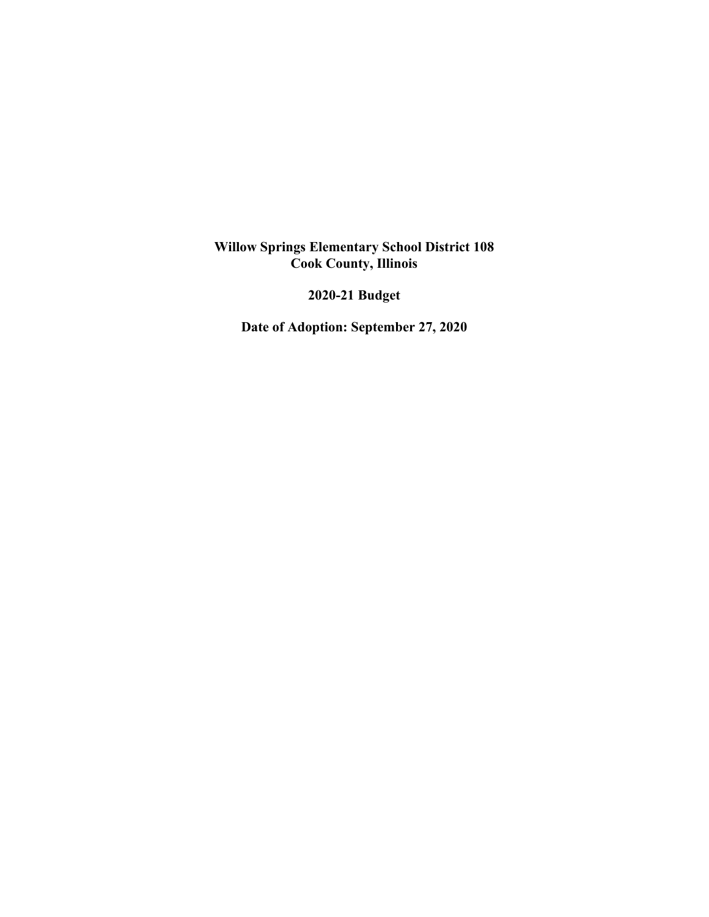### **Willow Springs Elementary School District 108 Cook County, Illinois**

**2020-21 Budget** 

**Date of Adoption: September 27, 2020**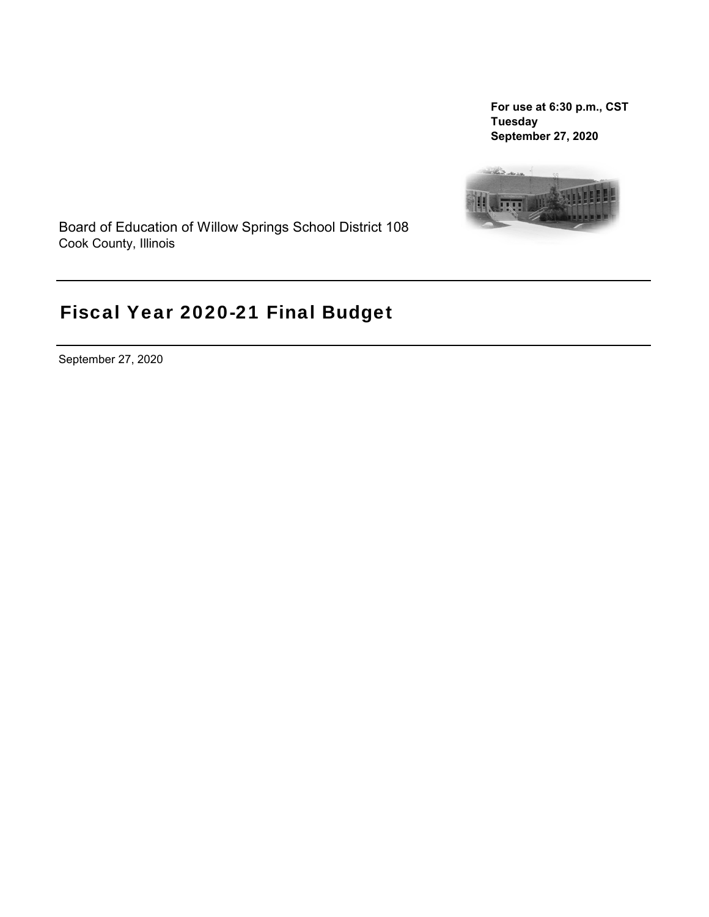**For use at 6:30 p.m., CST Tuesday September 27, 2020**



Board of Education of Willow Springs School District 108 Cook County, Illinois

# Fiscal Year 2020-21 Final Budget

September 27, 2020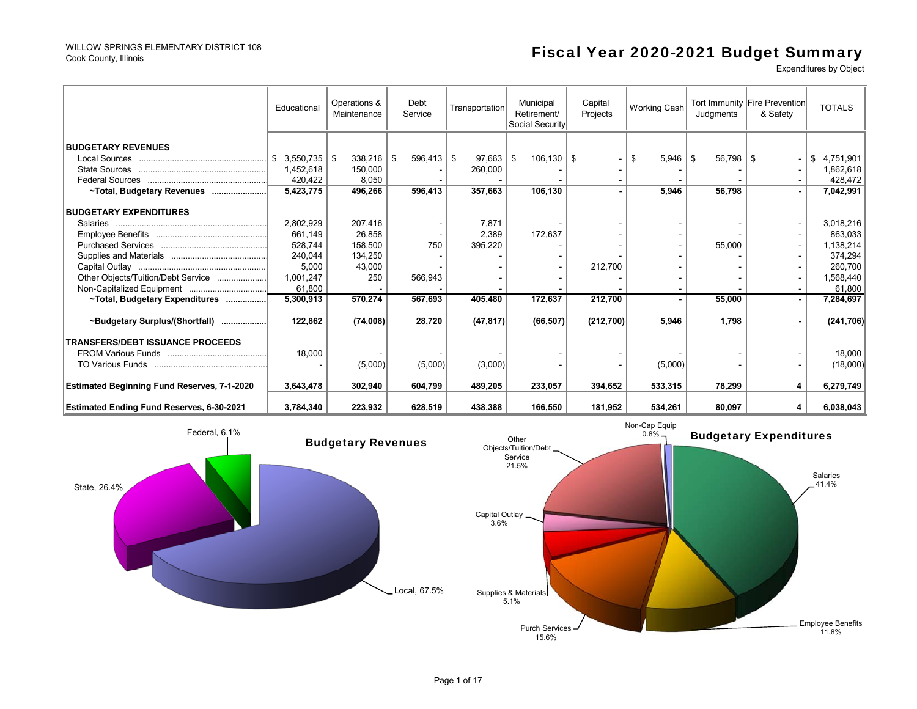#### WILLOW SPRINGS ELEMENTARY DISTRICT 108 Cook County, Illinois

# Fiscal Year 2020-2021 Budget Summary

Expenditures by Object

Salaries41.4%

|                                                    | Educational     | Operations &<br>Maintenance | Debt<br>Service    | Transportation | Municipal<br>Retirement/<br>Social Security | Capital<br>Working Cash<br>Projects |            | Judgments             | Tort Immunity Fire Prevention<br>& Safety | <b>TOTALS</b> |
|----------------------------------------------------|-----------------|-----------------------------|--------------------|----------------|---------------------------------------------|-------------------------------------|------------|-----------------------|-------------------------------------------|---------------|
|                                                    |                 |                             |                    |                |                                             |                                     |            |                       |                                           |               |
| <b>BUDGETARY REVENUES</b>                          |                 |                             |                    |                |                                             |                                     |            |                       |                                           |               |
|                                                    | 3,550,735<br>\$ | 338,216<br>l \$             | $596,413$ \$<br>\$ | 97,663         | $106, 130$   \$<br>- \$                     |                                     | 5.946<br>£ | $56,798$ \ \$<br>- \$ |                                           | 4,751,901     |
|                                                    | 1,452,618       | 150,000                     |                    | 260,000        |                                             |                                     |            |                       |                                           | 1,862,618     |
|                                                    | 420,422         | 8,050                       |                    |                |                                             |                                     |            |                       |                                           | 428.472       |
| ~Total, Budgetary Revenues                         | 5,423,775       | 496,266                     | 596,413            | 357,663        | 106,130                                     |                                     | 5,946      | 56,798                |                                           | 7,042,991     |
|                                                    |                 |                             |                    |                |                                             |                                     |            |                       |                                           |               |
| <b>BUDGETARY EXPENDITURES</b>                      |                 |                             |                    |                |                                             |                                     |            |                       |                                           |               |
|                                                    | 2,802,929       | 207,416                     |                    | 7,871          |                                             |                                     |            |                       |                                           | 3,018,216     |
|                                                    | 661,149         | 26.858                      |                    | 2.389          | 172,637                                     |                                     |            |                       |                                           | 863.033       |
|                                                    | 528,744         | 158,500                     | 750                | 395,220        |                                             |                                     |            | 55,000                |                                           | 1,138,214     |
|                                                    | 240,044         | 134,250                     |                    |                |                                             |                                     |            |                       |                                           | 374,294       |
|                                                    | 5,000           | 43,000                      |                    |                |                                             | 212,700                             |            |                       |                                           | 260,700       |
| Other Objects/Tuition/Debt Service                 | 1,001,247       | 250                         | 566,943            |                |                                             |                                     |            |                       |                                           | 1,568,440     |
|                                                    | 61,800          |                             |                    |                |                                             |                                     |            |                       |                                           | 61,800        |
| ~Total, Budgetary Expenditures                     | 5,300,913       | 570,274                     | 567,693            | 405,480        | 172,637                                     | 212,700                             |            | 55,000                |                                           | 7,284,697     |
| ~Budgetary Surplus/(Shortfall)                     | 122,862         | (74,008)                    | 28,720             | (47, 817)      | (66, 507)                                   | (212,700)                           | 5,946      | 1,798                 |                                           | (241, 706)    |
| <b>ITRANSFERS/DEBT ISSUANCE PROCEEDS</b>           |                 |                             |                    |                |                                             |                                     |            |                       |                                           |               |
|                                                    | 18,000          |                             |                    |                |                                             |                                     |            |                       |                                           | 18,000        |
|                                                    |                 | (5,000)                     | (5,000)            | (3,000)        |                                             |                                     | (5,000)    |                       |                                           | (18,000)      |
|                                                    |                 |                             |                    |                |                                             |                                     |            |                       |                                           |               |
| <b>Estimated Beginning Fund Reserves, 7-1-2020</b> | 3,643,478       | 302,940                     | 604,799            | 489.205        | 233,057                                     | 394,652                             | 533,315    | 78,299                | 4                                         | 6,279,749     |
| Estimated Ending Fund Reserves, 6-30-2021          | 3,784,340       | 223,932                     | 628,519            | 438,388        | 166,550                                     | 181,952                             | 534,261    | 80,097                | 4                                         | 6,038,043     |

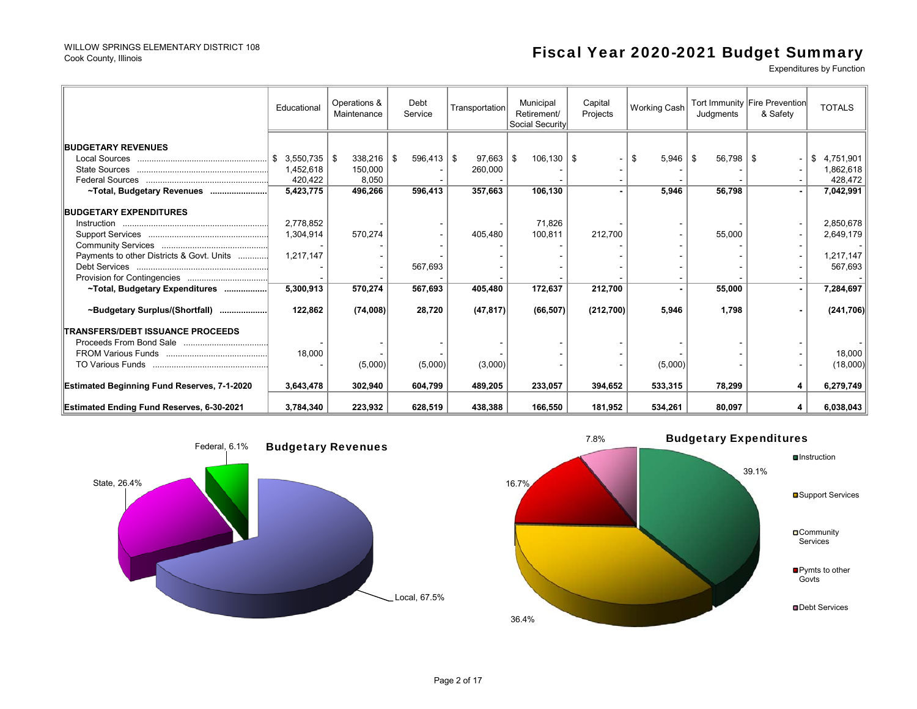#### WILLOW SPRINGS ELEMENTARY DISTRICT 108 Cook County, Illinois

# Fiscal Year 2020-2021 Budget Summary

Expenditures by Function

|                                                    | Educational     | Operations &<br>Maintenance | Debt<br>Service    | Transportation | Municipal<br>Retirement/<br>Social Security | Capital<br>Projects | Working Cash |                       | Tort Immunity Fire Prevention<br>& Safety | <b>TOTALS</b> |
|----------------------------------------------------|-----------------|-----------------------------|--------------------|----------------|---------------------------------------------|---------------------|--------------|-----------------------|-------------------------------------------|---------------|
|                                                    |                 |                             |                    |                |                                             |                     |              |                       |                                           |               |
| <b>BUDGETARY REVENUES</b>                          |                 |                             |                    |                |                                             |                     |              |                       |                                           |               |
|                                                    | $3,550,735$ \\$ | 338,216                     | $596,413$ \$<br>\$ | 97,663         | $106.130$   \$<br>∣\$.                      |                     | 5,946<br>\$  | $56,798$ \ \$<br>- \$ |                                           | 4,751,901     |
|                                                    | 1,452,618       | 150.000                     |                    | 260,000        |                                             |                     |              |                       |                                           | 1,862,618     |
|                                                    | 420,422         | 8,050                       |                    |                |                                             |                     |              |                       |                                           | 428,472       |
| ~Total, Budgetary Revenues                         | 5,423,775       | 496,266                     | 596,413            | 357.663        | 106,130                                     |                     | 5,946        | 56,798                |                                           | 7,042,991     |
| <b>BUDGETARY EXPENDITURES</b>                      |                 |                             |                    |                |                                             |                     |              |                       |                                           |               |
|                                                    | 2,778,852       |                             |                    |                | 71,826                                      |                     |              |                       |                                           | 2,850,678     |
|                                                    | 1,304,914       | 570,274                     |                    | 405,480        | 100,811                                     | 212,700             |              | 55,000                |                                           | 2,649,179     |
|                                                    |                 |                             |                    |                |                                             |                     |              |                       |                                           |               |
| Payments to other Districts & Govt. Units          | 1,217,147       |                             |                    |                |                                             |                     |              |                       |                                           | 1,217,147     |
|                                                    |                 |                             | 567,693            |                |                                             |                     |              |                       |                                           | 567,693       |
|                                                    |                 |                             |                    |                |                                             |                     |              |                       |                                           |               |
| ~Total, Budgetary Expenditures                     | 5,300,913       | 570,274                     | 567,693            | 405,480        | 172,637                                     | 212,700             |              | 55,000                |                                           | 7,284,697     |
|                                                    |                 |                             |                    |                |                                             |                     |              |                       |                                           |               |
| ~Budgetary Surplus/(Shortfall)                     | 122,862         | (74,008)                    | 28,720             | (47, 817)      | (66, 507)                                   | (212,700)           | 5,946        | 1,798                 |                                           | (241,706)     |
| <b>TRANSFERS/DEBT ISSUANCE PROCEEDS</b>            |                 |                             |                    |                |                                             |                     |              |                       |                                           |               |
|                                                    |                 |                             |                    |                |                                             |                     |              |                       |                                           |               |
|                                                    | 18,000          |                             |                    |                |                                             |                     |              |                       |                                           | 18,000        |
|                                                    |                 | (5,000)                     | (5,000)            | (3,000)        |                                             |                     | (5,000)      |                       |                                           | (18,000)      |
|                                                    |                 |                             |                    |                |                                             |                     |              |                       |                                           |               |
| <b>Estimated Beginning Fund Reserves, 7-1-2020</b> | 3,643,478       | 302,940                     | 604,799            | 489.205        | 233,057                                     | 394.652             | 533,315      | 78,299                | 4                                         | 6,279,749     |
| <b>Estimated Ending Fund Reserves, 6-30-2021</b>   | 3,784,340       | 223,932                     | 628,519            | 438.388        | 166,550                                     | 181,952             | 534,261      | 80,097                | 4                                         | 6,038,043     |



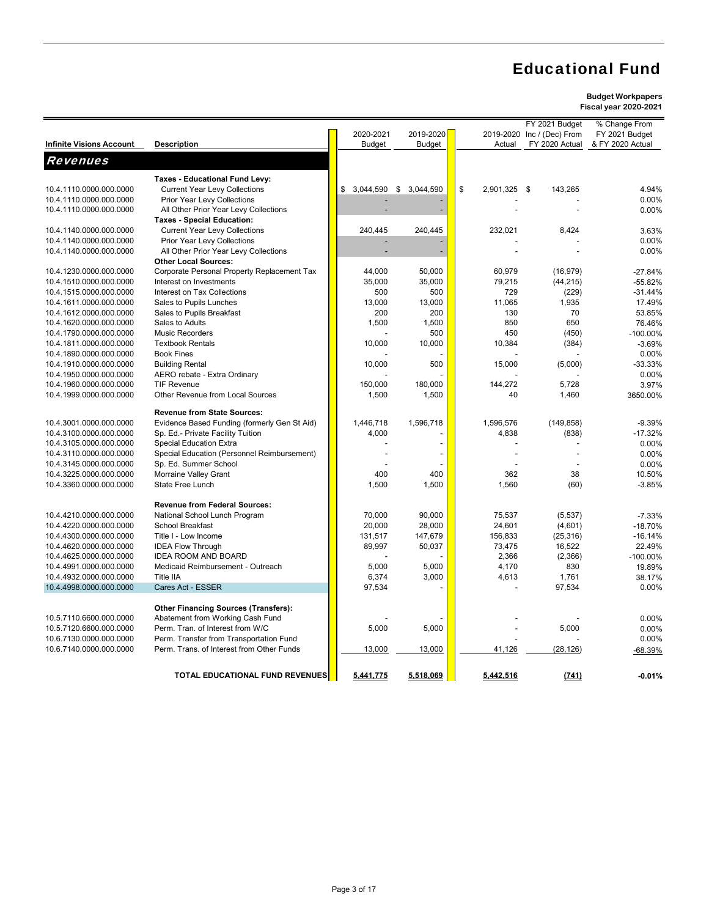|                                                    |                                                        | 2020-2021       | 2019-2020     |                    | FY 2021 Budget<br>2019-2020 Inc / (Dec) From | % Change From<br>FY 2021 Budget |
|----------------------------------------------------|--------------------------------------------------------|-----------------|---------------|--------------------|----------------------------------------------|---------------------------------|
| <b>Infinite Visions Account</b>                    | <b>Description</b>                                     | <b>Budget</b>   | <b>Budget</b> | Actual             | FY 2020 Actual                               | & FY 2020 Actual                |
| <b>Revenues</b>                                    |                                                        |                 |               |                    |                                              |                                 |
|                                                    | Taxes - Educational Fund Levy:                         |                 |               |                    |                                              |                                 |
| 10.4.1110.0000.000.0000                            | <b>Current Year Levy Collections</b>                   | 3,044,590<br>\$ | \$3,044,590   | \$<br>2,901,325 \$ | 143,265                                      | 4.94%                           |
| 10.4.1110.0000.000.0000                            | Prior Year Levy Collections                            |                 |               |                    |                                              | 0.00%                           |
| 10.4.1110.0000.000.0000                            | All Other Prior Year Levy Collections                  |                 |               |                    |                                              | 0.00%                           |
|                                                    | <b>Taxes - Special Education:</b>                      |                 |               |                    |                                              |                                 |
| 10.4.1140.0000.000.0000                            | <b>Current Year Levy Collections</b>                   | 240,445         | 240,445       | 232,021            | 8,424                                        | 3.63%                           |
| 10.4.1140.0000.000.0000                            | Prior Year Levy Collections                            |                 |               |                    |                                              | 0.00%                           |
| 10.4.1140.0000.000.0000                            | All Other Prior Year Levy Collections                  |                 |               |                    |                                              | 0.00%                           |
|                                                    | <b>Other Local Sources:</b>                            |                 |               |                    |                                              |                                 |
| 10.4.1230.0000.000.0000                            | Corporate Personal Property Replacement Tax            | 44,000          | 50,000        | 60,979             | (16, 979)                                    | $-27.84%$                       |
| 10.4.1510.0000.000.0000                            | Interest on Investments                                | 35,000          | 35,000        | 79,215<br>729      | (44, 215)                                    | $-55.82%$                       |
| 10.4.1515.0000.000.0000<br>10.4.1611.0000.000.0000 | Interest on Tax Collections<br>Sales to Pupils Lunches | 500<br>13,000   | 500<br>13,000 | 11,065             | (229)<br>1,935                               | $-31.44%$<br>17.49%             |
| 10.4.1612.0000.000.0000                            | Sales to Pupils Breakfast                              | 200             | 200           | 130                | 70                                           | 53.85%                          |
| 10.4.1620.0000.000.0000                            | Sales to Adults                                        | 1,500           | 1,500         | 850                | 650                                          | 76.46%                          |
| 10.4.1790.0000.000.0000                            | <b>Music Recorders</b>                                 |                 | 500           | 450                | (450)                                        | $-100.00\%$                     |
| 10.4.1811.0000.000.0000                            | <b>Textbook Rentals</b>                                | 10,000          | 10,000        | 10,384             | (384)                                        | $-3.69%$                        |
| 10.4.1890.0000.000.0000                            | <b>Book Fines</b>                                      |                 |               |                    |                                              | 0.00%                           |
| 10.4.1910.0000.000.0000                            | <b>Building Rental</b>                                 | 10,000          | 500           | 15,000             | (5,000)                                      | $-33.33%$                       |
| 10.4.1950.0000.000.0000                            | AERO rebate - Extra Ordinary                           |                 |               |                    |                                              | 0.00%                           |
| 10.4.1960.0000.000.0000                            | <b>TIF Revenue</b>                                     | 150,000         | 180,000       | 144,272            | 5,728                                        | 3.97%                           |
| 10.4.1999.0000.000.0000                            | Other Revenue from Local Sources                       | 1,500           | 1,500         | 40                 | 1,460                                        | 3650.00%                        |
|                                                    | <b>Revenue from State Sources:</b>                     |                 |               |                    |                                              |                                 |
| 10.4.3001.0000.000.0000                            | Evidence Based Funding (formerly Gen St Aid)           | 1,446,718       | 1,596,718     | 1,596,576          | (149, 858)                                   | $-9.39%$                        |
| 10.4.3100.0000.000.0000                            | Sp. Ed.- Private Facility Tuition                      | 4,000           |               | 4,838              | (838)                                        | $-17.32%$                       |
| 10.4.3105.0000.000.0000                            | <b>Special Education Extra</b>                         |                 |               |                    |                                              | 0.00%                           |
| 10.4.3110.0000.000.0000                            | Special Education (Personnel Reimbursement)            |                 |               |                    |                                              | 0.00%                           |
| 10.4.3145.0000.000.0000                            | Sp. Ed. Summer School                                  |                 |               |                    |                                              | 0.00%                           |
| 10.4.3225.0000.000.0000                            | Morraine Valley Grant                                  | 400             | 400           | 362                | 38                                           | 10.50%                          |
| 10.4.3360.0000.000.0000                            | <b>State Free Lunch</b>                                | 1,500           | 1,500         | 1.560              | (60)                                         | $-3.85%$                        |
|                                                    | <b>Revenue from Federal Sources:</b>                   |                 |               |                    |                                              |                                 |
| 10.4.4210.0000.000.0000                            | National School Lunch Program                          | 70,000          | 90.000        | 75,537             | (5,537)                                      | $-7.33%$                        |
| 10.4.4220.0000.000.0000                            | School Breakfast                                       | 20,000          | 28,000        | 24,601             | (4,601)                                      | $-18.70%$                       |
| 10.4.4300.0000.000.0000                            | Title I - Low Income                                   | 131,517         | 147,679       | 156,833            | (25, 316)                                    | $-16.14%$                       |
| 10.4.4620.0000.000.0000                            | <b>IDEA Flow Through</b>                               | 89,997          | 50,037        | 73,475             | 16,522                                       | 22.49%                          |
| 10.4.4625.0000.000.0000                            | <b>IDEA ROOM AND BOARD</b>                             |                 |               | 2,366              | (2,366)                                      | $-100.00\%$                     |
| 10.4.4991.0000.000.0000                            | Medicaid Reimbursement - Outreach                      | 5,000           | 5,000         | 4,170              | 830                                          | 19.89%                          |
| 10.4.4932.0000.000.0000                            | Title IIA                                              | 6,374           | 3,000         | 4,613              | 1,761                                        | 38.17%                          |
| 10.4.4998.0000.000.0000                            | Cares Act - ESSER                                      | 97,534          |               |                    | 97,534                                       | 0.00%                           |
|                                                    | <b>Other Financing Sources (Transfers):</b>            |                 |               |                    |                                              |                                 |
| 10.5.7110.6600.000.0000                            | Abatement from Working Cash Fund                       |                 |               |                    |                                              | 0.00%                           |
| 10.5.7120.6600.000.0000                            | Perm. Tran. of Interest from W/C                       | 5,000           | 5,000         |                    | 5,000                                        | 0.00%                           |
| 10.6.7130.0000.000.0000                            | Perm. Transfer from Transportation Fund                |                 |               |                    |                                              | 0.00%                           |
| 10.6.7140.0000.000.0000                            | Perm. Trans. of Interest from Other Funds              | 13,000          | 13,000        | 41,126             | (28, 126)                                    | $-68.39%$                       |
|                                                    |                                                        |                 |               |                    |                                              |                                 |
|                                                    | <b>TOTAL EDUCATIONAL FUND REVENUES</b>                 | 5,441,775       | 5,518,069     | 5,442,516          | (741)                                        | $-0.01%$                        |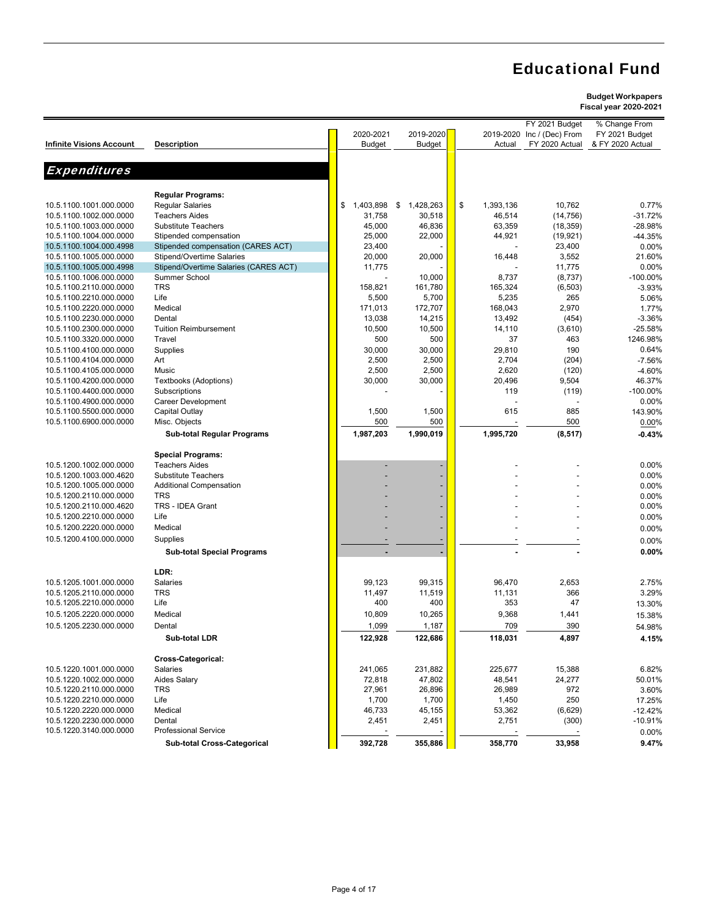## **Budget Workpapers**

|                                 |                                       |                 |                 |                 | FY 2021 Budget             | % Change From    |
|---------------------------------|---------------------------------------|-----------------|-----------------|-----------------|----------------------------|------------------|
|                                 |                                       | 2020-2021       | 2019-2020       |                 | 2019-2020 Inc / (Dec) From | FY 2021 Budget   |
| <b>Infinite Visions Account</b> | <b>Description</b>                    | <b>Budget</b>   | <b>Budget</b>   | Actual          | FY 2020 Actual             | & FY 2020 Actual |
|                                 |                                       |                 |                 |                 |                            |                  |
|                                 |                                       |                 |                 |                 |                            |                  |
| <b>Expenditures</b>             |                                       |                 |                 |                 |                            |                  |
|                                 |                                       |                 |                 |                 |                            |                  |
|                                 | <b>Regular Programs:</b>              |                 |                 |                 |                            |                  |
| 10.5.1100.1001.000.0000         | <b>Regular Salaries</b>               | 1,403,898<br>\$ | \$<br>1,428,263 | \$<br>1,393,136 | 10,762                     | 0.77%            |
| 10.5.1100.1002.000.0000         | <b>Teachers Aides</b>                 | 31,758          | 30,518          | 46,514          | (14, 756)                  | $-31.72%$        |
| 10.5.1100.1003.000.0000         | <b>Substitute Teachers</b>            | 45,000          |                 |                 |                            | -28.98%          |
|                                 |                                       |                 | 46,836          | 63,359          | (18, 359)                  |                  |
| 10.5.1100.1004.000.0000         | Stipended compensation                | 25,000          | 22,000          | 44,921          | (19, 921)                  | -44.35%          |
| 10.5.1100.1004.000.4998         | Stipended compensation (CARES ACT)    | 23,400          |                 |                 | 23,400                     | 0.00%            |
| 10.5.1100.1005.000.0000         | Stipend/Overtime Salaries             | 20,000          | 20,000          | 16,448          | 3,552                      | 21.60%           |
| 10.5.1100.1005.000.4998         | Stipend/Overtime Salaries (CARES ACT) | 11,775          |                 |                 | 11,775                     | 0.00%            |
| 10.5.1100.1006.000.0000         | Summer School                         |                 | 10,000          | 8,737           | (8,737)                    | -100.00%         |
| 10.5.1100.2110.000.0000         | <b>TRS</b>                            | 158,821         | 161,780         | 165,324         | (6, 503)                   | $-3.93%$         |
| 10.5.1100.2210.000.0000         | Life                                  | 5,500           | 5,700           | 5,235           | 265                        | 5.06%            |
| 10.5.1100.2220.000.0000         | Medical                               | 171,013         | 172,707         | 168,043         | 2,970                      | 1.77%            |
| 10.5.1100.2230.000.0000         | Dental                                | 13,038          | 14,215          | 13,492          | (454)                      | $-3.36%$         |
| 10.5.1100.2300.000.0000         | <b>Tuition Reimbursement</b>          | 10,500          | 10,500          | 14,110          | (3,610)                    | $-25.58%$        |
| 10.5.1100.3320.000.0000         | Travel                                | 500             | 500             | 37              | 463                        | 1246.98%         |
| 10.5.1100.4100.000.0000         | Supplies                              | 30,000          | 30,000          | 29,810          | 190                        | 0.64%            |
| 10.5.1100.4104.000.0000         | Art                                   |                 | 2,500           | 2,704           |                            |                  |
|                                 |                                       | 2,500           |                 |                 | (204)                      | $-7.56%$         |
| 10.5.1100.4105.000.0000         | Music                                 | 2,500           | 2,500           | 2,620           | (120)                      | $-4.60%$         |
| 10.5.1100.4200.000.0000         | Textbooks (Adoptions)                 | 30,000          | 30,000          | 20,496          | 9,504                      | 46.37%           |
| 10.5.1100.4400.000.0000         | Subscriptions                         |                 |                 | 119             | (119)                      | -100.00%         |
| 10.5.1100.4900.000.0000         | <b>Career Development</b>             |                 |                 |                 |                            | 0.00%            |
| 10.5.1100.5500.000.0000         | Capital Outlay                        | 1,500           | 1,500           | 615             | 885                        | 143.90%          |
| 10.5.1100.6900.000.0000         | Misc. Objects                         | 500             | 500             |                 | 500                        | 0.00%            |
|                                 | <b>Sub-total Regular Programs</b>     | 1,987,203       | 1,990,019       | 1,995,720       | (8, 517)                   | $-0.43%$         |
|                                 |                                       |                 |                 |                 |                            |                  |
|                                 | <b>Special Programs:</b>              |                 |                 |                 |                            |                  |
| 10.5.1200.1002.000.0000         | <b>Teachers Aides</b>                 |                 |                 |                 |                            | 0.00%            |
| 10.5.1200.1003.000.4620         | <b>Substitute Teachers</b>            |                 |                 |                 |                            | 0.00%            |
| 10.5.1200.1005.000.0000         | <b>Additional Compensation</b>        |                 |                 |                 |                            | 0.00%            |
|                                 | <b>TRS</b>                            |                 |                 |                 |                            |                  |
| 10.5.1200.2110.000.0000         |                                       |                 |                 |                 |                            | 0.00%            |
| 10.5.1200.2110.000.4620         | TRS - IDEA Grant                      |                 |                 |                 |                            | 0.00%            |
| 10.5.1200.2210.000.0000         | Life                                  |                 |                 |                 |                            | 0.00%            |
| 10.5.1200.2220.000.0000         | Medical                               |                 |                 |                 |                            | 0.00%            |
| 10.5.1200.4100.000.0000         | Supplies                              |                 |                 |                 |                            | 0.00%            |
|                                 | <b>Sub-total Special Programs</b>     |                 |                 |                 |                            | 0.00%            |
|                                 |                                       |                 |                 |                 |                            |                  |
|                                 | LDR:                                  |                 |                 |                 |                            |                  |
| 10.5.1205.1001.000.0000         | Salaries                              | 99,123          | 99,315          | 96,470          | 2,653                      | 2.75%            |
| 10.5.1205.2110.000.0000         | <b>TRS</b>                            | 11,497          | 11,519          | 11,131          | 366                        | 3.29%            |
| 10.5.1205.2210.000.0000         | Life                                  | 400             | 400             | 353             | 47                         |                  |
|                                 |                                       |                 |                 |                 |                            | 13.30%           |
| 10.5.1205.2220.000.0000         | Medical                               | 10,809          | 10,265          | 9,368           | 1,441                      | 15.38%           |
| 10.5.1205.2230.000.0000         | Dental                                | 1,099           | 1,187           | 709             | 390                        | 54.98%           |
|                                 | Sub-total LDR                         | 122,928         | 122,686         | 118,031         | 4,897                      | 4.15%            |
|                                 |                                       |                 |                 |                 |                            |                  |
|                                 | Cross-Categorical:                    |                 |                 |                 |                            |                  |
| 10.5.1220.1001.000.0000         | Salaries                              | 241,065         | 231,882         | 225,677         | 15,388                     | 6.82%            |
| 10.5.1220.1002.000.0000         | Aides Salary                          | 72,818          | 47,802          | 48,541          | 24,277                     | 50.01%           |
| 10.5.1220.2110.000.0000         | <b>TRS</b>                            | 27,961          | 26,896          | 26,989          | 972                        | 3.60%            |
| 10.5.1220.2210.000.0000         | Life                                  | 1,700           | 1,700           | 1,450           | 250                        | 17.25%           |
| 10.5.1220.2220.000.0000         | Medical                               | 46,733          | 45,155          |                 |                            |                  |
| 10.5.1220.2230.000.0000         | Dental                                |                 | 2,451           | 53,362          | (6,629)                    | $-12.42%$        |
|                                 |                                       | 2,451           |                 | 2,751           | (300)                      | $-10.91%$        |
| 10.5.1220.3140.000.0000         | <b>Professional Service</b>           |                 |                 |                 |                            | 0.00%            |
|                                 | Sub-total Cross-Categorical           | 392,728         | 355,886         | 358,770         | 33,958                     | 9.47%            |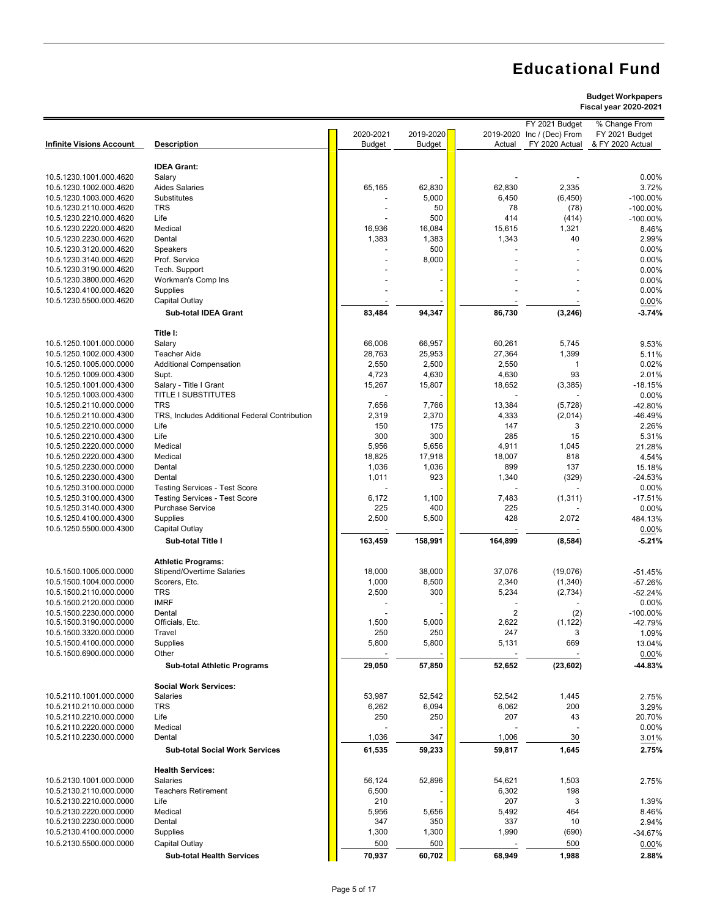### **Budget Workpapers**

**Fiscal year 2020-2021**

|                                                    |                                                                              |                 |                 |                 | FY 2021 Budget   | % Change From      |
|----------------------------------------------------|------------------------------------------------------------------------------|-----------------|-----------------|-----------------|------------------|--------------------|
|                                                    |                                                                              | 2020-2021       | 2019-2020       | 2019-2020       | Inc / (Dec) From | FY 2021 Budget     |
| <b>Infinite Visions Account</b>                    | <b>Description</b>                                                           | <b>Budget</b>   | <b>Budget</b>   | Actual          | FY 2020 Actual   | & FY 2020 Actual   |
|                                                    | <b>IDEA Grant:</b>                                                           |                 |                 |                 |                  |                    |
| 10.5.1230.1001.000.4620                            | Salary                                                                       |                 |                 |                 |                  | 0.00%              |
| 10.5.1230.1002.000.4620                            | <b>Aides Salaries</b>                                                        | 65,165          | 62,830          | 62,830          | 2,335            | 3.72%              |
| 10.5.1230.1003.000.4620                            | Substitutes                                                                  |                 | 5,000           | 6,450           | (6, 450)         | $-100.00\%$        |
| 10.5.1230.2110.000.4620                            | <b>TRS</b>                                                                   |                 | 50              | 78              | (78)             | $-100.00\%$        |
| 10.5.1230.2210.000.4620                            | Life                                                                         |                 | 500             | 414             | (414)            | $-100.00\%$        |
| 10.5.1230.2220.000.4620                            | Medical                                                                      | 16,936          | 16,084          | 15,615          | 1,321            | 8.46%              |
| 10.5.1230.2230.000.4620                            | Dental                                                                       | 1,383           | 1,383           | 1,343           | 40               | 2.99%              |
| 10.5.1230.3120.000.4620                            | Speakers                                                                     |                 | 500             |                 |                  | 0.00%              |
| 10.5.1230.3140.000.4620<br>10.5.1230.3190.000.4620 | Prof. Service<br>Tech. Support                                               |                 | 8,000           |                 |                  | 0.00%<br>0.00%     |
| 10.5.1230.3800.000.4620                            | Workman's Comp Ins                                                           |                 |                 |                 |                  | 0.00%              |
| 10.5.1230.4100.000.4620                            | Supplies                                                                     |                 |                 |                 |                  | 0.00%              |
| 10.5.1230.5500.000.4620                            | Capital Outlay                                                               |                 |                 |                 |                  | 0.00%              |
|                                                    | <b>Sub-total IDEA Grant</b>                                                  | 83,484          | 94,347          | 86,730          | (3, 246)         | $-3.74%$           |
|                                                    |                                                                              |                 |                 |                 |                  |                    |
|                                                    | Title I:                                                                     |                 |                 |                 |                  |                    |
| 10.5.1250.1001.000.0000                            | Salary                                                                       | 66,006          | 66,957          | 60,261          | 5,745            | 9.53%              |
| 10.5.1250.1002.000.4300                            | <b>Teacher Aide</b>                                                          | 28,763          | 25,953          | 27,364          | 1,399            | 5.11%              |
| 10.5.1250.1005.000.0000                            | <b>Additional Compensation</b>                                               | 2,550           | 2,500           | 2,550           | 1                | 0.02%              |
| 10.5.1250.1009.000.4300<br>10.5.1250.1001.000.4300 | Supt.<br>Salary - Title I Grant                                              | 4,723<br>15,267 | 4,630<br>15,807 | 4,630<br>18,652 | 93               | 2.01%<br>$-18.15%$ |
| 10.5.1250.1003.000.4300                            | <b>TITLE I SUBSTITUTES</b>                                                   |                 |                 |                 | (3, 385)         | 0.00%              |
| 10.5.1250.2110.000.0000                            | <b>TRS</b>                                                                   | 7,656           | 7,766           | 13,384          | (5, 728)         | -42.80%            |
| 10.5.1250.2110.000.4300                            | TRS. Includes Additional Federal Contribution                                | 2,319           | 2,370           | 4,333           | (2,014)          | -46.49%            |
| 10.5.1250.2210.000.0000                            | Life                                                                         | 150             | 175             | 147             | 3                | 2.26%              |
| 10.5.1250.2210.000.4300                            | Life                                                                         | 300             | 300             | 285             | 15               | 5.31%              |
| 10.5.1250.2220.000.0000                            | Medical                                                                      | 5,956           | 5,656           | 4,911           | 1,045            | 21.28%             |
| 10.5.1250.2220.000.4300                            | Medical                                                                      | 18,825          | 17,918          | 18,007          | 818              | 4.54%              |
| 10.5.1250.2230.000.0000                            | Dental                                                                       | 1,036           | 1,036           | 899             | 137              | 15.18%             |
| 10.5.1250.2230.000.4300                            | Dental                                                                       | 1,011           | 923             | 1,340           | (329)            | $-24.53%$          |
| 10.5.1250.3100.000.0000<br>10.5.1250.3100.000.4300 | <b>Testing Services - Test Score</b><br><b>Testing Services - Test Score</b> | 6,172           | 1,100           | 7,483           | (1, 311)         | 0.00%<br>$-17.51%$ |
| 10.5.1250.3140.000.4300                            | <b>Purchase Service</b>                                                      | 225             | 400             | 225             |                  | 0.00%              |
| 10.5.1250.4100.000.4300                            | Supplies                                                                     | 2,500           | 5,500           | 428             | 2,072            | 484.13%            |
| 10.5.1250.5500.000.4300                            | Capital Outlay                                                               |                 |                 |                 |                  | 0.00%              |
|                                                    | Sub-total Title I                                                            | 163,459         | 158,991         | 164,899         | (8, 584)         | $-5.21%$           |
|                                                    |                                                                              |                 |                 |                 |                  |                    |
|                                                    | <b>Athletic Programs:</b>                                                    |                 |                 |                 |                  |                    |
| 10.5.1500.1005.000.0000                            | Stipend/Overtime Salaries                                                    | 18,000          | 38,000          | 37,076          | (19,076)         | $-51.45%$          |
| 10.5.1500.1004.000.0000                            | Scorers, Etc.                                                                | 1,000           | 8,500           | 2,340           | (1,340)          | $-57.26%$          |
| 10.5.1500.2110.000.0000                            | <b>TRS</b><br><b>IMRF</b>                                                    | 2,500           | 300             | 5,234           | (2,734)          | $-52.24%$<br>0.00% |
| 10.5.1500.2120.000.0000<br>10.5.1500.2230.000.0000 | Dental                                                                       |                 |                 | 2               | (2)              | -100.00%           |
| 10.5.1500.3190.000.0000                            | Officials, Etc.                                                              | 1,500           | 5,000           | 2,622           | (1, 122)         | -42.79%            |
| 10.5.1500.3320.000.0000                            | Travel                                                                       | 250             | 250             | 247             | 3                | 1.09%              |
| 10.5.1500.4100.000.0000                            | Supplies                                                                     | 5,800           | 5,800           | 5,131           | 669              | 13.04%             |
| 10.5.1500.6900.000.0000                            | Other                                                                        |                 |                 |                 |                  | 0.00%              |
|                                                    | <b>Sub-total Athletic Programs</b>                                           | 29,050          | 57,850          | 52,652          | (23, 602)        | -44.83%            |
|                                                    | <b>Social Work Services:</b>                                                 |                 |                 |                 |                  |                    |
| 10.5.2110.1001.000.0000                            | <b>Salaries</b>                                                              | 53,987          | 52,542          | 52,542          | 1,445            | 2.75%              |
| 10.5.2110.2110.000.0000                            | <b>TRS</b>                                                                   | 6,262           | 6,094           | 6,062           | 200              | 3.29%              |
| 10.5.2110.2210.000.0000                            | Life                                                                         | 250             | 250             | 207             | 43               | 20.70%             |
| 10.5.2110.2220.000.0000                            | Medical                                                                      |                 |                 |                 |                  | 0.00%              |
| 10.5.2110.2230.000.0000                            | Dental                                                                       | 1,036           | 347             | 1,006           | 30               | 3.01%              |
|                                                    | <b>Sub-total Social Work Services</b>                                        | 61,535          | 59,233          | 59,817          | 1,645            | 2.75%              |
|                                                    | <b>Health Services:</b>                                                      |                 |                 |                 |                  |                    |
| 10.5.2130.1001.000.0000                            | <b>Salaries</b>                                                              | 56,124          | 52,896          | 54,621          | 1,503            | 2.75%              |
| 10.5.2130.2110.000.0000                            | <b>Teachers Retirement</b>                                                   | 6,500           |                 | 6,302           | 198              |                    |
| 10.5.2130.2210.000.0000                            | Life                                                                         | 210             |                 | 207             | 3                | 1.39%              |
| 10.5.2130.2220.000.0000                            | Medical                                                                      | 5,956           | 5,656           | 5,492           | 464              | 8.46%              |
| 10.5.2130.2230.000.0000                            | Dental                                                                       | 347             | 350             | 337             | 10               | 2.94%              |
| 10.5.2130.4100.000.0000                            | Supplies                                                                     | 1,300           | 1,300           | 1,990           | (690)            | $-34.67%$          |
| 10.5.2130.5500.000.0000                            | Capital Outlay                                                               | 500             | 500             |                 | 500              | 0.00%              |
|                                                    | <b>Sub-total Health Services</b>                                             | 70,937          | 60,702          | 68,949          | 1,988            | 2.88%              |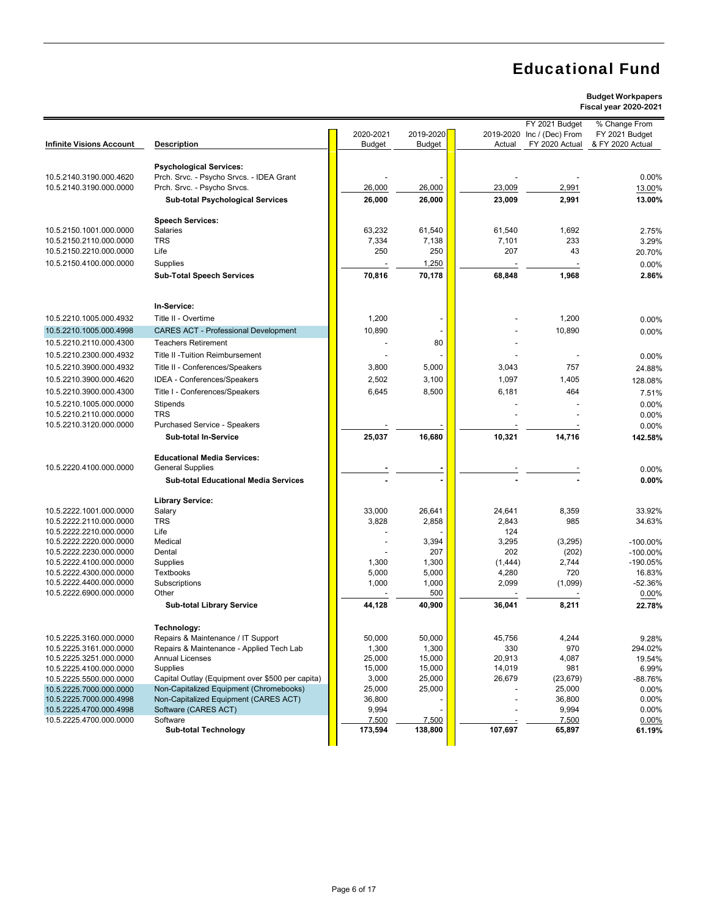|                                                    |                                                  |               |               |              | FY 2021 Budget   | % Change From    |
|----------------------------------------------------|--------------------------------------------------|---------------|---------------|--------------|------------------|------------------|
|                                                    |                                                  | 2020-2021     | 2019-2020     | 2019-2020    | Inc / (Dec) From | FY 2021 Budget   |
| <b>Infinite Visions Account</b>                    | <b>Description</b>                               | <b>Budget</b> | <b>Budget</b> | Actual       | FY 2020 Actual   | & FY 2020 Actual |
|                                                    |                                                  |               |               |              |                  |                  |
|                                                    | <b>Psychological Services:</b>                   |               |               |              |                  |                  |
| 10.5.2140.3190.000.4620                            | Prch. Srvc. - Psycho Srvcs. - IDEA Grant         |               |               |              |                  | 0.00%            |
| 10.5.2140.3190.000.0000                            | Prch. Srvc. - Psycho Srvcs.                      | 26,000        | 26,000        | 23,009       | 2,991            | 13.00%           |
|                                                    | <b>Sub-total Psychological Services</b>          | 26,000        | 26,000        | 23,009       | 2,991            | 13.00%           |
|                                                    |                                                  |               |               |              |                  |                  |
|                                                    | <b>Speech Services:</b>                          |               |               |              |                  |                  |
| 10.5.2150.1001.000.0000                            | Salaries                                         | 63,232        | 61,540        | 61,540       | 1,692            | 2.75%            |
| 10.5.2150.2110.000.0000                            | <b>TRS</b>                                       | 7,334         | 7,138         | 7,101        | 233              | 3.29%            |
| 10.5.2150.2210.000.0000                            | Life                                             | 250           | 250           | 207          | 43               | 20.70%           |
| 10.5.2150.4100.000.0000                            | Supplies                                         |               | 1,250         |              |                  |                  |
|                                                    |                                                  |               |               |              |                  | 0.00%            |
|                                                    | <b>Sub-Total Speech Services</b>                 | 70,816        | 70,178        | 68,848       | 1,968            | 2.86%            |
|                                                    |                                                  |               |               |              |                  |                  |
|                                                    |                                                  |               |               |              |                  |                  |
|                                                    | In-Service:                                      |               |               |              |                  |                  |
| 10.5.2210.1005.000.4932                            | Title II - Overtime                              | 1,200         |               |              | 1,200            | 0.00%            |
| 10.5.2210.1005.000.4998                            | <b>CARES ACT - Professional Development</b>      | 10,890        |               |              | 10,890           | 0.00%            |
| 10.5.2210.2110.000.4300                            | <b>Teachers Retirement</b>                       |               | 80            |              |                  |                  |
| 10.5.2210.2300.000.4932                            | Title II - Tuition Reimbursement                 |               |               |              |                  | 0.00%            |
| 10.5.2210.3900.000.4932                            | Title II - Conferences/Speakers                  |               | 5,000         | 3,043        | 757              |                  |
|                                                    |                                                  | 3,800         |               |              |                  | 24.88%           |
| 10.5.2210.3900.000.4620                            | IDEA - Conferences/Speakers                      | 2,502         | 3,100         | 1,097        | 1,405            | 128.08%          |
| 10.5.2210.3900.000.4300                            | Title I - Conferences/Speakers                   | 6,645         | 8,500         | 6,181        | 464              | 7.51%            |
| 10.5.2210.1005.000.0000                            | Stipends                                         |               |               |              |                  | 0.00%            |
| 10.5.2210.2110.000.0000                            | <b>TRS</b>                                       |               |               |              |                  | 0.00%            |
| 10.5.2210.3120.000.0000                            | Purchased Service - Speakers                     |               |               |              |                  | 0.00%            |
|                                                    | <b>Sub-total In-Service</b>                      | 25,037        | 16,680        | 10,321       | 14,716           | 142.58%          |
|                                                    |                                                  |               |               |              |                  |                  |
|                                                    | <b>Educational Media Services:</b>               |               |               |              |                  |                  |
| 10.5.2220.4100.000.0000                            | <b>General Supplies</b>                          |               |               |              |                  | 0.00%            |
|                                                    | <b>Sub-total Educational Media Services</b>      |               |               |              |                  | 0.00%            |
|                                                    |                                                  |               |               |              |                  |                  |
|                                                    | <b>Library Service:</b>                          |               |               |              |                  |                  |
| 10.5.2222.1001.000.0000                            | Salary                                           | 33,000        | 26,641        | 24,641       | 8,359            | 33.92%           |
|                                                    | TRS                                              | 3,828         | 2,858         | 2,843        | 985              |                  |
| 10.5.2222.2110.000.0000                            | Life                                             |               |               |              |                  | 34.63%           |
| 10.5.2222.2210.000.0000                            | Medical                                          |               |               | 124          |                  |                  |
| 10.5.2222.2220.000.0000                            |                                                  |               | 3,394<br>207  | 3,295<br>202 | (3,295)          | $-100.00\%$      |
| 10.5.2222.2230.000.0000<br>10.5.2222.4100.000.0000 | Dental                                           |               |               |              | (202)            | $-100.00\%$      |
|                                                    | Supplies                                         | 1,300         | 1,300         | (1,444)      | 2,744            | $-190.05%$       |
| 10.5.2222.4300.000.0000                            | Textbooks                                        | 5,000         | 5,000         | 4,280        | 720              | 16.83%           |
| 10.5.2222.4400.000.0000                            | Subscriptions                                    | 1,000         | 1,000         | 2,099        | (1,099)          | $-52.36%$        |
| 10.5.2222.6900.000.0000                            | Other                                            |               | 500           |              |                  | $0.00\%$         |
|                                                    | <b>Sub-total Library Service</b>                 | 44,128        | 40,900        | 36,041       | 8,211            | 22.78%           |
|                                                    |                                                  |               |               |              |                  |                  |
|                                                    | Technology:                                      |               |               |              |                  |                  |
| 10.5.2225.3160.000.0000                            | Repairs & Maintenance / IT Support               | 50,000        | 50,000        | 45,756       | 4,244            | 9.28%            |
| 10.5.2225.3161.000.0000                            | Repairs & Maintenance - Applied Tech Lab         | 1,300         | 1,300         | 330          | 970              | 294.02%          |
| 10.5.2225.3251.000.0000                            | <b>Annual Licenses</b>                           | 25,000        | 15,000        | 20,913       | 4,087            | 19.54%           |
| 10.5.2225.4100.000.0000                            | Supplies                                         | 15,000        | 15,000        | 14,019       | 981              | 6.99%            |
| 10.5.2225.5500.000.0000                            | Capital Outlay (Equipment over \$500 per capita) | 3,000         | 25,000        | 26,679       | (23, 679)        | -88.76%          |
| 10.5.2225.7000.000.0000                            | Non-Capitalized Equipment (Chromebooks)          | 25,000        | 25,000        |              | 25,000           | 0.00%            |
| 10.5.2225.7000.000.4998                            | Non-Capitalized Equipment (CARES ACT)            | 36,800        |               |              | 36,800           | 0.00%            |
| 10.5.2225.4700.000.4998                            | Software (CARES ACT)                             | 9,994         |               |              | 9,994            | 0.00%            |
| 10.5.2225.4700.000.0000                            | Software                                         | 7,500         | 7,500         |              | 7,500            | 0.00%            |
|                                                    | <b>Sub-total Technology</b>                      | 173,594       | 138,800       | 107,697      | 65,897           | 61.19%           |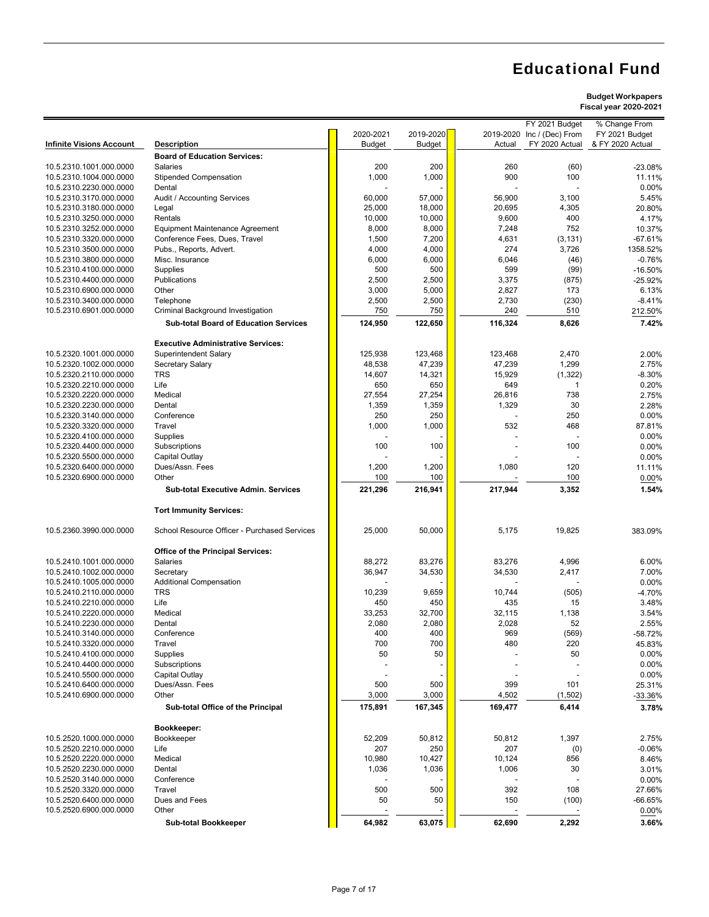#### **Budget Workpapers Fiscal year 2020-2021**

|                                                    |                                                          |                |                |              |                   | riscai year zuzu-zuz i |
|----------------------------------------------------|----------------------------------------------------------|----------------|----------------|--------------|-------------------|------------------------|
|                                                    |                                                          |                |                |              | FY 2021 Budget    | % Change From          |
|                                                    |                                                          | 2020-2021      | 2019-2020      | 2019-2020    | Inc / (Dec) From  | FY 2021 Budget         |
| <b>Infinite Visions Account</b>                    | <b>Description</b>                                       | <b>Budget</b>  | <b>Budget</b>  | Actual       | FY 2020 Actual    | & FY 2020 Actual       |
|                                                    | <b>Board of Education Services:</b>                      |                |                |              |                   |                        |
| 10.5.2310.1001.000.0000                            | <b>Salaries</b>                                          | 200            | 200            | 260          | (60)              | $-23.08%$              |
| 10.5.2310.1004.000.0000                            | <b>Stipended Compensation</b>                            | 1,000          | 1,000          | 900          | 100               | 11.11%                 |
| 10.5.2310.2230.000.0000                            | Dental                                                   |                |                |              |                   | 0.00%                  |
| 10.5.2310.3170.000.0000                            | Audit / Accounting Services                              | 60,000         | 57,000         | 56,900       | 3,100             | 5.45%                  |
| 10.5.2310.3180.000.0000                            | Legal                                                    | 25,000         | 18,000         | 20,695       | 4,305             | 20.80%                 |
| 10.5.2310.3250.000.0000                            | Rentals                                                  | 10,000         | 10,000         | 9,600        | 400<br>752        | 4.17%                  |
| 10.5.2310.3252.000.0000                            | <b>Equipment Maintenance Agreement</b>                   | 8,000          | 8,000          | 7,248        |                   | 10.37%<br>$-67.61%$    |
| 10.5.2310.3320.000.0000<br>10.5.2310.3500.000.0000 | Conference Fees, Dues, Travel<br>Pubs., Reports, Advert. | 1,500<br>4,000 | 7,200<br>4,000 | 4,631<br>274 | (3, 131)<br>3,726 | 1358.52%               |
| 10.5.2310.3800.000.0000                            | Misc. Insurance                                          | 6,000          | 6,000          | 6,046        | (46)              | $-0.76%$               |
| 10.5.2310.4100.000.0000                            | Supplies                                                 | 500            | 500            | 599          | (99)              | $-16.50%$              |
| 10.5.2310.4400.000.0000                            | Publications                                             | 2,500          | 2,500          | 3,375        | (875)             | -25.92%                |
| 10.5.2310.6900.000.0000                            | Other                                                    | 3,000          | 5,000          | 2,827        | 173               | 6.13%                  |
| 10.5.2310.3400.000.0000                            | Telephone                                                | 2,500          | 2,500          | 2,730        | (230)             | $-8.41%$               |
| 10.5.2310.6901.000.0000                            | Criminal Background Investigation                        | 750            | 750            | 240          | 510               | 212.50%                |
|                                                    |                                                          |                |                |              |                   |                        |
|                                                    | <b>Sub-total Board of Education Services</b>             | 124,950        | 122,650        | 116,324      | 8,626             | 7.42%                  |
|                                                    | <b>Executive Administrative Services:</b>                |                |                |              |                   |                        |
| 10.5.2320.1001.000.0000                            | <b>Superintendent Salary</b>                             | 125,938        | 123,468        | 123,468      | 2,470             | 2.00%                  |
| 10.5.2320.1002.000.0000                            | Secretary Salary                                         | 48,538         | 47,239         | 47,239       | 1,299             | 2.75%                  |
| 10.5.2320.2110.000.0000                            | TRS                                                      | 14,607         | 14,321         | 15,929       | (1, 322)          | $-8.30%$               |
| 10.5.2320.2210.000.0000                            | Life                                                     | 650            | 650            | 649          | 1                 | 0.20%                  |
| 10.5.2320.2220.000.0000                            | Medical                                                  | 27,554         | 27,254         | 26,816       | 738               | 2.75%                  |
| 10.5.2320.2230.000.0000                            | Dental                                                   | 1,359          | 1,359          | 1,329        | 30                | 2.28%                  |
| 10.5.2320.3140.000.0000                            | Conference                                               | 250            | 250            |              | 250               | 0.00%                  |
| 10.5.2320.3320.000.0000                            | Travel                                                   | 1,000          | 1,000          | 532          | 468               | 87.81%                 |
| 10.5.2320.4100.000.0000                            | Supplies                                                 |                |                |              |                   | 0.00%                  |
| 10.5.2320.4400.000.0000                            | Subscriptions                                            | 100            | 100            |              | 100               | 0.00%                  |
| 10.5.2320.5500.000.0000                            | Capital Outlay                                           |                |                |              |                   | 0.00%                  |
| 10.5.2320.6400.000.0000                            | Dues/Assn. Fees                                          | 1,200          | 1,200          | 1,080        | 120               | 11.11%                 |
| 10.5.2320.6900.000.0000                            | Other                                                    | 100            | 100            |              | 100               | 0.00%                  |
|                                                    | <b>Sub-total Executive Admin. Services</b>               | 221,296        | 216,941        | 217,944      | 3,352             | 1.54%                  |
|                                                    | <b>Tort Immunity Services:</b>                           |                |                |              |                   |                        |
| 10.5.2360.3990.000.0000                            | School Resource Officer - Purchased Services             | 25,000         | 50,000         | 5,175        | 19,825            | 383.09%                |
|                                                    | Office of the Principal Services:                        |                |                |              |                   |                        |
| 10.5.2410.1001.000.0000                            | Salaries                                                 | 88,272         | 83,276         | 83,276       | 4,996             | 6.00%                  |
| 10.5.2410.1002.000.0000                            | Secretary                                                | 36,947         | 34,530         | 34,530       | 2,417             | 7.00%                  |
| 10.5.2410.1005.000.0000                            | <b>Additional Compensation</b>                           |                |                |              |                   | 0.00%                  |
| 10.5.2410.2110.000.0000                            | <b>TRS</b>                                               | 10,239         | 9,659          | 10,744       | (505)             | $-4.70%$               |
| 10.5.2410.2210.000.0000                            | Life                                                     | 450            | 450            | 435          | 15                | 3.48%                  |
| 10.5.2410.2220.000.0000                            | Medical                                                  | 33,253         | 32,700         | 32,115       | 1,138             | 3.54%                  |
| 10.5.2410.2230.000.0000                            | Dental                                                   | 2,080          | 2,080          | 2,028        | 52                | 2.55%                  |
| 10.5.2410.3140.000.0000                            | Conference                                               | 400            | 400            | 969          | (569)             | $-58.72%$              |
| 10.5.2410.3320.000.0000                            | Travel                                                   | 700            | 700            | 480          | 220               | 45.83%                 |
| 10.5.2410.4100.000.0000                            | Supplies                                                 | 50             | 50             |              | 50                | 0.00%                  |
| 10.5.2410.4400.000.0000                            | Subscriptions                                            |                |                |              |                   | 0.00%                  |
| 10.5.2410.5500.000.0000                            | Capital Outlay                                           |                |                |              |                   | 0.00%                  |
| 10.5.2410.6400.000.0000                            | Dues/Assn. Fees                                          | 500            | 500            | 399          | 101               | 25.31%                 |
| 10.5.2410.6900.000.0000                            | Other                                                    | 3,000          | 3,000          | 4,502        | (1, 502)          | -33.36%                |
|                                                    | Sub-total Office of the Principal                        | 175,891        | 167,345        | 169,477      | 6,414             | 3.78%                  |
|                                                    | Bookkeeper:                                              |                |                |              |                   |                        |
| 10.5.2520.1000.000.0000                            | Bookkeeper                                               | 52,209         | 50,812         | 50,812       | 1,397             | 2.75%                  |
| 10.5.2520.2210.000.0000                            | Life                                                     | 207            | 250            | 207          | (0)               | $-0.06%$               |
| 10.5.2520.2220.000.0000                            | Medical                                                  | 10,980         | 10,427         | 10,124       | 856               | 8.46%                  |
| 10.5.2520.2230.000.0000                            | Dental                                                   | 1,036          | 1,036          | 1,006        | 30                | 3.01%                  |
| 10.5.2520.3140.000.0000                            | Conference                                               |                |                |              |                   | 0.00%                  |
| 10.5.2520.3320.000.0000                            | Travel                                                   | 500            | 500            | 392          | 108               | 27.66%                 |
| 10.5.2520.6400.000.0000                            | Dues and Fees                                            | 50             | 50             | 150          | (100)             | -66.65%                |
| 10.5.2520.6900.000.0000                            | Other                                                    |                |                |              |                   | 0.00%                  |

 **Sub-total Bookkeeper 64,982 63,075 62,690 2,292 3.66%**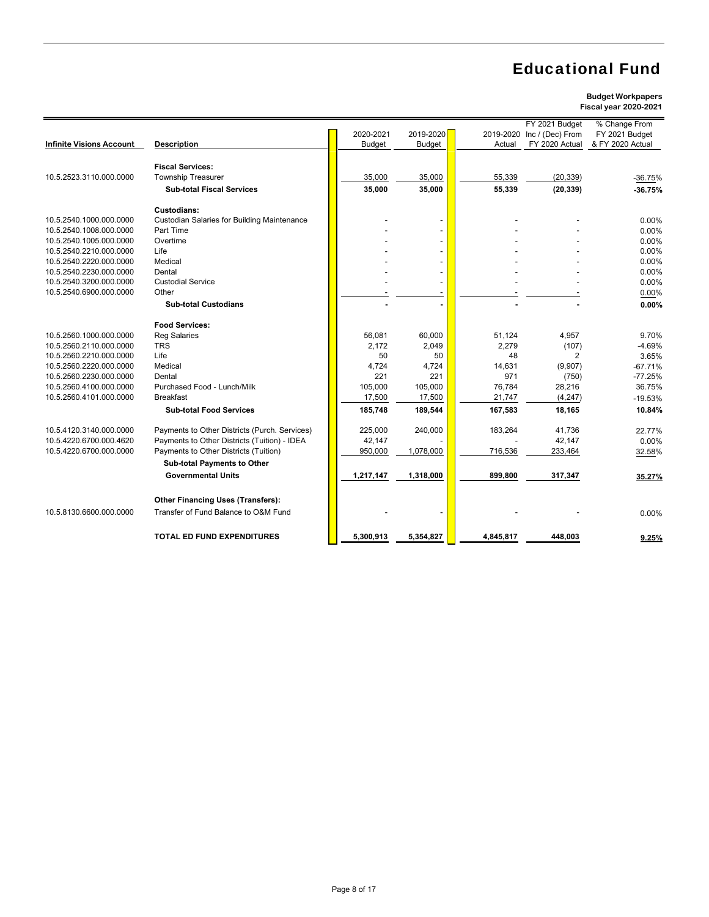|                                 |                                                    |               |               |           | FY 2021 Budget   | % Change From    |
|---------------------------------|----------------------------------------------------|---------------|---------------|-----------|------------------|------------------|
|                                 |                                                    | 2020-2021     | 2019-2020     | 2019-2020 | Inc / (Dec) From | FY 2021 Budget   |
| <b>Infinite Visions Account</b> | <b>Description</b>                                 | <b>Budget</b> | <b>Budget</b> | Actual    | FY 2020 Actual   | & FY 2020 Actual |
|                                 |                                                    |               |               |           |                  |                  |
|                                 | <b>Fiscal Services:</b>                            |               |               |           |                  |                  |
| 10.5.2523.3110.000.0000         | <b>Township Treasurer</b>                          | 35,000        | 35,000        | 55,339    | (20, 339)        | $-36.75%$        |
|                                 | <b>Sub-total Fiscal Services</b>                   | 35,000        | 35,000        | 55,339    | (20, 339)        | $-36.75%$        |
|                                 | Custodians:                                        |               |               |           |                  |                  |
| 10.5.2540.1000.000.0000         | <b>Custodian Salaries for Building Maintenance</b> |               |               |           |                  | 0.00%            |
| 10.5.2540.1008.000.0000         | Part Time                                          |               |               |           |                  | 0.00%            |
| 10.5.2540.1005.000.0000         | Overtime                                           |               |               |           |                  | 0.00%            |
| 10.5.2540.2210.000.0000         | Life                                               |               |               |           |                  | 0.00%            |
| 10.5.2540.2220.000.0000         | Medical                                            |               |               |           |                  | 0.00%            |
| 10.5.2540.2230.000.0000         | Dental                                             |               |               |           |                  | 0.00%            |
| 10.5.2540.3200.000.0000         | <b>Custodial Service</b>                           |               |               |           |                  | 0.00%            |
| 10.5.2540.6900.000.0000         | Other                                              |               |               |           |                  | 0.00%            |
|                                 | <b>Sub-total Custodians</b>                        |               |               |           |                  | 0.00%            |
|                                 | <b>Food Services:</b>                              |               |               |           |                  |                  |
| 10.5.2560.1000.000.0000         | <b>Reg Salaries</b>                                | 56,081        | 60.000        | 51.124    | 4.957            | 9.70%            |
| 10.5.2560.2110.000.0000         | <b>TRS</b>                                         | 2.172         | 2.049         | 2.279     | (107)            | $-4.69%$         |
| 10.5.2560.2210.000.0000         | Life                                               | 50            | 50            | 48        | 2                | 3.65%            |
| 10.5.2560.2220.000.0000         | Medical                                            | 4,724         | 4,724         | 14,631    | (9,907)          | $-67.71%$        |
| 10.5.2560.2230.000.0000         | Dental                                             | 221           | 221           | 971       | (750)            | $-77.25%$        |
| 10.5.2560.4100.000.0000         | Purchased Food - Lunch/Milk                        | 105,000       | 105,000       | 76,784    | 28,216           | 36.75%           |
| 10.5.2560.4101.000.0000         | <b>Breakfast</b>                                   | 17,500        | 17.500        | 21,747    | (4, 247)         | $-19.53%$        |
|                                 | <b>Sub-total Food Services</b>                     | 185,748       | 189,544       | 167,583   | 18,165           | 10.84%           |
|                                 |                                                    |               |               |           |                  |                  |
| 10.5.4120.3140.000.0000         | Payments to Other Districts (Purch. Services)      | 225.000       | 240,000       | 183,264   | 41.736           | 22.77%           |
| 10.5.4220.6700.000.4620         | Payments to Other Districts (Tuition) - IDEA       | 42,147        |               |           | 42,147           | 0.00%            |
| 10.5.4220.6700.000.0000         | Payments to Other Districts (Tuition)              | 950,000       | 1,078,000     | 716,536   | 233,464          | 32.58%           |
|                                 | <b>Sub-total Payments to Other</b>                 |               |               |           |                  |                  |
|                                 | <b>Governmental Units</b>                          | 1,217,147     | 1,318,000     | 899,800   | 317,347          |                  |
|                                 |                                                    |               |               |           |                  | 35.27%           |
|                                 | <b>Other Financing Uses (Transfers):</b>           |               |               |           |                  |                  |
| 10.5.8130.6600.000.0000         | Transfer of Fund Balance to O&M Fund               |               |               |           |                  | 0.00%            |
|                                 |                                                    |               |               |           |                  |                  |
|                                 | <b>TOTAL ED FUND EXPENDITURES</b>                  | 5,300,913     | 5,354,827     | 4,845,817 | 448.003          | 9.25%            |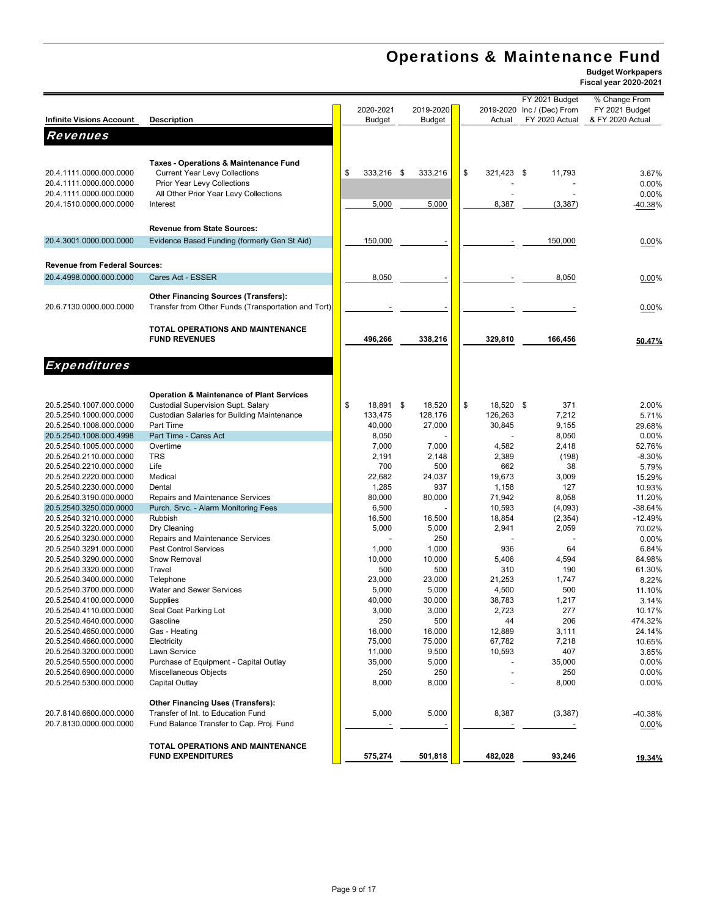# Operations & Maintenance Fund

|                                      |                                                      |                  |               |                 | FY 2021 Budget             | % Change From    |
|--------------------------------------|------------------------------------------------------|------------------|---------------|-----------------|----------------------------|------------------|
|                                      |                                                      | 2020-2021        | 2019-2020     |                 | 2019-2020 Inc / (Dec) From | FY 2021 Budget   |
| <b>Infinite Visions Account</b>      | <b>Description</b>                                   | <b>Budget</b>    | <b>Budget</b> | Actual          | FY 2020 Actual             | & FY 2020 Actual |
|                                      |                                                      |                  |               |                 |                            |                  |
| <b>Revenues</b>                      |                                                      |                  |               |                 |                            |                  |
|                                      |                                                      |                  |               |                 |                            |                  |
|                                      | <b>Taxes - Operations &amp; Maintenance Fund</b>     |                  |               |                 |                            |                  |
|                                      |                                                      |                  |               | \$              |                            |                  |
| 20.4.1111.0000.000.0000              | <b>Current Year Levy Collections</b>                 | \$<br>333,216 \$ | 333,216       | 321,423 \$      | 11,793                     | 3.67%            |
| 20.4.1111.0000.000.0000              | Prior Year Levy Collections                          |                  |               |                 |                            | 0.00%            |
| 20.4.1111.0000.000.0000              | All Other Prior Year Levy Collections                |                  |               |                 |                            | 0.00%            |
| 20.4.1510.0000.000.0000              | Interest                                             | 5,000            | 5,000         | 8,387           | (3, 387)                   | -40.38%          |
|                                      |                                                      |                  |               |                 |                            |                  |
|                                      | <b>Revenue from State Sources:</b>                   |                  |               |                 |                            |                  |
|                                      |                                                      |                  |               |                 |                            |                  |
| 20.4.3001.0000.000.0000              | Evidence Based Funding (formerly Gen St Aid)         | 150,000          |               |                 | 150,000                    | 0.00%            |
|                                      |                                                      |                  |               |                 |                            |                  |
| <b>Revenue from Federal Sources:</b> |                                                      |                  |               |                 |                            |                  |
| 20.4.4998.0000.000.0000              | Cares Act - ESSER                                    | 8,050            |               |                 | 8,050                      |                  |
|                                      |                                                      |                  |               |                 |                            | 0.00%            |
|                                      | <b>Other Financing Sources (Transfers):</b>          |                  |               |                 |                            |                  |
|                                      |                                                      |                  |               |                 |                            |                  |
| 20.6.7130.0000.000.0000              | Transfer from Other Funds (Transportation and Tort)  |                  |               |                 |                            | 0.00%            |
|                                      |                                                      |                  |               |                 |                            |                  |
|                                      | <b>TOTAL OPERATIONS AND MAINTENANCE</b>              |                  |               |                 |                            |                  |
|                                      | <b>FUND REVENUES</b>                                 | 496,266          | 338,216       | 329,810         | 166,456                    | 50.47%           |
|                                      |                                                      |                  |               |                 |                            |                  |
|                                      |                                                      |                  |               |                 |                            |                  |
| <b>Expenditures</b>                  |                                                      |                  |               |                 |                            |                  |
|                                      |                                                      |                  |               |                 |                            |                  |
|                                      |                                                      |                  |               |                 |                            |                  |
|                                      | <b>Operation &amp; Maintenance of Plant Services</b> |                  |               |                 |                            |                  |
| 20.5.2540.1007.000.0000              | <b>Custodial Supervision Supt. Salary</b>            | \$<br>18,891 \$  | 18,520        | \$<br>18,520 \$ | 371                        | 2.00%            |
| 20.5.2540.1000.000.0000              | Custodian Salaries for Building Maintenance          | 133,475          | 128,176       | 126,263         | 7,212                      | 5.71%            |
| 20.5.2540.1008.000.0000              | Part Time                                            | 40,000           | 27,000        | 30,845          | 9,155                      | 29.68%           |
| 20.5.2540.1008.000.4998              | Part Time - Cares Act                                | 8,050            |               |                 | 8,050                      | 0.00%            |
| 20.5.2540.1005.000.0000              | Overtime                                             | 7,000            | 7,000         | 4,582           | 2,418                      | 52.76%           |
| 20.5.2540.2110.000.0000              | <b>TRS</b>                                           | 2,191            | 2,148         | 2,389           | (198)                      | $-8.30%$         |
| 20.5.2540.2210.000.0000              | Life                                                 | 700              | 500           | 662             | 38                         | 5.79%            |
| 20.5.2540.2220.000.0000              | Medical                                              | 22,682           | 24,037        | 19,673          | 3,009                      | 15.29%           |
| 20.5.2540.2230.000.0000              | Dental                                               | 1,285            | 937           | 1,158           | 127                        | 10.93%           |
| 20.5.2540.3190.000.0000              | Repairs and Maintenance Services                     | 80,000           | 80,000        | 71,942          | 8,058                      | 11.20%           |
| 20.5.2540.3250.000.0000              | Purch. Srvc. - Alarm Monitoring Fees                 | 6,500            |               | 10,593          | (4,093)                    | $-38.64%$        |
| 20.5.2540.3210.000.0000              | Rubbish                                              | 16,500           | 16,500        | 18,854          | (2, 354)                   | $-12.49%$        |
| 20.5.2540.3220.000.0000              | Dry Cleaning                                         | 5,000            | 5,000         | 2,941           | 2,059                      |                  |
|                                      |                                                      |                  |               |                 |                            | 70.02%           |
| 20.5.2540.3230.000.0000              | Repairs and Maintenance Services                     |                  | 250           |                 |                            | 0.00%            |
| 20.5.2540.3291.000.0000              | <b>Pest Control Services</b>                         | 1,000            | 1,000         | 936             | 64                         | 6.84%            |
| 20.5.2540.3290.000.0000              | Snow Removal                                         | 10,000           | 10,000        | 5,406           | 4,594                      | 84.98%           |
| 20.5.2540.3320.000.0000              | Travel                                               | 500              | 500           | 310             | 190                        | 61.30%           |
| 20.5.2540.3400.000.0000              | Telephone                                            | 23,000           | 23,000        | 21,253          | 1,747                      | 8.22%            |
| 20.5.2540.3700.000.0000              | <b>Water and Sewer Services</b>                      | 5,000            | 5,000         | 4,500           | 500                        | 11.10%           |
| 20.5.2540.4100.000.0000              | Supplies                                             | 40,000           | 30,000        | 38,783          | 1,217                      | 3.14%            |
| 20.5.2540.4110.000.0000              | Seal Coat Parking Lot                                | 3,000            | 3,000         | 2,723           | 277                        | 10.17%           |
| 20.5.2540.4640.000.0000              | Gasoline                                             | 250              | 500           | 44              | 206                        | 474.32%          |
| 20.5.2540.4650.000.0000              | Gas - Heating                                        | 16,000           | 16,000        | 12,889          | 3,111                      | 24.14%           |
| 20.5.2540.4660.000.0000              | Electricity                                          | 75,000           | 75,000        | 67,782          | 7,218                      | 10.65%           |
| 20.5.2540.3200.000.0000              | Lawn Service                                         | 11,000           | 9,500         | 10,593          | 407                        | 3.85%            |
| 20.5.2540.5500.000.0000              | Purchase of Equipment - Capital Outlay               | 35,000           | 5,000         |                 | 35,000                     | 0.00%            |
| 20.5.2540.6900.000.0000              | Miscellaneous Objects                                | 250              | 250           |                 | 250                        | 0.00%            |
|                                      |                                                      |                  |               |                 |                            |                  |
| 20.5.2540.5300.000.0000              | Capital Outlay                                       | 8,000            | 8,000         |                 | 8,000                      | 0.00%            |
|                                      |                                                      |                  |               |                 |                            |                  |
|                                      | <b>Other Financing Uses (Transfers):</b>             |                  |               |                 |                            |                  |
| 20.7.8140.6600.000.0000              | Transfer of Int. to Education Fund                   | 5,000            | 5,000         | 8,387           | (3, 387)                   | -40.38%          |
| 20.7.8130.0000.000.0000              | Fund Balance Transfer to Cap. Proj. Fund             |                  |               |                 |                            | $0.00\%$         |
|                                      |                                                      |                  |               |                 |                            |                  |
|                                      | TOTAL OPERATIONS AND MAINTENANCE                     |                  |               |                 |                            |                  |
|                                      | <b>FUND EXPENDITURES</b>                             | 575,274          | 501,818       | 482,028         | 93,246                     | <u>19.34%</u>    |
|                                      |                                                      |                  |               |                 |                            |                  |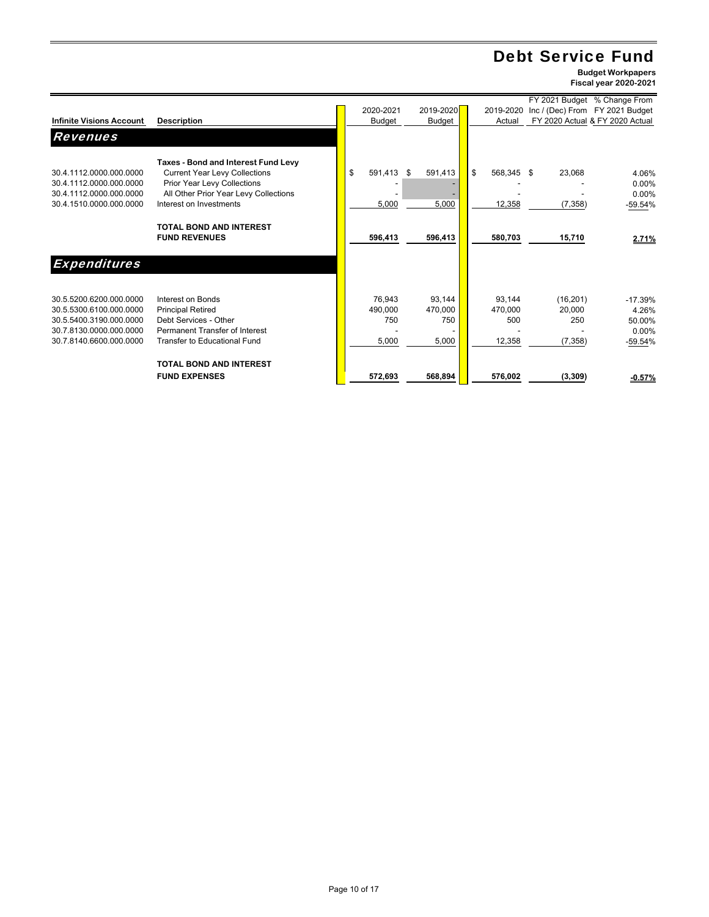# Debt Service Fund

**Budget Workpapers Fiscal year 2020-2021**

۰

|                                                                               |                                                                                                                                                     |                  |                |                  |                     | FY 2021 Budget % Change From    |
|-------------------------------------------------------------------------------|-----------------------------------------------------------------------------------------------------------------------------------------------------|------------------|----------------|------------------|---------------------|---------------------------------|
|                                                                               |                                                                                                                                                     | 2020-2021        | 2019-2020      | 2019-2020        |                     | Inc / (Dec) From FY 2021 Budget |
| <b>Infinite Visions Account</b>                                               | <b>Description</b>                                                                                                                                  | Budget           | Budget         | Actual           |                     | FY 2020 Actual & FY 2020 Actual |
| <b>Revenues</b>                                                               |                                                                                                                                                     |                  |                |                  |                     |                                 |
| 30.4.1112.0000.000.0000<br>30.4.1112.0000.000.0000<br>30.4.1112.0000.000.0000 | Taxes - Bond and Interest Fund Levy<br><b>Current Year Levy Collections</b><br>Prior Year Levy Collections<br>All Other Prior Year Levy Collections | \$<br>591,413 \$ | 591,413        | \$<br>568,345 \$ | 23,068              | 4.06%<br>0.00%<br>$0.00\%$      |
| 30.4.1510.0000.000.0000                                                       | Interest on Investments                                                                                                                             | 5,000            | 5,000          | 12,358           | (7, 358)            | -59.54%                         |
|                                                                               | <b>TOTAL BOND AND INTEREST</b><br><b>FUND REVENUES</b>                                                                                              | 596,413          | 596,413        | 580,703          | 15,710              | 2.71%                           |
| <b>Expenditures</b>                                                           |                                                                                                                                                     |                  |                |                  |                     |                                 |
| 30.5.5200.6200.000.0000<br>30.5.5300.6100.000.0000                            | Interest on Bonds                                                                                                                                   | 76.943           | 93,144         | 93.144           | (16, 201)<br>20.000 | $-17.39%$                       |
| 30.5.5400.3190.000.0000                                                       | <b>Principal Retired</b><br>Debt Services - Other                                                                                                   | 490,000<br>750   | 470,000<br>750 | 470.000<br>500   | 250                 | 4.26%<br>50.00%                 |
| 30.7.8130.0000.000.0000                                                       | Permanent Transfer of Interest                                                                                                                      |                  |                |                  |                     | $0.00\%$                        |
| 30.7.8140.6600.000.0000                                                       | Transfer to Educational Fund                                                                                                                        | 5,000            | 5,000          | 12,358           | (7, 358)            | $-59.54%$                       |
|                                                                               | <b>TOTAL BOND AND INTEREST</b>                                                                                                                      |                  |                |                  |                     |                                 |
|                                                                               | <b>FUND EXPENSES</b>                                                                                                                                | 572,693          | 568,894        | 576,002          | (3, 309)            | $-0.57%$                        |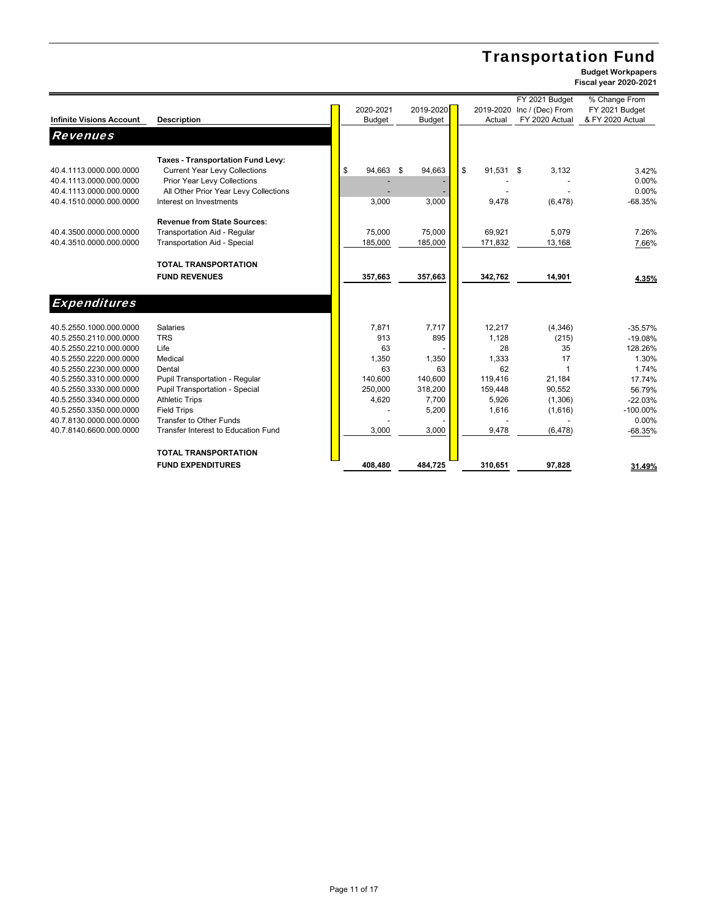# Transportation Fund

|                                 |                                       |               |               |                 | FY 2021 Budget   | % Change From    |
|---------------------------------|---------------------------------------|---------------|---------------|-----------------|------------------|------------------|
|                                 |                                       | 2020-2021     | 2019-2020     | 2019-2020       | Inc / (Dec) From | FY 2021 Budget   |
| <b>Infinite Visions Account</b> | <b>Description</b>                    | <b>Budget</b> | <b>Budget</b> | Actual          | FY 2020 Actual   | & FY 2020 Actual |
| Revenues                        |                                       |               |               |                 |                  |                  |
|                                 | Taxes - Transportation Fund Levy:     |               |               |                 |                  |                  |
| 40.4.1113.0000.000.0000         | <b>Current Year Levy Collections</b>  | \$<br>94,663  | \$<br>94,663  | \$<br>91,531 \$ | 3,132            | 3.42%            |
| 40.4.1113.0000.000.0000         | Prior Year Levy Collections           |               |               |                 |                  | 0.00%            |
| 40.4.1113.0000.000.0000         | All Other Prior Year Levy Collections |               |               |                 |                  | 0.00%            |
| 40.4.1510.0000.000.0000         | Interest on Investments               | 3.000         | 3,000         | 9,478           | (6, 478)         | $-68.35%$        |
|                                 | <b>Revenue from State Sources:</b>    |               |               |                 |                  |                  |
| 40.4.3500.0000.000.0000         | Transportation Aid - Regular          | 75,000        | 75,000        | 69,921          | 5,079            | 7.26%            |
| 40.4.3510.0000.000.0000         | <b>Transportation Aid - Special</b>   | 185,000       | 185,000       | 171,832         | 13,168           | 7.66%            |
|                                 | <b>TOTAL TRANSPORTATION</b>           |               |               |                 |                  |                  |
|                                 | <b>FUND REVENUES</b>                  | 357,663       | 357,663       | 342,762         | 14,901           | 4.35%            |
|                                 |                                       |               |               |                 |                  |                  |
| <b>Expenditures</b>             |                                       |               |               |                 |                  |                  |
| 40.5.2550.1000.000.0000         | <b>Salaries</b>                       | 7.871         | 7,717         | 12,217          | (4,346)          | $-35.57%$        |
| 40.5.2550.2110.000.0000         | <b>TRS</b>                            | 913           | 895           | 1,128           | (215)            | $-19.08%$        |
| 40.5.2550.2210.000.0000         | Life                                  | 63            |               | 28              | 35               | 128.26%          |
| 40.5.2550.2220.000.0000         | Medical                               | 1,350         | 1,350         | 1,333           | 17               | 1.30%            |
| 40.5.2550.2230.000.0000         | Dental                                | 63            | 63            | 62              | $\overline{1}$   | 1.74%            |
| 40.5.2550.3310.000.0000         | Pupil Transportation - Regular        | 140.600       | 140.600       | 119.416         | 21,184           | 17.74%           |
| 40.5.2550.3330.000.0000         | Pupil Transportation - Special        | 250,000       | 318,200       | 159,448         | 90,552           | 56.79%           |
| 40.5.2550.3340.000.0000         | <b>Athletic Trips</b>                 | 4,620         | 7,700         | 5,926           | (1, 306)         | $-22.03%$        |
| 40.5.2550.3350.000.0000         | <b>Field Trips</b>                    |               | 5,200         | 1,616           | (1,616)          | $-100.00\%$      |
| 40.7.8130.0000.000.0000         | Transfer to Other Funds               |               |               |                 |                  | 0.00%            |
| 40.7.8140.6600.000.0000         | Transfer Interest to Education Fund   | 3,000         | 3,000         | 9,478           | (6, 478)         | $-68.35%$        |
|                                 | <b>TOTAL TRANSPORTATION</b>           |               |               |                 |                  |                  |
|                                 | <b>FUND EXPENDITURES</b>              | 408,480       | 484,725       | 310,651         | 97,828           | 31.49%           |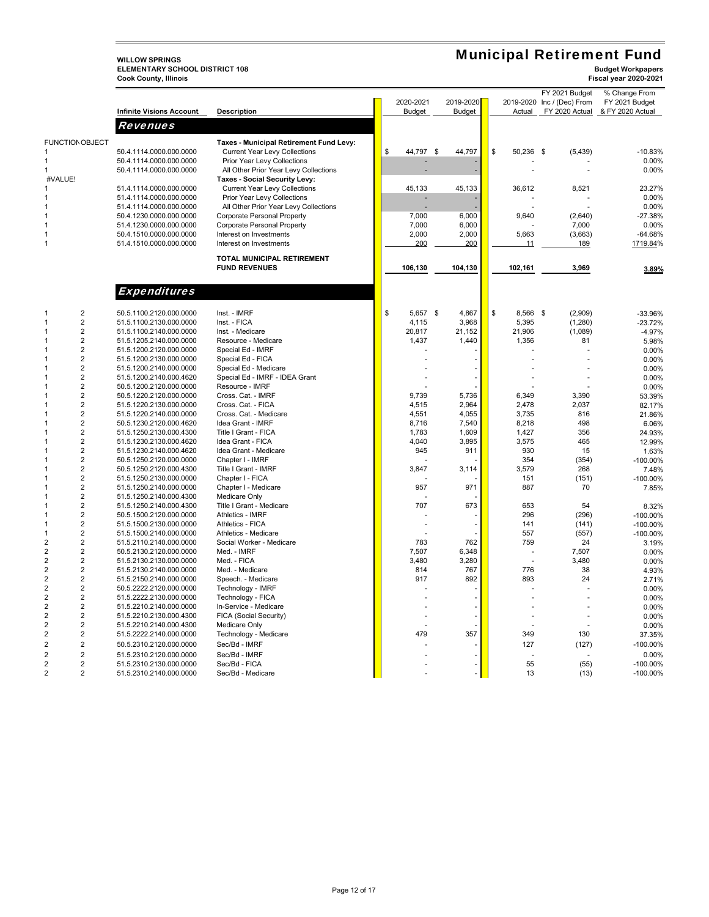**WILLOW SPRINGS<br>ELEMENTARY SCHOOL DISTRICT 108**<br>Cook County, Illinois **ELEMENTARY SCHOOL DISTRICT 108 Budget Workpapers Cook County, Illinois Fiscal year 2020-2021**

## Municipal Retirement Fund

|                                  |                                 |                                         |                 |               |                 | FY 2021 Budget             | % Change From    |
|----------------------------------|---------------------------------|-----------------------------------------|-----------------|---------------|-----------------|----------------------------|------------------|
|                                  |                                 |                                         | 2020-2021       | 2019-2020     |                 | 2019-2020 Inc / (Dec) From | FY 2021 Budget   |
|                                  | <b>Infinite Visions Account</b> | <b>Description</b>                      | <b>Budget</b>   | <b>Budget</b> | Actual          | FY 2020 Actual             | & FY 2020 Actual |
|                                  | Revenues                        |                                         |                 |               |                 |                            |                  |
|                                  |                                 |                                         |                 |               |                 |                            |                  |
| <b>FUNCTION OBJECT</b>           |                                 | Taxes - Municipal Retirement Fund Levy: |                 |               |                 |                            |                  |
|                                  | 50.4.1114.0000.000.0000         | <b>Current Year Levy Collections</b>    | \$<br>44,797 \$ | 44,797        | \$<br>50,236 \$ | (5, 439)                   | $-10.83%$        |
| 1                                | 50.4.1114.0000.000.0000         | Prior Year Levy Collections             |                 |               |                 |                            | 0.00%            |
| -1                               | 50.4.1114.0000.000.0000         | All Other Prior Year Levy Collections   |                 |               |                 |                            | 0.00%            |
| #VALUE!                          |                                 | Taxes - Social Security Levy:           |                 |               |                 |                            |                  |
|                                  | 51.4.1114.0000.000.0000         | <b>Current Year Levy Collections</b>    | 45,133          | 45,133        | 36,612          | 8,521                      | 23.27%           |
| 1                                | 51.4.1114.0000.000.0000         | Prior Year Levy Collections             |                 |               |                 |                            | 0.00%            |
|                                  | 51.4.1114.0000.000.0000         | All Other Prior Year Levy Collections   |                 |               |                 |                            | 0.00%            |
| 1                                | 50.4.1230.0000.000.0000         | Corporate Personal Property             | 7,000           | 6,000         | 9,640           | (2,640)                    | $-27.38%$        |
| $\mathbf{1}$                     | 51.4.1230.0000.000.0000         | Corporate Personal Property             | 7,000           | 6,000         |                 | 7,000                      | 0.00%            |
| 1                                | 50.4.1510.0000.000.0000         | Interest on Investments                 | 2,000           | 2,000         | 5,663           | (3,663)                    | $-64.68%$        |
| $\mathbf{1}$                     | 51.4.1510.0000.000.0000         | Interest on Investments                 | 200             | 200           | 11              | 189                        | 1719.84%         |
|                                  |                                 |                                         |                 |               |                 |                            |                  |
|                                  |                                 | TOTAL MUNICIPAL RETIREMENT              |                 |               |                 |                            |                  |
|                                  |                                 | <b>FUND REVENUES</b>                    | 106,130         | 104,130       | 102,161         | 3,969                      | 3.89%            |
|                                  |                                 |                                         |                 |               |                 |                            |                  |
|                                  |                                 |                                         |                 |               |                 |                            |                  |
|                                  | <b>Expenditures</b>             |                                         |                 |               |                 |                            |                  |
| $\overline{2}$<br>$\mathbf{1}$   | 50.5.1100.2120.000.0000         | Inst. - IMRF                            | \$<br>5,657 \$  | 4,867         | \$<br>8,566 \$  | (2,909)                    | -33.96%          |
| $\overline{2}$<br>1              | 51.5.1100.2130.000.0000         | Inst. - FICA                            | 4,115           | 3,968         | 5,395           | (1, 280)                   | $-23.72%$        |
| $\overline{2}$<br>1              | 51.5.1100.2140.000.0000         | Inst. - Medicare                        | 20,817          | 21,152        | 21,906          | (1,089)                    | $-4.97%$         |
| $\overline{2}$<br>$\mathbf{1}$   | 51.5.1205.2140.000.0000         | Resource - Medicare                     | 1,437           | 1,440         | 1,356           | 81                         | 5.98%            |
| $\overline{2}$<br>1              | 51.5.1200.2120.000.0000         | Special Ed - IMRF                       |                 |               |                 |                            | 0.00%            |
| $\overline{2}$<br>$\mathbf{1}$   | 51.5.1200.2130.000.0000         | Special Ed - FICA                       |                 |               |                 |                            | 0.00%            |
| $\overline{2}$<br>-1             | 51.5.1200.2140.000.0000         | Special Ed - Medicare                   |                 |               |                 |                            | 0.00%            |
| $\overline{2}$<br>$\mathbf{1}$   |                                 |                                         |                 |               |                 |                            |                  |
|                                  | 51.5.1200.2140.000.4620         | Special Ed - IMRF - IDEA Grant          |                 |               |                 |                            | 0.00%            |
| $\overline{2}$<br>1              | 50.5.1200.2120.000.0000         | Resource - IMRF                         |                 |               |                 |                            | 0.00%            |
| $\overline{2}$<br>-1             | 50.5.1220.2120.000.0000         | Cross. Cat. - IMRF                      | 9,739           | 5,736         | 6,349           | 3,390                      | 53.39%           |
| $\overline{2}$<br>1              | 51.5.1220.2130.000.0000         | Cross. Cat. - FICA                      | 4,515           | 2,964         | 2,478           | 2,037                      | 82.17%           |
| $\overline{2}$<br>1              | 51.5.1220.2140.000.0000         | Cross. Cat. - Medicare                  | 4,551           | 4,055         | 3,735           | 816                        | 21.86%           |
| $\overline{2}$<br>1              | 50.5.1230.2120.000.4620         | Idea Grant - IMRF                       | 8,716           | 7,540         | 8,218           | 498                        | 6.06%            |
| $\overline{2}$                   | 51.5.1250.2130.000.4300         | Title I Grant - FICA                    | 1,783           | 1,609         | 1,427           | 356                        | 24.93%           |
| $\overline{2}$<br>-1             | 51.5.1230.2130.000.4620         | Idea Grant - FICA                       | 4,040           | 3,895         | 3,575           | 465                        | 12.99%           |
| $\overline{2}$<br>$\mathbf{1}$   | 51.5.1230.2140.000.4620         | Idea Grant - Medicare                   | 945             | 911           | 930             | 15                         | 1.63%            |
| $\overline{2}$<br>1              | 50.5.1250.2120.000.0000         | Chapter I - IMRF                        |                 |               | 354             | (354)                      | $-100.00%$       |
| $\overline{2}$<br>1              | 50.5.1250.2120.000.4300         | Title I Grant - IMRF                    | 3,847           | 3,114         | 3,579           | 268                        | 7.48%            |
| $\overline{2}$<br>$\mathbf{1}$   | 51.5.1250.2130.000.0000         | Chapter I - FICA                        |                 |               | 151             | (151)                      | $-100.00%$       |
| $\overline{2}$                   | 51.5.1250.2140.000.0000         | Chapter I - Medicare                    | 957             | 971           | 887             | 70                         | 7.85%            |
| $\overline{2}$<br>-1             | 51.5.1250.2140.000.4300         | Medicare Only                           |                 |               |                 |                            |                  |
| $\overline{2}$<br>$\mathbf{1}$   | 51.5.1250.2140.000.4300         | Title I Grant - Medicare                | 707             | 673           | 653             | 54                         | 8.32%            |
| $\overline{2}$<br>1              | 50.5.1500.2120.000.0000         | Athletics - IMRF                        |                 |               | 296             | (296)                      | -100.00%         |
| $\overline{2}$<br>$\mathbf{1}$   | 51.5.1500.2130.000.0000         | Athletics - FICA                        |                 |               | 141             | (141)                      | -100.00%         |
| $\overline{2}$<br>$\mathbf{1}$   | 51.5.1500.2140.000.0000         | Athletics - Medicare                    |                 |               | 557             | (557)                      | $-100.00%$       |
| $\overline{2}$<br>$\overline{2}$ | 51.5.2110.2140.000.0000         | Social Worker - Medicare                | 783             | 762           | 759             | 24                         | 3.19%            |
| $\overline{2}$<br>$\overline{2}$ | 50.5.2130.2120.000.0000         | Med. - IMRF                             | 7,507           | 6,348         |                 | 7,507                      | 0.00%            |
| $\overline{2}$<br>$\overline{2}$ | 51.5.2130.2130.000.0000         | Med. - FICA                             | 3,480           | 3,280         |                 | 3,480                      | 0.00%            |
| $\overline{2}$<br>$\overline{2}$ | 51.5.2130.2140.000.0000         | Med. - Medicare                         | 814             | 767           | 776             | 38                         | 4.93%            |
| $\overline{2}$<br>$\overline{2}$ | 51.5.2150.2140.000.0000         | Speech. - Medicare                      | 917             | 892           | 893             | 24                         | 2.71%            |
| $\overline{2}$<br>$\overline{2}$ | 50.5.2222.2120.000.0000         | Technology - IMRF                       |                 |               |                 |                            | 0.00%            |
| $\overline{2}$<br>$\overline{2}$ | 51.5.2222.2130.000.0000         | Technology - FICA                       |                 |               |                 |                            | 0.00%            |
| $\overline{2}$<br>$\overline{2}$ | 51.5.2210.2140.000.0000         | In-Service - Medicare                   |                 |               |                 |                            | 0.00%            |
| $\overline{2}$<br>2              | 51.5.2210.2130.000.4300         | FICA (Social Security)                  |                 |               |                 |                            | 0.00%            |
| $\overline{2}$<br>$\overline{2}$ | 51.5.2210.2140.000.4300         | Medicare Only                           |                 |               |                 |                            | 0.00%            |
| $\overline{2}$<br>2              | 51.5.2222.2140.000.0000         | Technology - Medicare                   | 479             | 357           | 349             | 130                        | 37.35%           |
|                                  |                                 |                                         |                 |               |                 |                            | $-100.00%$       |
| $\overline{2}$<br>$\overline{2}$ | 50.5.2310.2120.000.0000         | Sec/Bd - IMRF                           |                 |               | 127             | (127)                      |                  |
| $\overline{2}$<br>$\overline{2}$ | 51.5.2310.2120.000.0000         | Sec/Bd - IMRF                           |                 |               |                 |                            | 0.00%            |
| 2<br>2                           | 51.5.2310.2130.000.0000         | Sec/Bd - FICA                           |                 |               | 55              | (55)                       | $-100.00%$       |
| $\overline{2}$<br>$\overline{2}$ | 51.5.2310.2140.000.0000         | Sec/Bd - Medicare                       |                 |               | 13              | (13)                       | $-100.00%$       |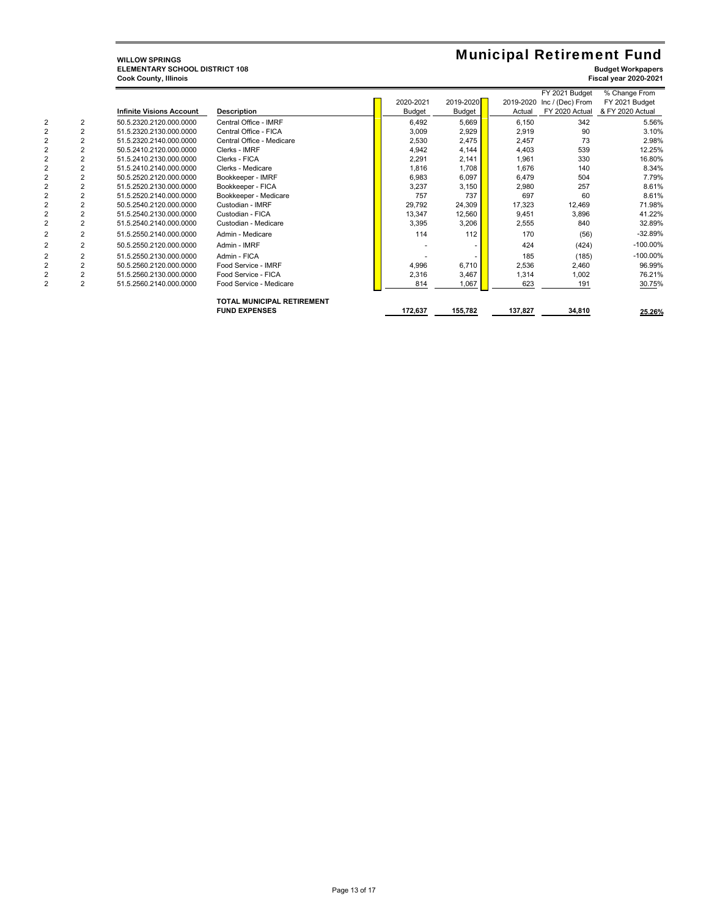## **WILLOW SPRINGS<br>ELEMENTARY SCHOOL DISTRICT 108**<br>Cook County, Illinois **ELEMENTARY SCHOOL DISTRICT 108 Budget Workpapers Cook County, Illinois Fiscal year 2020-2021**

## Municipal Retirement Fund

|                |                                 |                                   |               |               |         | FY 2021 Budget             | % Change From    |
|----------------|---------------------------------|-----------------------------------|---------------|---------------|---------|----------------------------|------------------|
|                |                                 |                                   | 2020-2021     | 2019-2020     |         | 2019-2020 Inc / (Dec) From | FY 2021 Budget   |
|                | <b>Infinite Visions Account</b> | <b>Description</b>                | <b>Budget</b> | <b>Budget</b> | Actual  | FY 2020 Actual             | & FY 2020 Actual |
| $\overline{2}$ | 50.5.2320.2120.000.0000         | Central Office - IMRF             | 6,492         | 5,669         | 6,150   | 342                        | 5.56%            |
| 2              | 51.5.2320.2130.000.0000         | Central Office - FICA             | 3,009         | 2,929         | 2,919   | 90                         | 3.10%            |
| $\overline{c}$ | 51.5.2320.2140.000.0000         | Central Office - Medicare         | 2,530         | 2,475         | 2,457   | 73                         | 2.98%            |
|                | 50.5.2410.2120.000.0000         | Clerks - IMRF                     | 4,942         | 4,144         | 4,403   | 539                        | 12.25%           |
| 2              | 51.5.2410.2130.000.0000         | Clerks - FICA                     | 2,291         | 2,141         | 1,961   | 330                        | 16.80%           |
| 2              | 51.5.2410.2140.000.0000         | Clerks - Medicare                 | 1,816         | 1,708         | 1.676   | 140                        | 8.34%            |
| 2              | 50.5.2520.2120.000.0000         | Bookkeeper - IMRF                 | 6,983         | 6,097         | 6,479   | 504                        | 7.79%            |
| 2              | 51.5.2520.2130.000.0000         | Bookkeeper - FICA                 | 3,237         | 3,150         | 2,980   | 257                        | 8.61%            |
| 2              | 51.5.2520.2140.000.0000         | Bookkeeper - Medicare             | 757           | 737           | 697     | 60                         | 8.61%            |
| 2              | 50.5.2540.2120.000.0000         | Custodian - IMRF                  | 29,792        | 24,309        | 17,323  | 12,469                     | 71.98%           |
| 2              | 51.5.2540.2130.000.0000         | Custodian - FICA                  | 13,347        | 12,560        | 9,451   | 3,896                      | 41.22%           |
| 2              | 51.5.2540.2140.000.0000         | Custodian - Medicare              | 3,395         | 3,206         | 2,555   | 840                        | 32.89%           |
| $\overline{2}$ | 51.5.2550.2140.000.0000         | Admin - Medicare                  | 114           | 112           | 170     | (56)                       | $-32.89%$        |
| $\overline{2}$ | 50.5.2550.2120.000.0000         | Admin - IMRF                      |               |               | 424     | (424)                      | -100.00%         |
| $\overline{c}$ | 51.5.2550.2130.000.0000         | Admin - FICA                      |               |               | 185     | (185)                      | $-100.00\%$      |
| $\overline{c}$ | 50.5.2560.2120.000.0000         | Food Service - IMRF               | 4,996         | 6,710         | 2,536   | 2,460                      | 96.99%           |
| 2              | 51.5.2560.2130.000.0000         | Food Service - FICA               | 2,316         | 3,467         | 1,314   | 1,002                      | 76.21%           |
| $\overline{2}$ | 51.5.2560.2140.000.0000         | Food Service - Medicare           | 814           | 1,067         | 623     | 191                        | 30.75%           |
|                |                                 | <b>TOTAL MUNICIPAL RETIREMENT</b> |               |               |         |                            |                  |
|                |                                 | <b>FUND EXPENSES</b>              | 172,637       | 155,782       | 137,827 | 34,810                     | 25.26%           |
|                |                                 |                                   |               |               |         |                            |                  |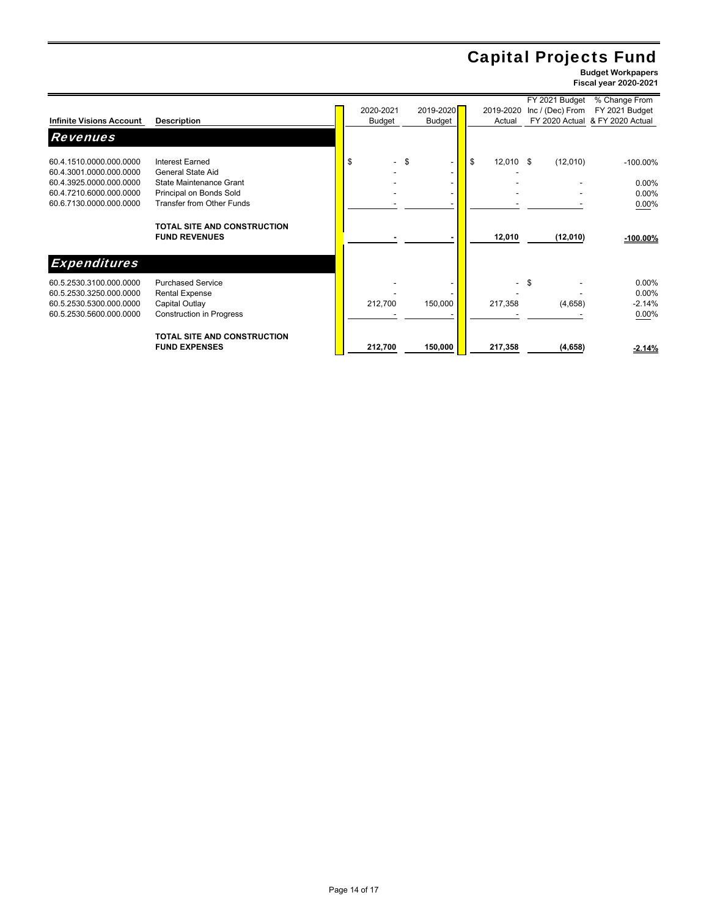# Capital Projects Fund

|                                 |                                                            |           |                                 |                          | FY 2021 Budget   | % Change From                   |
|---------------------------------|------------------------------------------------------------|-----------|---------------------------------|--------------------------|------------------|---------------------------------|
|                                 |                                                            | 2020-2021 | 2019-2020                       | 2019-2020                | Inc / (Dec) From | FY 2021 Budget                  |
| <b>Infinite Visions Account</b> | <b>Description</b>                                         | Budget    | Budget                          | Actual                   |                  | FY 2020 Actual & FY 2020 Actual |
| <b>Revenues</b>                 |                                                            |           |                                 |                          |                  |                                 |
| 60.4.1510.0000.000.0000         | Interest Earned                                            | \$        | -\$<br>$\overline{\phantom{a}}$ | \$<br>$12,010$ \$        | (12,010)         | $-100.00\%$                     |
| 60.4.3001.0000.000.0000         | General State Aid                                          |           | $\overline{\phantom{a}}$        |                          |                  |                                 |
| 60.4.3925.0000.000.0000         | State Maintenance Grant                                    |           |                                 |                          |                  | 0.00%                           |
| 60.4.7210.6000.000.0000         | Principal on Bonds Sold                                    |           |                                 |                          |                  | 0.00%                           |
| 60.6.7130.0000.000.0000         | <b>Transfer from Other Funds</b>                           |           |                                 |                          |                  | 0.00%                           |
|                                 | <b>TOTAL SITE AND CONSTRUCTION</b><br><b>FUND REVENUES</b> |           |                                 | 12,010                   | (12,010)         | $-100.00\%$                     |
| <b>Expenditures</b>             |                                                            |           |                                 |                          |                  |                                 |
| 60.5.2530.3100.000.0000         | <b>Purchased Service</b>                                   |           |                                 | $\overline{\phantom{a}}$ | -\$              | 0.00%                           |
| 60.5.2530.3250.000.0000         | <b>Rental Expense</b>                                      |           |                                 |                          |                  | 0.00%                           |
| 60.5.2530.5300.000.0000         | Capital Outlay                                             | 212,700   | 150,000                         | 217,358                  | (4,658)          | $-2.14%$                        |
| 60.5.2530.5600.000.0000         | <b>Construction in Progress</b>                            |           |                                 |                          |                  | 0.00%                           |
|                                 | TOTAL SITE AND CONSTRUCTION<br><b>FUND EXPENSES</b>        |           | 150,000                         |                          |                  |                                 |
|                                 |                                                            | 212,700   |                                 | 217,358                  | (4,658)          | $-2.14%$                        |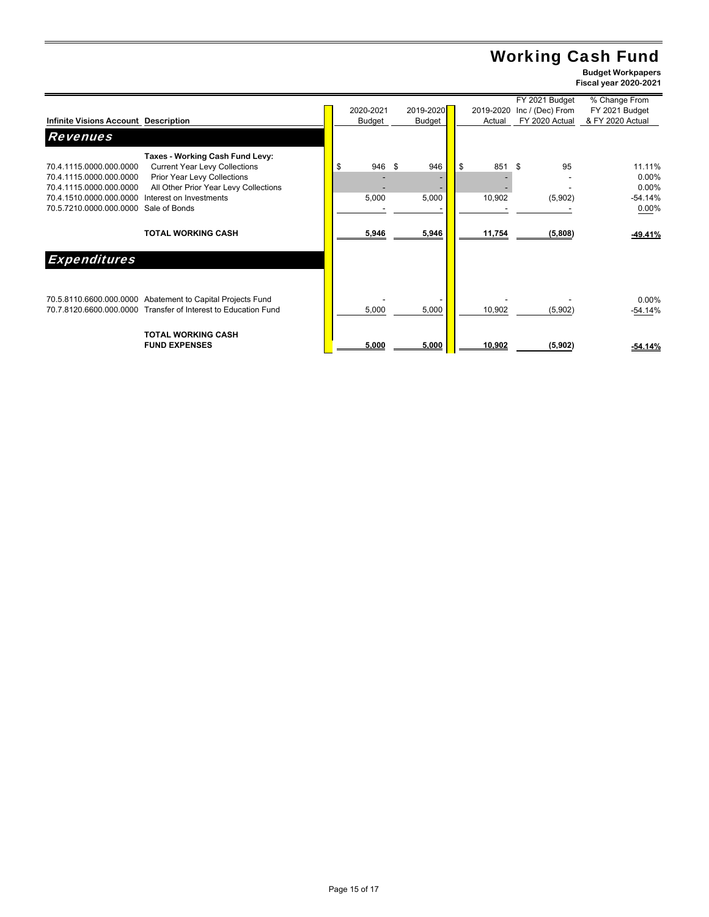# Working Cash Fund

|                                                                  |              |           |           | FY 2021 Budget   | % Change From    |
|------------------------------------------------------------------|--------------|-----------|-----------|------------------|------------------|
|                                                                  | 2020-2021    | 2019-2020 | 2019-2020 | Inc / (Dec) From | FY 2021 Budget   |
| Infinite Visions Account Description                             | Budget       | Budget    | Actual    | FY 2020 Actual   | & FY 2020 Actual |
| <b>Revenues</b>                                                  |              |           |           |                  |                  |
| Taxes - Working Cash Fund Levy:                                  |              |           |           |                  |                  |
| 70.4.1115.0000.000.0000<br><b>Current Year Levy Collections</b>  | \$<br>946 \$ | 946       | \$<br>851 | \$<br>95         | 11.11%           |
| 70.4.1115.0000.000.0000<br>Prior Year Levy Collections           |              |           |           |                  | 0.00%            |
| All Other Prior Year Levy Collections<br>70.4.1115.0000.000.0000 |              |           |           |                  | $0.00\%$         |
| 70.4.1510.0000.000.0000<br>Interest on Investments               | 5,000        | 5,000     | 10,902    | (5,902)          | $-54.14%$        |
| 70.5.7210.0000.000.0000<br>Sale of Bonds                         |              |           |           |                  | 0.00%            |
|                                                                  |              |           |           |                  |                  |
|                                                                  |              |           |           |                  |                  |
| <b>TOTAL WORKING CASH</b>                                        | 5,946        | 5,946     | 11,754    | (5,808)          | $-49.41%$        |
|                                                                  |              |           |           |                  |                  |
| <b>Expenditures</b>                                              |              |           |           |                  |                  |
|                                                                  |              |           |           |                  |                  |
| 70.5.8110.6600.000.0000 Abatement to Capital Projects Fund       |              |           |           |                  | $0.00\%$         |
| 70.7.8120.6600.000.0000 Transfer of Interest to Education Fund   | 5,000        | 5,000     | 10,902    | (5,902)          | -54.14%          |
|                                                                  |              |           |           |                  |                  |
|                                                                  |              |           |           |                  |                  |
| <b>TOTAL WORKING CASH</b>                                        |              |           |           |                  |                  |
| <b>FUND EXPENSES</b>                                             | 5,000        | 5,000     | 10,902    | (5,902)          | $-54.14%$        |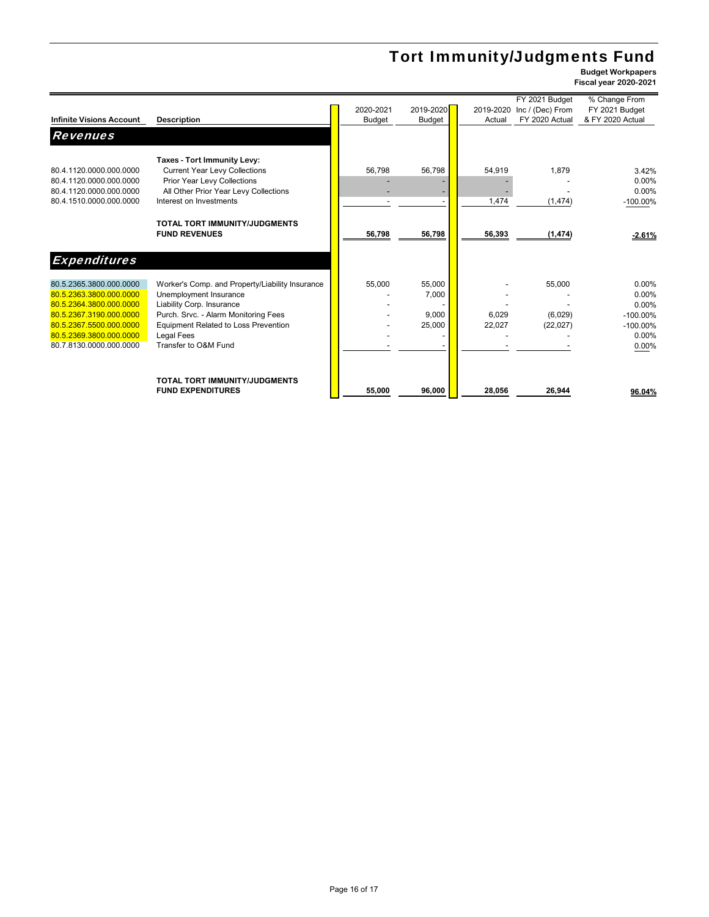# Tort Immunity/Judgments Fund

|                                 |                                                 |               |           |           | FY 2021 Budget   | % Change From    |
|---------------------------------|-------------------------------------------------|---------------|-----------|-----------|------------------|------------------|
|                                 |                                                 | 2020-2021     | 2019-2020 | 2019-2020 | Inc / (Dec) From | FY 2021 Budget   |
| <b>Infinite Visions Account</b> | <b>Description</b>                              | <b>Budget</b> | Budget    | Actual    | FY 2020 Actual   | & FY 2020 Actual |
| <b>Revenues</b>                 |                                                 |               |           |           |                  |                  |
|                                 |                                                 |               |           |           |                  |                  |
|                                 | Taxes - Tort Immunity Levy:                     |               |           |           |                  |                  |
| 80.4.1120.0000.000.0000         | <b>Current Year Levy Collections</b>            | 56,798        | 56,798    | 54,919    | 1,879            | 3.42%            |
| 80.4.1120.0000.000.0000         | Prior Year Levy Collections                     |               |           |           |                  | 0.00%            |
| 80.4.1120.0000.000.0000         | All Other Prior Year Levy Collections           |               |           |           |                  | $0.00\%$         |
| 80.4.1510.0000.000.0000         | Interest on Investments                         |               |           | 1,474     | (1, 474)         | $-100.00\%$      |
|                                 |                                                 |               |           |           |                  |                  |
|                                 | TOTAL TORT IMMUNITY/JUDGMENTS                   |               |           |           |                  |                  |
|                                 | <b>FUND REVENUES</b>                            | 56,798        | 56,798    | 56,393    | (1, 474)         | $-2.61%$         |
|                                 |                                                 |               |           |           |                  |                  |
| <b>Expenditures</b>             |                                                 |               |           |           |                  |                  |
|                                 |                                                 |               |           |           |                  |                  |
| 80.5.2365.3800.000.0000         | Worker's Comp. and Property/Liability Insurance | 55,000        | 55,000    |           | 55,000           | 0.00%            |
| 80.5.2363.3800.000.0000         | Unemployment Insurance                          |               | 7,000     |           |                  | 0.00%            |
| 80.5.2364.3800.000.0000         | Liability Corp. Insurance                       |               |           |           |                  | 0.00%            |
| 80.5.2367.3190.000.0000         | Purch. Srvc. - Alarm Monitoring Fees            |               | 9,000     | 6,029     | (6,029)          | $-100.00\%$      |
| 80.5.2367.5500.000.0000         | <b>Equipment Related to Loss Prevention</b>     |               | 25,000    | 22,027    | (22, 027)        | $-100.00\%$      |
| 80.5.2369.3800.000.0000         | <b>Legal Fees</b>                               |               |           |           |                  | 0.00%            |
| 80.7.8130.0000.000.0000         | Transfer to O&M Fund                            |               |           |           |                  | 0.00%            |
|                                 |                                                 |               |           |           |                  |                  |
|                                 |                                                 |               |           |           |                  |                  |
|                                 | TOTAL TORT IMMUNITY/JUDGMENTS                   |               |           |           |                  |                  |
|                                 | <b>FUND EXPENDITURES</b>                        | 55.000        | 96.000    | 28.056    | 26.944           | 96.04%           |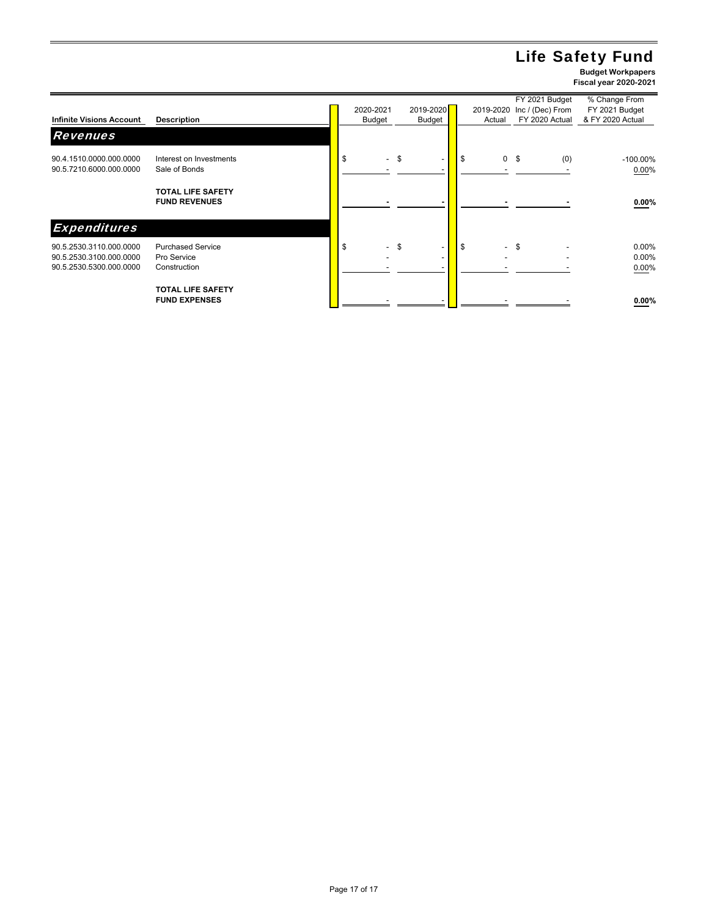# Life Safety Fund

|                                                    |                                                  |                                |                                                            |                                |                | FY 2021 Budget             | % Change From        |
|----------------------------------------------------|--------------------------------------------------|--------------------------------|------------------------------------------------------------|--------------------------------|----------------|----------------------------|----------------------|
|                                                    |                                                  | 2020-2021                      | 2019-2020                                                  |                                |                | 2019-2020 Inc / (Dec) From | FY 2021 Budget       |
| <b>Infinite Visions Account</b>                    | <b>Description</b>                               | <b>Budget</b>                  | Budget                                                     | Actual                         |                | FY 2020 Actual             | & FY 2020 Actual     |
| <b>Revenues</b>                                    |                                                  |                                |                                                            |                                |                |                            |                      |
| 90.4.1510.0000.000.0000<br>90.5.7210.6000.000.0000 | Interest on Investments<br>Sale of Bonds         | \$                             | \$<br>$\overline{\phantom{0}}$                             | \$                             | 0 <sup>5</sup> | (0)                        | $-100.00\%$<br>0.00% |
|                                                    | <b>TOTAL LIFE SAFETY</b><br><b>FUND REVENUES</b> |                                |                                                            |                                |                |                            | $0.00\%$             |
| <b>Expenditures</b>                                |                                                  |                                |                                                            |                                |                |                            |                      |
| 90.5.2530.3110.000.0000<br>90.5.2530.3100.000.0000 | <b>Purchased Service</b><br>Pro Service          | S.<br>$\overline{\phantom{a}}$ | \$<br>$\overline{\phantom{a}}$<br>$\overline{\phantom{a}}$ | \$<br>$\overline{\phantom{0}}$ | \$             |                            | 0.00%<br>0.00%       |
| 90.5.2530.5300.000.0000                            | Construction<br><b>TOTAL LIFE SAFETY</b>         |                                |                                                            |                                |                |                            | 0.00%                |
|                                                    | <b>FUND EXPENSES</b>                             |                                |                                                            |                                |                |                            | 0.00%                |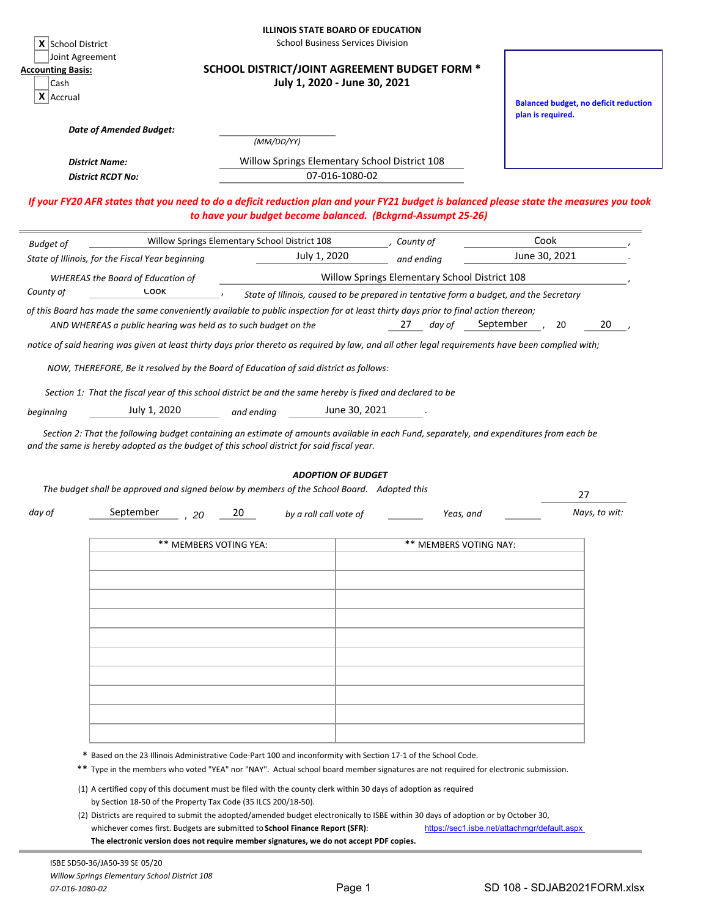| X School District                                 |                                                                | <b>ILLINOIS STATE BOARD OF EDUCATION</b>                                                                                                                                                                                                              | <b>School Business Services Division</b> |                                               |                                                                                        |                                              |
|---------------------------------------------------|----------------------------------------------------------------|-------------------------------------------------------------------------------------------------------------------------------------------------------------------------------------------------------------------------------------------------------|------------------------------------------|-----------------------------------------------|----------------------------------------------------------------------------------------|----------------------------------------------|
| <b>Accounting Basis:</b><br>Cash<br>$X$   Accrual | Joint Agreement                                                | <b>SCHOOL DISTRICT/JOINT AGREEMENT BUDGET FORM *</b>                                                                                                                                                                                                  | July 1, 2020 - June 30, 2021             |                                               |                                                                                        |                                              |
|                                                   | <b>Date of Amended Budget:</b>                                 |                                                                                                                                                                                                                                                       |                                          |                                               | plan is required.                                                                      | <b>Balanced budget, no deficit reduction</b> |
|                                                   |                                                                | (MM/DD/YY)                                                                                                                                                                                                                                            |                                          |                                               |                                                                                        |                                              |
|                                                   | <b>District Name:</b><br><b>District RCDT No:</b>              | Willow Springs Elementary School District 108                                                                                                                                                                                                         | 07-016-1080-02                           |                                               |                                                                                        |                                              |
|                                                   |                                                                | If your FY20 AFR states that you need to do a deficit reduction plan and your FY21 budget is balanced please state the measures you took<br>to have your budget become balanced. (Bckgrnd-Assumpt 25-26)                                              |                                          |                                               |                                                                                        |                                              |
| <b>Budget of</b>                                  |                                                                | Willow Springs Elementary School District 108                                                                                                                                                                                                         |                                          | , County of                                   | Cook                                                                                   |                                              |
|                                                   | State of Illinois, for the Fiscal Year beginning               | July 1, 2020                                                                                                                                                                                                                                          |                                          | and ending                                    | June 30, 2021                                                                          |                                              |
|                                                   | <b>WHEREAS the Board of Education of</b>                       |                                                                                                                                                                                                                                                       |                                          | Willow Springs Elementary School District 108 |                                                                                        |                                              |
| County of                                         | <b>LOOK</b>                                                    |                                                                                                                                                                                                                                                       |                                          |                                               | State of Illinois, caused to be prepared in tentative form a budget, and the Secretary |                                              |
|                                                   | AND WHEREAS a public hearing was held as to such budget on the | of this Board has made the same conveniently available to public inspection for at least thirty days prior to final action thereon;                                                                                                                   |                                          | 27<br>day of                                  | September<br>20                                                                        | 20                                           |
|                                                   |                                                                | notice of said hearing was given at least thirty days prior thereto as required by law, and all other legal requirements have been complied with;                                                                                                     |                                          |                                               |                                                                                        |                                              |
|                                                   |                                                                | NOW, THEREFORE, Be it resolved by the Board of Education of said district as follows:                                                                                                                                                                 |                                          |                                               |                                                                                        |                                              |
|                                                   |                                                                | Section 1: That the fiscal year of this school district be and the same hereby is fixed and declared to be                                                                                                                                            |                                          |                                               |                                                                                        |                                              |
| beginning                                         | July 1, 2020                                                   | and ending                                                                                                                                                                                                                                            | June 30, 2021                            |                                               |                                                                                        |                                              |
|                                                   |                                                                | Section 2: That the following budget containing an estimate of amounts available in each Fund, separately, and expenditures from each be<br>and the same is hereby adopted as the budget of this school district for said fiscal year.                | <b>ADOPTION OF BUDGET</b>                |                                               |                                                                                        |                                              |
|                                                   |                                                                | The budget shall be approved and signed below by members of the School Board. Adopted this                                                                                                                                                            |                                          |                                               |                                                                                        | 27                                           |
| day of                                            | September<br>20                                                | 20<br>by a roll call vote of                                                                                                                                                                                                                          |                                          | Yeas, and                                     |                                                                                        | Nays, to wit:                                |
|                                                   |                                                                | ** MEMBERS VOTING YEA:                                                                                                                                                                                                                                |                                          | ** MEMBERS VOTING NAY:                        |                                                                                        |                                              |
|                                                   |                                                                |                                                                                                                                                                                                                                                       |                                          |                                               |                                                                                        |                                              |
|                                                   |                                                                |                                                                                                                                                                                                                                                       |                                          |                                               |                                                                                        |                                              |
|                                                   |                                                                |                                                                                                                                                                                                                                                       |                                          |                                               |                                                                                        |                                              |
|                                                   |                                                                |                                                                                                                                                                                                                                                       |                                          |                                               |                                                                                        |                                              |
|                                                   |                                                                |                                                                                                                                                                                                                                                       |                                          |                                               |                                                                                        |                                              |
|                                                   |                                                                |                                                                                                                                                                                                                                                       |                                          |                                               |                                                                                        |                                              |
|                                                   |                                                                |                                                                                                                                                                                                                                                       |                                          |                                               |                                                                                        |                                              |
|                                                   |                                                                |                                                                                                                                                                                                                                                       |                                          |                                               |                                                                                        |                                              |
|                                                   |                                                                |                                                                                                                                                                                                                                                       |                                          |                                               |                                                                                        |                                              |
|                                                   |                                                                |                                                                                                                                                                                                                                                       |                                          |                                               |                                                                                        |                                              |
|                                                   |                                                                |                                                                                                                                                                                                                                                       |                                          |                                               |                                                                                        |                                              |
|                                                   |                                                                | * Based on the 23 Illinois Administrative Code-Part 100 and inconformity with Section 17-1 of the School Code.<br>** Type in the members who voted "YEA" nor "NAY". Actual school board member signatures are not required for electronic submission. |                                          |                                               |                                                                                        |                                              |
|                                                   |                                                                |                                                                                                                                                                                                                                                       |                                          |                                               |                                                                                        |                                              |
|                                                   |                                                                | (1) A certified copy of this document must be filed with the county clerk within 30 days of adoption as required<br>by Section 18-50 of the Property Tax Code (35 ILCS 200/18-50).                                                                    |                                          |                                               |                                                                                        |                                              |
|                                                   |                                                                | (2) Districts are required to submit the adopted/amended budget electronically to ISBE within 30 days of adoption or by October 30,                                                                                                                   |                                          |                                               |                                                                                        |                                              |
|                                                   |                                                                | whichever comes first. Budgets are submitted to School Finance Report (SFR):                                                                                                                                                                          |                                          |                                               | https://sec1.isbe.net/attachmgr/default.aspx                                           |                                              |
|                                                   |                                                                | The electronic version does not require member signatures, we do not accept PDF copies.                                                                                                                                                               |                                          |                                               |                                                                                        |                                              |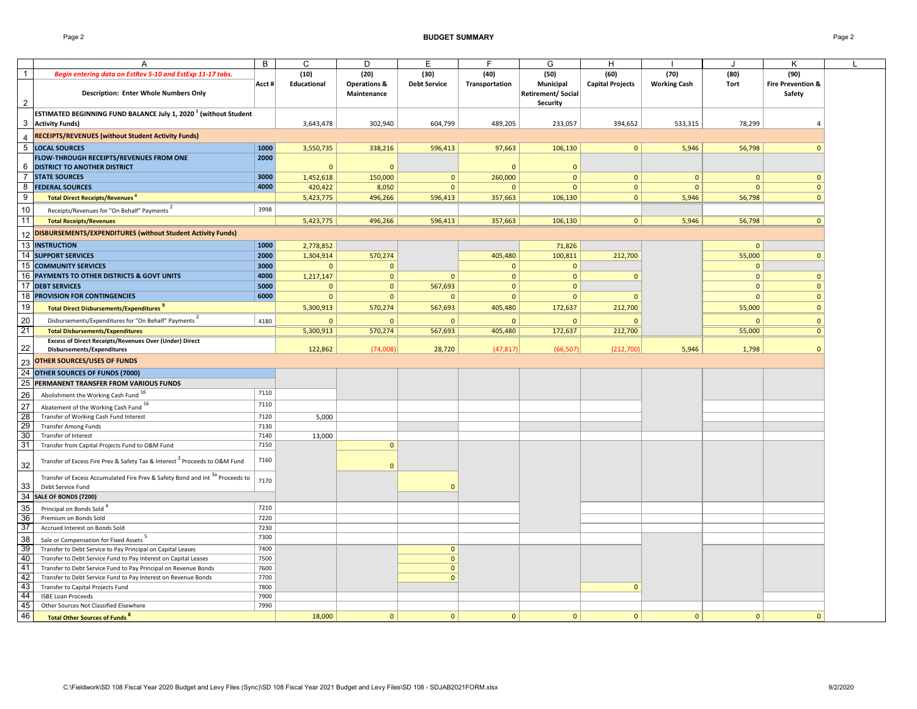Page 2 **BUDGET SUMMARY** Page 2

|                                                           |                                                                                          | B      |              | D                       |                     | F              |                    |                         |                     |              |                              |  |
|-----------------------------------------------------------|------------------------------------------------------------------------------------------|--------|--------------|-------------------------|---------------------|----------------|--------------------|-------------------------|---------------------|--------------|------------------------------|--|
|                                                           | A                                                                                        |        | C            |                         | Е                   |                | G                  | H                       |                     | J            | Κ                            |  |
| $\overline{1}$                                            | Begin entering data on EstRev 5-10 and EstExp 11-17 tabs.                                |        | (10)         | (20)                    | (30)                | (40)           | (50)               | (60)                    | (70)                | (80)         | (90)                         |  |
|                                                           |                                                                                          | Acct # | Educational  | <b>Operations &amp;</b> | <b>Debt Service</b> | Transportation | Municipal          | <b>Capital Projects</b> | <b>Working Cash</b> | Tort         | <b>Fire Prevention &amp;</b> |  |
|                                                           | <b>Description: Enter Whole Numbers Only</b>                                             |        |              | Maintenance             |                     |                | Retirement/ Social |                         |                     |              | Safety                       |  |
| $\overline{2}$                                            |                                                                                          |        |              |                         |                     |                | Security           |                         |                     |              |                              |  |
|                                                           | ESTIMATED BEGINNING FUND BALANCE July 1, 2020 <sup>1</sup> (without Student              |        |              |                         |                     |                |                    |                         |                     |              |                              |  |
|                                                           | 3 Activity Funds)                                                                        |        | 3,643,478    | 302,940                 | 604,799             | 489,205        | 233,057            | 394,652                 | 533,315             | 78,299       | $\overline{4}$               |  |
|                                                           | RECEIPTS/REVENUES (without Student Activity Funds)                                       |        |              |                         |                     |                |                    |                         |                     |              |                              |  |
| $\overline{4}$                                            |                                                                                          |        |              |                         |                     |                |                    |                         |                     |              |                              |  |
| 5                                                         | <b>LOCAL SOURCES</b>                                                                     | 1000   | 3,550,735    | 338,216                 | 596,413             | 97,663         | 106,130            | $\mathbf{0}$            | 5,946               | 56,798       | $\Omega$                     |  |
|                                                           | FLOW-THROUGH RECEIPTS/REVENUES FROM ONE                                                  | 2000   |              |                         |                     |                |                    |                         |                     |              |                              |  |
| 6                                                         | <b>DISTRICT TO ANOTHER DISTRICT</b>                                                      |        | $\Omega$     | $\Omega$                |                     | $\Omega$       | $\Omega$           |                         |                     |              |                              |  |
| $\overline{7}$                                            | <b>STATE SOURCES</b>                                                                     | 3000   | 1,452,618    | 150,000                 | $\mathbf{0}$        | 260,000        | $\mathbf{0}$       | $\mathbf{0}$            | $\mathbf{0}$        | $\mathbf{0}$ | $\mathbf{0}$                 |  |
| 8                                                         | <b>FEDERAL SOURCES</b>                                                                   | 4000   | 420,422      | 8,050                   | $\Omega$            | $\Omega$       | $\mathbf{0}$       | $\mathbf{0}$            | $\mathbf{0}$        | $\Omega$     | $\mathbf{0}$                 |  |
| 9                                                         | Total Direct Receipts/Revenues                                                           |        | 5,423,775    | 496,266                 | 596,413             | 357,663        | 106,130            | $\mathbf{0}$            | 5,946               | 56,798       | $\Omega$                     |  |
| 10                                                        | Receipts/Revenues for "On Behalf" Payments                                               | 3998   |              |                         |                     |                |                    |                         |                     |              |                              |  |
| 11                                                        | <b>Total Receipts/Revenues</b>                                                           |        | 5,423,775    | 496,266                 | 596,413             | 357,663        | 106,130            | 0                       | 5,946               | 56,798       | $\mathbf{0}$                 |  |
|                                                           |                                                                                          |        |              |                         |                     |                |                    |                         |                     |              |                              |  |
| 12                                                        | DISBURSEMENTS/EXPENDITURES (without Student Activity Funds)                              |        |              |                         |                     |                |                    |                         |                     |              |                              |  |
| 13                                                        | <b>INSTRUCTION</b>                                                                       | 1000   | 2,778,852    |                         |                     |                | 71,826             |                         |                     | $\Omega$     |                              |  |
|                                                           | 14 SUPPORT SERVICES                                                                      | 2000   | 1,304,914    | 570,274                 |                     | 405,480        | 100,811            | 212,700                 |                     | 55,000       | $\mathbf{0}$                 |  |
|                                                           | <b>15 COMMUNITY SERVICES</b>                                                             | 3000   | $\mathbf{0}$ | $\mathbf{0}$            |                     | $\overline{0}$ | $\mathbf{0}$       |                         |                     | $\mathbf{0}$ |                              |  |
|                                                           | 16 PAYMENTS TO OTHER DISTRICTS & GOVT UNITS                                              | 4000   | 1,217,147    | $\mathbf{0}$            | $\mathbf{0}$        | $\mathbf{0}$   | $\mathbf{0}$       | $\mathbf{0}$            |                     | $\mathbf{0}$ | $\mathbf{0}$                 |  |
|                                                           | <b>17 DEBT SERVICES</b>                                                                  | 5000   | $\Omega$     | $\mathbf 0$             | 567,693             | $\Omega$       | $\mathbf{0}$       |                         |                     | $\mathbf 0$  | $\mathbf{0}$                 |  |
|                                                           | <b>18 PROVISION FOR CONTINGENCIES</b>                                                    | 6000   | $\mathbf{0}$ | $\mathbf{0}$            | $\mathbf{0}$        | $\mathbf 0$    | $\mathbf{0}$       | $\Omega$                |                     | $\mathbf{0}$ | $\mathbf{0}$                 |  |
|                                                           |                                                                                          |        |              |                         |                     |                |                    |                         |                     |              |                              |  |
| 19                                                        | <b>Total Direct Disbursements/Expenditures</b>                                           |        | 5,300,913    | 570,274                 | 567,693             | 405,480        | 172,637            | 212,700                 |                     | 55,000       | $\mathbf{0}$                 |  |
| 20                                                        | Disbursements/Expenditures for "On Behalf" Payments                                      | 4180   | $\mathbf{0}$ | $\Omega$                | $\mathbf{0}$        | $\overline{0}$ | $\Omega$           | $\Omega$                |                     | $\Omega$     | $\Omega$                     |  |
| 21                                                        | <b>Total Disbursements/Expenditures</b>                                                  |        | 5,300,913    | 570,274                 | 567,693             | 405,480        | 172,637            | 212,700                 |                     | 55,000       | $\mathbf{0}$                 |  |
|                                                           | Excess of Direct Receipts/Revenues Over (Under) Direct                                   |        |              |                         |                     |                |                    |                         |                     |              |                              |  |
| 22                                                        | Disbursements/Expenditures                                                               |        | 122,862      | (74,008)                | 28,720              | (47, 817)      | (66, 507)          | (212,700)               | 5,946               | 1,798        | $\Omega$                     |  |
| 23                                                        | <b>OTHER SOURCES/USES OF FUNDS</b>                                                       |        |              |                         |                     |                |                    |                         |                     |              |                              |  |
|                                                           | 24 OTHER SOURCES OF FUNDS (7000)                                                         |        |              |                         |                     |                |                    |                         |                     |              |                              |  |
|                                                           |                                                                                          |        |              |                         |                     |                |                    |                         |                     |              |                              |  |
|                                                           | 25 PERMANENT TRANSFER FROM VARIOUS FUNDS                                                 |        |              |                         |                     |                |                    |                         |                     |              |                              |  |
| 26                                                        | Abolishment the Working Cash Fund 16                                                     | 7110   |              |                         |                     |                |                    |                         |                     |              |                              |  |
|                                                           | Abatement of the Working Cash Fund 16                                                    | 7110   |              |                         |                     |                |                    |                         |                     |              |                              |  |
|                                                           | Transfer of Working Cash Fund Interest                                                   | 7120   | 5,000        |                         |                     |                |                    |                         |                     |              |                              |  |
| $\begin{array}{c}\n 27 \\ 28 \\ \hline\n 9\n \end{array}$ | <b>Transfer Among Funds</b>                                                              | 7130   |              |                         |                     |                |                    |                         |                     |              |                              |  |
|                                                           | Transfer of Interest                                                                     | 7140   | 13,000       |                         |                     |                |                    |                         |                     |              |                              |  |
| $\frac{30}{31}$                                           | Transfer from Capital Projects Fund to O&M Fund                                          | 7150   |              | $\mathbf{0}$            |                     |                |                    |                         |                     |              |                              |  |
|                                                           |                                                                                          |        |              |                         |                     |                |                    |                         |                     |              |                              |  |
| 32                                                        | Transfer of Excess Fire Prev & Safety Tax & Interest <sup>3</sup> Proceeds to O&M Fund   | 7160   |              | $\Omega$                |                     |                |                    |                         |                     |              |                              |  |
|                                                           | Transfer of Excess Accumulated Fire Prev & Safety Bond and Int <sup>3a</sup> Proceeds to |        |              |                         |                     |                |                    |                         |                     |              |                              |  |
| $33\,$                                                    |                                                                                          | 7170   |              |                         | $\Omega$            |                |                    |                         |                     |              |                              |  |
|                                                           | Debt Service Fund                                                                        |        |              |                         |                     |                |                    |                         |                     |              |                              |  |
|                                                           | 34 SALE OF BONDS (7200)                                                                  |        |              |                         |                     |                |                    |                         |                     |              |                              |  |
| 35                                                        | Principal on Bonds Sold                                                                  | 7210   |              |                         |                     |                |                    |                         |                     |              |                              |  |
| 36                                                        | Premium on Bonds Sold                                                                    | 7220   |              |                         |                     |                |                    |                         |                     |              |                              |  |
| 37                                                        | Accrued Interest on Bonds Sold                                                           | 7230   |              |                         |                     |                |                    |                         |                     |              |                              |  |
| 38                                                        | Sale or Compensation for Fixed Assets                                                    | 7300   |              |                         |                     |                |                    |                         |                     |              |                              |  |
| 39                                                        | Transfer to Debt Service to Pay Principal on Capital Leases                              | 7400   |              |                         | $\mathbf{0}$        |                |                    |                         |                     |              |                              |  |
| 40                                                        | Transfer to Debt Service Fund to Pay Interest on Capital Leases                          | 7500   |              |                         | $\mathbf{0}$        |                |                    |                         |                     |              |                              |  |
| 41                                                        | Transfer to Debt Service Fund to Pay Principal on Revenue Bonds                          | 7600   |              |                         | $\mathbf{0}$        |                |                    |                         |                     |              |                              |  |
| 42                                                        | Transfer to Debt Service Fund to Pay Interest on Revenue Bonds                           | 7700   |              |                         | $\overline{0}$      |                |                    |                         |                     |              |                              |  |
| 43                                                        | Transfer to Capital Projects Fund                                                        | 7800   |              |                         |                     |                |                    | $\mathbf{0}$            |                     |              |                              |  |
| 44                                                        | <b>ISBE Loan Proceeds</b>                                                                | 7900   |              |                         |                     |                |                    |                         |                     |              |                              |  |
| 45                                                        | Other Sources Not Classified Elsewhere                                                   | 7990   |              |                         |                     |                |                    |                         |                     |              |                              |  |
| 46                                                        | <b>Total Other Sources of Funds<sup>8</sup></b>                                          |        | 18,000       | $\mathbf{0}$            | 0                   | $\mathbf{0}$   | $\mathbf{0}$       | 0                       | $\mathbf{0}$        | 0            | $\mathbf{0}$                 |  |
|                                                           |                                                                                          |        |              |                         |                     |                |                    |                         |                     |              |                              |  |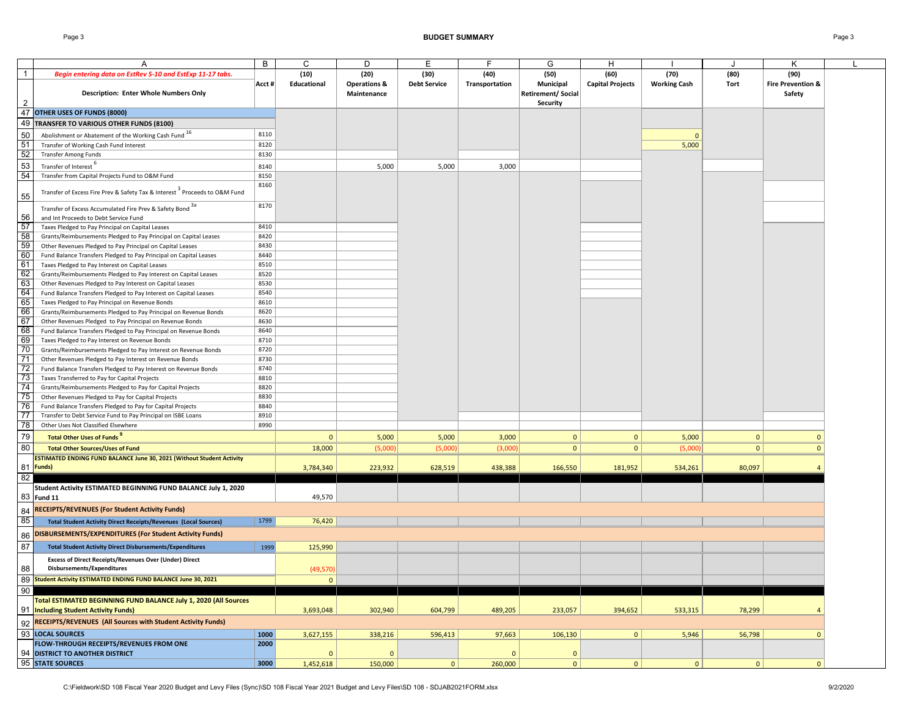|                 | Α                                                                                      | B      | C            | D                       | Е                   | F              | G                        | н                       |                     |              | κ                            |  |
|-----------------|----------------------------------------------------------------------------------------|--------|--------------|-------------------------|---------------------|----------------|--------------------------|-------------------------|---------------------|--------------|------------------------------|--|
| $\overline{1}$  | Begin entering data on EstRev 5-10 and EstExp 11-17 tabs.                              |        | (10)         | (20)                    | (30)                | (40)           | (50)                     | (60)                    | (70)                | (80)         | (90)                         |  |
|                 |                                                                                        | Acct # | Educational  | <b>Operations &amp;</b> | <b>Debt Service</b> | Transportation | Municipal                | <b>Capital Projects</b> | <b>Working Cash</b> | Tort         | <b>Fire Prevention &amp;</b> |  |
|                 | <b>Description: Enter Whole Numbers Only</b>                                           |        |              | Maintenance             |                     |                | <b>Retirement/Social</b> |                         |                     |              | Safety                       |  |
| $\overline{2}$  |                                                                                        |        |              |                         |                     |                | Security                 |                         |                     |              |                              |  |
| 47              | OTHER USES OF FUNDS (8000)                                                             |        |              |                         |                     |                |                          |                         |                     |              |                              |  |
|                 |                                                                                        |        |              |                         |                     |                |                          |                         |                     |              |                              |  |
|                 | 49 TRANSFER TO VARIOUS OTHER FUNDS (8100)                                              |        |              |                         |                     |                |                          |                         |                     |              |                              |  |
| 50              | Abolishment or Abatement of the Working Cash Fund 16                                   | 8110   |              |                         |                     |                |                          |                         | $\Omega$            |              |                              |  |
| 51              | Transfer of Working Cash Fund Interest                                                 | 8120   |              |                         |                     |                |                          |                         | 5,000               |              |                              |  |
| $\frac{52}{53}$ | <b>Transfer Among Funds</b>                                                            | 8130   |              |                         |                     |                |                          |                         |                     |              |                              |  |
|                 | Transfer of Interest <sup>o</sup>                                                      | 8140   |              | 5,000                   | 5,000               | 3,000          |                          |                         |                     |              |                              |  |
| 54              | Transfer from Capital Projects Fund to O&M Fund                                        | 8150   |              |                         |                     |                |                          |                         |                     |              |                              |  |
|                 |                                                                                        | 8160   |              |                         |                     |                |                          |                         |                     |              |                              |  |
| 55              | Transfer of Excess Fire Prev & Safety Tax & Interest <sup>3</sup> Proceeds to O&M Fund |        |              |                         |                     |                |                          |                         |                     |              |                              |  |
|                 |                                                                                        | 8170   |              |                         |                     |                |                          |                         |                     |              |                              |  |
|                 | Transfer of Excess Accumulated Fire Prev & Safety Bond 3a                              |        |              |                         |                     |                |                          |                         |                     |              |                              |  |
| 56              | and Int Proceeds to Debt Service Fund                                                  |        |              |                         |                     |                |                          |                         |                     |              |                              |  |
| 57              | Taxes Pledged to Pay Principal on Capital Leases                                       | 8410   |              |                         |                     |                |                          |                         |                     |              |                              |  |
|                 | Grants/Reimbursements Pledged to Pay Principal on Capital Leases                       | 8420   |              |                         |                     |                |                          |                         |                     |              |                              |  |
| $\frac{58}{59}$ | Other Revenues Pledged to Pay Principal on Capital Leases                              | 8430   |              |                         |                     |                |                          |                         |                     |              |                              |  |
| 60              | Fund Balance Transfers Pledged to Pay Principal on Capital Leases                      | 8440   |              |                         |                     |                |                          |                         |                     |              |                              |  |
| $\frac{61}{62}$ | Taxes Pledged to Pay Interest on Capital Leases                                        | 8510   |              |                         |                     |                |                          |                         |                     |              |                              |  |
|                 | Grants/Reimbursements Pledged to Pay Interest on Capital Leases                        | 8520   |              |                         |                     |                |                          |                         |                     |              |                              |  |
|                 | Other Revenues Pledged to Pay Interest on Capital Leases                               | 8530   |              |                         |                     |                |                          |                         |                     |              |                              |  |
|                 | Fund Balance Transfers Pledged to Pay Interest on Capital Leases                       | 8540   |              |                         |                     |                |                          |                         |                     |              |                              |  |
| $rac{63}{65}$   | Taxes Pledged to Pay Principal on Revenue Bonds                                        | 8610   |              |                         |                     |                |                          |                         |                     |              |                              |  |
| 66              | Grants/Reimbursements Pledged to Pay Principal on Revenue Bonds                        | 8620   |              |                         |                     |                |                          |                         |                     |              |                              |  |
| 67              | Other Revenues Pledged to Pay Principal on Revenue Bonds                               | 8630   |              |                         |                     |                |                          |                         |                     |              |                              |  |
| 68              | Fund Balance Transfers Pledged to Pay Principal on Revenue Bonds                       | 8640   |              |                         |                     |                |                          |                         |                     |              |                              |  |
| 69              | Taxes Pledged to Pay Interest on Revenue Bonds                                         | 8710   |              |                         |                     |                |                          |                         |                     |              |                              |  |
| 70              | Grants/Reimbursements Pledged to Pay Interest on Revenue Bonds                         | 8720   |              |                         |                     |                |                          |                         |                     |              |                              |  |
| 71              | Other Revenues Pledged to Pay Interest on Revenue Bonds                                | 8730   |              |                         |                     |                |                          |                         |                     |              |                              |  |
| 72              | Fund Balance Transfers Pledged to Pay Interest on Revenue Bonds                        | 8740   |              |                         |                     |                |                          |                         |                     |              |                              |  |
| 73              | Taxes Transferred to Pay for Capital Projects                                          | 8810   |              |                         |                     |                |                          |                         |                     |              |                              |  |
| 74              | Grants/Reimbursements Pledged to Pay for Capital Projects                              | 8820   |              |                         |                     |                |                          |                         |                     |              |                              |  |
| 75              | Other Revenues Pledged to Pay for Capital Projects                                     | 8830   |              |                         |                     |                |                          |                         |                     |              |                              |  |
| 76              | Fund Balance Transfers Pledged to Pay for Capital Projects                             | 8840   |              |                         |                     |                |                          |                         |                     |              |                              |  |
| 77              | Transfer to Debt Service Fund to Pay Principal on ISBE Loans                           | 8910   |              |                         |                     |                |                          |                         |                     |              |                              |  |
| 78              | Other Uses Not Classified Elsewhere                                                    | 8990   |              |                         |                     |                |                          |                         |                     |              |                              |  |
| 79              | <b>Total Other Uses of Funds</b>                                                       |        |              |                         |                     |                | $\mathbf{0}$             |                         |                     | $\mathbf{0}$ |                              |  |
|                 |                                                                                        |        | $\mathbf{0}$ | 5,000                   | 5,000               | 3,000          |                          | $\mathbf{0}$            | 5,000               |              | $\mathbf{0}$                 |  |
| 80              | <b>Total Other Sources/Uses of Fund</b>                                                |        | 18,000       | (5,000)                 | (5,000)             | (3,000)        | $\mathbf{0}$             | $\mathbf{0}$            | (5,000)             | $\mathbf{0}$ | $\mathbf{0}$                 |  |
|                 | ESTIMATED ENDING FUND BALANCE June 30, 2021 (Without Student Activity                  |        |              |                         |                     |                |                          |                         |                     |              |                              |  |
|                 | 81 Funds)                                                                              |        | 3,784,340    | 223,932                 | 628,519             | 438,388        | 166,550                  | 181,952                 | 534,261             | 80,097       |                              |  |
| 82              |                                                                                        |        |              |                         |                     |                |                          |                         |                     |              |                              |  |
|                 | Student Activity ESTIMATED BEGINNING FUND BALANCE July 1, 2020                         |        |              |                         |                     |                |                          |                         |                     |              |                              |  |
|                 | 83 Fund 11                                                                             |        | 49,570       |                         |                     |                |                          |                         |                     |              |                              |  |
| 84              | <b>RECEIPTS/REVENUES (For Student Activity Funds)</b>                                  |        |              |                         |                     |                |                          |                         |                     |              |                              |  |
| 85              |                                                                                        | 1799   |              |                         |                     |                |                          |                         |                     |              |                              |  |
|                 | <b>Total Student Activity Direct Receipts/Revenues (Local Sources)</b>                 |        | 76,420       |                         |                     |                |                          |                         |                     |              |                              |  |
| 86              | DISBURSEMENTS/EXPENDITURES (For Student Activity Funds)                                |        |              |                         |                     |                |                          |                         |                     |              |                              |  |
| 87              | <b>Total Student Activity Direct Disbursements/Expenditures</b>                        | 1999   | 125,990      |                         |                     |                |                          |                         |                     |              |                              |  |
|                 |                                                                                        |        |              |                         |                     |                |                          |                         |                     |              |                              |  |
|                 | <b>Excess of Direct Receipts/Revenues Over (Under) Direct</b>                          |        |              |                         |                     |                |                          |                         |                     |              |                              |  |
| 88              | Disbursements/Expenditures                                                             |        | (49, 570)    |                         |                     |                |                          |                         |                     |              |                              |  |
|                 | 89 Student Activity ESTIMATED ENDING FUND BALANCE June 30, 2021                        |        | 0            |                         |                     |                |                          |                         |                     |              |                              |  |
| $90\,$          |                                                                                        |        |              |                         |                     |                |                          |                         |                     |              |                              |  |
|                 | Total ESTIMATED BEGINNING FUND BALANCE July 1, 2020 (All Sources                       |        |              |                         |                     |                |                          |                         |                     |              |                              |  |
|                 | 91 Including Student Activity Funds)                                                   |        | 3,693,048    | 302,940                 | 604,799             | 489,205        | 233,057                  | 394,652                 | 533,315             | 78,299       | $\overline{4}$               |  |
|                 | 92 RECEIPTS/REVENUES (All Sources with Student Activity Funds)                         |        |              |                         |                     |                |                          |                         |                     |              |                              |  |
|                 |                                                                                        |        |              |                         |                     |                |                          |                         |                     |              |                              |  |
|                 | 93 LOCAL SOURCES                                                                       | 1000   | 3,627,155    | 338,216                 | 596,413             | 97,663         | 106,130                  | 0                       | 5,946               | 56,798       | $\mathbf{0}$                 |  |
|                 | FLOW-THROUGH RECEIPTS/REVENUES FROM ONE                                                | 2000   |              |                         |                     |                |                          |                         |                     |              |                              |  |
|                 | 94 DISTRICT TO ANOTHER DISTRICT                                                        |        | $\mathbf 0$  | $\overline{0}$          |                     | $\mathbf{0}$   | $\mathbf{0}$             |                         |                     |              |                              |  |
|                 | 95 STATE SOURCES                                                                       | 3000   | 1,452,618    | 150,000                 | 0                   | 260,000        | $\mathbf 0$              | 0                       | 0                   | $\mathbf{0}$ | $\mathbf{0}$                 |  |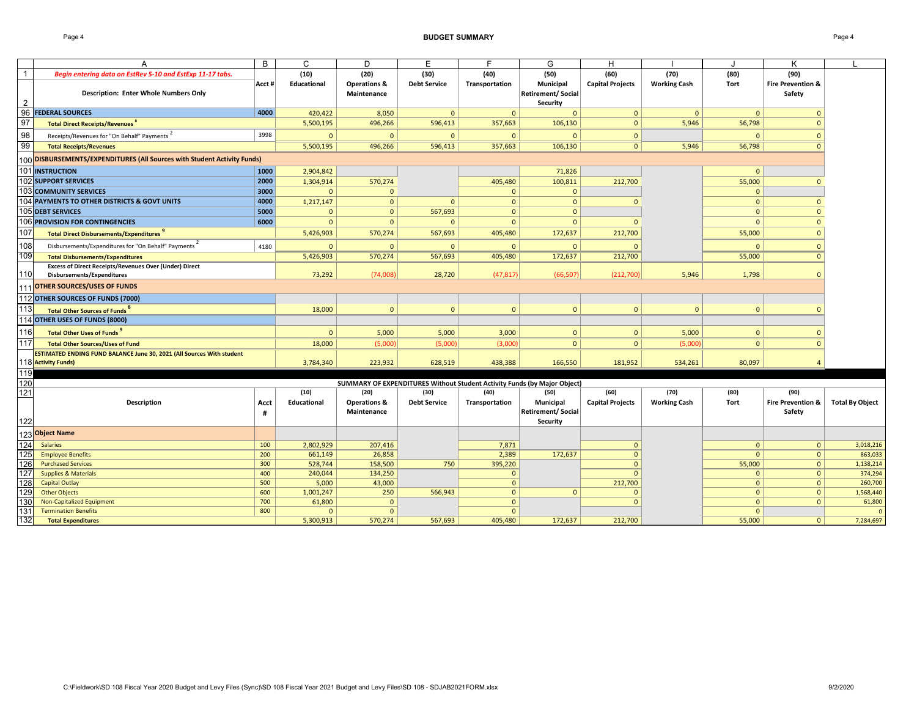Page 4 **BUDGET SUMMARY** Page 4

|                | A                                                                                                         | B          | C                   | D                                              | Е                           | F                      | G                                                                        | н                               |                             |                      | ĸ                                              |                        |
|----------------|-----------------------------------------------------------------------------------------------------------|------------|---------------------|------------------------------------------------|-----------------------------|------------------------|--------------------------------------------------------------------------|---------------------------------|-----------------------------|----------------------|------------------------------------------------|------------------------|
| $\overline{1}$ | Begin entering data on EstRev 5-10 and EstExp 11-17 tabs.<br><b>Description: Enter Whole Numbers Only</b> | Acct #     | (10)<br>Educational | (20)<br><b>Operations &amp;</b><br>Maintenance | (30)<br><b>Debt Service</b> | (40)<br>Transportation | (50)<br>Municipal<br><b>Retirement/ Social</b>                           | (60)<br><b>Capital Projects</b> | (70)<br><b>Working Cash</b> | (80)<br>Tort         | (90)<br><b>Fire Prevention &amp;</b><br>Safety |                        |
| $\overline{2}$ |                                                                                                           |            |                     |                                                |                             |                        | Security                                                                 |                                 |                             |                      |                                                |                        |
| 96             | <b>FEDERAL SOURCES</b>                                                                                    | 4000       | 420,422             | 8,050                                          | $\mathbf{0}$                | $\Omega$               | $\Omega$                                                                 | $\mathbf{0}$                    | $\Omega$                    | $\Omega$             | $\Omega$                                       |                        |
| 97             | <b>Total Direct Receipts/Revenues<sup>8</sup></b>                                                         |            | 5,500,195           | 496,266                                        | 596,413                     | 357,663                | 106,130                                                                  | $\mathbf{0}$                    | 5,946                       | 56,798               | $\Omega$                                       |                        |
| 98             | Receipts/Revenues for "On Behalf" Payments                                                                | 3998       | $\Omega$            | $\overline{0}$                                 | $\mathbf{0}$                | $\Omega$               | $\Omega$                                                                 | $\overline{0}$                  |                             | $\Omega$             | $\Omega$                                       |                        |
| 99             | <b>Total Receipts/Revenues</b>                                                                            |            | 5,500,195           | 496,266                                        | 596,413                     | 357,663                | 106,130                                                                  | $\Omega$                        | 5,946                       | 56,798               | $\Omega$                                       |                        |
|                | 100 DISBURSEMENTS/EXPENDITURES (All Sources with Student Activity Funds)                                  |            |                     |                                                |                             |                        |                                                                          |                                 |                             |                      |                                                |                        |
|                | 101 INSTRUCTION                                                                                           | 1000       | 2,904,842           |                                                |                             |                        | 71,826                                                                   |                                 |                             | $\Omega$             |                                                |                        |
|                | <b>102 SUPPORT SERVICES</b>                                                                               | 2000       | 1,304,914           | 570,274                                        |                             | 405,480                | 100,811                                                                  | 212,700                         |                             | 55,000               | $\Omega$                                       |                        |
|                | <b>103 COMMUNITY SERVICES</b>                                                                             | 3000       | $\Omega$            | $\mathbf{0}$                                   |                             | $\Omega$               | $\Omega$                                                                 |                                 |                             | $\Omega$             |                                                |                        |
|                | 104 PAYMENTS TO OTHER DISTRICTS & GOVT UNITS                                                              | 4000       | 1,217,147           | $\mathbf{0}$                                   | $\mathbf{0}$                | $\Omega$               | $\mathbf{0}$                                                             | $\Omega$                        |                             | $\Omega$             | $\Omega$                                       |                        |
|                | 105 DEBT SERVICES                                                                                         | 5000       | $\Omega$            | $\mathbf{0}$                                   | 567,693                     | $\mathbf{0}$           | $\mathbf{0}$                                                             |                                 |                             | $\Omega$             | $\mathbf{0}$                                   |                        |
|                | <b>106 PROVISION FOR CONTINGENCIES</b>                                                                    | 6000       | $\Omega$            | $\Omega$                                       | $\Omega$                    | $\Omega$               | $\mathbf{0}$                                                             | $\Omega$                        |                             | $\Omega$             | $\Omega$                                       |                        |
| 107            | <b>Total Direct Disbursements/Expenditures</b>                                                            |            | 5,426,903           | 570,274                                        | 567,693                     | 405,480                | 172,637                                                                  | 212,700                         |                             | 55,000               | $\mathbf{0}$                                   |                        |
| 108            | Disbursements/Expenditures for "On Behalf" Payments                                                       | 4180       | $\Omega$            | $\Omega$                                       | $\Omega$                    | $\Omega$               | $\Omega$                                                                 | $\Omega$                        |                             | $\Omega$             | $\Omega$                                       |                        |
| 109            | <b>Total Disbursements/Expenditures</b>                                                                   |            | 5,426,903           | 570,274                                        | 567,693                     | 405,480                | 172,637                                                                  | 212,700                         |                             | 55,000               | $\Omega$                                       |                        |
|                | <b>Excess of Direct Receipts/Revenues Over (Under) Direct</b>                                             |            |                     |                                                |                             |                        |                                                                          |                                 |                             |                      |                                                |                        |
| 110            | Disbursements/Expenditures                                                                                |            | 73,292              | (74.008)                                       | 28,720                      | (47, 817)              | (66.507)                                                                 | (212,700)                       | 5,946                       | 1.798                | $\Omega$                                       |                        |
|                | 111 OTHER SOURCES/USES OF FUNDS                                                                           |            |                     |                                                |                             |                        |                                                                          |                                 |                             |                      |                                                |                        |
|                | 112 OTHER SOURCES OF FUNDS (7000)                                                                         |            |                     |                                                |                             |                        |                                                                          |                                 |                             |                      |                                                |                        |
| 113            | Total Other Sources of Funds <sup>8</sup>                                                                 |            | 18,000              | $\overline{0}$                                 | $\overline{0}$              | $\Omega$               | $\Omega$                                                                 | $\Omega$                        | $\mathbf{0}$                | $\Omega$             | $\Omega$                                       |                        |
|                | 114 OTHER USES OF FUNDS (8000)                                                                            |            |                     |                                                |                             |                        |                                                                          |                                 |                             |                      |                                                |                        |
| 116            | <b>Total Other Uses of Funds</b>                                                                          |            | $\Omega$            | 5,000                                          | 5,000                       | 3,000                  | $\mathbf{0}$                                                             | $\mathbf{0}$                    | 5,000                       | $\Omega$             | $\Omega$                                       |                        |
| 117            | <b>Total Other Sources/Uses of Fund</b>                                                                   |            | 18,000              | (5,000)                                        | (5,000)                     | (3,000)                | 0 <sup>1</sup>                                                           | 0                               | (5,000)                     | 0 <sup>1</sup>       | $\Omega$                                       |                        |
|                | ESTIMATED ENDING FUND BALANCE June 30, 2021 (All Sources With student                                     |            |                     |                                                |                             |                        |                                                                          |                                 |                             |                      |                                                |                        |
|                | 118 Activity Funds)                                                                                       |            | 3,784,340           | 223,932                                        | 628,519                     | 438,388                | 166,550                                                                  | 181,952                         | 534,261                     | 80,097               | $\overline{4}$                                 |                        |
| 119            |                                                                                                           |            |                     |                                                |                             |                        |                                                                          |                                 |                             |                      |                                                |                        |
| 120            |                                                                                                           |            |                     |                                                |                             |                        | SUMMARY OF EXPENDITURES Without Student Activity Funds (by Major Object) |                                 |                             |                      |                                                |                        |
| $121$          |                                                                                                           |            | (10)                | (20)                                           | (30)                        | (40)                   | (50)                                                                     | (60)                            | (70)                        | (80)                 | (90)                                           |                        |
|                | Description                                                                                               | Acct       | Educational         | <b>Operations &amp;</b>                        | <b>Debt Service</b>         | Transportation         | Municipal                                                                | <b>Capital Projects</b>         | <b>Working Cash</b>         | Tort                 | <b>Fire Prevention &amp;</b>                   | <b>Total By Object</b> |
|                |                                                                                                           | #          |                     | Maintenance                                    |                             |                        | <b>Retirement/ Social</b>                                                |                                 |                             |                      | Safety                                         |                        |
| 122            |                                                                                                           |            |                     |                                                |                             |                        | Security                                                                 |                                 |                             |                      |                                                |                        |
|                | 123 Object Name                                                                                           |            |                     |                                                |                             |                        |                                                                          |                                 |                             |                      |                                                |                        |
| 124            | <b>Salaries</b>                                                                                           | 100        | 2,802,929           | 207,416                                        |                             | 7,871                  |                                                                          | $\Omega$                        |                             | $\Omega$             | $\mathbf{0}$                                   | 3,018,216              |
| 125            | <b>Employee Benefits</b>                                                                                  | 200        | 661,149             | 26,858                                         |                             | 2,389                  | 172,637                                                                  | $\Omega$                        |                             | $\Omega$             | $\mathbf{0}$                                   | 863,033                |
| 126            | <b>Purchased Services</b>                                                                                 | 300        | 528,744             | 158,500                                        | 750                         | 395,220                |                                                                          | $\Omega$                        |                             | 55,000               | $\mathbf{0}$                                   | 1,138,214              |
| 127<br>128     | <b>Supplies &amp; Materials</b>                                                                           | 400<br>500 | 240,044             | 134,250                                        |                             | $\Omega$<br>$\Omega$   |                                                                          | $\sqrt{ }$                      |                             | $\Omega$<br>$\Omega$ | $\mathbf{0}$<br>$\mathbf{0}$                   | 374,294                |
| 129            | <b>Capital Outlay</b><br><b>Other Objects</b>                                                             | 600        | 5,000<br>1,001,247  | 43,000<br>250                                  | 566,943                     | $\overline{0}$         | $\Omega$                                                                 | 212,700<br>$\Omega$             |                             | $\mathbf{0}$         | $\mathbf{0}$                                   | 260,700<br>1,568,440   |
| 130            | Non-Capitalized Equipment                                                                                 | 700        | 61,800              | $\Omega$                                       |                             | $\Omega$               |                                                                          |                                 |                             | $\Omega$             | $\mathbf{0}$                                   | 61,800                 |
| $131$          | <b>Termination Benefits</b>                                                                               | 800        | $\Omega$            | $\Omega$                                       |                             | $\Omega$               |                                                                          |                                 |                             | $\Omega$             |                                                | $\circ$                |
| 132            | <b>Total Expenditures</b>                                                                                 |            | 5,300,913           | 570,274                                        | 567,693                     | 405,480                | 172,637                                                                  | 212,700                         |                             | 55,000               | $\mathbf{0}$                                   | 7,284,697              |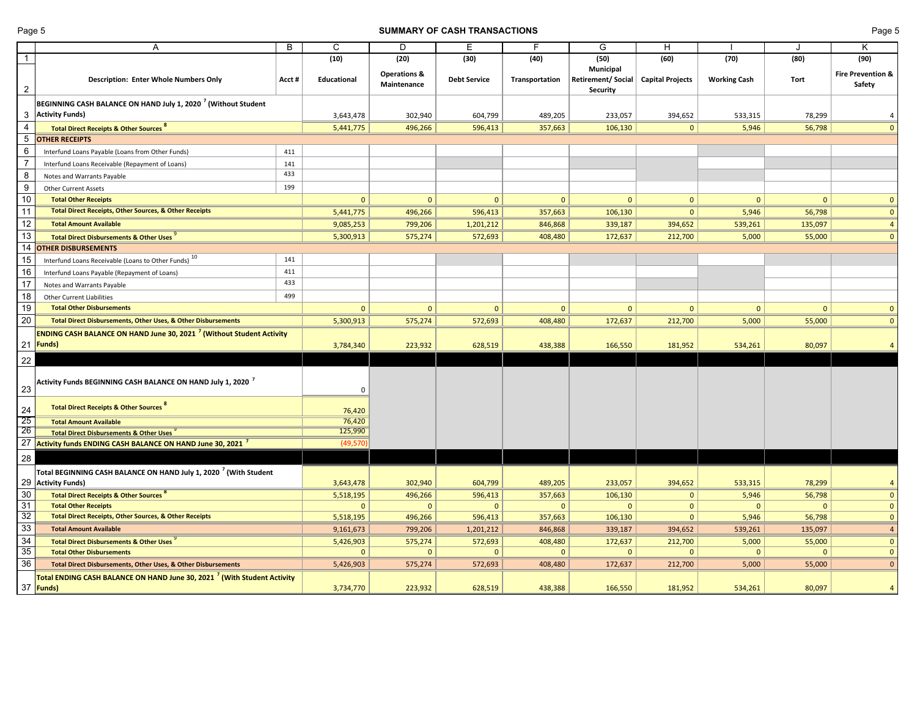#### **SUMMARY OF CASH TRANSACTIONS CONSUMMARY OF CASH TRANSACTIONS Page 5**

|                 | A                                                                                                  | B     | C            | D                                      | Ε                   | F              | G                                                                     | н            |                     |                | Κ                           |
|-----------------|----------------------------------------------------------------------------------------------------|-------|--------------|----------------------------------------|---------------------|----------------|-----------------------------------------------------------------------|--------------|---------------------|----------------|-----------------------------|
| $\overline{1}$  |                                                                                                    |       | (10)         | (20)                                   | (30)                | (40)           | (50)                                                                  | (60)         | (70)                | (80)           | (90)                        |
| $\overline{2}$  | <b>Description: Enter Whole Numbers Only</b>                                                       | Acct# | Educational  | <b>Operations &amp;</b><br>Maintenance | <b>Debt Service</b> | Transportation | <b>Municipal</b><br>Retirement/ Social   Capital Projects<br>Security |              | <b>Working Cash</b> | Tort           | Fire Prevention &<br>Safety |
|                 | BEGINNING CASH BALANCE ON HAND July 1, 2020 <sup>7</sup> (Without Student                          |       |              |                                        |                     |                |                                                                       |              |                     |                |                             |
| 3               | <b>Activity Funds)</b>                                                                             |       | 3,643,478    | 302,940                                | 604,799             | 489,205        | 233,057                                                               | 394,652      | 533,315             | 78,299         | $\overline{a}$              |
| $\overline{4}$  | <b>Total Direct Receipts &amp; Other Sources 8</b>                                                 |       | 5,441,775    | 496,266                                | 596,413             | 357,663        | 106,130                                                               | $\mathbf{0}$ | 5,946               | 56,798         | $\Omega$                    |
| 5               | <b>OTHER RECEIPTS</b>                                                                              |       |              |                                        |                     |                |                                                                       |              |                     |                |                             |
| $6\phantom{1}6$ | Interfund Loans Payable (Loans from Other Funds)                                                   | 411   |              |                                        |                     |                |                                                                       |              |                     |                |                             |
| $\overline{7}$  | Interfund Loans Receivable (Repayment of Loans)                                                    | 141   |              |                                        |                     |                |                                                                       |              |                     |                |                             |
| 8               | Notes and Warrants Payable                                                                         | 433   |              |                                        |                     |                |                                                                       |              |                     |                |                             |
| 9               | <b>Other Current Assets</b>                                                                        | 199   |              |                                        |                     |                |                                                                       |              |                     |                |                             |
| 10              | <b>Total Other Receipts</b>                                                                        |       | $\mathbf{0}$ | $\mathbf{0}$                           | $\overline{0}$      | $\mathbf{0}$   | $\Omega$                                                              | $\mathbf{0}$ | $\mathbf{0}$        | $\mathbf{0}$   | $\Omega$                    |
| 11              | <b>Total Direct Receipts, Other Sources, &amp; Other Receipts</b>                                  |       | 5,441,775    | 496,266                                | 596,413             | 357,663        | 106,130                                                               | $\mathbf{0}$ | 5,946               | 56,798         | $\mathbf{0}$                |
| $\overline{12}$ | <b>Total Amount Available</b>                                                                      |       | 9,085,253    | 799,206                                | 1,201,212           | 846,868        | 339,187                                                               | 394,652      | 539,261             | 135,097        | $\overline{4}$              |
| 13              | <b>Total Direct Disbursements &amp; Other Uses</b>                                                 |       | 5,300,913    | 575,274                                | 572,693             | 408,480        | 172,637                                                               | 212,700      | 5,000               | 55,000         | $\Omega$                    |
| 14              | <b>OTHER DISBURSEMENTS</b>                                                                         |       |              |                                        |                     |                |                                                                       |              |                     |                |                             |
| 15              | Interfund Loans Receivable (Loans to Other Funds) 10                                               | 141   |              |                                        |                     |                |                                                                       |              |                     |                |                             |
| 16              | Interfund Loans Payable (Repayment of Loans)                                                       | 411   |              |                                        |                     |                |                                                                       |              |                     |                |                             |
| $\overline{17}$ | Notes and Warrants Payable                                                                         | 433   |              |                                        |                     |                |                                                                       |              |                     |                |                             |
| 18              | <b>Other Current Liabilities</b>                                                                   | 499   |              |                                        |                     |                |                                                                       |              |                     |                |                             |
| 19              | <b>Total Other Disbursements</b>                                                                   |       | $\mathbf{0}$ | $\mathbf{0}$                           | $\overline{0}$      | $\mathbf{0}$   | $\mathbf{0}$                                                          | $\mathbf{0}$ | $\mathbf{0}$        | $\mathbf{0}$   | $\Omega$                    |
| 20              | Total Direct Disbursements, Other Uses, & Other Disbursements                                      |       | 5,300,913    | 575,274                                | 572,693             | 408,480        | 172,637                                                               | 212,700      | 5,000               | 55,000         | $\Omega$                    |
|                 | <b>ENDING CASH BALANCE ON HAND June 30, 2021<sup>7</sup> (Without Student Activity</b>             |       |              |                                        |                     |                |                                                                       |              |                     |                |                             |
|                 | 21 Funds)                                                                                          |       | 3,784,340    | 223,932                                | 628,519             | 438,388        | 166,550                                                               | 181,952      | 534,261             | 80,097         | $\overline{a}$              |
| 22              |                                                                                                    |       |              |                                        |                     |                |                                                                       |              |                     |                |                             |
| 23              | Activity Funds BEGINNING CASH BALANCE ON HAND July 1, 2020 <sup>7</sup>                            |       | 0            |                                        |                     |                |                                                                       |              |                     |                |                             |
| 24              | <b>Total Direct Receipts &amp; Other Sources</b>                                                   |       | 76,420       |                                        |                     |                |                                                                       |              |                     |                |                             |
| 25              | <b>Total Amount Available</b>                                                                      |       | 76,420       |                                        |                     |                |                                                                       |              |                     |                |                             |
| 26              | <b>Total Direct Disbursements &amp; Other Uses</b>                                                 |       | 125,990      |                                        |                     |                |                                                                       |              |                     |                |                             |
| 27              | Activity funds ENDING CASH BALANCE ON HAND June 30, 2021 <sup>7</sup>                              |       | (49, 570)    |                                        |                     |                |                                                                       |              |                     |                |                             |
| 28              |                                                                                                    |       |              |                                        |                     |                |                                                                       |              |                     |                |                             |
|                 | Total BEGINNING CASH BALANCE ON HAND July 1, 2020 <sup>7</sup> (With Student<br>29 Activity Funds) |       | 3,643,478    | 302,940                                | 604,799             | 489,205        | 233,057                                                               | 394,652      | 533,315             | 78,299         |                             |
| 30              | Total Direct Receipts & Other Sources                                                              |       | 5,518,195    | 496,266                                | 596,413             | 357,663        | 106,130                                                               | $\mathbf{0}$ | 5,946               | 56,798         | $\mathbf{0}$                |
| 31              | <b>Total Other Receipts</b>                                                                        |       | $\mathbf{0}$ | $\mathbf{0}$                           | $\mathbf{0}$        | $\mathbf{0}$   | $\mathbf{0}$                                                          | $\mathbf{0}$ | $\mathbf{0}$        | $\overline{0}$ | $\mathbf{0}$                |
| 32              | <b>Total Direct Receipts, Other Sources, &amp; Other Receipts</b>                                  |       | 5,518,195    | 496,266                                | 596,413             | 357,663        | 106,130                                                               | $\mathbf{0}$ | 5,946               | 56,798         | $\Omega$                    |
| 33              | <b>Total Amount Available</b>                                                                      |       | 9,161,673    | 799,206                                | 1,201,212           | 846,868        | 339,187                                                               | 394,652      | 539,261             | 135,097        |                             |
| 34              | <b>Total Direct Disbursements &amp; Other Uses</b>                                                 |       | 5,426,903    | 575,274                                | 572,693             | 408,480        | 172,637                                                               | 212,700      | 5,000               | 55,000         | $\Omega$                    |
| 35              | <b>Total Other Disbursements</b>                                                                   |       | $\mathbf{0}$ | $\mathbf 0$                            | $\Omega$            | $\mathbf{0}$   | $\mathbf 0$                                                           | $\mathbf{0}$ | $\mathbf 0$         | $\mathbf{0}$   | $\mathbf{0}$                |
| $\overline{36}$ | Total Direct Disbursements, Other Uses, & Other Disbursements                                      |       | 5,426,903    | 575,274                                | 572,693             | 408,480        | 172,637                                                               | 212,700      | 5,000               | 55,000         | $\Omega$                    |
|                 | Total ENDING CASH BALANCE ON HAND June 30, 2021 <sup>7</sup> (With Student Activity<br>37 Funds)   |       | 3,734,770    | 223,932                                | 628,519             | 438,388        | 166,550                                                               | 181,952      | 534,261             | 80,097         | $\overline{a}$              |
|                 |                                                                                                    |       |              |                                        |                     |                |                                                                       |              |                     |                |                             |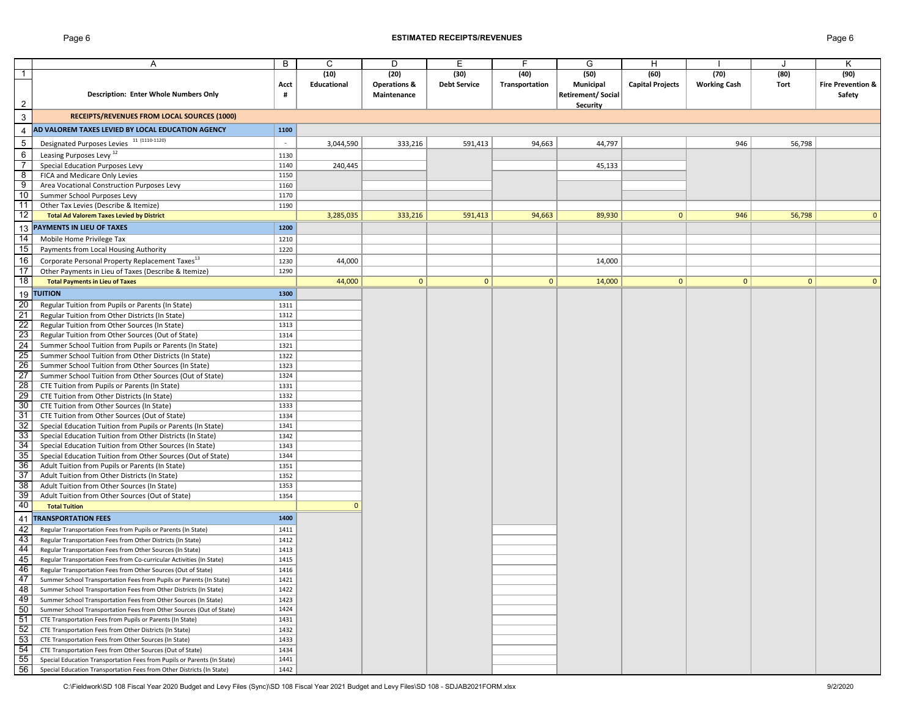#### Page 6 **ESTIMATED RECEIPTS/REVENUES** Page 6

|                 | Α                                                                       | В      | C            | D                       | Е                   | F.             | G                        | H                       |                     |              | Κ                            |
|-----------------|-------------------------------------------------------------------------|--------|--------------|-------------------------|---------------------|----------------|--------------------------|-------------------------|---------------------|--------------|------------------------------|
| $\mathbf{1}$    |                                                                         |        | (10)         | (20)                    | (30)                | (40)           | (50)                     | (60)                    | (70)                | (80)         | (90)                         |
|                 |                                                                         | Acct   | Educational  | <b>Operations &amp;</b> | <b>Debt Service</b> | Transportation | Municipal                | <b>Capital Projects</b> | <b>Working Cash</b> | Tort         | <b>Fire Prevention &amp;</b> |
|                 | <b>Description: Enter Whole Numbers Only</b>                            | #      |              | Maintenance             |                     |                | <b>Retirement/Social</b> |                         |                     |              | Safety                       |
| $\overline{2}$  |                                                                         |        |              |                         |                     |                | Security                 |                         |                     |              |                              |
| $\mathbf{3}$    | <b>RECEIPTS/REVENUES FROM LOCAL SOURCES (1000)</b>                      |        |              |                         |                     |                |                          |                         |                     |              |                              |
| $\overline{4}$  | AD VALOREM TAXES LEVIED BY LOCAL EDUCATION AGENCY                       | 1100   |              |                         |                     |                |                          |                         |                     |              |                              |
|                 |                                                                         | $\sim$ |              |                         |                     |                |                          |                         |                     |              |                              |
| 5               | Designated Purposes Levies 11 (1110-1120)                               |        | 3,044,590    | 333,216                 | 591,413             | 94,663         | 44,797                   |                         | 946                 | 56,798       |                              |
| 6               | Leasing Purposes Levy <sup>12</sup>                                     | 1130   |              |                         |                     |                |                          |                         |                     |              |                              |
| $\overline{7}$  | Special Education Purposes Levy                                         | 1140   | 240,445      |                         |                     |                | 45,133                   |                         |                     |              |                              |
| 8               | FICA and Medicare Only Levies                                           | 1150   |              |                         |                     |                |                          |                         |                     |              |                              |
| 9               | Area Vocational Construction Purposes Levy                              | 1160   |              |                         |                     |                |                          |                         |                     |              |                              |
| 10              | Summer School Purposes Levy                                             | 1170   |              |                         |                     |                |                          |                         |                     |              |                              |
| 11              | Other Tax Levies (Describe & Itemize)                                   | 1190   |              |                         |                     |                |                          |                         |                     |              |                              |
| 12              | <b>Total Ad Valorem Taxes Levied by District</b>                        |        | 3,285,035    | 333,216                 | 591,413             | 94,663         | 89,930                   | $\mathbf{0}$            | 946                 | 56,798       | $\mathbf{0}$                 |
| 13              | PAYMENTS IN LIEU OF TAXES                                               | 1200   |              |                         |                     |                |                          |                         |                     |              |                              |
| 14              | Mobile Home Privilege Tax                                               | 1210   |              |                         |                     |                |                          |                         |                     |              |                              |
| 15              | Payments from Local Housing Authority                                   | 1220   |              |                         |                     |                |                          |                         |                     |              |                              |
| 16              | Corporate Personal Property Replacement Taxes <sup>13</sup>             | 1230   | 44,000       |                         |                     |                | 14,000                   |                         |                     |              |                              |
| 17              | Other Payments in Lieu of Taxes (Describe & Itemize)                    | 1290   |              |                         |                     |                |                          |                         |                     |              |                              |
| $\overline{18}$ | <b>Total Payments in Lieu of Taxes</b>                                  |        | 44,000       | $\overline{0}$          | $\mathbf{0}$        | $\mathbf{0}$   | 14,000                   | $\mathbf{0}$            | 0                   | $\mathbf{0}$ | $\Omega$                     |
| 19              | <b>TUITION</b>                                                          | 1300   |              |                         |                     |                |                          |                         |                     |              |                              |
| 20              | Regular Tuition from Pupils or Parents (In State)                       | 1311   |              |                         |                     |                |                          |                         |                     |              |                              |
| 21              | Regular Tuition from Other Districts (In State)                         | 1312   |              |                         |                     |                |                          |                         |                     |              |                              |
| 22              | Regular Tuition from Other Sources (In State)                           | 1313   |              |                         |                     |                |                          |                         |                     |              |                              |
| 23              | Regular Tuition from Other Sources (Out of State)                       | 1314   |              |                         |                     |                |                          |                         |                     |              |                              |
| $\overline{24}$ | Summer School Tuition from Pupils or Parents (In State)                 | 1321   |              |                         |                     |                |                          |                         |                     |              |                              |
| 25              | Summer School Tuition from Other Districts (In State)                   | 1322   |              |                         |                     |                |                          |                         |                     |              |                              |
| 26              | Summer School Tuition from Other Sources (In State)                     | 1323   |              |                         |                     |                |                          |                         |                     |              |                              |
| $\overline{27}$ | Summer School Tuition from Other Sources (Out of State)                 | 1324   |              |                         |                     |                |                          |                         |                     |              |                              |
| $\overline{28}$ | CTE Tuition from Pupils or Parents (In State)                           | 1331   |              |                         |                     |                |                          |                         |                     |              |                              |
| 29              | CTE Tuition from Other Districts (In State)                             | 1332   |              |                         |                     |                |                          |                         |                     |              |                              |
| 30              | CTE Tuition from Other Sources (In State)                               | 1333   |              |                         |                     |                |                          |                         |                     |              |                              |
| 31              | CTE Tuition from Other Sources (Out of State)                           | 1334   |              |                         |                     |                |                          |                         |                     |              |                              |
| 32              | Special Education Tuition from Pupils or Parents (In State)             | 1341   |              |                         |                     |                |                          |                         |                     |              |                              |
| 33              | Special Education Tuition from Other Districts (In State)               | 1342   |              |                         |                     |                |                          |                         |                     |              |                              |
| 34              | Special Education Tuition from Other Sources (In State)                 | 1343   |              |                         |                     |                |                          |                         |                     |              |                              |
| 35              | Special Education Tuition from Other Sources (Out of State)             | 1344   |              |                         |                     |                |                          |                         |                     |              |                              |
| 36              | Adult Tuition from Pupils or Parents (In State)                         | 1351   |              |                         |                     |                |                          |                         |                     |              |                              |
| 37              | Adult Tuition from Other Districts (In State)                           | 1352   |              |                         |                     |                |                          |                         |                     |              |                              |
| 38              | Adult Tuition from Other Sources (In State)                             | 1353   |              |                         |                     |                |                          |                         |                     |              |                              |
| 39              | Adult Tuition from Other Sources (Out of State)                         | 1354   |              |                         |                     |                |                          |                         |                     |              |                              |
| 40              | <b>Total Tuition</b>                                                    |        | $\mathbf{0}$ |                         |                     |                |                          |                         |                     |              |                              |
| 41              | <b>TRANSPORTATION FEES</b>                                              | 1400   |              |                         |                     |                |                          |                         |                     |              |                              |
| 42              | Regular Transportation Fees from Pupils or Parents (In State)           | 1411   |              |                         |                     |                |                          |                         |                     |              |                              |
| 43              | Regular Transportation Fees from Other Districts (In State)             | 1412   |              |                         |                     |                |                          |                         |                     |              |                              |
| 44              | Regular Transportation Fees from Other Sources (In State)               | 1413   |              |                         |                     |                |                          |                         |                     |              |                              |
| 45              | Regular Transportation Fees from Co-curricular Activities (In State)    | 1415   |              |                         |                     |                |                          |                         |                     |              |                              |
| 46              | Regular Transportation Fees from Other Sources (Out of State)           | 1416   |              |                         |                     |                |                          |                         |                     |              |                              |
| 47              | Summer School Transportation Fees from Pupils or Parents (In State)     | 1421   |              |                         |                     |                |                          |                         |                     |              |                              |
| 48              | Summer School Transportation Fees from Other Districts (In State)       | 1422   |              |                         |                     |                |                          |                         |                     |              |                              |
| 49              | Summer School Transportation Fees from Other Sources (In State)         | 1423   |              |                         |                     |                |                          |                         |                     |              |                              |
| 50              | Summer School Transportation Fees from Other Sources (Out of State)     | 1424   |              |                         |                     |                |                          |                         |                     |              |                              |
| 51              | CTE Transportation Fees from Pupils or Parents (In State)               | 1431   |              |                         |                     |                |                          |                         |                     |              |                              |
| 52              | CTE Transportation Fees from Other Districts (In State)                 | 1432   |              |                         |                     |                |                          |                         |                     |              |                              |
| 53              | CTE Transportation Fees from Other Sources (In State)                   | 1433   |              |                         |                     |                |                          |                         |                     |              |                              |
| 54              | CTE Transportation Fees from Other Sources (Out of State)               | 1434   |              |                         |                     |                |                          |                         |                     |              |                              |
| 55              | Special Education Transportation Fees from Pupils or Parents (In State) | 1441   |              |                         |                     |                |                          |                         |                     |              |                              |
| 56              | Special Education Transportation Fees from Other Districts (In State)   | 1442   |              |                         |                     |                |                          |                         |                     |              |                              |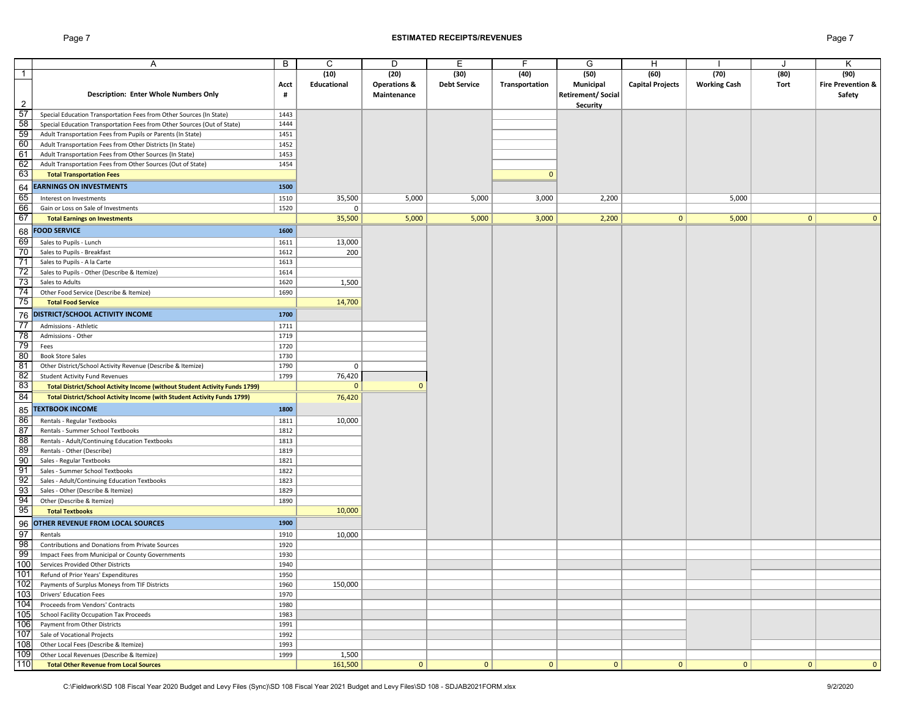#### Page 7 **ESTIMATED RECEIPTS/REVENUES** Page 7

|                 | Α                                                                                    | B    | C            | D                       | E                   | F              | G                        | H                       |                     |              | Κ                            |
|-----------------|--------------------------------------------------------------------------------------|------|--------------|-------------------------|---------------------|----------------|--------------------------|-------------------------|---------------------|--------------|------------------------------|
| $\overline{1}$  |                                                                                      |      | (10)         | (20)                    | (30)                | (40)           | (50)                     | (60)                    | (70)                | (80)         | (90)                         |
|                 |                                                                                      | Acct | Educational  | <b>Operations &amp;</b> | <b>Debt Service</b> | Transportation | Municipal                | <b>Capital Projects</b> | <b>Working Cash</b> | Tort         | <b>Fire Prevention &amp;</b> |
|                 | <b>Description: Enter Whole Numbers Only</b>                                         | #    |              | Maintenance             |                     |                | <b>Retirement/Social</b> |                         |                     |              | Safety                       |
| $\overline{2}$  |                                                                                      |      |              |                         |                     |                | <b>Security</b>          |                         |                     |              |                              |
| 57              | Special Education Transportation Fees from Other Sources (In State)                  | 1443 |              |                         |                     |                |                          |                         |                     |              |                              |
| 58              | Special Education Transportation Fees from Other Sources (Out of State)              | 1444 |              |                         |                     |                |                          |                         |                     |              |                              |
| 59              | Adult Transportation Fees from Pupils or Parents (In State)                          | 1451 |              |                         |                     |                |                          |                         |                     |              |                              |
| 60              | Adult Transportation Fees from Other Districts (In State)                            | 1452 |              |                         |                     |                |                          |                         |                     |              |                              |
| 61              | Adult Transportation Fees from Other Sources (In State)                              | 1453 |              |                         |                     |                |                          |                         |                     |              |                              |
| 62              | Adult Transportation Fees from Other Sources (Out of State)                          | 1454 |              |                         |                     |                |                          |                         |                     |              |                              |
| 63              | <b>Total Transportation Fees</b>                                                     |      |              |                         |                     | $\mathbf{0}$   |                          |                         |                     |              |                              |
|                 |                                                                                      |      |              |                         |                     |                |                          |                         |                     |              |                              |
| 64              | <b>EARNINGS ON INVESTMENTS</b>                                                       | 1500 |              |                         |                     |                |                          |                         |                     |              |                              |
| 65              | Interest on Investments                                                              | 1510 | 35,500       | 5,000                   | 5,000               | 3,000          | 2,200                    |                         | 5,000               |              |                              |
| 66              | Gain or Loss on Sale of Investments                                                  | 1520 | 0            |                         |                     |                |                          |                         |                     |              |                              |
| 67              | <b>Total Earnings on Investments</b>                                                 |      | 35,500       | 5,000                   | 5,000               | 3,000          | 2,200                    | $\mathbf{0}$            | 5,000               | $\mathbf{0}$ | $\Omega$                     |
| 68              | <b>FOOD SERVICE</b>                                                                  | 1600 |              |                         |                     |                |                          |                         |                     |              |                              |
| 69              | Sales to Pupils - Lunch                                                              | 1611 | 13,000       |                         |                     |                |                          |                         |                     |              |                              |
| 70              | Sales to Pupils - Breakfast                                                          | 1612 | 200          |                         |                     |                |                          |                         |                     |              |                              |
| 71              | Sales to Pupils - A la Carte                                                         | 1613 |              |                         |                     |                |                          |                         |                     |              |                              |
| 72              | Sales to Pupils - Other (Describe & Itemize)                                         | 1614 |              |                         |                     |                |                          |                         |                     |              |                              |
| 73              | Sales to Adults                                                                      | 1620 | 1,500        |                         |                     |                |                          |                         |                     |              |                              |
| 74              | Other Food Service (Describe & Itemize)                                              | 1690 |              |                         |                     |                |                          |                         |                     |              |                              |
| 75              | <b>Total Food Service</b>                                                            |      | 14,700       |                         |                     |                |                          |                         |                     |              |                              |
|                 |                                                                                      | 1700 |              |                         |                     |                |                          |                         |                     |              |                              |
|                 | 76 DISTRICT/SCHOOL ACTIVITY INCOME                                                   |      |              |                         |                     |                |                          |                         |                     |              |                              |
| 77              | Admissions - Athletic                                                                | 1711 |              |                         |                     |                |                          |                         |                     |              |                              |
| $\overline{78}$ | Admissions - Other                                                                   | 1719 |              |                         |                     |                |                          |                         |                     |              |                              |
| 79              | Fees                                                                                 | 1720 |              |                         |                     |                |                          |                         |                     |              |                              |
| 80              | <b>Book Store Sales</b>                                                              | 1730 |              |                         |                     |                |                          |                         |                     |              |                              |
| 81              | Other District/School Activity Revenue (Describe & Itemize)                          | 1790 | 0            |                         |                     |                |                          |                         |                     |              |                              |
| 82              | <b>Student Activity Fund Revenues</b>                                                | 1799 | 76,420       |                         |                     |                |                          |                         |                     |              |                              |
| 83              | Total District/School Activity Income (without Student Activity Funds 1799)          |      | $\mathbf{0}$ | $\mathbf{0}$            |                     |                |                          |                         |                     |              |                              |
| 84              | Total District/School Activity Income (with Student Activity Funds 1799)             |      | 76,420       |                         |                     |                |                          |                         |                     |              |                              |
| 85              | <b>TEXTBOOK INCOME</b>                                                               | 1800 |              |                         |                     |                |                          |                         |                     |              |                              |
| 86              | Rentals - Regular Textbooks                                                          | 1811 | 10,000       |                         |                     |                |                          |                         |                     |              |                              |
| 87              | Rentals - Summer School Textbooks                                                    | 1812 |              |                         |                     |                |                          |                         |                     |              |                              |
| 88              | Rentals - Adult/Continuing Education Textbooks                                       | 1813 |              |                         |                     |                |                          |                         |                     |              |                              |
| 89              | Rentals - Other (Describe)                                                           | 1819 |              |                         |                     |                |                          |                         |                     |              |                              |
| 90              | Sales - Regular Textbooks                                                            | 1821 |              |                         |                     |                |                          |                         |                     |              |                              |
| 91              | Sales - Summer School Textbooks                                                      | 1822 |              |                         |                     |                |                          |                         |                     |              |                              |
| 92              | Sales - Adult/Continuing Education Textbooks                                         | 1823 |              |                         |                     |                |                          |                         |                     |              |                              |
| 93              | Sales - Other (Describe & Itemize)                                                   | 1829 |              |                         |                     |                |                          |                         |                     |              |                              |
| 94              | Other (Describe & Itemize)                                                           | 1890 |              |                         |                     |                |                          |                         |                     |              |                              |
| 95              | <b>Total Textbooks</b>                                                               |      | 10,000       |                         |                     |                |                          |                         |                     |              |                              |
| 96              | OTHER REVENUE FROM LOCAL SOURCES                                                     | 1900 |              |                         |                     |                |                          |                         |                     |              |                              |
| 97              | Rentals                                                                              | 1910 | 10,000       |                         |                     |                |                          |                         |                     |              |                              |
| $\overline{98}$ | Contributions and Donations from Private Sources                                     | 1920 |              |                         |                     |                |                          |                         |                     |              |                              |
| 99              | Impact Fees from Municipal or County Governments                                     | 1930 |              |                         |                     |                |                          |                         |                     |              |                              |
| 100             | Services Provided Other Districts                                                    | 1940 |              |                         |                     |                |                          |                         |                     |              |                              |
| 101             |                                                                                      | 1950 |              |                         |                     |                |                          |                         |                     |              |                              |
| 102             | Refund of Prior Years' Expenditures<br>Payments of Surplus Moneys from TIF Districts | 1960 | 150,000      |                         |                     |                |                          |                         |                     |              |                              |
| 103             | Drivers' Education Fees                                                              | 1970 |              |                         |                     |                |                          |                         |                     |              |                              |
| 104             | Proceeds from Vendors' Contracts                                                     | 1980 |              |                         |                     |                |                          |                         |                     |              |                              |
| 105             | School Facility Occupation Tax Proceeds                                              |      |              |                         |                     |                |                          |                         |                     |              |                              |
| 106             | Payment from Other Districts                                                         | 1983 |              |                         |                     |                |                          |                         |                     |              |                              |
| 107             |                                                                                      | 1991 |              |                         |                     |                |                          |                         |                     |              |                              |
| 108             | Sale of Vocational Projects                                                          | 1992 |              |                         |                     |                |                          |                         |                     |              |                              |
| 109             | Other Local Fees (Describe & Itemize)                                                | 1993 |              |                         |                     |                |                          |                         |                     |              |                              |
| 110             | Other Local Revenues (Describe & Itemize)                                            | 1999 | 1,500        |                         |                     |                |                          |                         | 0                   |              | $\mathbf{0}$                 |
|                 | <b>Total Other Revenue from Local Sources</b>                                        |      | 161,500      | 0                       | 0                   | 0              | 0                        | 0                       |                     | 0            |                              |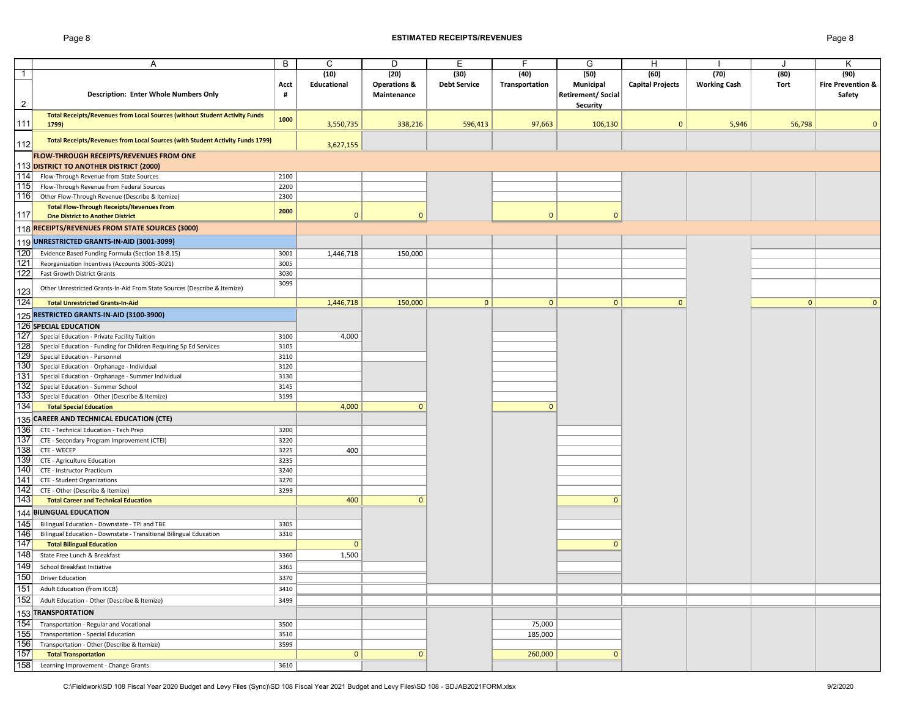#### Page 8 **ESTIMATED RECEIPTS/REVENUES** Page 8

|                | Α                                                                             | B    | C            | D                       | Е                   | F              | G                        | H                       |                     | J            | K                            |
|----------------|-------------------------------------------------------------------------------|------|--------------|-------------------------|---------------------|----------------|--------------------------|-------------------------|---------------------|--------------|------------------------------|
| $\mathbf{1}$   |                                                                               |      | (10)         | (20)                    | (30)                | (40)           | (50)                     | (60)                    | (70)                | (80)         | (90)                         |
|                |                                                                               | Acct | Educational  | <b>Operations &amp;</b> | <b>Debt Service</b> | Transportation | Municipal                | <b>Capital Projects</b> | <b>Working Cash</b> | <b>Tort</b>  | <b>Fire Prevention &amp;</b> |
|                | Description: Enter Whole Numbers Only                                         | #    |              | Maintenance             |                     |                | <b>Retirement/Social</b> |                         |                     |              | Safety                       |
| $\overline{2}$ |                                                                               |      |              |                         |                     |                | Security                 |                         |                     |              |                              |
|                | Total Receipts/Revenues from Local Sources (without Student Activity Funds    |      |              |                         |                     |                |                          |                         |                     |              |                              |
| 111            | 1799)                                                                         | 1000 | 3,550,735    | 338,216                 | 596,413             | 97,663         | 106,130                  | $\mathbf{0}$            | 5,946               | 56,798       | $\Omega$                     |
|                |                                                                               |      |              |                         |                     |                |                          |                         |                     |              |                              |
| 112            | Total Receipts/Revenues from Local Sources (with Student Activity Funds 1799) |      | 3,627,155    |                         |                     |                |                          |                         |                     |              |                              |
|                | FLOW-THROUGH RECEIPTS/REVENUES FROM ONE                                       |      |              |                         |                     |                |                          |                         |                     |              |                              |
|                |                                                                               |      |              |                         |                     |                |                          |                         |                     |              |                              |
| 114            | 113 DISTRICT TO ANOTHER DISTRICT (2000)                                       |      |              |                         |                     |                |                          |                         |                     |              |                              |
|                | Flow-Through Revenue from State Sources                                       | 2100 |              |                         |                     |                |                          |                         |                     |              |                              |
| 115            | Flow-Through Revenue from Federal Sources                                     | 2200 |              |                         |                     |                |                          |                         |                     |              |                              |
| 116            | Other Flow-Through Revenue (Describe & Itemize)                               | 2300 |              |                         |                     |                |                          |                         |                     |              |                              |
| 117            | <b>Total Flow-Through Receipts/Revenues From</b>                              | 2000 | $\mathbf{0}$ | $\Omega$                |                     | $\mathbf{0}$   | $\mathbf{0}$             |                         |                     |              |                              |
|                | <b>One District to Another District</b>                                       |      |              |                         |                     |                |                          |                         |                     |              |                              |
|                | 118 RECEIPTS/REVENUES FROM STATE SOURCES (3000)                               |      |              |                         |                     |                |                          |                         |                     |              |                              |
|                | 119 UNRESTRICTED GRANTS-IN-AID (3001-3099)                                    |      |              |                         |                     |                |                          |                         |                     |              |                              |
| 120            | Evidence Based Funding Formula (Section 18-8.15)                              | 3001 | 1,446,718    | 150,000                 |                     |                |                          |                         |                     |              |                              |
| 121            | Reorganization Incentives (Accounts 3005-3021)                                | 3005 |              |                         |                     |                |                          |                         |                     |              |                              |
| 122            | <b>Fast Growth District Grants</b>                                            | 3030 |              |                         |                     |                |                          |                         |                     |              |                              |
|                |                                                                               | 3099 |              |                         |                     |                |                          |                         |                     |              |                              |
| 123            | Other Unrestricted Grants-In-Aid From State Sources (Describe & Itemize)      |      |              |                         |                     |                |                          |                         |                     |              |                              |
| 124            | <b>Total Unrestricted Grants-In-Aid</b>                                       |      | 1,446,718    | 150,000                 | $\mathbf{0}$        | $\mathbf{0}$   | $\mathbf{0}$             | $\Omega$                |                     | $\mathbf{0}$ | $\mathbf{0}$                 |
|                |                                                                               |      |              |                         |                     |                |                          |                         |                     |              |                              |
|                | 125 RESTRICTED GRANTS-IN-AID (3100-3900)                                      |      |              |                         |                     |                |                          |                         |                     |              |                              |
|                | <b>126 SPECIAL EDUCATION</b>                                                  |      |              |                         |                     |                |                          |                         |                     |              |                              |
| 127            | Special Education - Private Facility Tuition                                  | 3100 | 4,000        |                         |                     |                |                          |                         |                     |              |                              |
| 128            | Special Education - Funding for Children Requiring Sp Ed Services             | 3105 |              |                         |                     |                |                          |                         |                     |              |                              |
| 129            | Special Education - Personnel                                                 | 3110 |              |                         |                     |                |                          |                         |                     |              |                              |
| 130            | Special Education - Orphanage - Individual                                    | 3120 |              |                         |                     |                |                          |                         |                     |              |                              |
| 131            | Special Education - Orphanage - Summer Individual                             | 3130 |              |                         |                     |                |                          |                         |                     |              |                              |
| 132            | Special Education - Summer School                                             | 3145 |              |                         |                     |                |                          |                         |                     |              |                              |
| 133            | Special Education - Other (Describe & Itemize)                                | 3199 |              |                         |                     |                |                          |                         |                     |              |                              |
| 134            | <b>Total Special Education</b>                                                |      | 4,000        | $\mathbf{0}$            |                     | $\mathbf{0}$   |                          |                         |                     |              |                              |
|                | 135 CAREER AND TECHNICAL EDUCATION (CTE)                                      |      |              |                         |                     |                |                          |                         |                     |              |                              |
| 136            | CTE - Technical Education - Tech Prep                                         | 3200 |              |                         |                     |                |                          |                         |                     |              |                              |
| 137            | CTE - Secondary Program Improvement (CTEI)                                    | 3220 |              |                         |                     |                |                          |                         |                     |              |                              |
| 138            | CTE - WECEP                                                                   | 3225 | 400          |                         |                     |                |                          |                         |                     |              |                              |
| 139            | CTE - Agriculture Education                                                   | 3235 |              |                         |                     |                |                          |                         |                     |              |                              |
| 140            | CTE - Instructor Practicum                                                    | 3240 |              |                         |                     |                |                          |                         |                     |              |                              |
| 141            | CTE - Student Organizations                                                   | 3270 |              |                         |                     |                |                          |                         |                     |              |                              |
| 142            | CTE - Other (Describe & Itemize)                                              | 3299 |              |                         |                     |                |                          |                         |                     |              |                              |
| 143            | <b>Total Career and Technical Education</b>                                   |      | 400          | $\mathbf{0}$            |                     |                | $\mathbf{0}$             |                         |                     |              |                              |
|                |                                                                               |      |              |                         |                     |                |                          |                         |                     |              |                              |
|                | 144 BILINGUAL EDUCATION                                                       |      |              |                         |                     |                |                          |                         |                     |              |                              |
| 145            | Bilingual Education - Downstate - TPI and TBE                                 | 3305 |              |                         |                     |                |                          |                         |                     |              |                              |
| 146            | Bilingual Education - Downstate - Transitional Bilingual Education            | 3310 |              |                         |                     |                |                          |                         |                     |              |                              |
| 147            | <b>Total Bilingual Education</b>                                              |      | $\mathbf{0}$ |                         |                     |                | $\mathbf{0}$             |                         |                     |              |                              |
| 148            | State Free Lunch & Breakfast                                                  | 3360 | 1,500        |                         |                     |                |                          |                         |                     |              |                              |
| 149            | School Breakfast Initiative                                                   | 3365 |              |                         |                     |                |                          |                         |                     |              |                              |
| 150            | <b>Driver Education</b>                                                       | 3370 |              |                         |                     |                |                          |                         |                     |              |                              |
| 151            | Adult Education (from ICCB)                                                   | 3410 |              |                         |                     |                |                          |                         |                     |              |                              |
| 152            | Adult Education - Other (Describe & Itemize)                                  | 3499 |              |                         |                     |                |                          |                         |                     |              |                              |
|                |                                                                               |      |              |                         |                     |                |                          |                         |                     |              |                              |
|                | 153 TRANSPORTATION                                                            |      |              |                         |                     |                |                          |                         |                     |              |                              |
| 154            | Transportation - Regular and Vocational                                       | 3500 |              |                         |                     | 75,000         |                          |                         |                     |              |                              |
| 155            | Transportation - Special Education                                            | 3510 |              |                         |                     | 185,000        |                          |                         |                     |              |                              |
| 156            | Transportation - Other (Describe & Itemize)                                   | 3599 |              |                         |                     |                |                          |                         |                     |              |                              |
| 157            | <b>Total Transportation</b>                                                   |      | $\mathbf{0}$ | $\mathbf{0}$            |                     | 260,000        | $\mathbf{0}$             |                         |                     |              |                              |
|                | 158 Learning Improvement - Change Grants                                      | 3610 |              |                         |                     |                |                          |                         |                     |              |                              |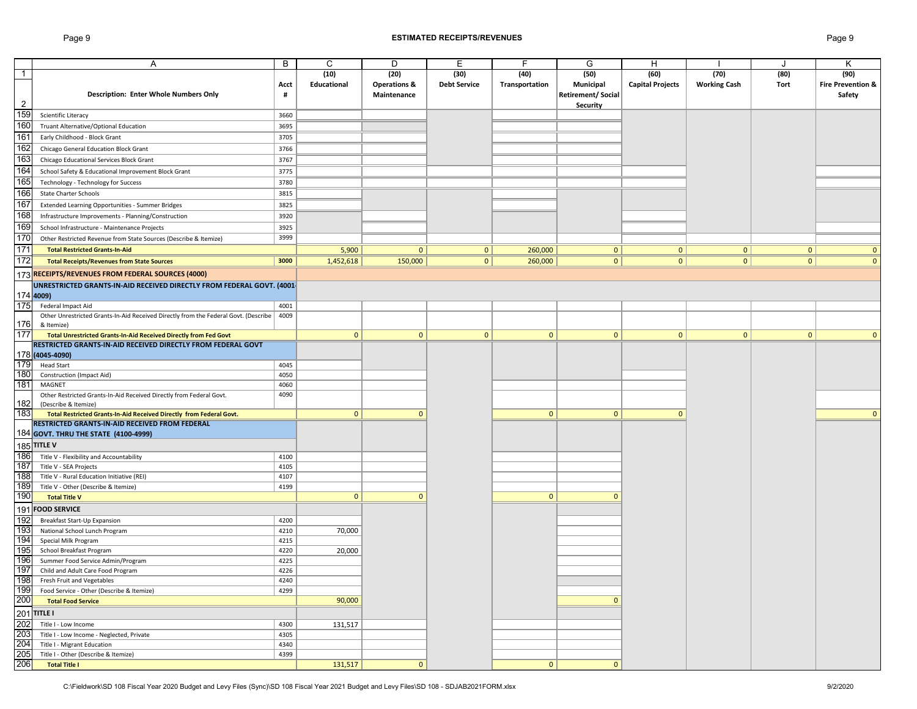#### Page 9 **ESTIMATED RECEIPTS/REVENUES** Page 9

|                | Α                                                                                   | В    | C            | D                       | Ε                   | F              | G                        | н                       |                     |              | Κ                            |
|----------------|-------------------------------------------------------------------------------------|------|--------------|-------------------------|---------------------|----------------|--------------------------|-------------------------|---------------------|--------------|------------------------------|
| $\mathbf{1}$   |                                                                                     |      | (10)         | (20)                    | (30)                | (40)           | (50)                     | (60)                    | (70)                | (80)         | (90)                         |
|                |                                                                                     | Acct | Educational  | <b>Operations &amp;</b> | <b>Debt Service</b> | Transportation | Municipal                | <b>Capital Projects</b> | <b>Working Cash</b> | Tort         | <b>Fire Prevention &amp;</b> |
|                | <b>Description: Enter Whole Numbers Only</b>                                        | #    |              | Maintenance             |                     |                | <b>Retirement/Social</b> |                         |                     |              | Safety                       |
| $\overline{2}$ |                                                                                     |      |              |                         |                     |                | Security                 |                         |                     |              |                              |
| 159            | Scientific Literacy                                                                 | 3660 |              |                         |                     |                |                          |                         |                     |              |                              |
| 160            | Truant Alternative/Optional Education                                               | 3695 |              |                         |                     |                |                          |                         |                     |              |                              |
| 161            | Early Childhood - Block Grant                                                       | 3705 |              |                         |                     |                |                          |                         |                     |              |                              |
| 162            |                                                                                     | 3766 |              |                         |                     |                |                          |                         |                     |              |                              |
|                | Chicago General Education Block Grant                                               |      |              |                         |                     |                |                          |                         |                     |              |                              |
| 163            | Chicago Educational Services Block Grant                                            | 3767 |              |                         |                     |                |                          |                         |                     |              |                              |
| 164            | School Safety & Educational Improvement Block Grant                                 | 3775 |              |                         |                     |                |                          |                         |                     |              |                              |
| 165            | Technology - Technology for Success                                                 | 3780 |              |                         |                     |                |                          |                         |                     |              |                              |
| 166            | State Charter Schools                                                               | 3815 |              |                         |                     |                |                          |                         |                     |              |                              |
| 167            | Extended Learning Opportunities - Summer Bridges                                    | 3825 |              |                         |                     |                |                          |                         |                     |              |                              |
| 168            | Infrastructure Improvements - Planning/Construction                                 | 3920 |              |                         |                     |                |                          |                         |                     |              |                              |
| 169            | School Infrastructure - Maintenance Projects                                        | 3925 |              |                         |                     |                |                          |                         |                     |              |                              |
|                |                                                                                     |      |              |                         |                     |                |                          |                         |                     |              |                              |
| 170            | Other Restricted Revenue from State Sources (Describe & Itemize)                    | 3999 |              |                         |                     |                |                          |                         |                     |              |                              |
| 171            | <b>Total Restricted Grants-In-Aid</b>                                               |      | 5,900        | 0                       | 0                   | 260,000        | $\mathbf{0}$             | 0                       | 0                   | 0            | $\Omega$                     |
| 172            | <b>Total Receipts/Revenues from State Sources</b>                                   | 3000 | 1,452,618    | 150,000                 | 0                   | 260,000        | $\overline{0}$           | 0                       | 0                   | 0            | $\mathbf{0}$                 |
|                | 173 RECEIPTS/REVENUES FROM FEDERAL SOURCES (4000)                                   |      |              |                         |                     |                |                          |                         |                     |              |                              |
|                | UNRESTRICTED GRANTS-IN-AID RECEIVED DIRECTLY FROM FEDERAL GOVT. (4001-              |      |              |                         |                     |                |                          |                         |                     |              |                              |
|                | 174 4009)                                                                           |      |              |                         |                     |                |                          |                         |                     |              |                              |
|                | Federal Impact Aid                                                                  |      |              |                         |                     |                |                          |                         |                     |              |                              |
| 175            |                                                                                     | 4001 |              |                         |                     |                |                          |                         |                     |              |                              |
| 1761           | Other Unrestricted Grants-In-Aid Received Directly from the Federal Govt. (Describe | 4009 |              |                         |                     |                |                          |                         |                     |              |                              |
| 177            | & Itemize)<br>Total Unrestricted Grants-In-Aid Received Directly from Fed Govt      |      |              |                         |                     |                |                          |                         |                     |              |                              |
|                |                                                                                     |      | $\mathbf{0}$ | $\mathbf{0}$            | $\mathbf{0}$        | $\mathbf 0$    | $\mathbf{0}$             | $\mathbf{0}$            | $\mathbf{0}$        | $\mathbf{0}$ | $\mathbf{0}$                 |
|                | RESTRICTED GRANTS-IN-AID RECEIVED DIRECTLY FROM FEDERAL GOVT                        |      |              |                         |                     |                |                          |                         |                     |              |                              |
|                | 178 (4045-4090)                                                                     |      |              |                         |                     |                |                          |                         |                     |              |                              |
| 179            | <b>Head Start</b>                                                                   | 4045 |              |                         |                     |                |                          |                         |                     |              |                              |
| 180            | Construction (Impact Aid)                                                           | 4050 |              |                         |                     |                |                          |                         |                     |              |                              |
| 181            | MAGNET                                                                              | 4060 |              |                         |                     |                |                          |                         |                     |              |                              |
|                | Other Restricted Grants-In-Aid Received Directly from Federal Govt.                 | 4090 |              |                         |                     |                |                          |                         |                     |              |                              |
| 182 <br>183    | (Describe & Itemize)                                                                |      | $\mathbf{0}$ | $\mathbf{0}$            |                     | $\mathbf 0$    | $\mathbf{0}$             | $\mathbf{0}$            |                     |              | $\mathbf{0}$                 |
|                | Total Restricted Grants-In-Aid Received Directly from Federal Govt.                 |      |              |                         |                     |                |                          |                         |                     |              |                              |
|                | RESTRICTED GRANTS-IN-AID RECEIVED FROM FEDERAL                                      |      |              |                         |                     |                |                          |                         |                     |              |                              |
|                | 184 GOVT. THRU THE STATE (4100-4999)                                                |      |              |                         |                     |                |                          |                         |                     |              |                              |
|                | <b>185 TITLE V</b>                                                                  |      |              |                         |                     |                |                          |                         |                     |              |                              |
| 186            | Title V - Flexibility and Accountability                                            | 4100 |              |                         |                     |                |                          |                         |                     |              |                              |
| 187            | Title V - SEA Projects                                                              | 4105 |              |                         |                     |                |                          |                         |                     |              |                              |
| 188            | Title V - Rural Education Initiative (REI)                                          | 4107 |              |                         |                     |                |                          |                         |                     |              |                              |
| 189            | Title V - Other (Describe & Itemize)                                                | 4199 |              |                         |                     |                |                          |                         |                     |              |                              |
| 190            | <b>Total Title V</b>                                                                |      | $\mathbf{0}$ | $\mathbf{0}$            |                     | $\mathbf{0}$   | $\mathbf{0}$             |                         |                     |              |                              |
|                | 191 FOOD SERVICE                                                                    |      |              |                         |                     |                |                          |                         |                     |              |                              |
| 192            | <b>Breakfast Start-Up Expansion</b>                                                 | 4200 |              |                         |                     |                |                          |                         |                     |              |                              |
| 193            | National School Lunch Program                                                       | 4210 | 70,000       |                         |                     |                |                          |                         |                     |              |                              |
| 194            | Special Milk Program                                                                | 4215 |              |                         |                     |                |                          |                         |                     |              |                              |
| 195            | School Breakfast Program                                                            | 4220 | 20,000       |                         |                     |                |                          |                         |                     |              |                              |
| 196            | Summer Food Service Admin/Program                                                   | 4225 |              |                         |                     |                |                          |                         |                     |              |                              |
| 197            | Child and Adult Care Food Program                                                   | 4226 |              |                         |                     |                |                          |                         |                     |              |                              |
| 198            | Fresh Fruit and Vegetables                                                          | 4240 |              |                         |                     |                |                          |                         |                     |              |                              |
| 199            | Food Service - Other (Describe & Itemize)                                           | 4299 |              |                         |                     |                |                          |                         |                     |              |                              |
| 200            |                                                                                     |      | 90,000       |                         |                     |                | $\mathbf{0}$             |                         |                     |              |                              |
|                | <b>Total Food Service</b>                                                           |      |              |                         |                     |                |                          |                         |                     |              |                              |
|                | $201$ TITLE I                                                                       |      |              |                         |                     |                |                          |                         |                     |              |                              |
| 202            | Title I - Low Income                                                                | 4300 | 131,517      |                         |                     |                |                          |                         |                     |              |                              |
| 203            | Title I - Low Income - Neglected, Private                                           | 4305 |              |                         |                     |                |                          |                         |                     |              |                              |
| 204            | Title I - Migrant Education                                                         | 4340 |              |                         |                     |                |                          |                         |                     |              |                              |
| 205            | Title I - Other (Describe & Itemize)                                                | 4399 |              |                         |                     |                |                          |                         |                     |              |                              |
| 206            | <b>Total Title I</b>                                                                |      | 131,517      | $\mathbf{0}$            |                     | $\mathbf{0}$   | $\mathbf{0}$             |                         |                     |              |                              |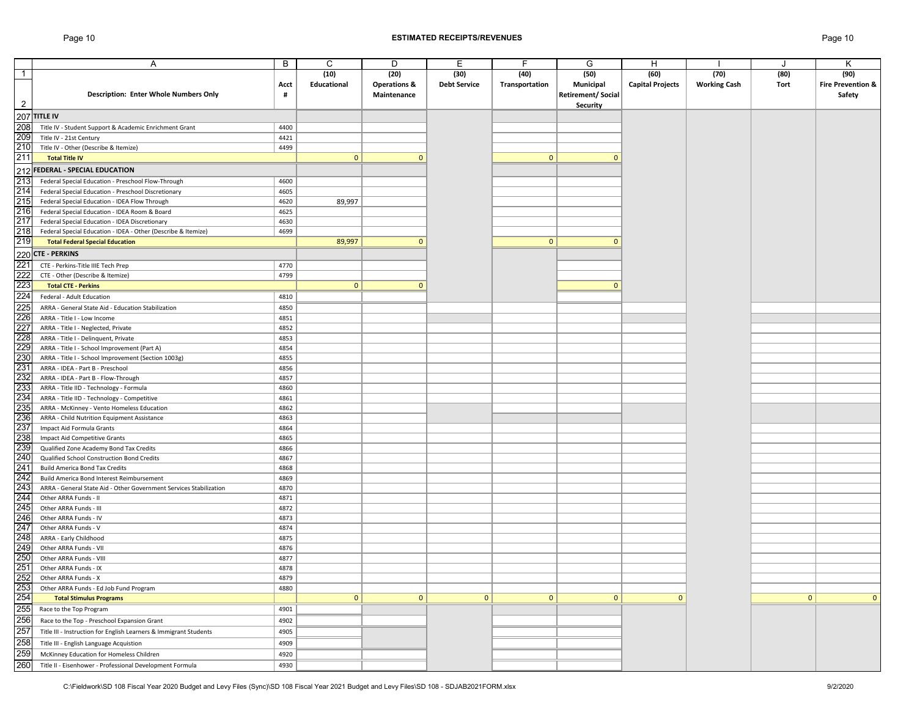#### Page 10 **ESTIMATED RECEIPTS/REVENUES** Page 10

|                | Α                                                                  | B    | C            | D                       | Е                   | F              | G                        | Н                       |                     |              | Κ                            |
|----------------|--------------------------------------------------------------------|------|--------------|-------------------------|---------------------|----------------|--------------------------|-------------------------|---------------------|--------------|------------------------------|
| $\overline{1}$ |                                                                    |      | (10)         | (20)                    | (30)                | (40)           | (50)                     | (60)                    | (70)                | (80)         | (90)                         |
|                |                                                                    | Acct | Educational  | <b>Operations &amp;</b> | <b>Debt Service</b> | Transportation | Municipal                | <b>Capital Projects</b> | <b>Working Cash</b> | Tort         | <b>Fire Prevention &amp;</b> |
|                | <b>Description: Enter Whole Numbers Only</b>                       | #    |              | Maintenance             |                     |                | <b>Retirement/Social</b> |                         |                     |              | Safety                       |
| $\overline{2}$ |                                                                    |      |              |                         |                     |                | Security                 |                         |                     |              |                              |
|                |                                                                    |      |              |                         |                     |                |                          |                         |                     |              |                              |
|                | $207$ TITLE IV                                                     |      |              |                         |                     |                |                          |                         |                     |              |                              |
| 208            | Title IV - Student Support & Academic Enrichment Grant             | 4400 |              |                         |                     |                |                          |                         |                     |              |                              |
| 209            | Title IV - 21st Century                                            | 4421 |              |                         |                     |                |                          |                         |                     |              |                              |
| 210            | Title IV - Other (Describe & Itemize)                              | 4499 |              |                         |                     |                |                          |                         |                     |              |                              |
| 211            | <b>Total Title IV</b>                                              |      | $\mathbf{0}$ | $\mathbf{0}$            |                     | $\mathbf{0}$   | $\mathbf{0}$             |                         |                     |              |                              |
|                | 212 FEDERAL - SPECIAL EDUCATION                                    |      |              |                         |                     |                |                          |                         |                     |              |                              |
| 213            | Federal Special Education - Preschool Flow-Through                 | 4600 |              |                         |                     |                |                          |                         |                     |              |                              |
| 214            | Federal Special Education - Preschool Discretionary                | 4605 |              |                         |                     |                |                          |                         |                     |              |                              |
| 215            | Federal Special Education - IDEA Flow Through                      | 4620 | 89,997       |                         |                     |                |                          |                         |                     |              |                              |
| 216            | Federal Special Education - IDEA Room & Board                      | 4625 |              |                         |                     |                |                          |                         |                     |              |                              |
| 217            | Federal Special Education - IDEA Discretionary                     | 4630 |              |                         |                     |                |                          |                         |                     |              |                              |
| 218            | Federal Special Education - IDEA - Other (Describe & Itemize)      | 4699 |              |                         |                     |                |                          |                         |                     |              |                              |
| 219            |                                                                    |      | 89,997       | $\mathbf{0}$            |                     | $\mathbf{0}$   | $\mathbf{0}$             |                         |                     |              |                              |
|                | <b>Total Federal Special Education</b>                             |      |              |                         |                     |                |                          |                         |                     |              |                              |
|                | 220 CTE - PERKINS                                                  |      |              |                         |                     |                |                          |                         |                     |              |                              |
| 221            | CTE - Perkins-Title IIIE Tech Prep                                 | 4770 |              |                         |                     |                |                          |                         |                     |              |                              |
| 222            | CTE - Other (Describe & Itemize)                                   | 4799 |              |                         |                     |                |                          |                         |                     |              |                              |
| 223            | <b>Total CTE - Perkins</b>                                         |      | $\mathbf{0}$ | $\mathbf{0}$            |                     |                | $\mathbf{0}$             |                         |                     |              |                              |
| 224            | Federal - Adult Education                                          | 4810 |              |                         |                     |                |                          |                         |                     |              |                              |
| 225            | ARRA - General State Aid - Education Stabilization                 | 4850 |              |                         |                     |                |                          |                         |                     |              |                              |
| 226            | ARRA - Title I - Low Income                                        | 4851 |              |                         |                     |                |                          |                         |                     |              |                              |
| 227            |                                                                    |      |              |                         |                     |                |                          |                         |                     |              |                              |
|                | ARRA - Title I - Neglected, Private                                | 4852 |              |                         |                     |                |                          |                         |                     |              |                              |
| 228            | ARRA - Title I - Delinguent, Private                               | 4853 |              |                         |                     |                |                          |                         |                     |              |                              |
| 229            | ARRA - Title I - School Improvement (Part A)                       | 4854 |              |                         |                     |                |                          |                         |                     |              |                              |
| 230            | ARRA - Title I - School Improvement (Section 1003g)                | 4855 |              |                         |                     |                |                          |                         |                     |              |                              |
| 231            | ARRA - IDEA - Part B - Preschool                                   | 4856 |              |                         |                     |                |                          |                         |                     |              |                              |
| 232            | ARRA - IDEA - Part B - Flow-Through                                | 4857 |              |                         |                     |                |                          |                         |                     |              |                              |
| 233            | ARRA - Title IID - Technology - Formula                            | 4860 |              |                         |                     |                |                          |                         |                     |              |                              |
| 234            | ARRA - Title IID - Technology - Competitive                        | 4861 |              |                         |                     |                |                          |                         |                     |              |                              |
| 235            | ARRA - McKinney - Vento Homeless Education                         | 4862 |              |                         |                     |                |                          |                         |                     |              |                              |
| 236            | ARRA - Child Nutrition Equipment Assistance                        | 4863 |              |                         |                     |                |                          |                         |                     |              |                              |
| 237            | Impact Aid Formula Grants                                          | 4864 |              |                         |                     |                |                          |                         |                     |              |                              |
| 238            | Impact Aid Competitive Grants                                      | 4865 |              |                         |                     |                |                          |                         |                     |              |                              |
| 239            | Qualified Zone Academy Bond Tax Credits                            | 4866 |              |                         |                     |                |                          |                         |                     |              |                              |
| 240            | Qualified School Construction Bond Credits                         | 4867 |              |                         |                     |                |                          |                         |                     |              |                              |
| 241            | <b>Build America Bond Tax Credits</b>                              | 4868 |              |                         |                     |                |                          |                         |                     |              |                              |
| 242            | Build America Bond Interest Reimbursement                          | 4869 |              |                         |                     |                |                          |                         |                     |              |                              |
| 243            | ARRA - General State Aid - Other Government Services Stabilization | 4870 |              |                         |                     |                |                          |                         |                     |              |                              |
| 244            | Other ARRA Funds - II                                              | 4871 |              |                         |                     |                |                          |                         |                     |              |                              |
| 245            | Other ARRA Funds - III                                             | 4872 |              |                         |                     |                |                          |                         |                     |              |                              |
| 246            | Other ARRA Funds - IV                                              | 4873 |              |                         |                     |                |                          |                         |                     |              |                              |
| 247            | Other ARRA Funds - V                                               | 4874 |              |                         |                     |                |                          |                         |                     |              |                              |
| 248            | ARRA - Early Childhood                                             | 4875 |              |                         |                     |                |                          |                         |                     |              |                              |
| 249            | Other ARRA Funds - VII                                             | 4876 |              |                         |                     |                |                          |                         |                     |              |                              |
| 250            | Other ARRA Funds - VIII                                            | 4877 |              |                         |                     |                |                          |                         |                     |              |                              |
| 251            | Other ARRA Funds - IX                                              | 4878 |              |                         |                     |                |                          |                         |                     |              |                              |
| 252            | Other ARRA Funds - X                                               | 4879 |              |                         |                     |                |                          |                         |                     |              |                              |
| 253            |                                                                    |      |              |                         |                     |                |                          |                         |                     |              |                              |
|                | Other ARRA Funds - Ed Job Fund Program                             | 4880 |              |                         |                     |                |                          |                         |                     |              |                              |
| 254            | <b>Total Stimulus Programs</b>                                     |      | $\mathbf{0}$ | $\mathbf{0}$            | $\mathbf{0}$        | $\mathbf{0}$   | $\mathbf{0}$             | $\mathbf{0}$            |                     | $\mathbf{0}$ | $\mathbf{0}$                 |
| 255            | Race to the Top Program                                            | 4901 |              |                         |                     |                |                          |                         |                     |              |                              |
| 256            | Race to the Top - Preschool Expansion Grant                        | 4902 |              |                         |                     |                |                          |                         |                     |              |                              |
| 257            | Title III - Instruction for English Learners & Immigrant Students  | 4905 |              |                         |                     |                |                          |                         |                     |              |                              |
| 258            | Title III - English Language Acquistion                            | 4909 |              |                         |                     |                |                          |                         |                     |              |                              |
| 259            | McKinney Education for Homeless Children                           | 4920 |              |                         |                     |                |                          |                         |                     |              |                              |
| 260            |                                                                    |      |              |                         |                     |                |                          |                         |                     |              |                              |
|                | Title II - Eisenhower - Professional Development Formula           | 4930 |              |                         |                     |                |                          |                         |                     |              |                              |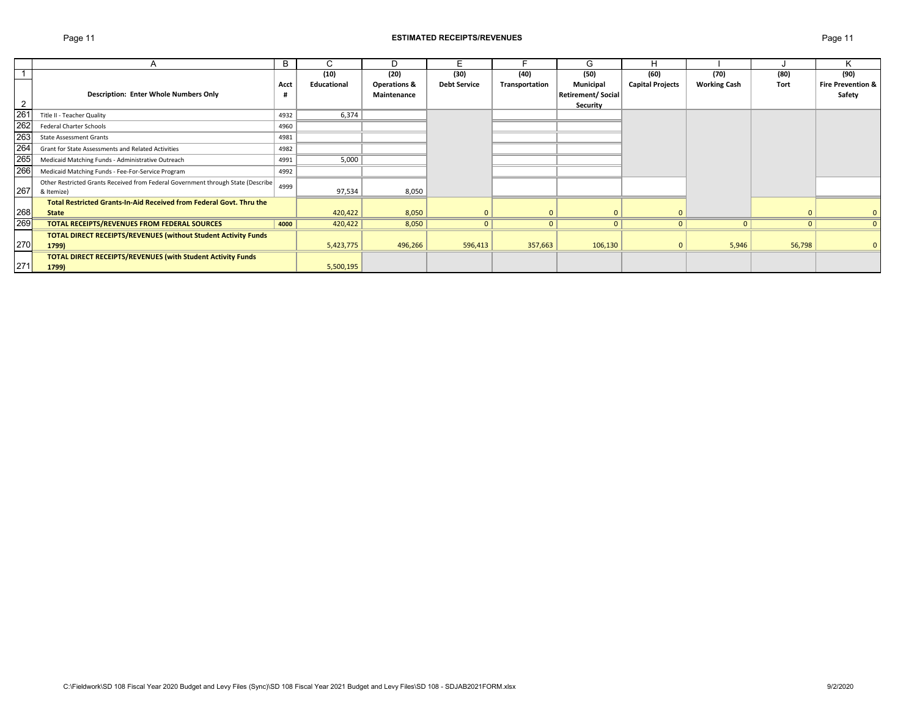#### Page 11 **ESTIMATED RECEIPTS/REVENUES** Page 11

|                 |                                                                                  | B    | U           | D                       | E.                  |                | G                 |                         |                     |          | N                            |
|-----------------|----------------------------------------------------------------------------------|------|-------------|-------------------------|---------------------|----------------|-------------------|-------------------------|---------------------|----------|------------------------------|
|                 |                                                                                  |      | (10)        | (20)                    | (30)                | (40)           | (50)              | (60)                    | (70)                | (80)     | (90)                         |
|                 |                                                                                  | Acct | Educational | <b>Operations &amp;</b> | <b>Debt Service</b> | Transportation | Municipal         | <b>Capital Projects</b> | <b>Working Cash</b> | Tort     | <b>Fire Prevention &amp;</b> |
|                 | <b>Description: Enter Whole Numbers Only</b>                                     |      |             | Maintenance             |                     |                | Retirement/Social |                         |                     |          | Safety                       |
| $\overline{2}$  |                                                                                  |      |             |                         |                     |                | <b>Security</b>   |                         |                     |          |                              |
| 26 <sup>2</sup> | Title II - Teacher Quality                                                       | 4932 | 6,374       |                         |                     |                |                   |                         |                     |          |                              |
| 262             | <b>Federal Charter Schools</b>                                                   | 4960 |             |                         |                     |                |                   |                         |                     |          |                              |
| 263             | <b>State Assessment Grants</b>                                                   | 4981 |             |                         |                     |                |                   |                         |                     |          |                              |
| 264             | Grant for State Assessments and Related Activities                               | 4982 |             |                         |                     |                |                   |                         |                     |          |                              |
| 265             | Medicaid Matching Funds - Administrative Outreach                                | 4991 | 5,000       |                         |                     |                |                   |                         |                     |          |                              |
| 266             | Medicaid Matching Funds - Fee-For-Service Program                                | 4992 |             |                         |                     |                |                   |                         |                     |          |                              |
|                 | Other Restricted Grants Received from Federal Government through State (Describe | 4999 |             |                         |                     |                |                   |                         |                     |          |                              |
| 267             | & Itemize)                                                                       |      | 97,534      | 8,050                   |                     |                |                   |                         |                     |          |                              |
|                 | <b>Total Restricted Grants-In-Aid Received from Federal Govt. Thru the</b>       |      |             |                         |                     |                |                   |                         |                     |          |                              |
| 268             | <b>State</b>                                                                     |      | 420,422     | 8,050                   |                     |                |                   | $\Omega$                |                     |          | $\mathbf{0}$                 |
| 269             | <b>TOTAL RECEIPTS/REVENUES FROM FEDERAL SOURCES</b>                              | 4000 | 420,422     | 8,050                   | $\Omega$            | $\mathbf{0}$   | $\mathbf{0}$      | $\overline{0}$          | $\mathbf{0}$        | $\Omega$ | $\mathbf{0}$                 |
|                 | <b>TOTAL DIRECT RECEIPTS/REVENUES (without Student Activity Funds</b>            |      |             |                         |                     |                |                   |                         |                     |          |                              |
| 270             | 1799)                                                                            |      | 5,423,775   | 496,266                 | 596,413             | 357,663        | 106,130           | $\mathbf{0}$            | 5,946               | 56,798   | $\mathbf{0}$                 |
|                 | <b>TOTAL DIRECT RECEIPTS/REVENUES (with Student Activity Funds</b>               |      |             |                         |                     |                |                   |                         |                     |          |                              |
| 271             | 1799)                                                                            |      | 5,500,195   |                         |                     |                |                   |                         |                     |          |                              |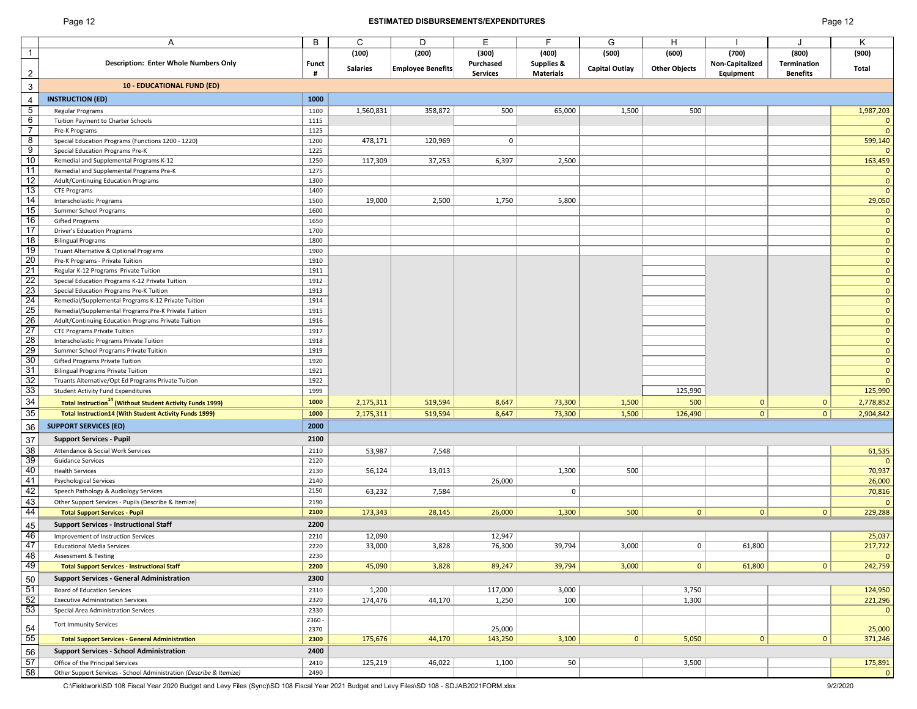12 3

54<br>55<br>56<br>57<br>58

#### Page 12 **ESTIMATED DISBURSEMENTS/EXPENDITURES** Page 12

| Α                                                                           | В              | С               | D                        | Е                  |                                | G                     | H                    |                          |                      | Κ                            |
|-----------------------------------------------------------------------------|----------------|-----------------|--------------------------|--------------------|--------------------------------|-----------------------|----------------------|--------------------------|----------------------|------------------------------|
| <b>Description: Enter Whole Numbers Only</b>                                | <b>Funct</b>   | (100)           | (200)                    | (300)<br>Purchased | (400)<br><b>Supplies &amp;</b> | (500)                 | (600)                | (700)<br>Non-Capitalized | (800)<br>Termination | (900)                        |
|                                                                             | #              | <b>Salaries</b> | <b>Employee Benefits</b> | <b>Services</b>    | <b>Materials</b>               | <b>Capital Outlay</b> | <b>Other Objects</b> | Equipment                | <b>Benefits</b>      | Total                        |
| <b>10 - EDUCATIONAL FUND (ED)</b>                                           |                |                 |                          |                    |                                |                       |                      |                          |                      |                              |
| <b>INSTRUCTION (ED)</b>                                                     | 1000           |                 |                          |                    |                                |                       |                      |                          |                      |                              |
| Regular Programs                                                            | 1100           | 1,560,831       | 358,872                  | 500                | 65,000                         | 1,500                 | 500                  |                          |                      | 1,987,203                    |
| Tuition Payment to Charter Schools                                          | 1115           |                 |                          |                    |                                |                       |                      |                          |                      | 0                            |
| Pre-K Programs                                                              | 1125           |                 |                          |                    |                                |                       |                      |                          |                      | $\Omega$                     |
| Special Education Programs (Functions 1200 - 1220)                          | 1200           | 478,171         | 120,969                  | $\mathbf 0$        |                                |                       |                      |                          |                      | 599,140                      |
| Special Education Programs Pre-K                                            | 1225           |                 |                          |                    |                                |                       |                      |                          |                      |                              |
| Remedial and Supplemental Programs K-12                                     | 1250           | 117,309         | 37,253                   | 6,397              | 2,500                          |                       |                      |                          |                      | 163,459                      |
| Remedial and Supplemental Programs Pre-K                                    | 1275           |                 |                          |                    |                                |                       |                      |                          |                      |                              |
| Adult/Continuing Education Programs                                         | 1300           |                 |                          |                    |                                |                       |                      |                          |                      | $\overline{0}$               |
| <b>CTE Programs</b>                                                         | 1400           |                 |                          |                    |                                |                       |                      |                          |                      | $\Omega$                     |
| Interscholastic Programs                                                    | 1500           | 19,000          | 2,500                    | 1,750              | 5,800                          |                       |                      |                          |                      | 29,050                       |
| Summer School Programs                                                      | 1600           |                 |                          |                    |                                |                       |                      |                          |                      | 0                            |
| Gifted Programs                                                             | 1650           |                 |                          |                    |                                |                       |                      |                          |                      | $\mathbf{0}$                 |
| <b>Driver's Education Programs</b><br><b>Bilingual Programs</b>             | 1700<br>1800   |                 |                          |                    |                                |                       |                      |                          |                      | $\mathbf{0}$<br>$\mathbf{0}$ |
| Truant Alternative & Optional Programs                                      | 1900           |                 |                          |                    |                                |                       |                      |                          |                      | $\Omega$                     |
| Pre-K Programs - Private Tuition                                            | 1910           |                 |                          |                    |                                |                       |                      |                          |                      | $\overline{0}$               |
| Regular K-12 Programs Private Tuition                                       | 1911           |                 |                          |                    |                                |                       |                      |                          |                      | $\overline{0}$               |
| Special Education Programs K-12 Private Tuition                             | 1912           |                 |                          |                    |                                |                       |                      |                          |                      | $\mathbf 0$                  |
| Special Education Programs Pre-K Tuition                                    | 1913           |                 |                          |                    |                                |                       |                      |                          |                      | $\mathbf 0$                  |
| Remedial/Supplemental Programs K-12 Private Tuition                         | 1914           |                 |                          |                    |                                |                       |                      |                          |                      | $\mathbf 0$                  |
| Remedial/Supplemental Programs Pre-K Private Tuition                        | 1915           |                 |                          |                    |                                |                       |                      |                          |                      | $\overline{0}$               |
| Adult/Continuing Education Programs Private Tuition                         | 1916           |                 |                          |                    |                                |                       |                      |                          |                      | $\mathbf 0$                  |
| <b>CTE Programs Private Tuition</b>                                         | 1917           |                 |                          |                    |                                |                       |                      |                          |                      | $\Omega$                     |
| Interscholastic Programs Private Tuition                                    | 1918           |                 |                          |                    |                                |                       |                      |                          |                      | $\mathbf 0$                  |
| Summer School Programs Private Tuition                                      | 1919           |                 |                          |                    |                                |                       |                      |                          |                      | $\overline{0}$               |
| Gifted Programs Private Tuition                                             | 1920           |                 |                          |                    |                                |                       |                      |                          |                      | $\mathbf 0$                  |
| <b>Bilingual Programs Private Tuition</b>                                   | 1921           |                 |                          |                    |                                |                       |                      |                          |                      | $\mathbf 0$                  |
| Truants Alternative/Opt Ed Programs Private Tuition                         | 1922           |                 |                          |                    |                                |                       |                      |                          |                      | $\Omega$                     |
| <b>Student Activity Fund Expenditures</b>                                   | 1999           |                 |                          |                    |                                |                       | 125,990              |                          |                      | 125,990                      |
| <b>Total Instruction<sup>14</sup></b> (Without Student Activity Funds 1999) | 1000           | 2,175,311       | 519,594                  | 8,647              | 73,300                         | 1,500                 | 500                  | $\mathbf 0$              | $\mathbf 0$          | 2,778,852                    |
| <b>Total Instruction14 (With Student Activity Funds 1999)</b>               | 1000           | 2,175,311       | 519,594                  | 8,647              | 73,300                         | 1,500                 | 126,490              | $\mathbf{0}$             | 0                    | 2,904,842                    |
| <b>SUPPORT SERVICES (ED)</b>                                                | 2000           |                 |                          |                    |                                |                       |                      |                          |                      |                              |
| <b>Support Services - Pupil</b>                                             | 2100           |                 |                          |                    |                                |                       |                      |                          |                      |                              |
| Attendance & Social Work Services                                           | 2110           | 53,987          | 7,548                    |                    |                                |                       |                      |                          |                      | 61,535                       |
| <b>Guidance Services</b>                                                    | 2120           |                 |                          |                    |                                |                       |                      |                          |                      | $\Omega$                     |
| <b>Health Services</b>                                                      | 2130           | 56,124          | 13,013                   |                    | 1,300                          | 500                   |                      |                          |                      | 70,937                       |
| <b>Psychological Services</b>                                               | 2140           |                 |                          | 26,000             |                                |                       |                      |                          |                      | 26,000                       |
| Speech Pathology & Audiology Services                                       | 2150           | 63,232          | 7,584                    |                    | 0                              |                       |                      |                          |                      | 70,816                       |
| Other Support Services - Pupils (Describe & Itemize)                        | 2190           |                 |                          |                    |                                |                       |                      |                          |                      | $\Omega$                     |
| <b>Total Support Services - Pupil</b>                                       | 2100           | 173,343         | 28,145                   | 26,000             | 1,300                          | 500                   | $\mathbf{0}$         | $\mathbf 0$              | 0                    | 229,288                      |
| <b>Support Services - Instructional Staff</b>                               | 2200           |                 |                          |                    |                                |                       |                      |                          |                      |                              |
| Improvement of Instruction Services                                         | 2210           | 12,090          |                          | 12,947             |                                |                       |                      |                          |                      | 25,037                       |
| <b>Educational Media Services</b>                                           | 2220           | 33,000          | 3,828                    | 76,300             | 39,794                         | 3,000                 | 0                    | 61,800                   |                      | 217,722                      |
| <b>Assessment &amp; Testing</b>                                             | 2230           |                 |                          |                    |                                |                       |                      |                          |                      |                              |
| <b>Total Support Services - Instructional Staff</b>                         | 2200           | 45,090          | 3,828                    | 89,247             | 39,794                         | 3,000                 | $\mathbf{0}$         | 61,800                   | 0                    | 242,759                      |
| <b>Support Services - General Administration</b>                            | 2300           |                 |                          |                    |                                |                       |                      |                          |                      |                              |
| Board of Education Services                                                 | 2310           | 1,200           |                          | 117,000            | 3,000                          |                       | 3,750                |                          |                      | 124,950                      |
| <b>Executive Administration Services</b>                                    | 2320           | 174,476         | 44,170                   | 1,250              | 100                            |                       | 1,300                |                          |                      | 221,296                      |
| Special Area Administration Services                                        | 2330           |                 |                          |                    |                                |                       |                      |                          |                      | 0                            |
| <b>Tort Immunity Services</b>                                               | 2360 -<br>2370 |                 |                          | 25,000             |                                |                       |                      |                          |                      | 25,000                       |
| <b>Total Support Services - General Administration</b>                      | 2300           | 175,676         | 44,170                   | 143,250            | 3,100                          | 0                     | 5,050                | $\mathbf{0}$             | 0                    | 371,246                      |
| <b>Support Services - School Administration</b>                             | 2400           |                 |                          |                    |                                |                       |                      |                          |                      |                              |
| Office of the Principal Services                                            | 2410           | 125,219         | 46,022                   | 1,100              | 50                             |                       | 3,500                |                          |                      | 175,891                      |
| Other Support Services - School Administration (Describe & Itemize)         | 2490           |                 |                          |                    |                                |                       |                      |                          |                      | $\Omega$                     |
|                                                                             |                |                 |                          |                    |                                |                       |                      |                          |                      |                              |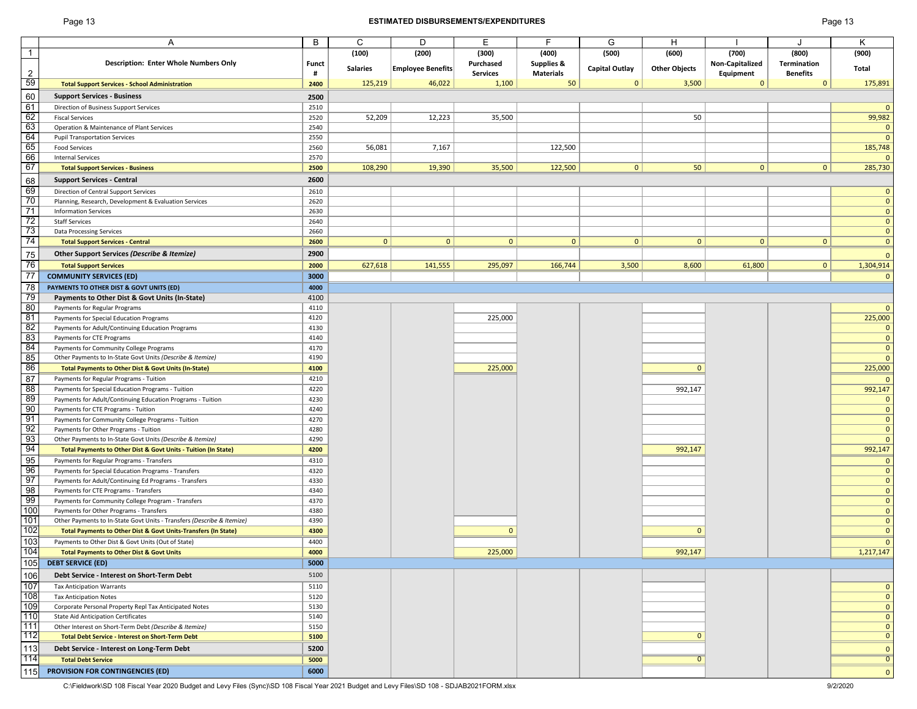#### Page 13 **ESTIMATED DISBURSEMENTS/EXPENDITURES** Page 13

|                 | Α                                                                      | B            | C               | D                        | Е               | F                | G                     | н                    |                 | J               | Κ              |
|-----------------|------------------------------------------------------------------------|--------------|-----------------|--------------------------|-----------------|------------------|-----------------------|----------------------|-----------------|-----------------|----------------|
| $\mathbf{1}$    |                                                                        |              | (100)           | (200)                    | (300)           | (400)            | (500)                 | (600)                | (700)           | (800)           | (900)          |
|                 | <b>Description: Enter Whole Numbers Only</b>                           | <b>Funct</b> |                 |                          | Purchased       | Supplies &       |                       |                      | Non-Capitalized | Termination     |                |
| $\overline{2}$  |                                                                        | #            | <b>Salaries</b> | <b>Employee Benefits</b> | <b>Services</b> | <b>Materials</b> | <b>Capital Outlay</b> | <b>Other Objects</b> | Equipment       | <b>Benefits</b> | Total          |
| 59              | <b>Total Support Services - School Administration</b>                  | 2400         | 125,219         | 46,022                   | 1,100           | 50               | $\mathbf{0}$          | 3,500                | $\Omega$        | $\Omega$        | 175,891        |
|                 |                                                                        |              |                 |                          |                 |                  |                       |                      |                 |                 |                |
| 60              | <b>Support Services - Business</b>                                     | 2500         |                 |                          |                 |                  |                       |                      |                 |                 |                |
| 61              | Direction of Business Support Services                                 | 2510         |                 |                          |                 |                  |                       |                      |                 |                 | $\mathbf{0}$   |
| 62              | <b>Fiscal Services</b>                                                 | 2520         | 52,209          | 12,223                   | 35,500          |                  |                       | 50                   |                 |                 | 99,982         |
| 63              | Operation & Maintenance of Plant Services                              | 2540         |                 |                          |                 |                  |                       |                      |                 |                 | $\mathbf 0$    |
| 64              | <b>Pupil Transportation Services</b>                                   | 2550         |                 |                          |                 |                  |                       |                      |                 |                 | $\mathbf{0}$   |
| 65              | <b>Food Services</b>                                                   | 2560         | 56,081          | 7,167                    |                 | 122,500          |                       |                      |                 |                 | 185,748        |
| 66              | <b>Internal Services</b>                                               | 2570         |                 |                          |                 |                  |                       |                      |                 |                 | $\Omega$       |
| 67              | <b>Total Support Services - Business</b>                               | 2500         | 108,290         | 19,390                   | 35,500          | 122,500          | 0                     | 50                   | 0               | $\overline{0}$  | 285,730        |
|                 |                                                                        |              |                 |                          |                 |                  |                       |                      |                 |                 |                |
| 68              | <b>Support Services - Central</b>                                      | 2600         |                 |                          |                 |                  |                       |                      |                 |                 |                |
| 69              | Direction of Central Support Services                                  | 2610         |                 |                          |                 |                  |                       |                      |                 |                 | $\mathbf{0}$   |
| 70              | Planning, Research, Development & Evaluation Services                  | 2620         |                 |                          |                 |                  |                       |                      |                 |                 | $\mathbf{0}$   |
| 71              | <b>Information Services</b>                                            | 2630         |                 |                          |                 |                  |                       |                      |                 |                 | $\mathbf{0}$   |
| 72              | <b>Staff Services</b>                                                  | 2640         |                 |                          |                 |                  |                       |                      |                 |                 | $\mathbf{0}$   |
| 73              | <b>Data Processing Services</b>                                        | 2660         |                 |                          |                 |                  |                       |                      |                 |                 | $\mathbf{0}$   |
| 74              | <b>Total Support Services - Central</b>                                | 2600         | $\overline{0}$  | $\mathbf{0}$             | $\mathbf{0}$    | $\mathbf{0}$     | $\mathbf{0}$          | $\mathbf{0}$         | $\mathbf{0}$    | $\mathbf{0}$    | $\mathbf{0}$   |
| 75              | Other Support Services (Describe & Itemize)                            | 2900         |                 |                          |                 |                  |                       |                      |                 |                 | $\mathbf{0}$   |
| 76              |                                                                        | 2000         |                 | 141,555                  | 295,097         | 166,744          | 3,500                 | 8,600                | 61,800          | $\overline{0}$  |                |
|                 | <b>Total Support Services</b>                                          |              | 627,618         |                          |                 |                  |                       |                      |                 |                 | 1,304,914      |
| 77              | <b>COMMUNITY SERVICES (ED)</b>                                         | 3000         |                 |                          |                 |                  |                       |                      |                 |                 | $\mathbf{0}$   |
| 78              | PAYMENTS TO OTHER DIST & GOVT UNITS (ED)                               | 4000         |                 |                          |                 |                  |                       |                      |                 |                 |                |
| 79              | Payments to Other Dist & Govt Units (In-State)                         | 4100         |                 |                          |                 |                  |                       |                      |                 |                 |                |
| 80              | Payments for Regular Programs                                          | 4110         |                 |                          |                 |                  |                       |                      |                 |                 | $\mathbf{0}$   |
| 81              | Payments for Special Education Programs                                | 4120         |                 |                          | 225,000         |                  |                       |                      |                 |                 | 225,000        |
| 82              | Payments for Adult/Continuing Education Programs                       | 4130         |                 |                          |                 |                  |                       |                      |                 |                 | $\mathbf{0}$   |
| 83              | Payments for CTE Programs                                              | 4140         |                 |                          |                 |                  |                       |                      |                 |                 | $\mathbf{0}$   |
| 84              | Payments for Community College Programs                                | 4170         |                 |                          |                 |                  |                       |                      |                 |                 | $\mathbf{0}$   |
| 85              | Other Payments to In-State Govt Units (Describe & Itemize)             | 4190         |                 |                          |                 |                  |                       |                      |                 |                 | $\mathbf{0}$   |
| 86              | Total Payments to Other Dist & Govt Units (In-State)                   | 4100         |                 |                          | 225,000         |                  |                       | $\mathbf{0}$         |                 |                 | 225,000        |
| 87              |                                                                        | 4210         |                 |                          |                 |                  |                       |                      |                 |                 |                |
|                 | Payments for Regular Programs - Tuition                                |              |                 |                          |                 |                  |                       |                      |                 |                 | $\Omega$       |
| $\overline{88}$ | Payments for Special Education Programs - Tuition                      | 4220         |                 |                          |                 |                  |                       | 992,147              |                 |                 | 992,147        |
| 89              | Payments for Adult/Continuing Education Programs - Tuition             | 4230         |                 |                          |                 |                  |                       |                      |                 |                 | $\mathbf{0}$   |
| 90              | Payments for CTE Programs - Tuition                                    | 4240         |                 |                          |                 |                  |                       |                      |                 |                 | $\mathbf{0}$   |
| 91              | Payments for Community College Programs - Tuition                      | 4270         |                 |                          |                 |                  |                       |                      |                 |                 | $\mathbf 0$    |
| 92              | Payments for Other Programs - Tuition                                  | 4280         |                 |                          |                 |                  |                       |                      |                 |                 | $\mathbf 0$    |
| 93              | Other Payments to In-State Govt Units (Describe & Itemize)             | 4290         |                 |                          |                 |                  |                       |                      |                 |                 | $\mathbf{0}$   |
| 94              | Total Payments to Other Dist & Govt Units - Tuition (In State)         | 4200         |                 |                          |                 |                  |                       | 992,147              |                 |                 | 992,147        |
| 95              | Payments for Regular Programs - Transfers                              | 4310         |                 |                          |                 |                  |                       |                      |                 |                 | $\mathbf 0$    |
| 96              | Payments for Special Education Programs - Transfers                    | 4320         |                 |                          |                 |                  |                       |                      |                 |                 | $\mathbf{0}$   |
| 97              | Payments for Adult/Continuing Ed Programs - Transfers                  | 4330         |                 |                          |                 |                  |                       |                      |                 |                 | $\mathbf{0}$   |
| 98              | Payments for CTE Programs - Transfers                                  | 4340         |                 |                          |                 |                  |                       |                      |                 |                 | $\mathbf 0$    |
| 99              | Payments for Community College Program - Transfers                     | 4370         |                 |                          |                 |                  |                       |                      |                 |                 | $\mathbf{0}$   |
| 100             | Payments for Other Programs - Transfers                                | 4380         |                 |                          |                 |                  |                       |                      |                 |                 | $\mathbf{0}$   |
| 101             |                                                                        |              |                 |                          |                 |                  |                       |                      |                 |                 |                |
| 102             | Other Payments to In-State Govt Units - Transfers (Describe & Itemize) | 4390         |                 |                          | $\mathbf{0}$    |                  |                       | $\mathbf{0}$         |                 |                 | $\mathbf{0}$   |
|                 | Total Payments to Other Dist & Govt Units-Transfers (In State)         | 4300         |                 |                          |                 |                  |                       |                      |                 |                 | $\mathbf 0$    |
| 103             | Payments to Other Dist & Govt Units (Out of State)                     | 4400         |                 |                          |                 |                  |                       |                      |                 |                 | $\mathbf{0}$   |
| 104             | <b>Total Payments to Other Dist &amp; Govt Units</b>                   | 4000         |                 |                          | 225,000         |                  |                       | 992.147              |                 |                 | 1.217.147      |
| 105             | <b>DEBT SERVICE (ED)</b>                                               | 5000         |                 |                          |                 |                  |                       |                      |                 |                 |                |
| 106             | Debt Service - Interest on Short-Term Debt                             | 5100         |                 |                          |                 |                  |                       |                      |                 |                 |                |
| 107             | <b>Tax Anticipation Warrants</b>                                       | 5110         |                 |                          |                 |                  |                       |                      |                 |                 | $\mathbf{0}$   |
| 108             | <b>Tax Anticipation Notes</b>                                          | 5120         |                 |                          |                 |                  |                       |                      |                 |                 | $\mathbf 0$    |
| 109             | Corporate Personal Property Repl Tax Anticipated Notes                 | 5130         |                 |                          |                 |                  |                       |                      |                 |                 | $\mathbf 0$    |
| 110             | <b>State Aid Anticipation Certificates</b>                             | 5140         |                 |                          |                 |                  |                       |                      |                 |                 | 0              |
| 111             | Other Interest on Short-Term Debt (Describe & Itemize)                 | 5150         |                 |                          |                 |                  |                       |                      |                 |                 | $\mathbf 0$    |
| 112             | <b>Total Debt Service - Interest on Short-Term Debt</b>                | 5100         |                 |                          |                 |                  |                       | $\Omega$             |                 |                 | $\mathbf{0}$   |
|                 |                                                                        |              |                 |                          |                 |                  |                       |                      |                 |                 |                |
| 113             | Debt Service - Interest on Long-Term Debt                              | 5200         |                 |                          |                 |                  |                       |                      |                 |                 | $\mathbf{0}$   |
| 114             | <b>Total Debt Service</b>                                              | 5000         |                 |                          |                 |                  |                       | $\overline{0}$       |                 |                 | $\overline{0}$ |
| 115             | <b>PROVISION FOR CONTINGENCIES (ED)</b>                                | 6000         |                 |                          |                 |                  |                       |                      |                 |                 | $\mathbf{0}$   |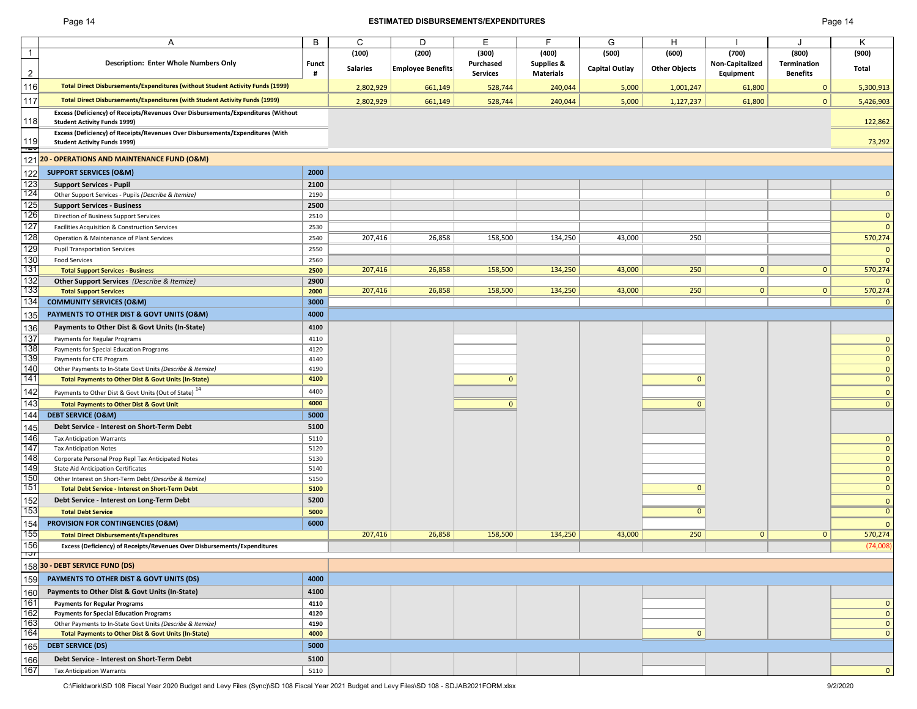#### Page 14 **ESTIMATED DISBURSEMENTS/EXPENDITURES** Page 14

|                | Α                                                                                   | B            | C               | D                 | E.              | F                     | G                     | H                    |                 |                 | Κ                           |
|----------------|-------------------------------------------------------------------------------------|--------------|-----------------|-------------------|-----------------|-----------------------|-----------------------|----------------------|-----------------|-----------------|-----------------------------|
| $\overline{1}$ |                                                                                     |              | (100)           | (200)             | (300)           | (400)                 | (500)                 | (600)                | (700)           | (800)           | (900)                       |
|                | <b>Description: Enter Whole Numbers Only</b>                                        | <b>Funct</b> | <b>Salaries</b> | Employee Benefits | Purchased       | <b>Supplies &amp;</b> | <b>Capital Outlay</b> | <b>Other Objects</b> | Non-Capitalized | Termination     | Total                       |
| $\overline{c}$ |                                                                                     | #            |                 |                   | <b>Services</b> | <b>Materials</b>      |                       |                      | Equipment       | <b>Benefits</b> |                             |
| 116            | Total Direct Disbursements/Expenditures (without Student Activity Funds (1999)      |              | 2,802,929       | 661,149           | 528,744         | 240,044               | 5,000                 | 1,001,247            | 61,800          | $\mathbf{0}$    | 5,300,913                   |
| 117            | Total Direct Disbursements/Expenditures (with Student Activity Funds (1999)         |              | 2,802,929       | 661,149           | 528,744         | 240,044               | 5,000                 | 1,127,237            | 61,800          | $\mathbf{0}$    | 5,426,903                   |
|                | Excess (Deficiency) of Receipts/Revenues Over Disbursements/Expenditures (Without   |              |                 |                   |                 |                       |                       |                      |                 |                 |                             |
| 118            | <b>Student Activity Funds 1999)</b>                                                 |              |                 |                   |                 |                       |                       |                      |                 |                 | 122,862                     |
|                | Excess (Deficiency) of Receipts/Revenues Over Disbursements/Expenditures (With      |              |                 |                   |                 |                       |                       |                      |                 |                 |                             |
| 119<br>ᅚ       | <b>Student Activity Funds 1999)</b>                                                 |              |                 |                   |                 |                       |                       |                      |                 |                 | 73,292                      |
| 121            | 20 - OPERATIONS AND MAINTENANCE FUND (O&M)                                          |              |                 |                   |                 |                       |                       |                      |                 |                 |                             |
| 122            | <b>SUPPORT SERVICES (O&amp;M)</b>                                                   | 2000         |                 |                   |                 |                       |                       |                      |                 |                 |                             |
| 123            | <b>Support Services - Pupil</b>                                                     | 2100         |                 |                   |                 |                       |                       |                      |                 |                 |                             |
| 124            | Other Support Services - Pupils (Describe & Itemize)                                | 2190         |                 |                   |                 |                       |                       |                      |                 |                 | $\mathbf{0}$                |
| 125            | <b>Support Services - Business</b>                                                  | 2500         |                 |                   |                 |                       |                       |                      |                 |                 |                             |
| 126            | Direction of Business Support Services                                              | 2510         |                 |                   |                 |                       |                       |                      |                 |                 | $\mathbf 0$                 |
| 127            | Facilities Acquisition & Construction Services                                      | 2530         |                 |                   |                 |                       |                       |                      |                 |                 | $\mathbf{0}$                |
| 128            | Operation & Maintenance of Plant Services                                           | 2540         | 207,416         | 26,858            | 158,500         | 134,250               | 43,000                | 250                  |                 |                 | 570,274                     |
| 129            | <b>Pupil Transportation Services</b>                                                | 2550         |                 |                   |                 |                       |                       |                      |                 |                 | $\mathbf{0}$                |
| 130            | <b>Food Services</b>                                                                | 2560         |                 |                   |                 |                       |                       |                      |                 |                 | $\Omega$                    |
| 131            | <b>Total Support Services - Business</b>                                            | 2500         | 207,416         | 26,858            | 158,500         | 134,250               | 43,000                | 250                  | $\mathbf{0}$    | $\mathbf{0}$    | 570,274                     |
| 132            | <b>Other Support Services</b> (Describe & Itemize)                                  | 2900         |                 |                   |                 |                       |                       |                      |                 |                 | $\Omega$                    |
| 133            | <b>Total Support Services</b>                                                       | 2000         | 207,416         | 26,858            | 158,500         | 134,250               | 43,000                | 250                  | $\mathbf{0}$    | $\mathbf{0}$    | 570,274                     |
| 134            | <b>COMMUNITY SERVICES (O&amp;M)</b>                                                 | 3000         |                 |                   |                 |                       |                       |                      |                 |                 | $\mathbf{0}$                |
| 135            | PAYMENTS TO OTHER DIST & GOVT UNITS (O&M)                                           | 4000         |                 |                   |                 |                       |                       |                      |                 |                 |                             |
| 136            | Payments to Other Dist & Govt Units (In-State)                                      | 4100         |                 |                   |                 |                       |                       |                      |                 |                 |                             |
| 137            | Payments for Regular Programs                                                       | 4110         |                 |                   |                 |                       |                       |                      |                 |                 | $\mathbf{0}$                |
| 138            | Payments for Special Education Programs                                             | 4120         |                 |                   |                 |                       |                       |                      |                 |                 | $\mathbf{0}$                |
| 139            | Payments for CTE Program                                                            | 4140         |                 |                   |                 |                       |                       |                      |                 |                 | $\mathbf{0}$                |
| 140            | Other Payments to In-State Govt Units (Describe & Itemize)                          | 4190         |                 |                   |                 |                       |                       |                      |                 |                 | $\mathbf{0}$                |
| 141            | Total Payments to Other Dist & Govt Units (In-State)                                | 4100         |                 |                   | $\mathbf{0}$    |                       |                       | $\mathbf{0}$         |                 |                 | $\mathbf{0}$                |
| 142            | Payments to Other Dist & Govt Units (Out of State) <sup>14</sup>                    | 4400         |                 |                   |                 |                       |                       |                      |                 |                 | $\mathbf{0}$                |
| 143            | <b>Total Payments to Other Dist &amp; Govt Unit</b>                                 | 4000         |                 |                   | $\mathbf{0}$    |                       |                       | $\mathbf{0}$         |                 |                 | $\overline{0}$              |
| 144            | <b>DEBT SERVICE (O&amp;M)</b>                                                       | 5000         |                 |                   |                 |                       |                       |                      |                 |                 |                             |
|                |                                                                                     |              |                 |                   |                 |                       |                       |                      |                 |                 |                             |
| 145            | Debt Service - Interest on Short-Term Debt                                          | 5100         |                 |                   |                 |                       |                       |                      |                 |                 |                             |
| 146<br>147     | <b>Tax Anticipation Warrants</b>                                                    | 5110         |                 |                   |                 |                       |                       |                      |                 |                 | $\mathbf{0}$                |
| 148            | <b>Tax Anticipation Notes</b><br>Corporate Personal Prop Repl Tax Anticipated Notes | 5120<br>5130 |                 |                   |                 |                       |                       |                      |                 |                 | $\mathbf 0$<br>$\mathbf{0}$ |
| 149            | <b>State Aid Anticipation Certificates</b>                                          | 5140         |                 |                   |                 |                       |                       |                      |                 |                 | $\mathbf{0}$                |
| 150            | Other Interest on Short-Term Debt (Describe & Itemize)                              | 5150         |                 |                   |                 |                       |                       |                      |                 |                 | $\mathbf{0}$                |
| 151            | <b>Total Debt Service - Interest on Short-Term Debt</b>                             | 5100         |                 |                   |                 |                       |                       | $\mathbf{0}$         |                 |                 | $\mathbf{0}$                |
| 152            | Debt Service - Interest on Long-Term Debt                                           | 5200         |                 |                   |                 |                       |                       |                      |                 |                 | $\mathbf{0}$                |
| 153            | <b>Total Debt Service</b>                                                           | 5000         |                 |                   |                 |                       |                       | $\overline{0}$       |                 |                 | $\overline{0}$              |
| 154            | PROVISION FOR CONTINGENCIES (O&M)                                                   | 6000         |                 |                   |                 |                       |                       |                      |                 |                 | $\mathbf{0}$                |
| 155            | <b>Total Direct Disbursements/Expenditures</b>                                      |              | 207,416         | 26,858            | 158,500         | 134,250               | 43,000                | 250                  | $\mathbf{0}$    | $\mathbf{0}$    | 570,274                     |
| 156            | Excess (Deficiency) of Receipts/Revenues Over Disbursements/Expenditures            |              |                 |                   |                 |                       |                       |                      |                 |                 | (74,008)                    |
| זטר            |                                                                                     |              |                 |                   |                 |                       |                       |                      |                 |                 |                             |
|                | 158 30 - DEBT SERVICE FUND (DS)                                                     |              |                 |                   |                 |                       |                       |                      |                 |                 |                             |
| 159            | <b>PAYMENTS TO OTHER DIST &amp; GOVT UNITS (DS)</b>                                 | 4000         |                 |                   |                 |                       |                       |                      |                 |                 |                             |
| 160            | Payments to Other Dist & Govt Units (In-State)                                      | 4100         |                 |                   |                 |                       |                       |                      |                 |                 |                             |
| 161            | <b>Payments for Regular Programs</b>                                                | 4110         |                 |                   |                 |                       |                       |                      |                 |                 | $\mathbf{0}$                |
| 162            | <b>Payments for Special Education Programs</b>                                      | 4120         |                 |                   |                 |                       |                       |                      |                 |                 | $\mathbf{0}$                |
| 163            | Other Payments to In-State Govt Units (Describe & Itemize)                          | 4190         |                 |                   |                 |                       |                       |                      |                 |                 | $\mathbf{0}$                |
| 164            | <b>Total Payments to Other Dist &amp; Govt Units (In-State)</b>                     | 4000         |                 |                   |                 |                       |                       | $\mathbf{0}$         |                 |                 | $\mathbf{0}$                |
| 165            | <b>DEBT SERVICE (DS)</b>                                                            | 5000         |                 |                   |                 |                       |                       |                      |                 |                 |                             |
| 166            | Debt Service - Interest on Short-Term Debt                                          | 5100         |                 |                   |                 |                       |                       |                      |                 |                 |                             |
| 167            | <b>Tax Anticipation Warrants</b>                                                    | 5110         |                 |                   |                 |                       |                       |                      |                 |                 | $\mathbf{0}$                |
|                |                                                                                     |              |                 |                   |                 |                       |                       |                      |                 |                 |                             |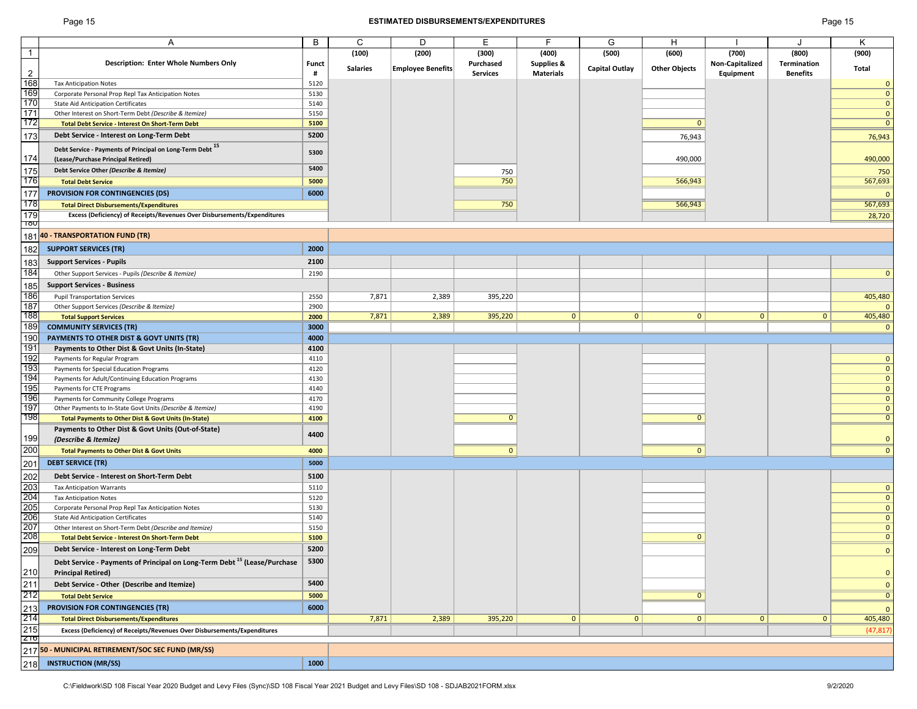#### Page 15 **ESTIMATED DISBURSEMENTS/EXPENDITURES** Page 15

|                   | Α                                                                                    | B            | C               | D                        | E               | F                     | G              | Н                    |                 |                 | Κ                       |
|-------------------|--------------------------------------------------------------------------------------|--------------|-----------------|--------------------------|-----------------|-----------------------|----------------|----------------------|-----------------|-----------------|-------------------------|
| $\mathbf{1}$      |                                                                                      |              | (100)           | (200)                    | (300)           | (400)                 | (500)          | (600)                | (700)           | (800)           | (900)                   |
|                   | <b>Description: Enter Whole Numbers Only</b>                                         | <b>Funct</b> |                 |                          | Purchased       | <b>Supplies &amp;</b> |                |                      | Non-Capitalized | Termination     |                         |
| $\overline{2}$    |                                                                                      | #            | <b>Salaries</b> | <b>Employee Benefits</b> | <b>Services</b> | <b>Materials</b>      | Capital Outlay | <b>Other Objects</b> | Equipment       | <b>Benefits</b> | Total                   |
| 168               | <b>Tax Anticipation Notes</b>                                                        | 5120         |                 |                          |                 |                       |                |                      |                 |                 | $\mathbf 0$             |
| 169               | Corporate Personal Prop Repl Tax Anticipation Notes                                  | 5130         |                 |                          |                 |                       |                |                      |                 |                 | $\mathbf{0}$            |
| 170               | <b>State Aid Anticipation Certificates</b>                                           | 5140         |                 |                          |                 |                       |                |                      |                 |                 | $\mathbf{0}$            |
| 171               | Other Interest on Short-Term Debt (Describe & Itemize)                               | 5150         |                 |                          |                 |                       |                |                      |                 |                 | $\mathbf{0}$            |
| 172               | Total Debt Service - Interest On Short-Term Debt                                     | 5100         |                 |                          |                 |                       |                | $\mathbf{0}$         |                 |                 | $\mathbf{0}$            |
| 173               | Debt Service - Interest on Long-Term Debt                                            | 5200         |                 |                          |                 |                       |                | 76,943               |                 |                 |                         |
|                   |                                                                                      |              |                 |                          |                 |                       |                |                      |                 |                 | 76,943                  |
|                   | Debt Service - Payments of Principal on Long-Term Debt 15                            | 5300         |                 |                          |                 |                       |                |                      |                 |                 |                         |
| 174               | (Lease/Purchase Principal Retired)                                                   |              |                 |                          |                 |                       |                | 490,000              |                 |                 | 490,000                 |
| 175               | Debt Service Other (Describe & Itemize)                                              | 5400         |                 |                          | 750             |                       |                |                      |                 |                 | 750                     |
| 176               | <b>Total Debt Service</b>                                                            | 5000         |                 |                          | 750             |                       |                | 566,943              |                 |                 | 567,693                 |
| 177               | <b>PROVISION FOR CONTINGENCIES (DS)</b>                                              | 6000         |                 |                          |                 |                       |                |                      |                 |                 | $\mathbf{0}$            |
| 178               | <b>Total Direct Disbursements/Expenditures</b>                                       |              |                 |                          | 750             |                       |                | 566,943              |                 |                 | 567,693                 |
| 179               | Excess (Deficiency) of Receipts/Revenues Over Disbursements/Expenditures             |              |                 |                          |                 |                       |                |                      |                 |                 | 28,720                  |
| ျပဳပ              |                                                                                      |              |                 |                          |                 |                       |                |                      |                 |                 |                         |
|                   | 181 40 - TRANSPORTATION FUND (TR)                                                    |              |                 |                          |                 |                       |                |                      |                 |                 |                         |
|                   |                                                                                      |              |                 |                          |                 |                       |                |                      |                 |                 |                         |
| 182               | <b>SUPPORT SERVICES (TR)</b>                                                         | 2000         |                 |                          |                 |                       |                |                      |                 |                 |                         |
| 183               | <b>Support Services - Pupils</b>                                                     | 2100         |                 |                          |                 |                       |                |                      |                 |                 |                         |
| 184               | Other Support Services - Pupils (Describe & Itemize)                                 | 2190         |                 |                          |                 |                       |                |                      |                 |                 | $\mathbf{0}$            |
| 185               | <b>Support Services - Business</b>                                                   |              |                 |                          |                 |                       |                |                      |                 |                 |                         |
|                   |                                                                                      |              |                 |                          |                 |                       |                |                      |                 |                 |                         |
| 186<br>187        | <b>Pupil Transportation Services</b>                                                 | 2550         | 7,871           | 2,389                    | 395,220         |                       |                |                      |                 |                 | 405,480                 |
| 188               | Other Support Services (Describe & Itemize)                                          | 2900         |                 |                          |                 |                       |                | 0                    | $\mathbf{0}$    | 0               | $\mathbf{0}$            |
|                   | <b>Total Support Services</b>                                                        | 2000         | 7,871           | 2,389                    | 395,220         | $\mathbf{0}$          | 0              |                      |                 |                 | 405,480                 |
| 189               | <b>COMMUNITY SERVICES (TR)</b>                                                       | 3000         |                 |                          |                 |                       |                |                      |                 |                 | $\mathbf{0}$            |
| 190               | PAYMENTS TO OTHER DIST & GOVT UNITS (TR)                                             | 4000         |                 |                          |                 |                       |                |                      |                 |                 |                         |
| 191               | Payments to Other Dist & Govt Units (In-State)                                       | 4100         |                 |                          |                 |                       |                |                      |                 |                 |                         |
| 192               | Payments for Regular Program                                                         | 4110         |                 |                          |                 |                       |                |                      |                 |                 | $\mathbf{0}$            |
| 193               | Payments for Special Education Programs                                              | 4120         |                 |                          |                 |                       |                |                      |                 |                 | $\mathbf{0}$            |
| 194               | Payments for Adult/Continuing Education Programs                                     | 4130         |                 |                          |                 |                       |                |                      |                 |                 | $\mathbf{0}$            |
| 195               | Payments for CTE Programs                                                            | 4140         |                 |                          |                 |                       |                |                      |                 |                 | $\mathbf{0}$            |
| 196               | Payments for Community College Programs                                              | 4170         |                 |                          |                 |                       |                |                      |                 |                 | $\mathbf{0}$            |
| 197               | Other Payments to In-State Govt Units (Describe & Itemize)                           | 4190         |                 |                          |                 |                       |                |                      |                 |                 | $\mathbf{0}$            |
| 198               | Total Payments to Other Dist & Govt Units (In-State)                                 | 4100         |                 |                          | $\mathbf{0}$    |                       |                | $\mathbf{0}$         |                 |                 | $\mathbf{0}$            |
|                   | Payments to Other Dist & Govt Units (Out-of-State)                                   | 4400         |                 |                          |                 |                       |                |                      |                 |                 |                         |
| 199               | (Describe & Itemize)                                                                 |              |                 |                          |                 |                       |                |                      |                 |                 | $\mathbf{0}$            |
| 200               | <b>Total Payments to Other Dist &amp; Govt Units</b>                                 | 4000         |                 |                          | $\mathbf{0}$    |                       |                | $\mathbf{0}$         |                 |                 | $\mathbf{0}$            |
| 201               | <b>DEBT SERVICE (TR)</b>                                                             | 5000         |                 |                          |                 |                       |                |                      |                 |                 |                         |
|                   |                                                                                      |              |                 |                          |                 |                       |                |                      |                 |                 |                         |
| 202               | Debt Service - Interest on Short-Term Debt                                           | 5100         |                 |                          |                 |                       |                |                      |                 |                 |                         |
| 203               | <b>Tax Anticipation Warrants</b>                                                     | 5110         |                 |                          |                 |                       |                |                      |                 |                 | $\mathbf 0$             |
| 204               | <b>Tax Anticipation Notes</b>                                                        | 5120         |                 |                          |                 |                       |                |                      |                 |                 | $\mathbf{0}$            |
| 205               | Corporate Personal Prop Repl Tax Anticipation Notes                                  | 5130         |                 |                          |                 |                       |                |                      |                 |                 | $\mathbf{0}$            |
| 206               | <b>State Aid Anticipation Certificates</b>                                           | 5140         |                 |                          |                 |                       |                |                      |                 |                 | $\mathbf{0}$            |
| 207               | Other Interest on Short-Term Debt (Describe and Itemize)                             | 5150         |                 |                          |                 |                       |                |                      |                 |                 | $\mathbf{0}$            |
| 208               | <b>Total Debt Service - Interest On Short-Term Debt</b>                              | 5100         |                 |                          |                 |                       |                | $\mathbf{0}$         |                 |                 | $\mathbf{0}$            |
| 209               | Debt Service - Interest on Long-Term Debt                                            | 5200         |                 |                          |                 |                       |                |                      |                 |                 | $\mathbf{0}$            |
|                   | Debt Service - Payments of Principal on Long-Term Debt <sup>15</sup> (Lease/Purchase | 5300         |                 |                          |                 |                       |                |                      |                 |                 |                         |
| 210               | <b>Principal Retired)</b>                                                            |              |                 |                          |                 |                       |                |                      |                 |                 | $\mathbf{0}$            |
| 211               | Debt Service - Other (Describe and Itemize)                                          | 5400         |                 |                          |                 |                       |                |                      |                 |                 | $\mathbf{0}$            |
| 212               |                                                                                      |              |                 |                          |                 |                       |                | $\overline{0}$       |                 |                 | $\overline{\mathbf{0}}$ |
|                   | <b>Total Debt Service</b>                                                            | 5000         |                 |                          |                 |                       |                |                      |                 |                 |                         |
| $\frac{213}{214}$ | <b>PROVISION FOR CONTINGENCIES (TR)</b>                                              | 6000         |                 |                          |                 |                       |                |                      |                 |                 | $\mathbf{0}$            |
|                   | <b>Total Direct Disbursements/Expenditures</b>                                       |              | 7,871           | 2,389                    | 395,220         | $\mathbf{0}$          | 0              | 0                    | $\mathbf{0}$    | $\mathbf{0}$    | 405,480                 |
| 215               | Excess (Deficiency) of Receipts/Revenues Over Disbursements/Expenditures             |              |                 |                          |                 |                       |                |                      |                 |                 | (47, 817)               |
| Z10               |                                                                                      |              |                 |                          |                 |                       |                |                      |                 |                 |                         |
|                   | 217 50 - MUNICIPAL RETIREMENT/SOC SEC FUND (MR/SS)                                   |              |                 |                          |                 |                       |                |                      |                 |                 |                         |
| 218               | <b>INSTRUCTION (MR/SS)</b>                                                           | 1000         |                 |                          |                 |                       |                |                      |                 |                 |                         |
|                   |                                                                                      |              |                 |                          |                 |                       |                |                      |                 |                 |                         |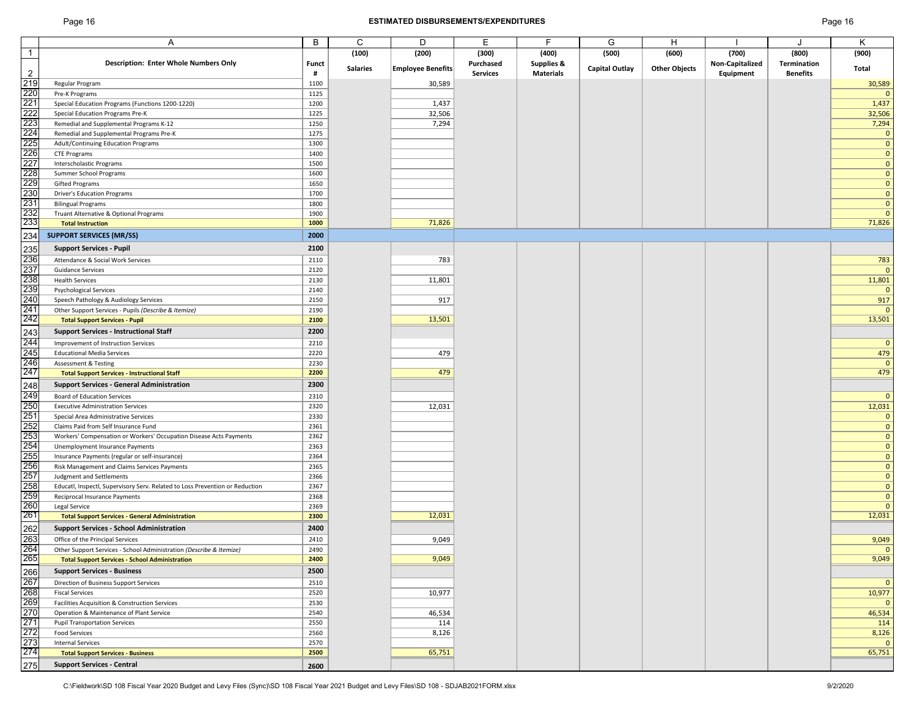#### Page 16 **ESTIMATED DISBURSEMENTS/EXPENDITURES** Page 16

|                                                      | Α                                                                            | B            | C               | D                        | Е               | F                | G                     | н                    |                 |                 | Κ                            |
|------------------------------------------------------|------------------------------------------------------------------------------|--------------|-----------------|--------------------------|-----------------|------------------|-----------------------|----------------------|-----------------|-----------------|------------------------------|
| $\overline{1}$                                       |                                                                              |              | (100)           | (200)                    | (300)           | (400)            | (500)                 | (600)                | (700)           | (800)           | (900)                        |
|                                                      | <b>Description: Enter Whole Numbers Only</b>                                 | <b>Funct</b> |                 |                          | Purchased       | Supplies &       |                       |                      | Non-Capitalized | Termination     |                              |
|                                                      |                                                                              | #            | <b>Salaries</b> | <b>Employee Benefits</b> | <b>Services</b> | <b>Materials</b> | <b>Capital Outlay</b> | <b>Other Objects</b> | Equipment       | <b>Benefits</b> | Total                        |
|                                                      | Regular Program                                                              | 1100         |                 | 30,589                   |                 |                  |                       |                      |                 |                 | 30,589                       |
|                                                      | Pre-K Programs                                                               | 1125         |                 |                          |                 |                  |                       |                      |                 |                 | $\mathbf{0}$                 |
|                                                      | Special Education Programs (Functions 1200-1220)                             | 1200         |                 | 1,437                    |                 |                  |                       |                      |                 |                 | 1,437                        |
|                                                      | Special Education Programs Pre-K                                             | 1225         |                 | 32,506                   |                 |                  |                       |                      |                 |                 | 32,506                       |
|                                                      |                                                                              | 1250         |                 | 7,294                    |                 |                  |                       |                      |                 |                 |                              |
|                                                      | Remedial and Supplemental Programs K-12                                      | 1275         |                 |                          |                 |                  |                       |                      |                 |                 | 7,294                        |
|                                                      | Remedial and Supplemental Programs Pre-K                                     | 1300         |                 |                          |                 |                  |                       |                      |                 |                 | $\mathbf{0}$<br>$\mathbf{0}$ |
|                                                      | Adult/Continuing Education Programs                                          |              |                 |                          |                 |                  |                       |                      |                 |                 |                              |
|                                                      | <b>CTE Programs</b>                                                          | 1400         |                 |                          |                 |                  |                       |                      |                 |                 | $\mathbf{0}$                 |
|                                                      | Interscholastic Programs                                                     | 1500         |                 |                          |                 |                  |                       |                      |                 |                 | $\mathbf{0}$                 |
|                                                      | Summer School Programs                                                       | 1600         |                 |                          |                 |                  |                       |                      |                 |                 | $\mathbf{0}$                 |
|                                                      | <b>Gifted Programs</b>                                                       | 1650         |                 |                          |                 |                  |                       |                      |                 |                 | $\mathbf{0}$                 |
|                                                      | <b>Driver's Education Programs</b>                                           | 1700         |                 |                          |                 |                  |                       |                      |                 |                 | $\mathbf{0}$                 |
|                                                      | <b>Bilingual Programs</b>                                                    | 1800         |                 |                          |                 |                  |                       |                      |                 |                 | $\mathbf{0}$                 |
|                                                      | Truant Alternative & Optional Programs                                       | 1900<br>1000 |                 | 71,826                   |                 |                  |                       |                      |                 |                 | $\mathbf{0}$<br>71,826       |
|                                                      | <b>Total Instruction</b>                                                     |              |                 |                          |                 |                  |                       |                      |                 |                 |                              |
|                                                      | <b>SUPPORT SERVICES (MR/SS)</b>                                              | 2000         |                 |                          |                 |                  |                       |                      |                 |                 |                              |
|                                                      | <b>Support Services - Pupil</b>                                              | 2100         |                 |                          |                 |                  |                       |                      |                 |                 |                              |
|                                                      | Attendance & Social Work Services                                            | 2110         |                 | 783                      |                 |                  |                       |                      |                 |                 | 783                          |
|                                                      | <b>Guidance Services</b>                                                     | 2120         |                 |                          |                 |                  |                       |                      |                 |                 | $\mathbf{0}$                 |
|                                                      | <b>Health Services</b>                                                       | 2130         |                 | 11,801                   |                 |                  |                       |                      |                 |                 | 11,801                       |
|                                                      | <b>Psychological Services</b>                                                | 2140         |                 |                          |                 |                  |                       |                      |                 |                 | $\mathbf{0}$                 |
|                                                      | Speech Pathology & Audiology Services                                        | 2150         |                 | 917                      |                 |                  |                       |                      |                 |                 | 917                          |
|                                                      | Other Support Services - Pupils (Describe & Itemize)                         | 2190         |                 |                          |                 |                  |                       |                      |                 |                 | $\mathbf{0}$                 |
|                                                      | <b>Total Support Services - Pupil</b>                                        | 2100         |                 | 13,501                   |                 |                  |                       |                      |                 |                 | 13,501                       |
|                                                      | <b>Support Services - Instructional Staff</b>                                | 2200         |                 |                          |                 |                  |                       |                      |                 |                 |                              |
|                                                      | Improvement of Instruction Services                                          | 2210         |                 |                          |                 |                  |                       |                      |                 |                 | $\mathbf{0}$                 |
|                                                      | <b>Educational Media Services</b>                                            | 2220         |                 | 479                      |                 |                  |                       |                      |                 |                 | 479                          |
|                                                      | <b>Assessment &amp; Testing</b>                                              | 2230         |                 |                          |                 |                  |                       |                      |                 |                 | $\mathbf{0}$                 |
|                                                      | <b>Total Support Services - Instructional Staff</b>                          | 2200         |                 | 479                      |                 |                  |                       |                      |                 |                 | 479                          |
|                                                      |                                                                              |              |                 |                          |                 |                  |                       |                      |                 |                 |                              |
|                                                      | <b>Support Services - General Administration</b>                             | 2300         |                 |                          |                 |                  |                       |                      |                 |                 |                              |
|                                                      | Board of Education Services                                                  | 2310         |                 |                          |                 |                  |                       |                      |                 |                 | $\mathbf{0}$                 |
|                                                      | <b>Executive Administration Services</b>                                     | 2320         |                 | 12,031                   |                 |                  |                       |                      |                 |                 | 12,031                       |
|                                                      | Special Area Administrative Services                                         | 2330         |                 |                          |                 |                  |                       |                      |                 |                 | $\mathbf{0}$                 |
|                                                      | Claims Paid from Self Insurance Fund                                         | 2361         |                 |                          |                 |                  |                       |                      |                 |                 | $\mathbf{0}$                 |
|                                                      | Workers' Compensation or Workers' Occupation Disease Acts Payments           | 2362         |                 |                          |                 |                  |                       |                      |                 |                 | $\mathbf{0}$                 |
|                                                      | Unemployment Insurance Payments                                              | 2363         |                 |                          |                 |                  |                       |                      |                 |                 | $\mathbf{0}$                 |
|                                                      | Insurance Payments (regular or self-insurance)                               | 2364         |                 |                          |                 |                  |                       |                      |                 |                 | $\mathbf{0}$                 |
|                                                      | Risk Management and Claims Services Payments                                 | 2365         |                 |                          |                 |                  |                       |                      |                 |                 | $\mathbf{0}$                 |
|                                                      | Judgment and Settlements                                                     | 2366         |                 |                          |                 |                  |                       |                      |                 |                 | $\mathbf{0}$                 |
|                                                      | Educatl, Inspectl, Supervisory Serv. Related to Loss Prevention or Reduction | 2367         |                 |                          |                 |                  |                       |                      |                 |                 | $\mathbf{0}$                 |
|                                                      | Reciprocal Insurance Payments                                                | 2368         |                 |                          |                 |                  |                       |                      |                 |                 | $\mathbf 0$                  |
|                                                      | Legal Service                                                                | 2369         |                 |                          |                 |                  |                       |                      |                 |                 | $\mathbf{0}$                 |
|                                                      | <b>Total Support Services - General Administration</b>                       | 2300         |                 | 12,031                   |                 |                  |                       |                      |                 |                 | 12,031                       |
|                                                      | <b>Support Services - School Administration</b>                              | 2400         |                 |                          |                 |                  |                       |                      |                 |                 |                              |
|                                                      | Office of the Principal Services                                             | 2410         |                 | 9,049                    |                 |                  |                       |                      |                 |                 | 9,049                        |
|                                                      | Other Support Services - School Administration (Describe & Itemize)          | 2490         |                 |                          |                 |                  |                       |                      |                 |                 | $\mathbf{0}$                 |
| 265<br>261<br>272<br>272<br>273<br>273<br>275<br>275 | <b>Total Support Services - School Administration</b>                        | 2400         |                 | 9,049                    |                 |                  |                       |                      |                 |                 | 9,049                        |
|                                                      | <b>Support Services - Business</b>                                           | 2500         |                 |                          |                 |                  |                       |                      |                 |                 |                              |
|                                                      | Direction of Business Support Services                                       | 2510         |                 |                          |                 |                  |                       |                      |                 |                 | $\mathbf 0$                  |
|                                                      | <b>Fiscal Services</b>                                                       | 2520         |                 | 10,977                   |                 |                  |                       |                      |                 |                 | 10,977                       |
|                                                      | Facilities Acquisition & Construction Services                               | 2530         |                 |                          |                 |                  |                       |                      |                 |                 | $\mathbf 0$                  |
|                                                      | Operation & Maintenance of Plant Service                                     | 2540         |                 | 46,534                   |                 |                  |                       |                      |                 |                 | 46,534                       |
|                                                      | <b>Pupil Transportation Services</b>                                         | 2550         |                 | 114                      |                 |                  |                       |                      |                 |                 | 114                          |
|                                                      | <b>Food Services</b>                                                         | 2560         |                 | 8,126                    |                 |                  |                       |                      |                 |                 | 8,126                        |
|                                                      | <b>Internal Services</b>                                                     | 2570         |                 |                          |                 |                  |                       |                      |                 |                 | $\mathbf{0}$                 |
|                                                      | <b>Total Support Services - Business</b>                                     | 2500         |                 | 65,751                   |                 |                  |                       |                      |                 |                 | 65,751                       |
|                                                      | <b>Support Services - Central</b>                                            | 2600         |                 |                          |                 |                  |                       |                      |                 |                 |                              |
|                                                      |                                                                              |              |                 |                          |                 |                  |                       |                      |                 |                 |                              |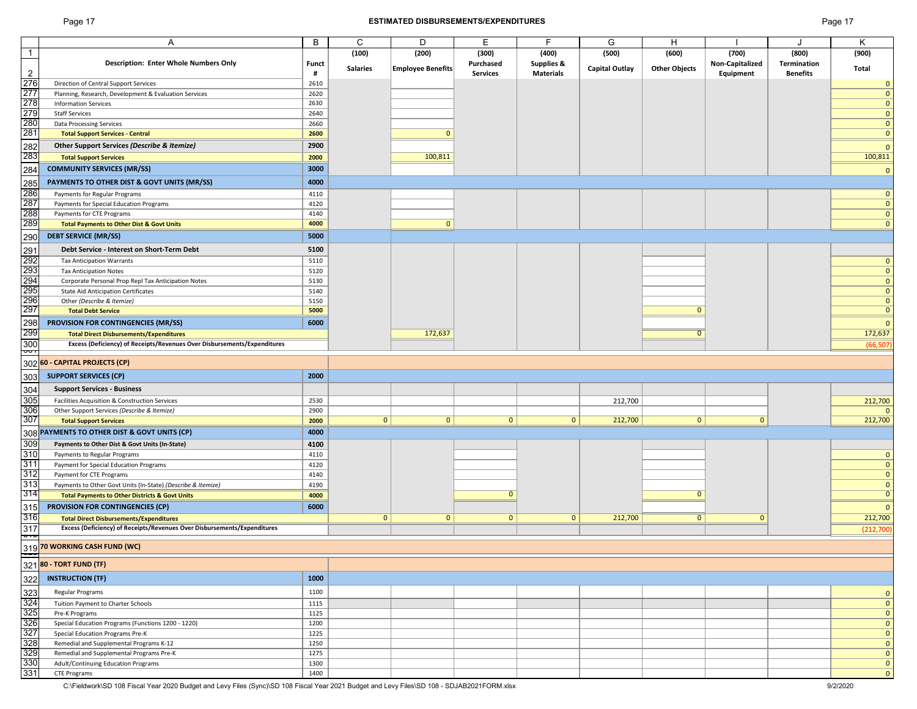#### Page 17 **ESTIMATED DISBURSEMENTS/EXPENDITURES** Page 17

|                | A                                                                        | B            | C               | D                        | Е               | F                     | G                     | н                    |                 | J               | Κ              |
|----------------|--------------------------------------------------------------------------|--------------|-----------------|--------------------------|-----------------|-----------------------|-----------------------|----------------------|-----------------|-----------------|----------------|
| $\mathbf{1}$   |                                                                          |              | (100)           | (200)                    | (300)           | (400)                 | (500)                 | (600)                | (700)           | (800)           | (900)          |
|                | <b>Description: Enter Whole Numbers Only</b>                             | <b>Funct</b> |                 |                          | Purchased       | <b>Supplies &amp;</b> |                       |                      | Non-Capitalized | Termination     |                |
| $\overline{c}$ |                                                                          | #            | <b>Salaries</b> | <b>Employee Benefits</b> | <b>Services</b> | <b>Materials</b>      | <b>Capital Outlay</b> | <b>Other Objects</b> | Equipment       | <b>Benefits</b> | <b>Total</b>   |
|                |                                                                          |              |                 |                          |                 |                       |                       |                      |                 |                 |                |
| 276            | Direction of Central Support Services                                    | 2610         |                 |                          |                 |                       |                       |                      |                 |                 | $\Omega$       |
| 277            | Planning, Research, Development & Evaluation Services                    | 2620         |                 |                          |                 |                       |                       |                      |                 |                 | $\Omega$       |
| 278            | <b>Information Services</b>                                              | 2630         |                 |                          |                 |                       |                       |                      |                 |                 | $\mathbf{0}$   |
| 279            | <b>Staff Services</b>                                                    | 2640         |                 |                          |                 |                       |                       |                      |                 |                 | $\mathbf{0}$   |
| 280            | <b>Data Processing Services</b>                                          | 2660         |                 |                          |                 |                       |                       |                      |                 |                 | $\Omega$       |
| 281            |                                                                          |              |                 | $\Omega$                 |                 |                       |                       |                      |                 |                 | $\Omega$       |
|                | <b>Total Support Services - Central</b>                                  | 2600         |                 |                          |                 |                       |                       |                      |                 |                 |                |
| 282            | Other Support Services (Describe & Itemize)                              | 2900         |                 |                          |                 |                       |                       |                      |                 |                 | C              |
| 283            | <b>Total Support Services</b>                                            | 2000         |                 | 100,811                  |                 |                       |                       |                      |                 |                 | 100,811        |
|                |                                                                          |              |                 |                          |                 |                       |                       |                      |                 |                 |                |
| 284            | <b>COMMUNITY SERVICES (MR/SS)</b>                                        | 3000         |                 |                          |                 |                       |                       |                      |                 |                 | $\Omega$       |
| 285            | PAYMENTS TO OTHER DIST & GOVT UNITS (MR/SS)                              | 4000         |                 |                          |                 |                       |                       |                      |                 |                 |                |
| 286            | Payments for Regular Programs                                            | 4110         |                 |                          |                 |                       |                       |                      |                 |                 | $\Omega$       |
| 287            |                                                                          |              |                 |                          |                 |                       |                       |                      |                 |                 |                |
|                | Payments for Special Education Programs                                  | 4120         |                 |                          |                 |                       |                       |                      |                 |                 | $\mathbf{0}$   |
| 288            | Payments for CTE Programs                                                | 4140         |                 |                          |                 |                       |                       |                      |                 |                 | $\Omega$       |
| 289            | <b>Total Payments to Other Dist &amp; Govt Units</b>                     | 4000         |                 | $\mathbf{0}$             |                 |                       |                       |                      |                 |                 | $\Omega$       |
| 290            | <b>DEBT SERVICE (MR/SS)</b>                                              | 5000         |                 |                          |                 |                       |                       |                      |                 |                 |                |
|                |                                                                          |              |                 |                          |                 |                       |                       |                      |                 |                 |                |
| 291            | Debt Service - Interest on Short-Term Debt                               | 5100         |                 |                          |                 |                       |                       |                      |                 |                 |                |
| 292            | <b>Tax Anticipation Warrants</b>                                         | 5110         |                 |                          |                 |                       |                       |                      |                 |                 | $\Omega$       |
| 293            | <b>Tax Anticipation Notes</b>                                            | 5120         |                 |                          |                 |                       |                       |                      |                 |                 | $\Omega$       |
| 294<br>295     | Corporate Personal Prop Repl Tax Anticipation Notes                      | 5130         |                 |                          |                 |                       |                       |                      |                 |                 | $\mathbf{0}$   |
|                |                                                                          |              |                 |                          |                 |                       |                       |                      |                 |                 | $\mathbf 0$    |
|                | <b>State Aid Anticipation Certificates</b>                               | 5140         |                 |                          |                 |                       |                       |                      |                 |                 |                |
| 296<br>297     | Other (Describe & Itemize)                                               | 5150         |                 |                          |                 |                       |                       |                      |                 |                 | $\mathbf{0}$   |
|                | <b>Total Debt Service</b>                                                | 5000         |                 |                          |                 |                       |                       | $\Omega$             |                 |                 | $\Omega$       |
| 298            | <b>PROVISION FOR CONTINGENCIES (MR/SS)</b>                               | 6000         |                 |                          |                 |                       |                       |                      |                 |                 | $\Omega$       |
| 299            | <b>Total Direct Disbursements/Expenditures</b>                           |              |                 | 172,637                  |                 |                       |                       | $\Omega$             |                 |                 | 172,637        |
|                |                                                                          |              |                 |                          |                 |                       |                       |                      |                 |                 |                |
| 300<br>þ       | Excess (Deficiency) of Receipts/Revenues Over Disbursements/Expenditures |              |                 |                          |                 |                       |                       |                      |                 |                 | (66, 507)      |
|                |                                                                          |              |                 |                          |                 |                       |                       |                      |                 |                 |                |
| 302            | 60 - CAPITAL PROJECTS (CP)                                               |              |                 |                          |                 |                       |                       |                      |                 |                 |                |
| 303            | <b>SUPPORT SERVICES (CP)</b>                                             | 2000         |                 |                          |                 |                       |                       |                      |                 |                 |                |
|                |                                                                          |              |                 |                          |                 |                       |                       |                      |                 |                 |                |
| 304            | <b>Support Services - Business</b>                                       |              |                 |                          |                 |                       |                       |                      |                 |                 |                |
| 305            | Facilities Acquisition & Construction Services                           | 2530         |                 |                          |                 |                       | 212,700               |                      |                 |                 | 212,700        |
| 306            | Other Support Services (Describe & Itemize)                              | 2900         |                 |                          |                 |                       |                       |                      |                 |                 |                |
| 307            | <b>Total Support Services</b>                                            | 2000         | $\overline{0}$  | 0                        | $\mathbf{0}$    | $\mathbf{0}$          | 212,700               | 0 <sup>1</sup>       | $\mathbf{0}$    |                 | 212,700        |
|                | PAYMENTS TO OTHER DIST & GOVT UNITS (CP)                                 | 4000         |                 |                          |                 |                       |                       |                      |                 |                 |                |
| 308            |                                                                          |              |                 |                          |                 |                       |                       |                      |                 |                 |                |
| 309            | Payments to Other Dist & Govt Units (In-State)                           | 4100         |                 |                          |                 |                       |                       |                      |                 |                 |                |
| 310            | Payments to Regular Programs                                             | 4110         |                 |                          |                 |                       |                       |                      |                 |                 | $\mathbf 0$    |
| 311            | Payment for Special Education Programs                                   | 4120         |                 |                          |                 |                       |                       |                      |                 |                 | $\mathbf{0}$   |
| 312            | Payment for CTE Programs                                                 | 4140         |                 |                          |                 |                       |                       |                      |                 |                 | $\mathbf 0$    |
| 313            |                                                                          | 4190         |                 |                          |                 |                       |                       |                      |                 |                 | $\mathbf 0$    |
| 314            | Payments to Other Govt Units (In-State) (Describe & Itemize)             |              |                 |                          | $\Omega$        |                       |                       | $\Omega$             |                 |                 | $\overline{0}$ |
|                | <b>Total Payments to Other Districts &amp; Govt Units</b>                | 4000         |                 |                          |                 |                       |                       |                      |                 |                 |                |
| 315            | <b>PROVISION FOR CONTINGENCIES (CP)</b>                                  | 6000         |                 |                          |                 |                       |                       |                      |                 |                 | $\Omega$       |
| 316            | <b>Total Direct Disbursements/Expenditures</b>                           |              | $\mathbf{0}$    | $\mathbf{0}$             | $\mathbf{0}$    | 0                     | 212,700               | 0                    | $\mathbf 0$     |                 | 212,700        |
| 317            | Excess (Deficiency) of Receipts/Revenues Over Disbursements/Expenditures |              |                 |                          |                 |                       |                       |                      |                 |                 | (212,700)      |
| Ŗ              |                                                                          |              |                 |                          |                 |                       |                       |                      |                 |                 |                |
|                | 319 70 WORKING CASH FUND (WC)                                            |              |                 |                          |                 |                       |                       |                      |                 |                 |                |
|                |                                                                          |              |                 |                          |                 |                       |                       |                      |                 |                 |                |
| 321            | 80 - TORT FUND (TF)                                                      |              |                 |                          |                 |                       |                       |                      |                 |                 |                |
|                |                                                                          |              |                 |                          |                 |                       |                       |                      |                 |                 |                |
| 322            | <b>INSTRUCTION (TF)</b>                                                  | 1000         |                 |                          |                 |                       |                       |                      |                 |                 |                |
| 323            | Regular Programs                                                         | 1100         |                 |                          |                 |                       |                       |                      |                 |                 | $\Omega$       |
| 324            |                                                                          |              |                 |                          |                 |                       |                       |                      |                 |                 |                |
|                | Tuition Payment to Charter Schools                                       | 1115         |                 |                          |                 |                       |                       |                      |                 |                 | $\mathbf{0}$   |
| 325            | Pre-K Programs                                                           | 1125         |                 |                          |                 |                       |                       |                      |                 |                 | $\mathbf 0$    |
| 326            | Special Education Programs (Functions 1200 - 1220)                       | 1200         |                 |                          |                 |                       |                       |                      |                 |                 | $\Omega$       |
| 327            | Special Education Programs Pre-K                                         | 1225         |                 |                          |                 |                       |                       |                      |                 |                 | $\mathbf{0}$   |
| 328            | Remedial and Supplemental Programs K-12                                  | 1250         |                 |                          |                 |                       |                       |                      |                 |                 | $\mathbf{0}$   |
| 329            | Remedial and Supplemental Programs Pre-K                                 | 1275         |                 |                          |                 |                       |                       |                      |                 |                 | $\mathbf{0}$   |
| 330            |                                                                          |              |                 |                          |                 |                       |                       |                      |                 |                 |                |
|                | Adult/Continuing Education Programs                                      | 1300         |                 |                          |                 |                       |                       |                      |                 |                 | $\mathbf{0}$   |
| 331            | <b>CTE Programs</b>                                                      | 1400         |                 |                          |                 |                       |                       |                      |                 |                 | $\mathbf 0$    |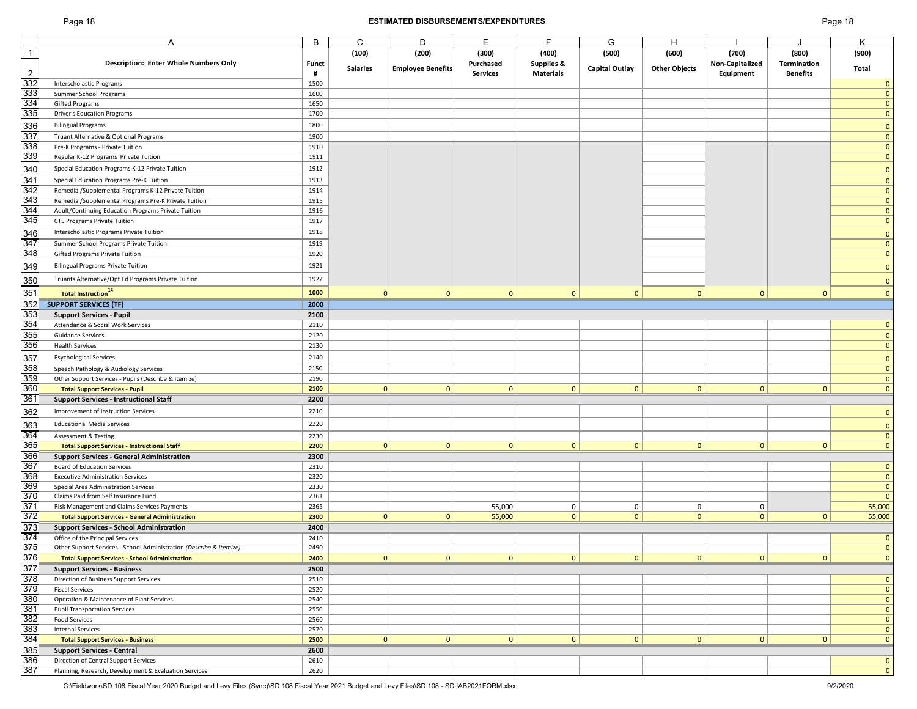#### Page 18 **ESTIMATED DISBURSEMENTS/EXPENDITURES** Page 18

| age " |  | 8 |
|-------|--|---|
|-------|--|---|

|                | Α                                                                   | B            | C               | D                 | E               | F                | G                     | н                    |                 |                    | Κ            |
|----------------|---------------------------------------------------------------------|--------------|-----------------|-------------------|-----------------|------------------|-----------------------|----------------------|-----------------|--------------------|--------------|
| $\mathbf{1}$   |                                                                     |              | (100)           | (200)             | (300)           | (400)            | (500)                 | (600)                | (700)           | (800)              | (900)        |
|                | <b>Description: Enter Whole Numbers Only</b>                        | <b>Funct</b> | <b>Salaries</b> | Employee Benefits | Purchased       | Supplies &       | <b>Capital Outlay</b> | <b>Other Objects</b> | Non-Capitalized | <b>Termination</b> | Total        |
| $\overline{2}$ |                                                                     | #            |                 |                   | <b>Services</b> | <b>Materials</b> |                       |                      | Equipment       | <b>Benefits</b>    |              |
| 332            | Interscholastic Programs                                            | 1500         |                 |                   |                 |                  |                       |                      |                 |                    | $\mathbf 0$  |
| 333            | Summer School Programs                                              | 1600         |                 |                   |                 |                  |                       |                      |                 |                    | $\mathbf{0}$ |
| 334            | <b>Gifted Programs</b>                                              | 1650         |                 |                   |                 |                  |                       |                      |                 |                    | $\mathbf{0}$ |
| 335            | <b>Driver's Education Programs</b>                                  | 1700         |                 |                   |                 |                  |                       |                      |                 |                    | $\mathbf{0}$ |
|                |                                                                     | 1800         |                 |                   |                 |                  |                       |                      |                 |                    |              |
| 336            | <b>Bilingual Programs</b>                                           |              |                 |                   |                 |                  |                       |                      |                 |                    | $\mathbf{0}$ |
| 337            | Truant Alternative & Optional Programs                              | 1900         |                 |                   |                 |                  |                       |                      |                 |                    | $\mathbf{0}$ |
| 338            | Pre-K Programs - Private Tuition                                    | 1910         |                 |                   |                 |                  |                       |                      |                 |                    | $\mathbf{0}$ |
| 339            | Regular K-12 Programs Private Tuition                               | 1911         |                 |                   |                 |                  |                       |                      |                 |                    | $\mathbf{0}$ |
| 340            | Special Education Programs K-12 Private Tuition                     | 1912         |                 |                   |                 |                  |                       |                      |                 |                    | $\mathbf{0}$ |
| 341            | Special Education Programs Pre-K Tuition                            | 1913         |                 |                   |                 |                  |                       |                      |                 |                    | $\mathbf{0}$ |
| 342            | Remedial/Supplemental Programs K-12 Private Tuition                 | 1914         |                 |                   |                 |                  |                       |                      |                 |                    | $\mathbf{0}$ |
| 343            |                                                                     |              |                 |                   |                 |                  |                       |                      |                 |                    | $\mathbf{0}$ |
|                | Remedial/Supplemental Programs Pre-K Private Tuition                | 1915         |                 |                   |                 |                  |                       |                      |                 |                    |              |
| 344            | Adult/Continuing Education Programs Private Tuition                 | 1916         |                 |                   |                 |                  |                       |                      |                 |                    | $\mathbf{0}$ |
| 345            | <b>CTE Programs Private Tuition</b>                                 | 1917         |                 |                   |                 |                  |                       |                      |                 |                    | $\mathbf 0$  |
| 346            | Interscholastic Programs Private Tuition                            | 1918         |                 |                   |                 |                  |                       |                      |                 |                    | $\mathbf{0}$ |
| 347            | Summer School Programs Private Tuition                              | 1919         |                 |                   |                 |                  |                       |                      |                 |                    | $\mathbf{0}$ |
| 348            | Gifted Programs Private Tuition                                     | 1920         |                 |                   |                 |                  |                       |                      |                 |                    | $\mathbf{0}$ |
| 349            | <b>Bilingual Programs Private Tuition</b>                           | 1921         |                 |                   |                 |                  |                       |                      |                 |                    |              |
|                |                                                                     |              |                 |                   |                 |                  |                       |                      |                 |                    | $\mathbf{0}$ |
| 350            | Truants Alternative/Opt Ed Programs Private Tuition                 | 1922         |                 |                   |                 |                  |                       |                      |                 |                    | $\mathbf{0}$ |
| 351            | <b>Total Instruction</b> <sup>14</sup>                              | 1000         | $\mathbf{0}$    | $\mathbf{0}$      | $\mathbf{0}$    | $\mathbf{0}$     | $\mathbf{0}$          | $\mathbf{0}$         | $\mathbf{0}$    | $\mathbf{0}$       | $\mathbf{0}$ |
| 352            |                                                                     |              |                 |                   |                 |                  |                       |                      |                 |                    |              |
|                | <b>SUPPORT SERVICES (TF)</b>                                        | 2000         |                 |                   |                 |                  |                       |                      |                 |                    |              |
| 353            | <b>Support Services - Pupil</b>                                     | 2100         |                 |                   |                 |                  |                       |                      |                 |                    |              |
| 354            | Attendance & Social Work Services                                   | 2110         |                 |                   |                 |                  |                       |                      |                 |                    | $\mathbf{0}$ |
| 355            | <b>Guidance Services</b>                                            | 2120         |                 |                   |                 |                  |                       |                      |                 |                    | $\mathbf{0}$ |
| 356            | <b>Health Services</b>                                              | 2130         |                 |                   |                 |                  |                       |                      |                 |                    | $\mathbf 0$  |
| 357            | <b>Psychological Services</b>                                       | 2140         |                 |                   |                 |                  |                       |                      |                 |                    | $\mathbf{0}$ |
| 358            | Speech Pathology & Audiology Services                               | 2150         |                 |                   |                 |                  |                       |                      |                 |                    | $\mathbf{0}$ |
| 359            | Other Support Services - Pupils (Describe & Itemize)                | 2190         |                 |                   |                 |                  |                       |                      |                 |                    | $\mathbf{0}$ |
| 360            |                                                                     | 2100         | 0               | $\overline{0}$    | 0               | $\mathbf{0}$     | $\overline{0}$        | 0                    | $\mathbf{0}$    | $\mathbf{0}$       | $\mathbf{0}$ |
|                | <b>Total Support Services - Pupil</b>                               |              |                 |                   |                 |                  |                       |                      |                 |                    |              |
| 361            | <b>Support Services - Instructional Staff</b>                       | 2200         |                 |                   |                 |                  |                       |                      |                 |                    |              |
| 362            | Improvement of Instruction Services                                 | 2210         |                 |                   |                 |                  |                       |                      |                 |                    | $\mathbf{0}$ |
| 363            | <b>Educational Media Services</b>                                   | 2220         |                 |                   |                 |                  |                       |                      |                 |                    | $\mathbf{0}$ |
| 364            | <b>Assessment &amp; Testing</b>                                     | 2230         |                 |                   |                 |                  |                       |                      |                 |                    | $\mathbf{0}$ |
| 365            | <b>Total Support Services - Instructional Staff</b>                 | 2200         | $\mathbf{0}$    | $\mathbf{0}$      | $\mathbf{0}$    | $\mathbf{0}$     | $\overline{0}$        | 0                    | $\mathbf{0}$    | $\mathbf{0}$       | $\mathbf{0}$ |
|                |                                                                     |              |                 |                   |                 |                  |                       |                      |                 |                    |              |
| 366            | <b>Support Services - General Administration</b>                    | 2300         |                 |                   |                 |                  |                       |                      |                 |                    |              |
| 367            | <b>Board of Education Services</b>                                  | 2310         |                 |                   |                 |                  |                       |                      |                 |                    | $\mathbf{0}$ |
| 368            | <b>Executive Administration Services</b>                            | 2320         |                 |                   |                 |                  |                       |                      |                 |                    | $\mathbf{0}$ |
| 369            | Special Area Administration Services                                | 2330         |                 |                   |                 |                  |                       |                      |                 |                    | $\mathbf{0}$ |
| 370            | Claims Paid from Self Insurance Fund                                | 2361         |                 |                   |                 |                  |                       |                      |                 |                    | $\mathbf{0}$ |
| 371            | Risk Management and Claims Services Payments                        | 2365         |                 |                   | 55,000          | 0                | $\overline{0}$        | $\mathbf 0$          | 0               |                    | 55,000       |
| 372            | <b>Total Support Services - General Administration</b>              | 2300         | 0               | 0                 | 55,000          | $\mathbf 0$      | 0                     | 0                    | $\mathbf{0}$    | 0                  | 55,000       |
| 373            | <b>Support Services - School Administration</b>                     | 2400         |                 |                   |                 |                  |                       |                      |                 |                    |              |
| 374            | Office of the Principal Services                                    | 2410         |                 |                   |                 |                  |                       |                      |                 |                    | $\mathbf{0}$ |
| 375            | Other Support Services - School Administration (Describe & Itemize) | 2490         |                 |                   |                 |                  |                       |                      |                 |                    | $\mathbf{0}$ |
| 376            | <b>Total Support Services - School Administration</b>               | 2400         | 0               | 0                 | 0               | $\mathbf{0}$     | 0                     | 0                    | 0               | 0                  | $\mathbf 0$  |
| 377            | <b>Support Services - Business</b>                                  | 2500         |                 |                   |                 |                  |                       |                      |                 |                    |              |
| 378            | Direction of Business Support Services                              | 2510         |                 |                   |                 |                  |                       |                      |                 |                    | $\mathbf{0}$ |
| 379            |                                                                     |              |                 |                   |                 |                  |                       |                      |                 |                    |              |
|                | <b>Fiscal Services</b>                                              | 2520         |                 |                   |                 |                  |                       |                      |                 |                    | $\mathbf{0}$ |
| 380            | Operation & Maintenance of Plant Services                           | 2540         |                 |                   |                 |                  |                       |                      |                 |                    | $\mathbf 0$  |
| 381            | <b>Pupil Transportation Services</b>                                | 2550         |                 |                   |                 |                  |                       |                      |                 |                    | $\mathbf{0}$ |
| 382            | <b>Food Services</b>                                                | 2560         |                 |                   |                 |                  |                       |                      |                 |                    | $\mathbf{0}$ |
| 383            | <b>Internal Services</b>                                            | 2570         |                 |                   |                 |                  |                       |                      |                 |                    | $\mathbf{0}$ |
| 384            | <b>Total Support Services - Business</b>                            | 2500         | 0               | 0                 | 0               | $\mathbf{0}$     | 0                     | 0                    | $\mathbf{0}$    | $\mathbf{0}$       | $\mathbf{0}$ |
| 385            | <b>Support Services - Central</b>                                   | 2600         |                 |                   |                 |                  |                       |                      |                 |                    |              |
| 386            | Direction of Central Support Services                               | 2610         |                 |                   |                 |                  |                       |                      |                 |                    | $\mathbf 0$  |
| 387            | Planning, Research, Development & Evaluation Services               | 2620         |                 |                   |                 |                  |                       |                      |                 |                    | $\mathbf{0}$ |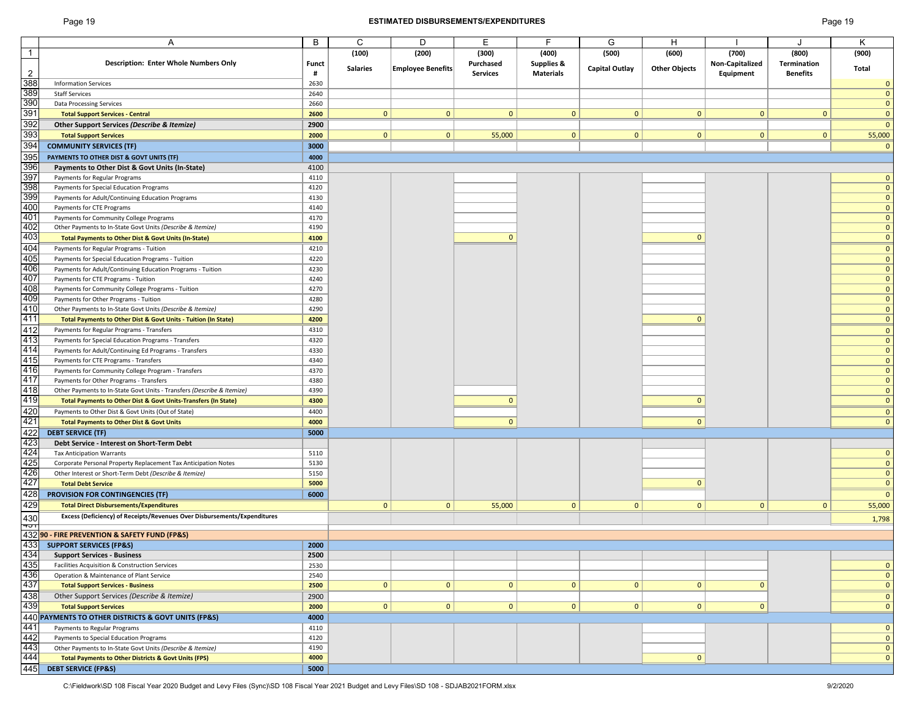#### Page 19 **ESTIMATED DISBURSEMENTS/EXPENDITURES** Page 19

|                                        | A                                                                                            | B            | C               | D                        | E               | F                | G                     | Н                    |                 |                 | K            |
|----------------------------------------|----------------------------------------------------------------------------------------------|--------------|-----------------|--------------------------|-----------------|------------------|-----------------------|----------------------|-----------------|-----------------|--------------|
| $\overline{1}$                         |                                                                                              |              | (100)           | (200)                    | (300)           | (400)            | (500)                 | (600)                | (700)           | (800)           | (900)        |
|                                        | <b>Description: Enter Whole Numbers Only</b>                                                 | <b>Funct</b> |                 |                          | Purchased       | Supplies &       |                       |                      | Non-Capitalized | Termination     |              |
|                                        |                                                                                              |              | <b>Salaries</b> | <b>Employee Benefits</b> |                 |                  | <b>Capital Outlay</b> | <b>Other Objects</b> |                 |                 | Total        |
| $\overline{2}$                         |                                                                                              | #            |                 |                          | <b>Services</b> | <b>Materials</b> |                       |                      | Equipment       | <b>Benefits</b> |              |
| 388                                    | <b>Information Services</b>                                                                  | 2630         |                 |                          |                 |                  |                       |                      |                 |                 | $\mathbf 0$  |
| 389                                    | <b>Staff Services</b>                                                                        | 2640         |                 |                          |                 |                  |                       |                      |                 |                 | $\mathbf{0}$ |
|                                        | <b>Data Processing Services</b>                                                              | 2660         |                 |                          |                 |                  |                       |                      |                 |                 |              |
| 390<br>391                             |                                                                                              |              |                 |                          |                 |                  |                       |                      |                 |                 | $\mathbf{0}$ |
|                                        | <b>Total Support Services - Central</b>                                                      | 2600         | $\mathbf{0}$    | $\mathbf{0}$             | $\mathbf{0}$    | $\mathbf{0}$     | $\mathbf{0}$          | $\mathbf{0}$         | $\mathbf{0}$    | $\mathbf{0}$    | $\mathbf{0}$ |
|                                        | Other Support Services (Describe & Itemize)                                                  | 2900         |                 |                          |                 |                  |                       |                      |                 |                 | $\mathbf{0}$ |
| 392<br>393<br>394                      |                                                                                              | 2000         | $\mathbf{0}$    | $\mathbf{0}$             |                 | $\mathbf{0}$     | $\mathbf{0}$          | $\mathbf{0}$         | $\mathbf{0}$    | $\mathbf{0}$    |              |
|                                        | <b>Total Support Services</b>                                                                |              |                 |                          | 55,000          |                  |                       |                      |                 |                 | 55,000       |
|                                        | <b>COMMUNITY SERVICES (TF)</b>                                                               | 3000         |                 |                          |                 |                  |                       |                      |                 |                 | $\mathbf 0$  |
| 395                                    | PAYMENTS TO OTHER DIST & GOVT UNITS (TF)                                                     | 4000         |                 |                          |                 |                  |                       |                      |                 |                 |              |
|                                        |                                                                                              |              |                 |                          |                 |                  |                       |                      |                 |                 |              |
| 396                                    | Payments to Other Dist & Govt Units (In-State)                                               | 4100         |                 |                          |                 |                  |                       |                      |                 |                 |              |
| 397                                    | Payments for Regular Programs                                                                | 4110         |                 |                          |                 |                  |                       |                      |                 |                 | $\mathbf{0}$ |
| $\frac{398}{399}$                      | Payments for Special Education Programs                                                      | 4120         |                 |                          |                 |                  |                       |                      |                 |                 | $\mathbf{0}$ |
|                                        | Payments for Adult/Continuing Education Programs                                             | 4130         |                 |                          |                 |                  |                       |                      |                 |                 | $\mathbf{0}$ |
| 400                                    |                                                                                              |              |                 |                          |                 |                  |                       |                      |                 |                 |              |
|                                        | Payments for CTE Programs                                                                    | 4140         |                 |                          |                 |                  |                       |                      |                 |                 | $\mathbf{0}$ |
| 401                                    | Payments for Community College Programs                                                      | 4170         |                 |                          |                 |                  |                       |                      |                 |                 | $\mathbf{0}$ |
| 402<br>403                             | Other Payments to In-State Govt Units (Describe & Itemize)                                   | 4190         |                 |                          |                 |                  |                       |                      |                 |                 | $\mathbf{0}$ |
|                                        |                                                                                              | 4100         |                 |                          | $\mathbf{0}$    |                  |                       | $\mathbf{0}$         |                 |                 | $\mathbf{0}$ |
|                                        | Total Payments to Other Dist & Govt Units (In-State)                                         |              |                 |                          |                 |                  |                       |                      |                 |                 |              |
| 404                                    | Payments for Regular Programs - Tuition                                                      | 4210         |                 |                          |                 |                  |                       |                      |                 |                 | $\mathbf{0}$ |
| 405                                    | Payments for Special Education Programs - Tuition                                            | 4220         |                 |                          |                 |                  |                       |                      |                 |                 | $\mathbf{0}$ |
| 406                                    | Payments for Adult/Continuing Education Programs - Tuition                                   | 4230         |                 |                          |                 |                  |                       |                      |                 |                 | $\mathbf{0}$ |
|                                        |                                                                                              |              |                 |                          |                 |                  |                       |                      |                 |                 |              |
| 407                                    | Payments for CTE Programs - Tuition                                                          | 4240         |                 |                          |                 |                  |                       |                      |                 |                 | $\mathbf{0}$ |
| 408                                    | Payments for Community College Programs - Tuition                                            | 4270         |                 |                          |                 |                  |                       |                      |                 |                 | $\mathbf{0}$ |
| 409                                    | Payments for Other Programs - Tuition                                                        | 4280         |                 |                          |                 |                  |                       |                      |                 |                 | $\mathbf{0}$ |
| 410                                    | Other Payments to In-State Govt Units (Describe & Itemize)                                   |              |                 |                          |                 |                  |                       |                      |                 |                 | $\mathbf{0}$ |
|                                        |                                                                                              | 4290         |                 |                          |                 |                  |                       |                      |                 |                 |              |
| 411                                    | Total Payments to Other Dist & Govt Units - Tuition (In State)                               | 4200         |                 |                          |                 |                  |                       | $\Omega$             |                 |                 | $\mathbf{0}$ |
| 412                                    | Payments for Regular Programs - Transfers                                                    | 4310         |                 |                          |                 |                  |                       |                      |                 |                 | $\mathbf{0}$ |
| 413                                    |                                                                                              | 4320         |                 |                          |                 |                  |                       |                      |                 |                 | $\mathbf{0}$ |
|                                        | Payments for Special Education Programs - Transfers                                          |              |                 |                          |                 |                  |                       |                      |                 |                 |              |
| 414                                    | Payments for Adult/Continuing Ed Programs - Transfers                                        | 4330         |                 |                          |                 |                  |                       |                      |                 |                 | $\mathbf{0}$ |
| 415                                    | Payments for CTE Programs - Transfers                                                        | 4340         |                 |                          |                 |                  |                       |                      |                 |                 | $\mathbf{0}$ |
| 416                                    | Payments for Community College Program - Transfers                                           | 4370         |                 |                          |                 |                  |                       |                      |                 |                 | $\mathbf{0}$ |
|                                        |                                                                                              |              |                 |                          |                 |                  |                       |                      |                 |                 |              |
| 417                                    | Payments for Other Programs - Transfers                                                      | 4380         |                 |                          |                 |                  |                       |                      |                 |                 | $\mathbf{0}$ |
| 418                                    | Other Payments to In-State Govt Units - Transfers (Describe & Itemize)                       | 4390         |                 |                          |                 |                  |                       |                      |                 |                 | $\mathbf{0}$ |
| 419                                    | Total Payments to Other Dist & Govt Units-Transfers (In State)                               | 4300         |                 |                          | $\mathbf{0}$    |                  |                       | $\mathbf{0}$         |                 |                 | $\mathbf{0}$ |
|                                        |                                                                                              |              |                 |                          |                 |                  |                       |                      |                 |                 |              |
| 420<br>421                             | Payments to Other Dist & Govt Units (Out of State)                                           | 4400         |                 |                          |                 |                  |                       |                      |                 |                 | $\mathbf{0}$ |
|                                        | <b>Total Payments to Other Dist &amp; Govt Units</b>                                         | 4000         |                 |                          | $\mathbf{0}$    |                  |                       | $\mathbf{0}$         |                 |                 | $\mathbf{0}$ |
| 422                                    | <b>DEBT SERVICE (TF)</b>                                                                     | 5000         |                 |                          |                 |                  |                       |                      |                 |                 |              |
|                                        |                                                                                              |              |                 |                          |                 |                  |                       |                      |                 |                 |              |
| 423<br>424                             | Debt Service - Interest on Short-Term Debt                                                   |              |                 |                          |                 |                  |                       |                      |                 |                 |              |
|                                        | <b>Tax Anticipation Warrants</b>                                                             | 5110         |                 |                          |                 |                  |                       |                      |                 |                 | $\mathbf{0}$ |
| 425                                    | Corporate Personal Property Replacement Tax Anticipation Notes                               | 5130         |                 |                          |                 |                  |                       |                      |                 |                 | $\mathbf{0}$ |
| 426                                    | Other Interest or Short-Term Debt (Describe & Itemize)                                       | 5150         |                 |                          |                 |                  |                       |                      |                 |                 | $\mathbf{0}$ |
| 427                                    |                                                                                              |              |                 |                          |                 |                  |                       | $\mathbf{0}$         |                 |                 | $\mathbf 0$  |
|                                        | <b>Total Debt Service</b>                                                                    | 5000         |                 |                          |                 |                  |                       |                      |                 |                 |              |
| 428                                    | <b>PROVISION FOR CONTINGENCIES (TF)</b>                                                      | 6000         |                 |                          |                 |                  |                       |                      |                 |                 | $\mathbf{0}$ |
| 429                                    | <b>Total Direct Disbursements/Expenditures</b>                                               |              | $\mathbf{0}$    | $\mathbf{0}$             | 55,000          | $\mathbf{0}$     | $\mathbf{0}$          | $\mathbf{0}$         | $\mathbf{0}$    | $\mathbf{0}$    | 55,000       |
|                                        |                                                                                              |              |                 |                          |                 |                  |                       |                      |                 |                 |              |
| 430                                    | Excess (Deficiency) of Receipts/Revenues Over Disbursements/Expenditures                     |              |                 |                          |                 |                  |                       |                      |                 |                 | 1,798        |
|                                        | ा उत्तर<br>  प्रजन<br>  432 <mark>  90 - FIRE PREVENTION &amp; SAFETY FUND (FP&amp;S)</mark> |              |                 |                          |                 |                  |                       |                      |                 |                 |              |
|                                        |                                                                                              |              |                 |                          |                 |                  |                       |                      |                 |                 |              |
| 433                                    | <b>SUPPORT SERVICES (FP&amp;S)</b>                                                           | 2000         |                 |                          |                 |                  |                       |                      |                 |                 |              |
| 434                                    |                                                                                              |              |                 |                          |                 |                  |                       |                      |                 |                 |              |
|                                        | <b>Support Services - Business</b>                                                           | 2500         |                 |                          |                 |                  |                       |                      |                 |                 |              |
| 435                                    | Facilities Acquisition & Construction Services                                               | 2530         |                 |                          |                 |                  |                       |                      |                 |                 | $\mathbf{0}$ |
| 436<br>437                             | Operation & Maintenance of Plant Service                                                     | 2540         |                 |                          |                 |                  |                       |                      |                 |                 | $\mathbf{0}$ |
|                                        | <b>Total Support Services - Business</b>                                                     | 2500         | $\mathbf 0$     | $\mathbf{0}$             | $\mathbf{0}$    | 0                | $\mathbf{0}$          | $\mathbf{0}$         | $\mathbf 0$     |                 | $\mathbf{0}$ |
|                                        |                                                                                              |              |                 |                          |                 |                  |                       |                      |                 |                 |              |
|                                        | Other Support Services (Describe & Itemize)                                                  | 2900         |                 |                          |                 |                  |                       |                      |                 |                 | $\mathbf{0}$ |
| 438<br>439                             | <b>Total Support Services</b>                                                                | 2000         | $\mathbf{0}$    | $\mathbf{0}$             | 0               | $\mathbf{0}$     | $\mathbf{0}$          | $\mathbf{0}$         | $\mathbf{0}$    |                 | $\mathbf 0$  |
|                                        | 440 PAYMENTS TO OTHER DISTRICTS & GOVT UNITS (FP&S)                                          | 4000         |                 |                          |                 |                  |                       |                      |                 |                 |              |
|                                        |                                                                                              |              |                 |                          |                 |                  |                       |                      |                 |                 |              |
| 441                                    | Payments to Regular Programs                                                                 | 4110         |                 |                          |                 |                  |                       |                      |                 |                 | $\mathbf{0}$ |
| $\frac{442}{443}$<br>$\frac{443}{445}$ | Payments to Special Education Programs                                                       | 4120         |                 |                          |                 |                  |                       |                      |                 |                 | $\mathbf 0$  |
|                                        | Other Payments to In-State Govt Units (Describe & Itemize)                                   | 4190         |                 |                          |                 |                  |                       |                      |                 |                 | $\mathbf{0}$ |
|                                        |                                                                                              | 4000         |                 |                          |                 |                  |                       |                      |                 |                 |              |
|                                        | <b>Total Payments to Other Districts &amp; Govt Units (FPS)</b>                              |              |                 |                          |                 |                  |                       | $\mathbf{0}$         |                 |                 | $\mathbf{0}$ |
|                                        | <b>DEBT SERVICE (FP&amp;S)</b>                                                               | 5000         |                 |                          |                 |                  |                       |                      |                 |                 |              |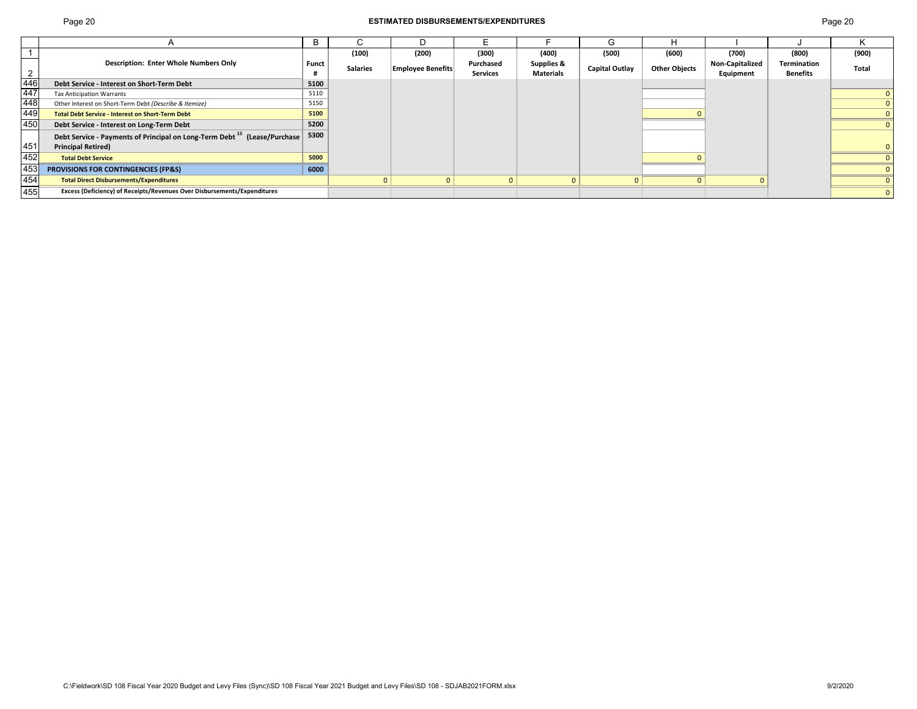г

| Page 20 | <b>ESTIMATED DISBURSEMENTS/EXPENDITURES</b> |       | Page 20 |       |       |       |      |       |              |
|---------|---------------------------------------------|-------|---------|-------|-------|-------|------|-------|--------------|
|         |                                             |       |         |       |       |       |      |       |              |
|         | (100)                                       | (200) | (300)   | (400) | (500) | (600) | (700 | (800) | 1000<br>เวบบ |

|                                                                                          |                                                                                      | в     |          |                          |           |                  | $\mathsf{L}$   | н                    |                        |             |       |
|------------------------------------------------------------------------------------------|--------------------------------------------------------------------------------------|-------|----------|--------------------------|-----------|------------------|----------------|----------------------|------------------------|-------------|-------|
|                                                                                          |                                                                                      |       | (100)    | (200)                    | (300)     | (400)            | (500)          | (600)                | (700)                  | (800)       | (900) |
|                                                                                          | <b>Description: Enter Whole Numbers Only</b>                                         | Funct | Salaries | <b>Employee Benefits</b> | Purchased | Supplies &       | Capital Outlay | <b>Other Objects</b> | <b>Non-Capitalized</b> | Termination | Total |
|                                                                                          |                                                                                      |       |          |                          | Services  | <b>Materials</b> |                |                      | Equipment              | Benefits    |       |
|                                                                                          | Debt Service - Interest on Short-Term Debt                                           | 5100  |          |                          |           |                  |                |                      |                        |             |       |
|                                                                                          | <b>Tax Anticipation Warrants</b>                                                     | 5110  |          |                          |           |                  |                |                      |                        |             |       |
|                                                                                          | Other Interest on Short-Term Debt (Describe & Itemize)                               | 5150  |          |                          |           |                  |                |                      |                        |             |       |
| $\begin{array}{r} 2 \\ \hline 446 \\ \hline 447 \\ \hline 448 \\ \hline 449 \end{array}$ | <b>Total Debt Service - Interest on Short-Term Debt</b>                              | 5100  |          |                          |           |                  |                |                      |                        |             |       |
| 450                                                                                      | Debt Service - Interest on Long-Term Debt                                            | 5200  |          |                          |           |                  |                |                      |                        |             |       |
|                                                                                          | Debt Service - Payments of Principal on Long-Term Debt <sup>15</sup> (Lease/Purchase | 5300  |          |                          |           |                  |                |                      |                        |             |       |
| 451                                                                                      | <b>Principal Retired)</b>                                                            |       |          |                          |           |                  |                |                      |                        |             |       |
| 452                                                                                      | <b>Total Debt Service</b>                                                            | 5000  |          |                          |           |                  |                |                      |                        |             |       |
| 453                                                                                      | PROVISIONS FOR CONTINGENCIES (FP&S)                                                  | 6000  |          |                          |           |                  |                |                      |                        |             |       |
| $\overline{454}$                                                                         | <b>Total Direct Disbursements/Expenditures</b>                                       |       |          |                          |           |                  |                |                      |                        |             |       |
| 455                                                                                      | Excess (Deficiency) of Receipts/Revenues Over Disbursements/Expenditures             |       |          |                          |           |                  |                |                      |                        |             |       |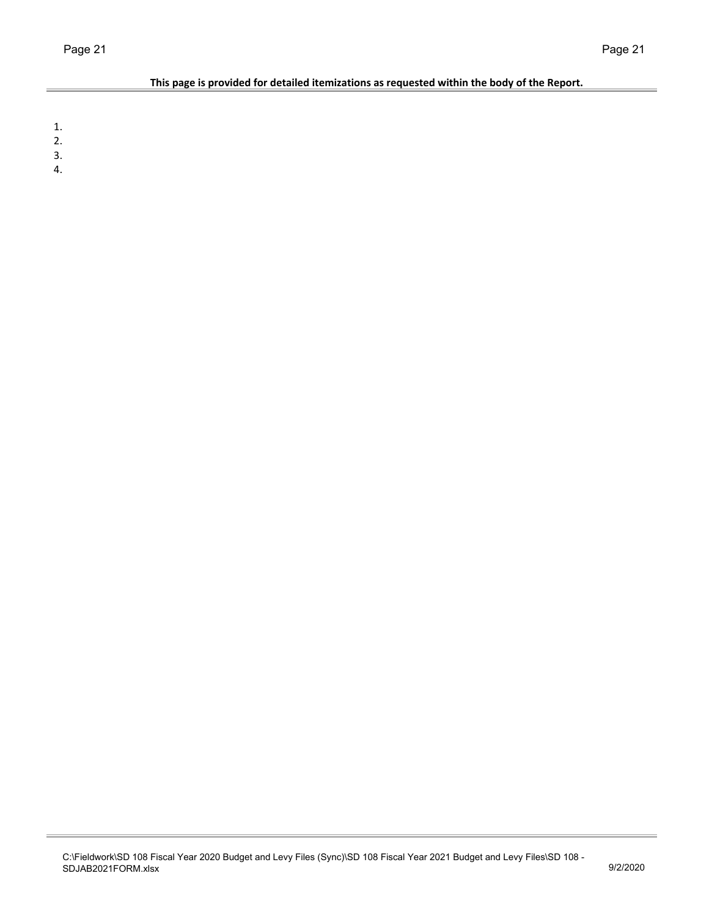### **This page is provided for detailed itemizations as requested within the body of the Report.**

1.

2.

3.

4.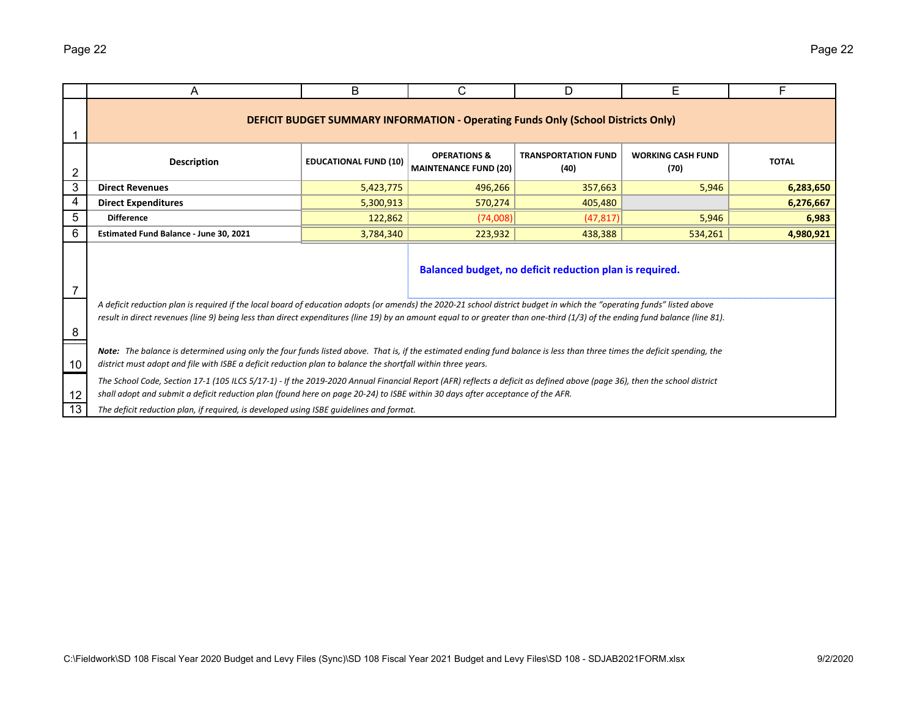|    | A                                                                                                                                                                                                                                                                                                                                                      | B                            | C                                                                                        | D                                  | E                                | F            |  |  |  |  |
|----|--------------------------------------------------------------------------------------------------------------------------------------------------------------------------------------------------------------------------------------------------------------------------------------------------------------------------------------------------------|------------------------------|------------------------------------------------------------------------------------------|------------------------------------|----------------------------------|--------------|--|--|--|--|
|    |                                                                                                                                                                                                                                                                                                                                                        |                              | <b>DEFICIT BUDGET SUMMARY INFORMATION - Operating Funds Only (School Districts Only)</b> |                                    |                                  |              |  |  |  |  |
| 2  | <b>Description</b>                                                                                                                                                                                                                                                                                                                                     | <b>EDUCATIONAL FUND (10)</b> | <b>OPERATIONS &amp;</b><br><b>MAINTENANCE FUND (20)</b>                                  | <b>TRANSPORTATION FUND</b><br>(40) | <b>WORKING CASH FUND</b><br>(70) | <b>TOTAL</b> |  |  |  |  |
| 3  | <b>Direct Revenues</b>                                                                                                                                                                                                                                                                                                                                 | 5,423,775                    | 496,266                                                                                  | 357,663                            | 5,946                            | 6,283,650    |  |  |  |  |
| 4  | <b>Direct Expenditures</b>                                                                                                                                                                                                                                                                                                                             | 5,300,913                    | 570,274                                                                                  | 405,480                            |                                  | 6,276,667    |  |  |  |  |
| 5  | <b>Difference</b>                                                                                                                                                                                                                                                                                                                                      | 122,862                      | (74,008)                                                                                 | (47, 817)                          | 5,946                            | 6,983        |  |  |  |  |
| 6  | Estimated Fund Balance - June 30, 2021                                                                                                                                                                                                                                                                                                                 | 3,784,340                    | 223,932                                                                                  | 438,388                            | 534,261                          | 4,980,921    |  |  |  |  |
| 7  | Balanced budget, no deficit reduction plan is required.                                                                                                                                                                                                                                                                                                |                              |                                                                                          |                                    |                                  |              |  |  |  |  |
| 8  | A deficit reduction plan is required if the local board of education adopts (or amends) the 2020-21 school district budget in which the "operating funds" listed above<br>result in direct revenues (line 9) being less than direct expenditures (line 19) by an amount equal to or greater than one-third (1/3) of the ending fund balance (line 81). |                              |                                                                                          |                                    |                                  |              |  |  |  |  |
| 10 | Note: The balance is determined using only the four funds listed above. That is, if the estimated ending fund balance is less than three times the deficit spending, the<br>district must adopt and file with ISBE a deficit reduction plan to balance the shortfall within three years.                                                               |                              |                                                                                          |                                    |                                  |              |  |  |  |  |
| 12 | The School Code, Section 17-1 (105 ILCS 5/17-1) - If the 2019-2020 Annual Financial Report (AFR) reflects a deficit as defined above (page 36), then the school district<br>shall adopt and submit a deficit reduction plan (found here on page 20-24) to ISBE within 30 days after acceptance of the AFR.                                             |                              |                                                                                          |                                    |                                  |              |  |  |  |  |
| 13 | The deficit reduction plan, if required, is developed using ISBE quidelines and format.                                                                                                                                                                                                                                                                |                              |                                                                                          |                                    |                                  |              |  |  |  |  |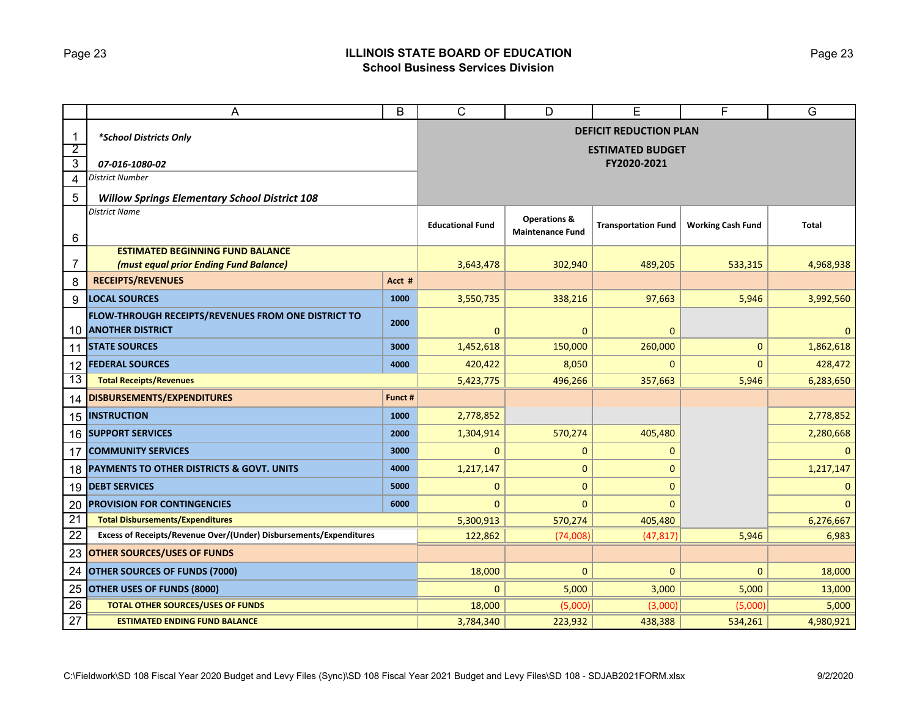### Page 23 **ILLINOIS STATE BOARD OF EDUCATION School Business Services Division**

|                 | A                                                                              | B         | C                       | D                                                  | Е                             | F                        | G            |  |  |  |  |
|-----------------|--------------------------------------------------------------------------------|-----------|-------------------------|----------------------------------------------------|-------------------------------|--------------------------|--------------|--|--|--|--|
| $\mathbf 1$     | *School Districts Only                                                         |           |                         |                                                    | <b>DEFICIT REDUCTION PLAN</b> |                          |              |  |  |  |  |
| $\overline{2}$  |                                                                                |           |                         |                                                    | <b>ESTIMATED BUDGET</b>       |                          |              |  |  |  |  |
| $\overline{3}$  | 07-016-1080-02                                                                 |           |                         | FY2020-2021                                        |                               |                          |              |  |  |  |  |
| $\overline{4}$  | <b>District Number</b>                                                         |           |                         |                                                    |                               |                          |              |  |  |  |  |
| 5               | <b>Willow Springs Elementary School District 108</b>                           |           |                         |                                                    |                               |                          |              |  |  |  |  |
| 6               | <b>District Name</b>                                                           |           | <b>Educational Fund</b> | <b>Operations &amp;</b><br><b>Maintenance Fund</b> | <b>Transportation Fund</b>    | <b>Working Cash Fund</b> | Total        |  |  |  |  |
|                 | <b>ESTIMATED BEGINNING FUND BALANCE</b>                                        |           |                         |                                                    |                               |                          |              |  |  |  |  |
| 7               | (must equal prior Ending Fund Balance)                                         |           | 3,643,478               | 302,940                                            | 489,205                       | 533,315                  | 4,968,938    |  |  |  |  |
| 8               | <b>RECEIPTS/REVENUES</b>                                                       | Acct #    |                         |                                                    |                               |                          |              |  |  |  |  |
| 9               | <b>LOCAL SOURCES</b>                                                           | 1000      | 3,550,735               | 338,216                                            | 97,663                        | 5,946                    | 3,992,560    |  |  |  |  |
| 10              | FLOW-THROUGH RECEIPTS/REVENUES FROM ONE DISTRICT TO<br><b>ANOTHER DISTRICT</b> | 2000      | 0                       | $\mathbf 0$                                        | $\mathbf{0}$                  |                          | $\mathbf{0}$ |  |  |  |  |
| 11              | <b>STATE SOURCES</b>                                                           | 3000      | 1,452,618               | 150,000                                            | 260,000                       | 0                        | 1,862,618    |  |  |  |  |
| 12              | <b>FEDERAL SOURCES</b>                                                         | 4000      | 420,422                 | 8,050                                              | 0                             | $\mathbf{0}$             | 428,472      |  |  |  |  |
| 13              | <b>Total Receipts/Revenues</b>                                                 |           | 5,423,775               | 496,266                                            | 357,663                       | 5,946                    | 6,283,650    |  |  |  |  |
| 14              | DISBURSEMENTS/EXPENDITURES                                                     | Funct #   |                         |                                                    |                               |                          |              |  |  |  |  |
| 15              | <b>INSTRUCTION</b>                                                             | 1000      | 2,778,852               |                                                    |                               |                          | 2,778,852    |  |  |  |  |
|                 | <b>16 SUPPORT SERVICES</b>                                                     | 2000      | 1,304,914               | 570,274                                            | 405,480                       |                          | 2,280,668    |  |  |  |  |
| 17              | <b>COMMUNITY SERVICES</b>                                                      | 3000      | $\mathbf{0}$            | $\mathbf{0}$                                       | $\Omega$                      |                          | $\Omega$     |  |  |  |  |
|                 | 18 PAYMENTS TO OTHER DISTRICTS & GOVT. UNITS                                   | 4000      | 1,217,147               | $\mathbf{0}$                                       | 0                             |                          | 1,217,147    |  |  |  |  |
| 19              | <b>DEBT SERVICES</b>                                                           | 5000      | 0                       | $\mathbf 0$                                        | $\overline{0}$                |                          | $\mathbf 0$  |  |  |  |  |
| 20              | <b>PROVISION FOR CONTINGENCIES</b>                                             | 6000      | 0                       | $\mathbf{0}$                                       | $\overline{0}$                |                          | $\Omega$     |  |  |  |  |
| $\overline{21}$ | <b>Total Disbursements/Expenditures</b>                                        |           | 5,300,913               | 570,274                                            | 405,480                       |                          | 6,276,667    |  |  |  |  |
| 22              | Excess of Receipts/Revenue Over/(Under) Disbursements/Expenditures             |           | 122,862                 | (74,008)                                           | (47, 817)                     | 5,946                    | 6,983        |  |  |  |  |
| 23              | <b>OTHER SOURCES/USES OF FUNDS</b>                                             |           |                         |                                                    |                               |                          |              |  |  |  |  |
| 24              | <b>OTHER SOURCES OF FUNDS (7000)</b>                                           |           | 18,000                  | $\mathbf{0}$                                       | 0                             | $\mathbf{0}$             | 18,000       |  |  |  |  |
| 25              | <b>OTHER USES OF FUNDS (8000)</b>                                              | 0         | 5,000                   | 3,000                                              | 5,000                         | 13,000                   |              |  |  |  |  |
| 26              | <b>TOTAL OTHER SOURCES/USES OF FUNDS</b>                                       | 18,000    | (5,000)                 | (3,000)                                            | (5,000)                       | 5,000                    |              |  |  |  |  |
| 27              | <b>ESTIMATED ENDING FUND BALANCE</b>                                           | 3,784,340 | 223,932                 | 438,388                                            | 534,261                       | 4,980,921                |              |  |  |  |  |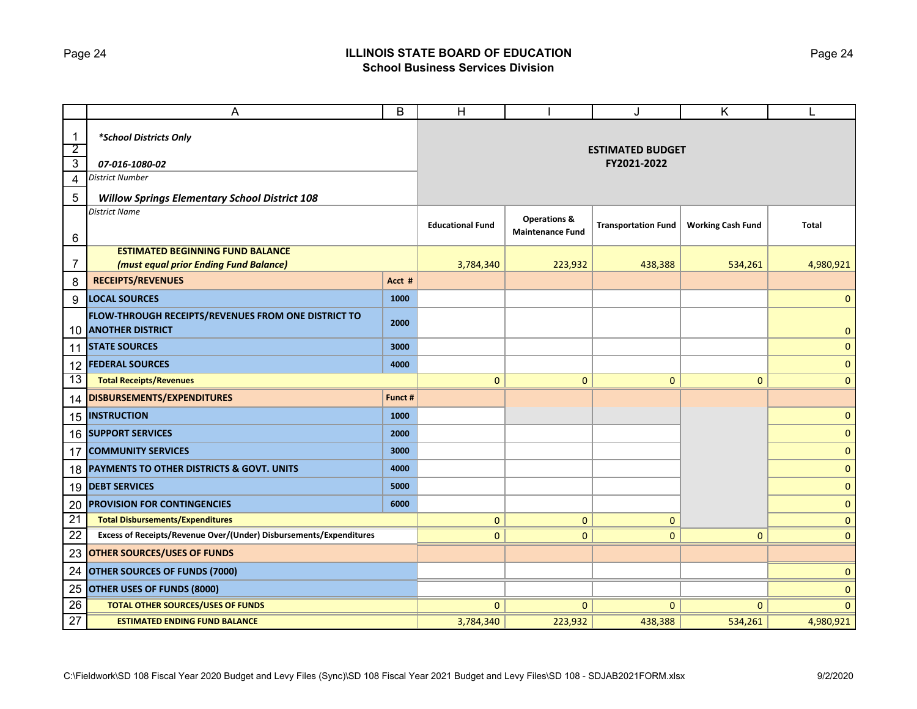### Page 24 **ILLINOIS STATE BOARD OF EDUCATION School Business Services Division**

|                         | A                                                                              | В       | Н                       |                                                    | J                          | Κ                        | L            |  |  |  |  |
|-------------------------|--------------------------------------------------------------------------------|---------|-------------------------|----------------------------------------------------|----------------------------|--------------------------|--------------|--|--|--|--|
| $\mathbf{1}$            | *School Districts Only                                                         |         |                         |                                                    |                            |                          |              |  |  |  |  |
| $\overline{2}$          |                                                                                |         | <b>ESTIMATED BUDGET</b> |                                                    |                            |                          |              |  |  |  |  |
| $\overline{3}$          | 07-016-1080-02                                                                 |         |                         | FY2021-2022                                        |                            |                          |              |  |  |  |  |
| $\overline{\mathbf{4}}$ | <b>District Number</b>                                                         |         |                         |                                                    |                            |                          |              |  |  |  |  |
| 5                       | <b>Willow Springs Elementary School District 108</b>                           |         |                         |                                                    |                            |                          |              |  |  |  |  |
| 6                       | <b>District Name</b>                                                           |         | <b>Educational Fund</b> | <b>Operations &amp;</b><br><b>Maintenance Fund</b> | <b>Transportation Fund</b> | <b>Working Cash Fund</b> | <b>Total</b> |  |  |  |  |
|                         | <b>ESTIMATED BEGINNING FUND BALANCE</b>                                        |         |                         |                                                    |                            |                          |              |  |  |  |  |
| $\overline{7}$          | (must equal prior Ending Fund Balance)                                         |         | 3,784,340               | 223,932                                            | 438,388                    | 534,261                  | 4,980,921    |  |  |  |  |
| 8                       | <b>RECEIPTS/REVENUES</b>                                                       | Acct #  |                         |                                                    |                            |                          |              |  |  |  |  |
| 9                       | <b>LOCAL SOURCES</b>                                                           | 1000    |                         |                                                    |                            |                          | $\mathbf{0}$ |  |  |  |  |
| 10                      | FLOW-THROUGH RECEIPTS/REVENUES FROM ONE DISTRICT TO<br><b>ANOTHER DISTRICT</b> | 2000    |                         |                                                    |                            |                          | $\mathbf{0}$ |  |  |  |  |
|                         | 11 STATE SOURCES                                                               | 3000    |                         |                                                    |                            |                          | $\mathbf{0}$ |  |  |  |  |
|                         | 12 <b>FEDERAL SOURCES</b>                                                      | 4000    |                         |                                                    |                            |                          | $\mathbf 0$  |  |  |  |  |
| 13                      | <b>Total Receipts/Revenues</b>                                                 |         | $\mathbf{0}$            | $\mathbf{0}$                                       | $\mathbf{0}$               | $\mathbf{0}$             | $\mathbf{0}$ |  |  |  |  |
| 14                      | DISBURSEMENTS/EXPENDITURES                                                     | Funct # |                         |                                                    |                            |                          |              |  |  |  |  |
|                         | <b>15 INSTRUCTION</b>                                                          | 1000    |                         |                                                    |                            |                          | $\mathbf{0}$ |  |  |  |  |
|                         | <b>16 SUPPORT SERVICES</b>                                                     | 2000    |                         |                                                    |                            |                          | $\mathbf 0$  |  |  |  |  |
| 17                      | <b>COMMUNITY SERVICES</b>                                                      | 3000    |                         |                                                    |                            |                          | $\mathbf 0$  |  |  |  |  |
| 18                      | PAYMENTS TO OTHER DISTRICTS & GOVT. UNITS                                      | 4000    |                         |                                                    |                            |                          | $\mathbf 0$  |  |  |  |  |
|                         | 19 DEBT SERVICES                                                               | 5000    |                         |                                                    |                            |                          | $\mathbf 0$  |  |  |  |  |
| 20                      | <b>PROVISION FOR CONTINGENCIES</b>                                             | 6000    |                         |                                                    |                            |                          | $\mathbf{0}$ |  |  |  |  |
| $\overline{21}$         | <b>Total Disbursements/Expenditures</b>                                        |         | 0                       | 0                                                  | 0                          |                          | $\mathbf 0$  |  |  |  |  |
| 22                      | Excess of Receipts/Revenue Over/(Under) Disbursements/Expenditures             |         | $\mathbf{0}$            | $\mathbf 0$                                        | $\mathbf{0}$               | $\mathbf{0}$             | $\mathbf{0}$ |  |  |  |  |
| 23                      | <b>OTHER SOURCES/USES OF FUNDS</b>                                             |         |                         |                                                    |                            |                          |              |  |  |  |  |
| 24                      | OTHER SOURCES OF FUNDS (7000)                                                  |         |                         |                                                    |                            | 0                        |              |  |  |  |  |
| 25                      | <b>OTHER USES OF FUNDS (8000)</b>                                              |         |                         |                                                    |                            | $\mathbf 0$              |              |  |  |  |  |
| 26                      | <b>TOTAL OTHER SOURCES/USES OF FUNDS</b>                                       |         | $\mathbf{0}$            | $\mathbf{0}$                                       | $\mathbf{0}$               | $\Omega$                 | $\mathbf{0}$ |  |  |  |  |
| 27                      | <b>ESTIMATED ENDING FUND BALANCE</b>                                           |         | 3,784,340               | 223,932                                            | 438,388                    | 534,261                  | 4,980,921    |  |  |  |  |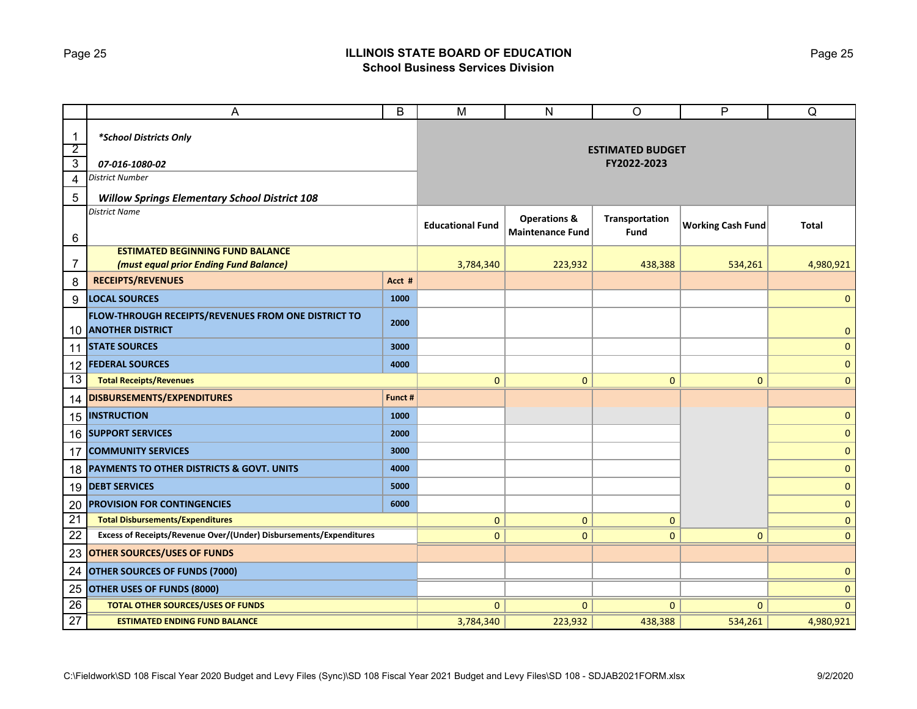### Page 25 **ILLINOIS STATE BOARD OF EDUCATION School Business Services Division**

|                                | A                                                                              | B       | M                       | ${\sf N}$                                          | $\circ$                | P                        | Q            |  |  |  |
|--------------------------------|--------------------------------------------------------------------------------|---------|-------------------------|----------------------------------------------------|------------------------|--------------------------|--------------|--|--|--|
| $\mathbf{1}$<br>$\overline{2}$ | *School Districts Only                                                         |         | <b>ESTIMATED BUDGET</b> |                                                    |                        |                          |              |  |  |  |
| $\overline{3}$                 | 07-016-1080-02                                                                 |         |                         |                                                    | FY2022-2023            |                          |              |  |  |  |
| 4                              | District Number                                                                |         |                         |                                                    |                        |                          |              |  |  |  |
| 5                              | <b>Willow Springs Elementary School District 108</b>                           |         |                         |                                                    |                        |                          |              |  |  |  |
| 6                              | <b>District Name</b>                                                           |         | <b>Educational Fund</b> | <b>Operations &amp;</b><br><b>Maintenance Fund</b> | Transportation<br>Fund | <b>Working Cash Fund</b> | <b>Total</b> |  |  |  |
|                                | <b>ESTIMATED BEGINNING FUND BALANCE</b>                                        |         |                         |                                                    |                        |                          |              |  |  |  |
| 7                              | (must equal prior Ending Fund Balance)                                         |         | 3,784,340               | 223,932                                            | 438,388                | 534,261                  | 4,980,921    |  |  |  |
| 8                              | <b>RECEIPTS/REVENUES</b>                                                       | Acct #  |                         |                                                    |                        |                          |              |  |  |  |
| 9                              | <b>LOCAL SOURCES</b>                                                           | 1000    |                         |                                                    |                        |                          | $\mathbf 0$  |  |  |  |
| 10                             | FLOW-THROUGH RECEIPTS/REVENUES FROM ONE DISTRICT TO<br><b>ANOTHER DISTRICT</b> | 2000    |                         |                                                    |                        |                          | $\mathbf{0}$ |  |  |  |
| 11                             | <b>STATE SOURCES</b>                                                           | 3000    |                         |                                                    |                        |                          | $\mathbf{0}$ |  |  |  |
| 12                             | <b>FEDERAL SOURCES</b>                                                         | 4000    |                         |                                                    |                        |                          | $\mathbf{0}$ |  |  |  |
| 13                             | <b>Total Receipts/Revenues</b>                                                 |         | $\mathbf{0}$            | $\mathbf{0}$                                       | $\mathbf 0$            | $\mathbf{0}$             | $\mathbf{0}$ |  |  |  |
| 14                             | DISBURSEMENTS/EXPENDITURES                                                     | Funct # |                         |                                                    |                        |                          |              |  |  |  |
|                                | 15 INSTRUCTION                                                                 | 1000    |                         |                                                    |                        |                          | $\mathbf 0$  |  |  |  |
|                                | 16 SUPPORT SERVICES                                                            | 2000    |                         |                                                    |                        |                          | $\mathbf{0}$ |  |  |  |
| 17                             | <b>COMMUNITY SERVICES</b>                                                      | 3000    |                         |                                                    |                        |                          | $\mathbf 0$  |  |  |  |
|                                | 18 PAYMENTS TO OTHER DISTRICTS & GOVT. UNITS                                   | 4000    |                         |                                                    |                        |                          | $\mathbf 0$  |  |  |  |
|                                | 19 DEBT SERVICES                                                               | 5000    |                         |                                                    |                        |                          | $\mathbf{0}$ |  |  |  |
| 20                             | <b>PROVISION FOR CONTINGENCIES</b>                                             | 6000    |                         |                                                    |                        |                          | $\mathbf 0$  |  |  |  |
| $\overline{21}$                | <b>Total Disbursements/Expenditures</b>                                        |         | $\mathbf{0}$            | $\mathbf{0}$                                       | 0                      |                          | $\mathbf 0$  |  |  |  |
| 22                             | Excess of Receipts/Revenue Over/(Under) Disbursements/Expenditures             |         | $\mathbf{0}$            | $\mathbf{0}$                                       | $\mathbf{0}$           | $\Omega$                 | $\mathbf{0}$ |  |  |  |
| 23                             | <b>OTHER SOURCES/USES OF FUNDS</b>                                             |         |                         |                                                    |                        |                          |              |  |  |  |
| 24                             | <b>OTHER SOURCES OF FUNDS (7000)</b>                                           |         |                         |                                                    |                        |                          | $\mathbf 0$  |  |  |  |
| 25                             | <b>OTHER USES OF FUNDS (8000)</b>                                              |         |                         |                                                    |                        |                          | $\mathbf 0$  |  |  |  |
| 26                             | <b>TOTAL OTHER SOURCES/USES OF FUNDS</b>                                       |         | $\mathbf{0}$            | $\mathbf{0}$                                       | $\mathbf{0}$           | $\Omega$                 | $\mathbf{0}$ |  |  |  |
| 27                             | <b>ESTIMATED ENDING FUND BALANCE</b>                                           |         | 3,784,340               | 223,932                                            | 438,388                | 534,261                  | 4,980,921    |  |  |  |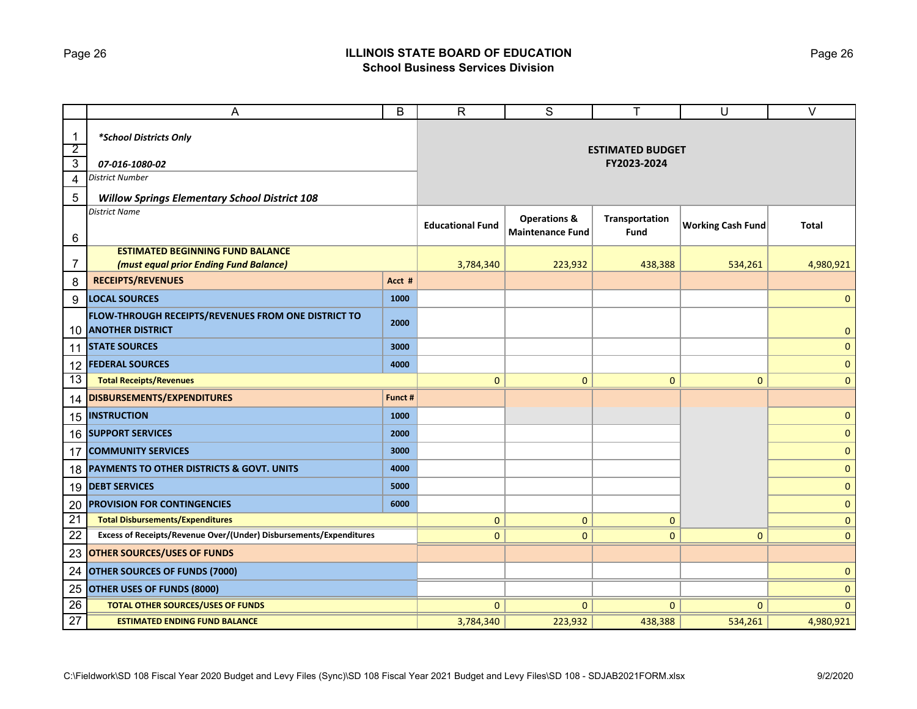### Page 26 **ILLINOIS STATE BOARD OF EDUCATION School Business Services Division**

|                                | A                                                                              | B                       | $\overline{R}$                                     | S                      | T                        | $\cup$       | $\overline{\vee}$ |  |  |  |
|--------------------------------|--------------------------------------------------------------------------------|-------------------------|----------------------------------------------------|------------------------|--------------------------|--------------|-------------------|--|--|--|
| $\mathbf{1}$<br>$\overline{2}$ | *School Districts Only                                                         |                         | <b>ESTIMATED BUDGET</b>                            |                        |                          |              |                   |  |  |  |
| $\overline{3}$                 | 07-016-1080-02                                                                 |                         |                                                    | FY2023-2024            |                          |              |                   |  |  |  |
| $\overline{4}$                 | District Number                                                                |                         |                                                    |                        |                          |              |                   |  |  |  |
| 5                              | <b>Willow Springs Elementary School District 108</b>                           |                         |                                                    |                        |                          |              |                   |  |  |  |
| 6                              | <b>District Name</b>                                                           | <b>Educational Fund</b> | <b>Operations &amp;</b><br><b>Maintenance Fund</b> | Transportation<br>Fund | <b>Working Cash Fund</b> | <b>Total</b> |                   |  |  |  |
|                                | <b>ESTIMATED BEGINNING FUND BALANCE</b>                                        |                         |                                                    |                        |                          |              |                   |  |  |  |
| 7                              | (must equal prior Ending Fund Balance)                                         |                         | 3,784,340                                          | 223,932                | 438,388                  | 534,261      | 4,980,921         |  |  |  |
| 8                              | <b>RECEIPTS/REVENUES</b>                                                       | Acct #                  |                                                    |                        |                          |              |                   |  |  |  |
| 9                              | <b>LOCAL SOURCES</b>                                                           | 1000                    |                                                    |                        |                          |              | $\mathbf 0$       |  |  |  |
| 10                             | FLOW-THROUGH RECEIPTS/REVENUES FROM ONE DISTRICT TO<br><b>ANOTHER DISTRICT</b> | 2000                    |                                                    |                        |                          |              | $\mathbf{0}$      |  |  |  |
| 11                             | <b>STATE SOURCES</b>                                                           | 3000                    |                                                    |                        |                          |              | $\mathbf 0$       |  |  |  |
|                                | 12 <b>FEDERAL SOURCES</b>                                                      | 4000                    |                                                    |                        |                          |              | $\mathbf 0$       |  |  |  |
| 13                             | <b>Total Receipts/Revenues</b>                                                 |                         | $\mathbf{0}$                                       | $\mathbf{0}$           | $\mathbf{0}$             | $\mathbf{0}$ | $\mathbf{0}$      |  |  |  |
| 14                             | DISBURSEMENTS/EXPENDITURES                                                     | Funct #                 |                                                    |                        |                          |              |                   |  |  |  |
|                                | <b>15 INSTRUCTION</b>                                                          | 1000                    |                                                    |                        |                          |              | $\mathbf{0}$      |  |  |  |
|                                | 16 SUPPORT SERVICES                                                            | 2000                    |                                                    |                        |                          |              | $\mathbf 0$       |  |  |  |
| 17                             | <b>COMMUNITY SERVICES</b>                                                      | 3000                    |                                                    |                        |                          |              | $\pmb{0}$         |  |  |  |
| 18                             | <b>PAYMENTS TO OTHER DISTRICTS &amp; GOVT. UNITS</b>                           | 4000                    |                                                    |                        |                          |              | $\mathbf 0$       |  |  |  |
|                                | 19 DEBT SERVICES                                                               | 5000                    |                                                    |                        |                          |              | $\mathbf 0$       |  |  |  |
| 20                             | <b>PROVISION FOR CONTINGENCIES</b>                                             | 6000                    |                                                    |                        |                          |              | $\mathbf 0$       |  |  |  |
| 21                             | <b>Total Disbursements/Expenditures</b>                                        |                         | $\mathbf{0}$                                       | $\mathbf 0$            | $\mathbf{0}$             |              | $\mathbf 0$       |  |  |  |
| 22                             | Excess of Receipts/Revenue Over/(Under) Disbursements/Expenditures             |                         | $\mathbf{0}$                                       | $\mathbf{0}$           | $\mathbf{0}$             | $\mathbf{0}$ | $\mathbf{0}$      |  |  |  |
| 23                             | <b>OTHER SOURCES/USES OF FUNDS</b>                                             |                         |                                                    |                        |                          |              |                   |  |  |  |
| 24                             | OTHER SOURCES OF FUNDS (7000)                                                  |                         |                                                    |                        |                          | $\mathbf{0}$ |                   |  |  |  |
| 25                             | OTHER USES OF FUNDS (8000)                                                     |                         |                                                    |                        |                          | $\mathbf 0$  |                   |  |  |  |
| 26                             | <b>TOTAL OTHER SOURCES/USES OF FUNDS</b>                                       | $\mathbf{0}$            | $\mathbf{0}$                                       | $\mathbf{0}$           | $\Omega$                 | $\mathbf{0}$ |                   |  |  |  |
| 27                             | <b>ESTIMATED ENDING FUND BALANCE</b>                                           | 3,784,340               | 223,932                                            | 438,388                | 534,261                  | 4,980,921    |                   |  |  |  |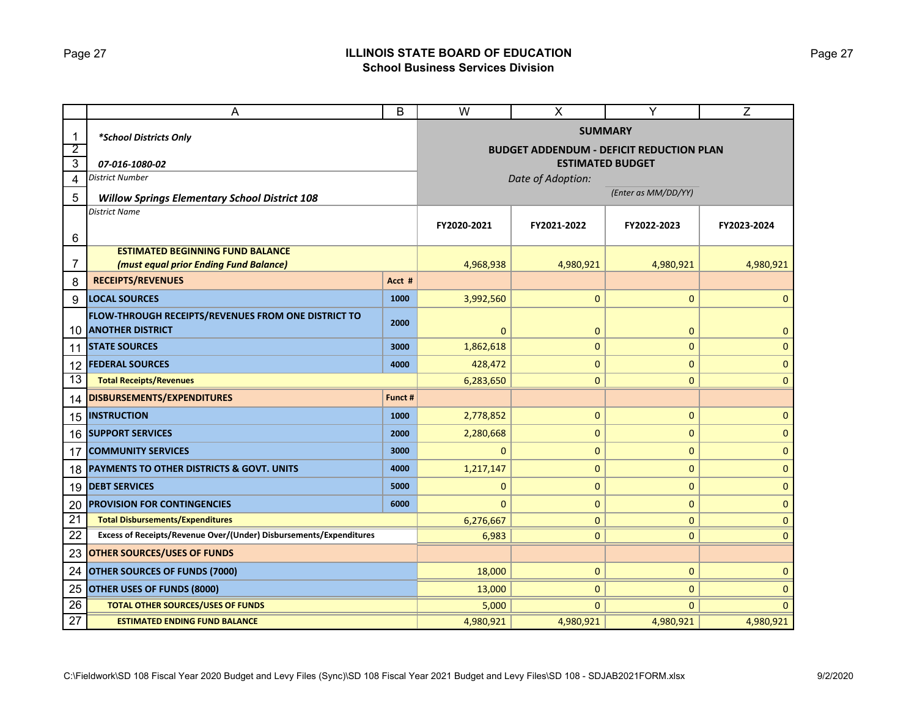### Page 27 **ILLINOIS STATE BOARD OF EDUCATION School Business Services Division**

|                 | В<br>A                                                             |           | $\overline{\mathsf{W}}$ | $\pmb{\times}$    | Y                                               | $\overline{Z}$ |  |  |  |  |
|-----------------|--------------------------------------------------------------------|-----------|-------------------------|-------------------|-------------------------------------------------|----------------|--|--|--|--|
| $\mathbf{1}$    | *School Districts Only                                             |           | <b>SUMMARY</b>          |                   |                                                 |                |  |  |  |  |
| $\overline{2}$  |                                                                    |           |                         |                   | <b>BUDGET ADDENDUM - DEFICIT REDUCTION PLAN</b> |                |  |  |  |  |
| 3               | 07-016-1080-02                                                     |           | <b>ESTIMATED BUDGET</b> |                   |                                                 |                |  |  |  |  |
| 4               | <b>District Number</b>                                             |           |                         | Date of Adoption: |                                                 |                |  |  |  |  |
| 5               | <b>Willow Springs Elementary School District 108</b>               |           | (Enter as MM/DD/YY)     |                   |                                                 |                |  |  |  |  |
|                 | District Name                                                      |           |                         |                   |                                                 |                |  |  |  |  |
| 6               |                                                                    |           | FY2020-2021             | FY2021-2022       | FY2022-2023                                     | FY2023-2024    |  |  |  |  |
|                 | <b>ESTIMATED BEGINNING FUND BALANCE</b>                            |           |                         |                   |                                                 |                |  |  |  |  |
| 7               | (must equal prior Ending Fund Balance)                             | 4,968,938 | 4,980,921               | 4,980,921         | 4,980,921                                       |                |  |  |  |  |
| 8               | <b>RECEIPTS/REVENUES</b>                                           | Acct #    |                         |                   |                                                 |                |  |  |  |  |
| 9               | <b>LOCAL SOURCES</b>                                               | 1000      | 3,992,560               | $\mathbf{0}$      | 0                                               | $\mathbf{0}$   |  |  |  |  |
|                 | FLOW-THROUGH RECEIPTS/REVENUES FROM ONE DISTRICT TO                | 2000      |                         |                   |                                                 |                |  |  |  |  |
| 10              | <b>ANOTHER DISTRICT</b>                                            |           | 0                       | $\mathbf 0$       | 0                                               | $\mathbf 0$    |  |  |  |  |
| 11              | <b>STATE SOURCES</b>                                               | 3000      | 1,862,618               | 0                 | $\mathbf 0$                                     | $\mathbf 0$    |  |  |  |  |
| 12              | <b>FEDERAL SOURCES</b>                                             | 4000      | 428,472                 | 0                 | 0                                               | $\mathbf 0$    |  |  |  |  |
| 13              | <b>Total Receipts/Revenues</b>                                     |           | 6,283,650               | $\mathbf{0}$      | $\mathbf{0}$                                    | $\mathbf 0$    |  |  |  |  |
| 14              | <b>DISBURSEMENTS/EXPENDITURES</b>                                  | Funct #   |                         |                   |                                                 |                |  |  |  |  |
| 15              | <b>INSTRUCTION</b>                                                 | 1000      | 2,778,852               | $\mathbf 0$       | 0                                               | $\mathbf{0}$   |  |  |  |  |
| 16              | <b>SUPPORT SERVICES</b>                                            | 2000      | 2,280,668               | $\mathbf{0}$      | 0                                               | $\mathbf{0}$   |  |  |  |  |
| 17              | <b>COMMUNITY SERVICES</b>                                          | 3000      | $\Omega$                | $\mathbf 0$       | $\pmb{0}$                                       | $\mathbf{0}$   |  |  |  |  |
| 18              | PAYMENTS TO OTHER DISTRICTS & GOVT. UNITS                          | 4000      | 1,217,147               | $\mathbf 0$       | 0                                               | $\mathbf{0}$   |  |  |  |  |
| 19              | <b>DEBT SERVICES</b>                                               | 5000      | $\mathbf{0}$            | $\mathbf 0$       | $\pmb{0}$                                       | $\mathbf{0}$   |  |  |  |  |
| 20              | <b>PROVISION FOR CONTINGENCIES</b>                                 | 6000      | $\Omega$                | 0                 | 0                                               | $\mathbf{0}$   |  |  |  |  |
| $\overline{21}$ | <b>Total Disbursements/Expenditures</b>                            |           | 6,276,667               | $\mathbf{0}$      | $\overline{0}$                                  | $\mathbf{0}$   |  |  |  |  |
| 22              | Excess of Receipts/Revenue Over/(Under) Disbursements/Expenditures | 6,983     | $\mathbf{0}$            | $\overline{0}$    | $\mathbf{0}$                                    |                |  |  |  |  |
| 23              | <b>OTHER SOURCES/USES OF FUNDS</b>                                 |           |                         |                   |                                                 |                |  |  |  |  |
| 24              | <b>OTHER SOURCES OF FUNDS (7000)</b>                               | 18,000    | $\mathbf{0}$            | 0                 | $\mathbf{0}$                                    |                |  |  |  |  |
| 25              | OTHER USES OF FUNDS (8000)                                         | 13,000    | $\mathbf{0}$            | 0                 | $\Omega$                                        |                |  |  |  |  |
| 26              | <b>TOTAL OTHER SOURCES/USES OF FUNDS</b>                           | 5,000     | $\mathbf{0}$            | $\mathbf{0}$      | $\Omega$                                        |                |  |  |  |  |
| 27              | <b>ESTIMATED ENDING FUND BALANCE</b>                               |           | 4,980,921               | 4,980,921         | 4,980,921                                       | 4,980,921      |  |  |  |  |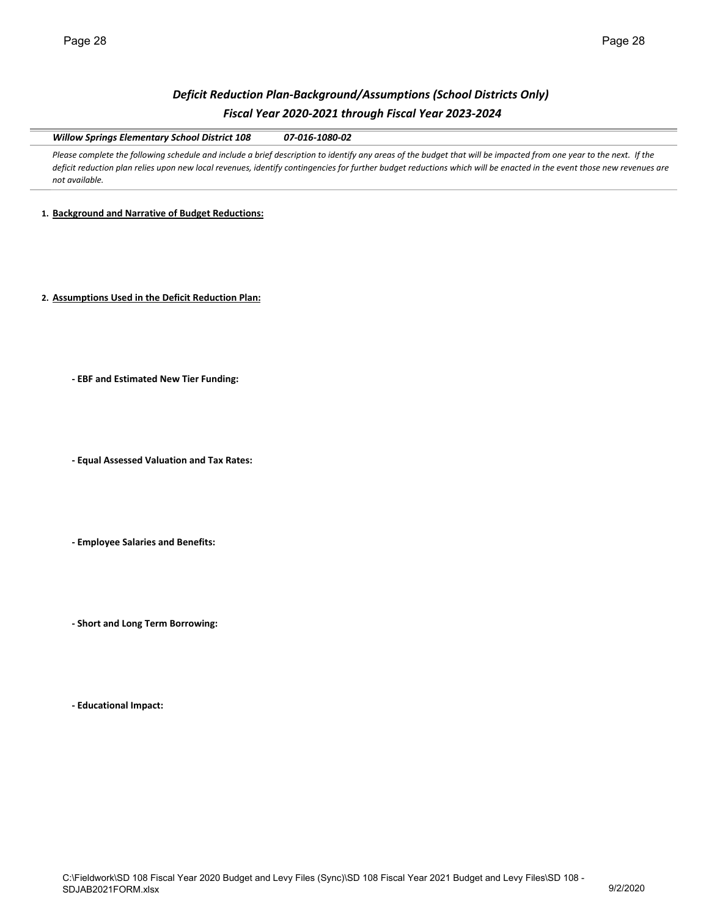## *Deficit Reduction Plan‐Background/Assumptions (School Districts Only) Fiscal Year 2020‐2021 through Fiscal Year 2023‐2024*

*Willow Springs Elementary School District 108 07‐016‐1080‐02*

Please complete the following schedule and include a brief description to identify any areas of the budget that will be impacted from one year to the next. If the *deficit reduction plan relies upon new local revenues, identify contingencies for further budget reductions which will be enacted in the event those new revenues are not available.* 

#### **1. Background and Narrative of Budget Reductions:**

**2. Assumptions Used in the Deficit Reduction Plan:**

**‐ EBF and Estimated New Tier Funding:**

**‐ Equal Assessed Valuation and Tax Rates:**

**‐ Employee Salaries and Benefits:**

**‐ Short and Long Term Borrowing:**

**‐ Educational Impact:**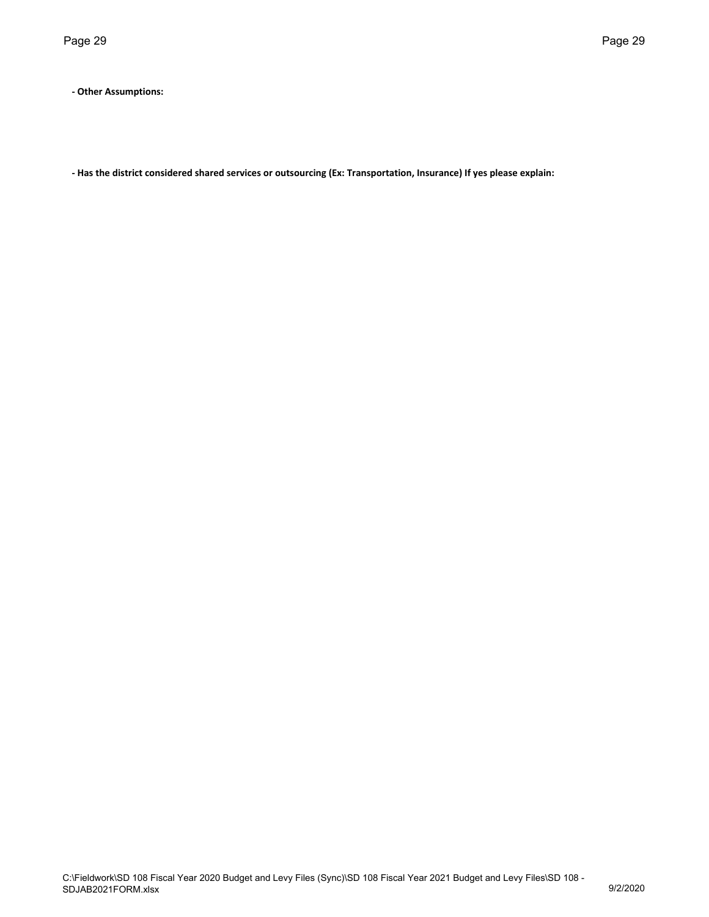**‐ Other Assumptions:**

**‐ Has the district considered shared services or outsourcing (Ex: Transportation, Insurance) If yes please explain:**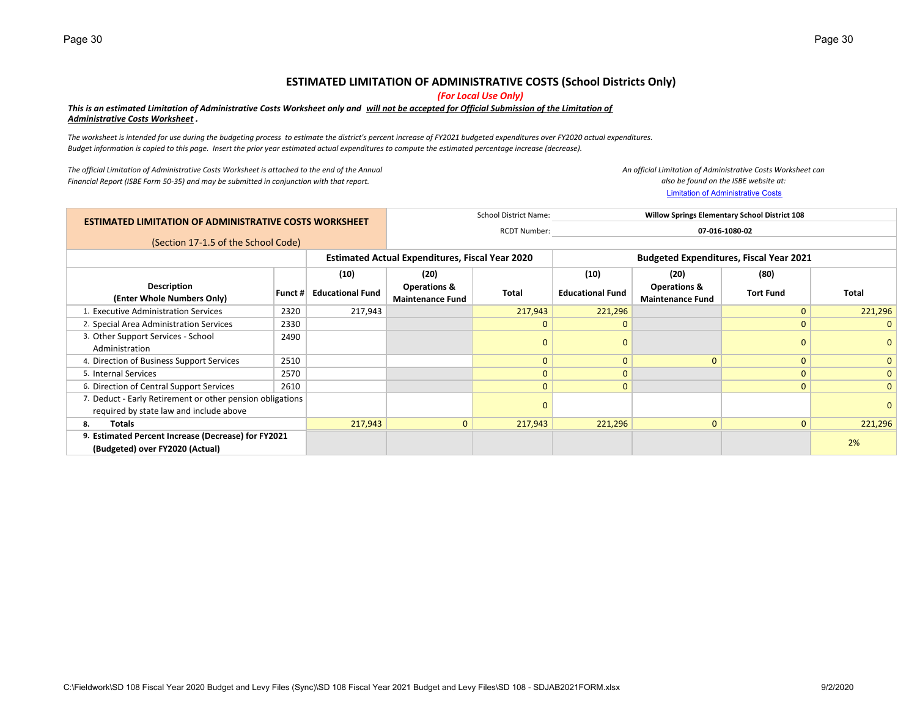### **ESTIMATED LIMITATION OF ADMINISTRATIVE COSTS (School Districts Only)**

*(For Local Use Only)*

#### *This is an estimated Limitation of Administrative Costs Worksheet only and will not be accepted for Official Submission of the Limitation of Administrative Costs Worksheet .*

*The worksheet is intended for use during the budgeting process to estimate the district's percent increase of FY2021 budgeted expenditures over FY2020 actual expenditures. Budget information is copied to this page. Insert the prior year estimated actual expenditures to compute the estimated percentage increase (decrease).*

*The official Limitation of Administrative Costs Worksheet is attached to the end of the Annual Financial Report (ISBE Form 50‐35) and may be submitted in conjunction with that report.*

Limitation of Administrative Costs *An official Limitation of Administrative Costs Worksheet can also be found on the ISBE website at:*

|  |                                                                                                      |         |                         | <b>School District Name:</b>                                                                             |                     |                         | <b>Willow Springs Elementary School District 108</b> |                  |              |
|--|------------------------------------------------------------------------------------------------------|---------|-------------------------|----------------------------------------------------------------------------------------------------------|---------------------|-------------------------|------------------------------------------------------|------------------|--------------|
|  | <b>ESTIMATED LIMITATION OF ADMINISTRATIVE COSTS WORKSHEET</b>                                        |         |                         |                                                                                                          | <b>RCDT Number:</b> |                         |                                                      | 07-016-1080-02   |              |
|  | (Section 17-1.5 of the School Code)                                                                  |         |                         |                                                                                                          |                     |                         |                                                      |                  |              |
|  |                                                                                                      |         |                         | <b>Estimated Actual Expenditures, Fiscal Year 2020</b><br><b>Budgeted Expenditures, Fiscal Year 2021</b> |                     |                         |                                                      |                  |              |
|  |                                                                                                      |         | (10)                    | (20)                                                                                                     |                     | (10)                    | (20)                                                 | (80)             |              |
|  | Description<br>(Enter Whole Numbers Only)                                                            | Funct # | <b>Educational Fund</b> | <b>Operations &amp;</b><br><b>Maintenance Fund</b>                                                       | <b>Total</b>        | <b>Educational Fund</b> | <b>Operations &amp;</b><br><b>Maintenance Fund</b>   | <b>Tort Fund</b> | Total        |
|  | 1. Executive Administration Services                                                                 | 2320    | 217,943                 |                                                                                                          | 217,943             | 221,296                 |                                                      | $\Omega$         | 221,296      |
|  | 2. Special Area Administration Services                                                              | 2330    |                         |                                                                                                          | $\Omega$            | $\mathbf{0}$            |                                                      | $\Omega$         | $\mathbf{0}$ |
|  | 3. Other Support Services - School<br>Administration                                                 | 2490    |                         |                                                                                                          |                     | $\Omega$                |                                                      | $\Omega$         | $\Omega$     |
|  | 4. Direction of Business Support Services                                                            | 2510    |                         |                                                                                                          | $\Omega$            | $\Omega$                | $\Omega$                                             | $\Omega$         | $\mathbf{0}$ |
|  | 5. Internal Services                                                                                 | 2570    |                         |                                                                                                          | $\Omega$            | $\mathbf{0}$            |                                                      | $\Omega$         | $\mathbf{0}$ |
|  | 6. Direction of Central Support Services                                                             | 2610    |                         |                                                                                                          | $\Omega$            | $\mathbf{0}$            |                                                      | $\mathbf{0}$     | $\mathbf{0}$ |
|  | 7. Deduct - Early Retirement or other pension obligations<br>required by state law and include above |         |                         |                                                                                                          |                     |                         |                                                      |                  | $\mathbf{0}$ |
|  | Totals<br>8.                                                                                         |         | 217,943                 | $\mathbf{0}$                                                                                             | 217,943             | 221,296                 | $\mathbf{0}$                                         | $\mathbf{0}$     | 221,296      |
|  | 9. Estimated Percent Increase (Decrease) for FY2021                                                  |         |                         |                                                                                                          |                     |                         |                                                      |                  | 2%           |
|  | (Budgeted) over FY2020 (Actual)                                                                      |         |                         |                                                                                                          |                     |                         |                                                      |                  |              |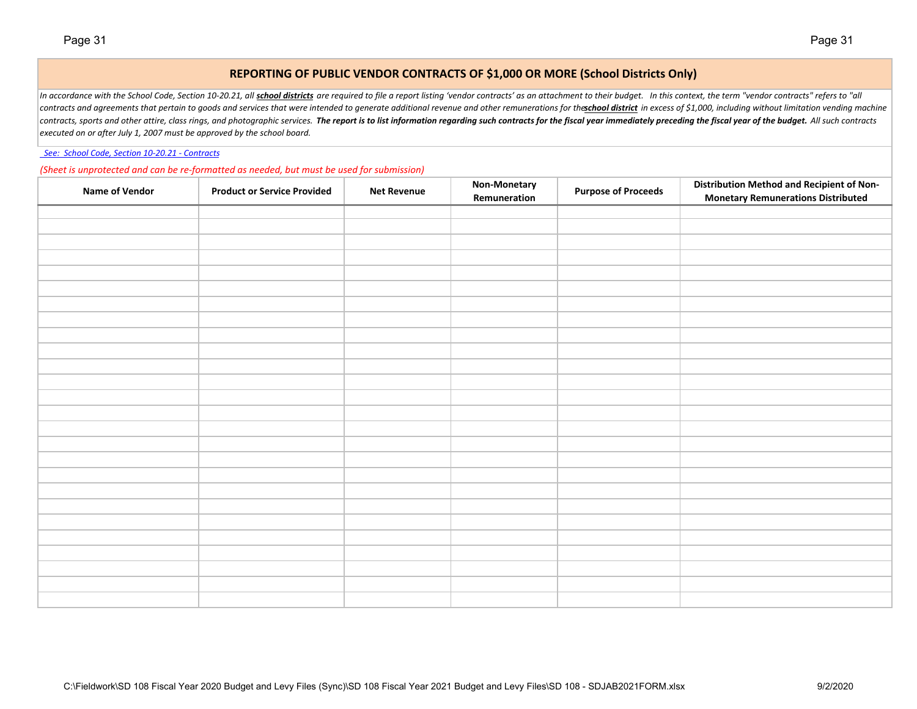### **REPORTING OF PUBLIC VENDOR CONTRACTS OF \$1,000 OR MORE (School Districts Only)**

In accordance with the School Code, Section 10-20.21, all school districts are required to file a report listing 'vendor contracts' as an attachment to their budget. In this context, the term "vendor contracts" refers to " contracts and agreements that pertain to goods and services that were intended to generate additional revenue and other remunerations for the school district in excess of \$1,000, including without limitation vending machin contracts, sports and other attire, class rings, and photographic services. The report is to list information regarding such contracts for the fiscal year immediately preceding the fiscal year of the budget. All such contr *executed on or after July 1, 2007 must be approved by the school board.*

 *See: School Code, Section 10‐20.21 ‐ Contracts*

*(Sheet is unprotected and can be re‐formatted as needed, but must be used for submission)*

| <b>Name of Vendor</b> | <b>Product or Service Provided</b> | <b>Net Revenue</b> | <b>Non-Monetary</b><br>Remuneration | <b>Purpose of Proceeds</b> | <b>Distribution Method and Recipient of Non-</b><br><b>Monetary Remunerations Distributed</b> |
|-----------------------|------------------------------------|--------------------|-------------------------------------|----------------------------|-----------------------------------------------------------------------------------------------|
|                       |                                    |                    |                                     |                            |                                                                                               |
|                       |                                    |                    |                                     |                            |                                                                                               |
|                       |                                    |                    |                                     |                            |                                                                                               |
|                       |                                    |                    |                                     |                            |                                                                                               |
|                       |                                    |                    |                                     |                            |                                                                                               |
|                       |                                    |                    |                                     |                            |                                                                                               |
|                       |                                    |                    |                                     |                            |                                                                                               |
|                       |                                    |                    |                                     |                            |                                                                                               |
|                       |                                    |                    |                                     |                            |                                                                                               |
|                       |                                    |                    |                                     |                            |                                                                                               |
|                       |                                    |                    |                                     |                            |                                                                                               |
|                       |                                    |                    |                                     |                            |                                                                                               |
|                       |                                    |                    |                                     |                            |                                                                                               |
|                       |                                    |                    |                                     |                            |                                                                                               |
|                       |                                    |                    |                                     |                            |                                                                                               |
|                       |                                    |                    |                                     |                            |                                                                                               |
|                       |                                    |                    |                                     |                            |                                                                                               |
|                       |                                    |                    |                                     |                            |                                                                                               |
|                       |                                    |                    |                                     |                            |                                                                                               |
|                       |                                    |                    |                                     |                            |                                                                                               |
|                       |                                    |                    |                                     |                            |                                                                                               |
|                       |                                    |                    |                                     |                            |                                                                                               |
|                       |                                    |                    |                                     |                            |                                                                                               |
|                       |                                    |                    |                                     |                            |                                                                                               |
|                       |                                    |                    |                                     |                            |                                                                                               |
|                       |                                    |                    |                                     |                            |                                                                                               |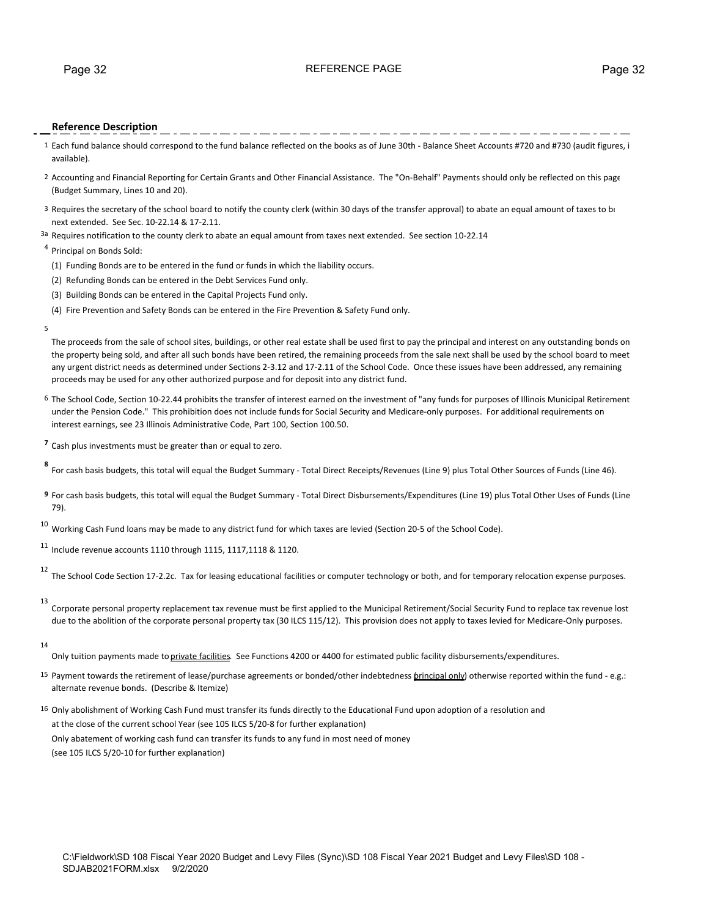#### Page 32 **Page 32** REFERENCE PAGE **PAGE** Page 32

#### **Reference Description**

- 1 Each fund balance should correspond to the fund balance reflected on the books as of June 30th ‐ Balance Sheet Accounts #720 and #730 (audit figures, i available).
- 2 Accounting and Financial Reporting for Certain Grants and Other Financial Assistance. The "On‐Behalf" Payments should only be reflected on this page (Budget Summary, Lines 10 and 20).
- 3 Requires the secretary of the school board to notify the county clerk (within 30 days of the transfer approval) to abate an equal amount of taxes to be next extended. See Sec. 10‐22.14 & 17‐2.11.
- 3a Requires notification to the county clerk to abate an equal amount from taxes next extended. See section 10-22.14

#### <sup>4</sup> Principal on Bonds Sold:

- (1) Funding Bonds are to be entered in the fund or funds in which the liability occurs.
- (2) Refunding Bonds can be entered in the Debt Services Fund only.
- (3) Building Bonds can be entered in the Capital Projects Fund only.
- (4) Fire Prevention and Safety Bonds can be entered in the Fire Prevention & Safety Fund only.
- 5

The proceeds from the sale of school sites, buildings, or other real estate shall be used first to pay the principal and interest on any outstanding bonds on the property being sold, and after all such bonds have been retired, the remaining proceeds from the sale next shall be used by the school board to meet any urgent district needs as determined under Sections 2‐3.12 and 17‐2.11 of the School Code. Once these issues have been addressed, any remaining proceeds may be used for any other authorized purpose and for deposit into any district fund.

- 6 The School Code, Section 10‐22.44 prohibits the transfer of interest earned on the investment of "any funds for purposes of Illinois Municipal Retirement under the Pension Code." This prohibition does not include funds for Social Security and Medicare-only purposes. For additional requirements on interest earnings, see 23 Illinois Administrative Code, Part 100, Section 100.50.
- **<sup>7</sup>** Cash plus investments must be greater than or equal to zero.
- For cash basis budgets, this total will equal the Budget Summary Total Direct Receipts/Revenues (Line 9) plus Total Other Sources of Funds (Line 46).
- **9** For cash basis budgets, this total will equal the Budget Summary ‐ Total Direct Disbursements/Expenditures (Line 19) plus Total Other Uses of Funds (Line 79).
- $10$  Working Cash Fund loans may be made to any district fund for which taxes are levied (Section 20-5 of the School Code).

 $11$  Include revenue accounts 1110 through 1115, 1117, 1118 & 1120.

12 The School Code Section 17‐2.2c. Tax for leasing educational facilities or computer technology or both, and for temporary relocation expense purposes.

13

Corporate personal property replacement tax revenue must be first applied to the Municipal Retirement/Social Security Fund to replace tax revenue lost due to the abolition of the corporate personal property tax (30 ILCS 115/12). This provision does not apply to taxes levied for Medicare-Only purposes.

14

Only tuition payments made to private facilities. See Functions 4200 or 4400 for estimated public facility disbursements/expenditures.

- 15 Payment towards the retirement of lease/purchase agreements or bonded/other indebtedness *brincipal only*) otherwise reported within the fund e.g.: alternate revenue bonds. (Describe & Itemize)
- 16 Only abolishment of Working Cash Fund must transfer its funds directly to the Educational Fund upon adoption of a resolution and at the close of the current school Year (see 105 ILCS 5/20‐8 for further explanation) Only abatement of working cash fund can transfer its funds to any fund in most need of money (see 105 ILCS 5/20‐10 for further explanation)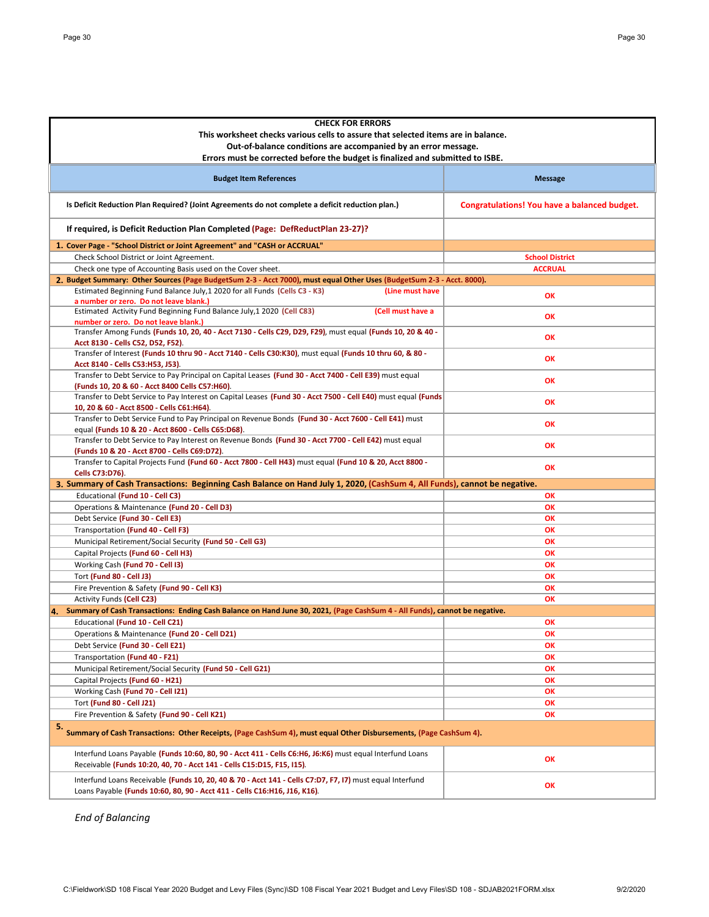| <b>CHECK FOR ERRORS</b>                                                                                                                                                               |                                              |
|---------------------------------------------------------------------------------------------------------------------------------------------------------------------------------------|----------------------------------------------|
| This worksheet checks various cells to assure that selected items are in balance.                                                                                                     |                                              |
| Out-of-balance conditions are accompanied by an error message.                                                                                                                        |                                              |
|                                                                                                                                                                                       |                                              |
| Errors must be corrected before the budget is finalized and submitted to ISBE.                                                                                                        |                                              |
| <b>Budget Item References</b>                                                                                                                                                         | <b>Message</b>                               |
| Is Deficit Reduction Plan Required? (Joint Agreements do not complete a deficit reduction plan.)                                                                                      | Congratulations! You have a balanced budget. |
| If required, is Deficit Reduction Plan Completed (Page: DefReductPlan 23-27)?                                                                                                         |                                              |
| 1. Cover Page - "School District or Joint Agreement" and "CASH or ACCRUAL"                                                                                                            |                                              |
| Check School District or Joint Agreement.                                                                                                                                             | <b>School District</b>                       |
| Check one type of Accounting Basis used on the Cover sheet.                                                                                                                           | <b>ACCRUAL</b>                               |
| 2. Budget Summary: Other Sources (Page BudgetSum 2-3 - Acct 7000), must equal Other Uses (BudgetSum 2-3 - Acct. 8000).                                                                |                                              |
| Estimated Beginning Fund Balance July, 1 2020 for all Funds (Cells C3 - K3)<br>(Line must have<br>a number or zero. Do not leave blank.)                                              | OK                                           |
| Estimated Activity Fund Beginning Fund Balance July, 1 2020 (Cell C83)<br>(Cell must have a<br>number or zero. Do not leave blank.)                                                   | OK                                           |
| Transfer Among Funds (Funds 10, 20, 40 - Acct 7130 - Cells C29, D29, F29), must equal (Funds 10, 20 & 40 -<br>Acct 8130 - Cells C52, D52, F52).                                       | OK                                           |
| Transfer of Interest (Funds 10 thru 90 - Acct 7140 - Cells C30:K30), must equal (Funds 10 thru 60, & 80 -<br>Acct 8140 - Cells C53:H53, J53).                                         | OK                                           |
| Transfer to Debt Service to Pay Principal on Capital Leases (Fund 30 - Acct 7400 - Cell E39) must equal<br>(Funds 10, 20 & 60 - Acct 8400 Cells C57:H60).                             | OK                                           |
| Transfer to Debt Service to Pay Interest on Capital Leases (Fund 30 - Acct 7500 - Cell E40) must equal (Funds                                                                         | OK                                           |
| 10, 20 & 60 - Acct 8500 - Cells C61:H64).                                                                                                                                             |                                              |
| Transfer to Debt Service Fund to Pay Principal on Revenue Bonds (Fund 30 - Acct 7600 - Cell E41) must<br>equal (Funds 10 & 20 - Acct 8600 - Cells C65:D68).                           | OK                                           |
| Transfer to Debt Service to Pay Interest on Revenue Bonds (Fund 30 - Acct 7700 - Cell E42) must equal<br>(Funds 10 & 20 - Acct 8700 - Cells C69:D72).                                 | OK                                           |
| Transfer to Capital Projects Fund (Fund 60 - Acct 7800 - Cell H43) must equal (Fund 10 & 20, Acct 8800 -<br>Cells C73:D76).                                                           | OK                                           |
| 3. Summary of Cash Transactions: Beginning Cash Balance on Hand July 1, 2020, (CashSum 4, All Funds), cannot be negative.                                                             |                                              |
| Educational (Fund 10 - Cell C3)                                                                                                                                                       | OK                                           |
| Operations & Maintenance (Fund 20 - Cell D3)                                                                                                                                          | OK                                           |
| Debt Service (Fund 30 - Cell E3)                                                                                                                                                      | OK                                           |
| Transportation (Fund 40 - Cell F3)                                                                                                                                                    | OK                                           |
| Municipal Retirement/Social Security (Fund 50 - Cell G3)                                                                                                                              | OK                                           |
| Capital Projects (Fund 60 - Cell H3)                                                                                                                                                  | OK                                           |
| Working Cash (Fund 70 - Cell I3)                                                                                                                                                      | OK                                           |
| Tort (Fund 80 - Cell J3)                                                                                                                                                              | OK                                           |
| Fire Prevention & Safety (Fund 90 - Cell K3)                                                                                                                                          | OK                                           |
| <b>Activity Funds (Cell C23)</b>                                                                                                                                                      | OK                                           |
| 4. Summary of Cash Transactions: Ending Cash Balance on Hand June 30, 2021, (Page CashSum 4 - All Funds), cannot be negative.                                                         |                                              |
| Educational (Fund 10 - Cell C21)                                                                                                                                                      | OK                                           |
| Operations & Maintenance (Fund 20 - Cell D21)                                                                                                                                         | OK                                           |
| Debt Service (Fund 30 - Cell E21)                                                                                                                                                     | OK                                           |
| Transportation (Fund 40 - F21)                                                                                                                                                        | OK                                           |
| Municipal Retirement/Social Security (Fund 50 - Cell G21)                                                                                                                             | OK                                           |
| Capital Projects (Fund 60 - H21)                                                                                                                                                      | ОК                                           |
| Working Cash (Fund 70 - Cell 121)                                                                                                                                                     | ОК                                           |
| <b>Tort (Fund 80 - Cell J21)</b>                                                                                                                                                      | OK                                           |
| Fire Prevention & Safety (Fund 90 - Cell K21)                                                                                                                                         | OK                                           |
| 5. Summary of Cash Transactions: Other Receipts, (Page CashSum 4), must equal Other Disbursements, (Page CashSum 4).                                                                  |                                              |
| Interfund Loans Payable (Funds 10:60, 80, 90 - Acct 411 - Cells C6:H6, J6:K6) must equal Interfund Loans<br>Receivable (Funds 10:20, 40, 70 - Acct 141 - Cells C15:D15, F15, I15).    | OK                                           |
| Interfund Loans Receivable (Funds 10, 20, 40 & 70 - Acct 141 - Cells C7:D7, F7, I7) must equal Interfund<br>Loans Payable (Funds 10:60, 80, 90 - Acct 411 - Cells C16:H16, J16, K16). | OK                                           |

*End of Balancing*